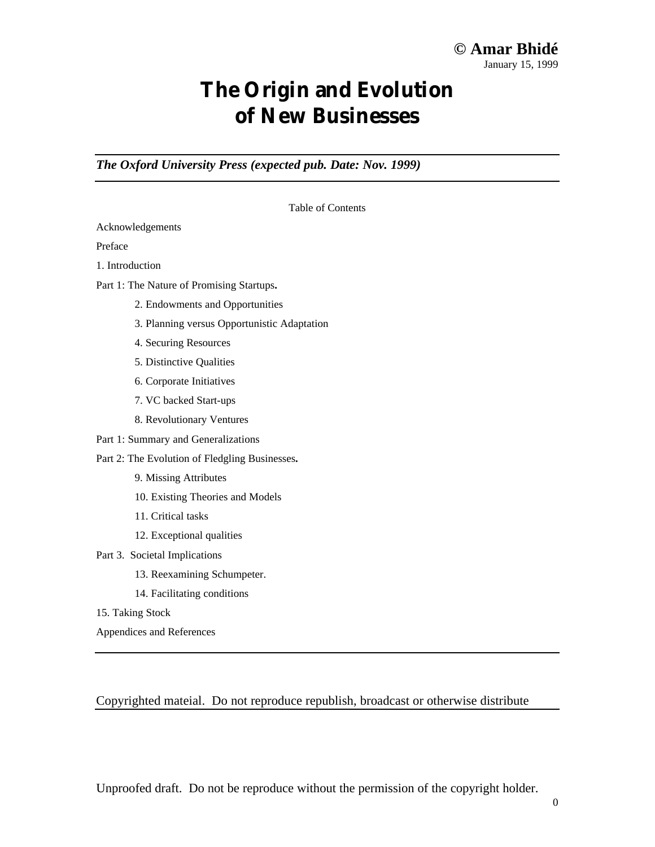# **The Origin and Evolution of New Businesses**

*The Oxford University Press (expected pub. Date: Nov. 1999)*

### Table of Contents

Acknowledgements

Preface

1. Introduction

Part 1: The Nature of Promising Startups**.**

- 2. Endowments and Opportunities
- 3. Planning versus Opportunistic Adaptation
- 4. Securing Resources
- 5. Distinctive Qualities
- 6. Corporate Initiatives
- 7. VC backed Start-ups
- 8. Revolutionary Ventures
- Part 1: Summary and Generalizations
- Part 2: The Evolution of Fledgling Businesses**.**
	- 9. Missing Attributes
	- 10. Existing Theories and Models
	- 11. Critical tasks
	- 12. Exceptional qualities
- Part 3. Societal Implications
	- 13. Reexamining Schumpeter.
	- 14. Facilitating conditions
- 15. Taking Stock

Appendices and References

## Copyrighted mateial. Do not reproduce republish, broadcast or otherwise distribute

Unproofed draft. Do not be reproduce without the permission of the copyright holder.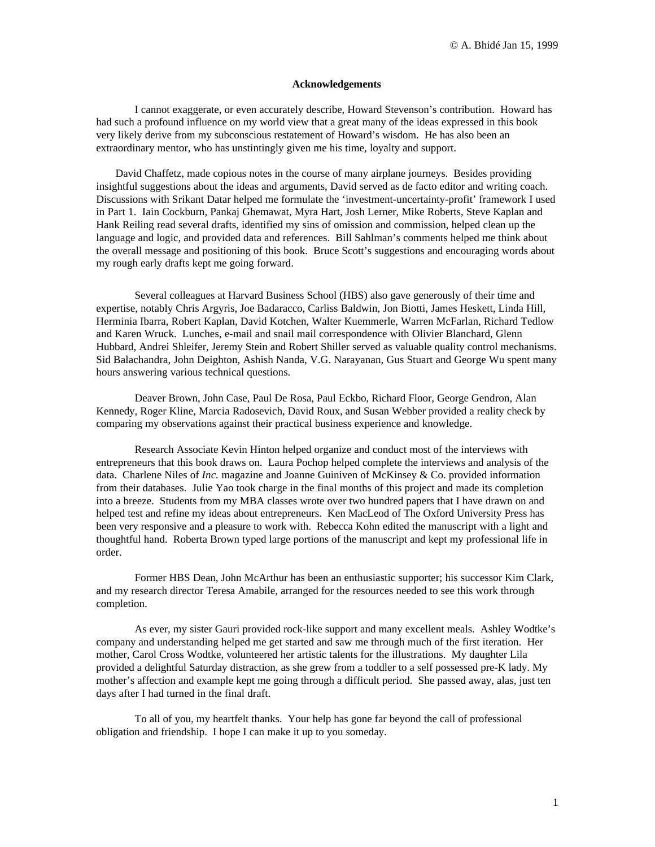#### **Acknowledgements**

I cannot exaggerate, or even accurately describe, Howard Stevenson's contribution. Howard has had such a profound influence on my world view that a great many of the ideas expressed in this book very likely derive from my subconscious restatement of Howard's wisdom. He has also been an extraordinary mentor, who has unstintingly given me his time, loyalty and support.

David Chaffetz, made copious notes in the course of many airplane journeys. Besides providing insightful suggestions about the ideas and arguments, David served as de facto editor and writing coach. Discussions with Srikant Datar helped me formulate the 'investment-uncertainty-profit' framework I used in Part 1. Iain Cockburn, Pankaj Ghemawat, Myra Hart, Josh Lerner, Mike Roberts, Steve Kaplan and Hank Reiling read several drafts, identified my sins of omission and commission, helped clean up the language and logic, and provided data and references. Bill Sahlman's comments helped me think about the overall message and positioning of this book. Bruce Scott's suggestions and encouraging words about my rough early drafts kept me going forward.

Several colleagues at Harvard Business School (HBS) also gave generously of their time and expertise, notably Chris Argyris, Joe Badaracco, Carliss Baldwin, Jon Biotti, James Heskett, Linda Hill, Herminia Ibarra, Robert Kaplan, David Kotchen, Walter Kuemmerle, Warren McFarlan, Richard Tedlow and Karen Wruck. Lunches, e-mail and snail mail correspondence with Olivier Blanchard, Glenn Hubbard, Andrei Shleifer, Jeremy Stein and Robert Shiller served as valuable quality control mechanisms. Sid Balachandra, John Deighton, Ashish Nanda, V.G. Narayanan, Gus Stuart and George Wu spent many hours answering various technical questions.

Deaver Brown, John Case, Paul De Rosa, Paul Eckbo, Richard Floor, George Gendron, Alan Kennedy, Roger Kline, Marcia Radosevich, David Roux, and Susan Webber provided a reality check by comparing my observations against their practical business experience and knowledge.

Research Associate Kevin Hinton helped organize and conduct most of the interviews with entrepreneurs that this book draws on. Laura Pochop helped complete the interviews and analysis of the data. Charlene Niles of *Inc.* magazine and Joanne Guiniven of McKinsey & Co. provided information from their databases. Julie Yao took charge in the final months of this project and made its completion into a breeze. Students from my MBA classes wrote over two hundred papers that I have drawn on and helped test and refine my ideas about entrepreneurs. Ken MacLeod of The Oxford University Press has been very responsive and a pleasure to work with. Rebecca Kohn edited the manuscript with a light and thoughtful hand. Roberta Brown typed large portions of the manuscript and kept my professional life in order.

Former HBS Dean, John McArthur has been an enthusiastic supporter; his successor Kim Clark, and my research director Teresa Amabile, arranged for the resources needed to see this work through completion.

As ever, my sister Gauri provided rock-like support and many excellent meals. Ashley Wodtke's company and understanding helped me get started and saw me through much of the first iteration. Her mother, Carol Cross Wodtke, volunteered her artistic talents for the illustrations. My daughter Lila provided a delightful Saturday distraction, as she grew from a toddler to a self possessed pre-K lady. My mother's affection and example kept me going through a difficult period. She passed away, alas, just ten days after I had turned in the final draft.

To all of you, my heartfelt thanks. Your help has gone far beyond the call of professional obligation and friendship. I hope I can make it up to you someday.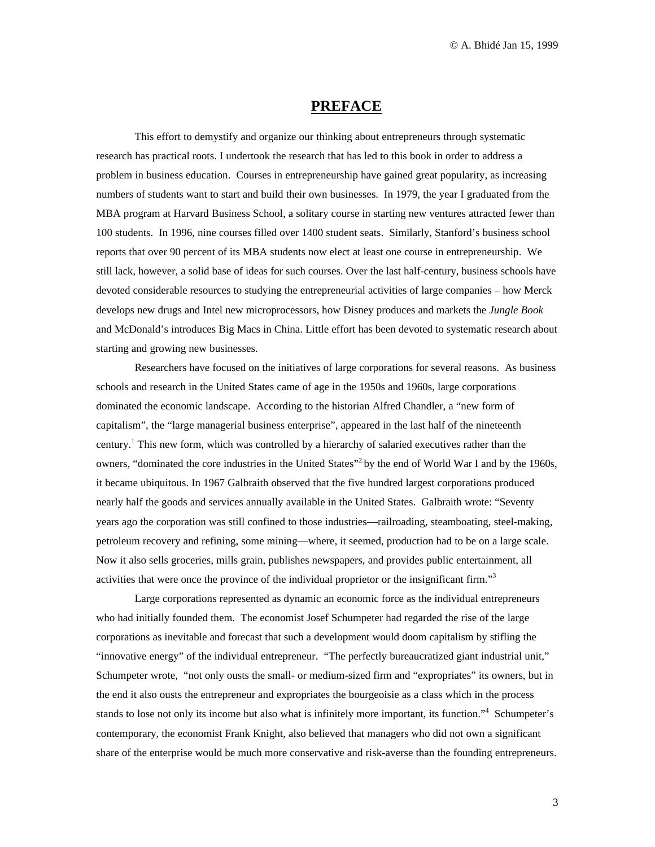## **PREFACE**

This effort to demystify and organize our thinking about entrepreneurs through systematic research has practical roots. I undertook the research that has led to this book in order to address a problem in business education. Courses in entrepreneurship have gained great popularity, as increasing numbers of students want to start and build their own businesses. In 1979, the year I graduated from the MBA program at Harvard Business School, a solitary course in starting new ventures attracted fewer than 100 students. In 1996, nine courses filled over 1400 student seats. Similarly, Stanford's business school reports that over 90 percent of its MBA students now elect at least one course in entrepreneurship. We still lack, however, a solid base of ideas for such courses. Over the last half-century, business schools have devoted considerable resources to studying the entrepreneurial activities of large companies – how Merck develops new drugs and Intel new microprocessors, how Disney produces and markets the *Jungle Book* and McDonald's introduces Big Macs in China. Little effort has been devoted to systematic research about starting and growing new businesses.

Researchers have focused on the initiatives of large corporations for several reasons. As business schools and research in the United States came of age in the 1950s and 1960s, large corporations dominated the economic landscape. According to the historian Alfred Chandler, a "new form of capitalism", the "large managerial business enterprise", appeared in the last half of the nineteenth century.<sup>1</sup> This new form, which was controlled by a hierarchy of salaried executives rather than the owners, "dominated the core industries in the United States"<sup>2</sup> by the end of World War I and by the 1960s, it became ubiquitous. In 1967 Galbraith observed that the five hundred largest corporations produced nearly half the goods and services annually available in the United States. Galbraith wrote: "Seventy years ago the corporation was still confined to those industries—railroading, steamboating, steel-making, petroleum recovery and refining, some mining—where, it seemed, production had to be on a large scale. Now it also sells groceries, mills grain, publishes newspapers, and provides public entertainment, all activities that were once the province of the individual proprietor or the insignificant firm."<sup>3</sup>

Large corporations represented as dynamic an economic force as the individual entrepreneurs who had initially founded them. The economist Josef Schumpeter had regarded the rise of the large corporations as inevitable and forecast that such a development would doom capitalism by stifling the "innovative energy" of the individual entrepreneur. "The perfectly bureaucratized giant industrial unit," Schumpeter wrote, "not only ousts the small- or medium-sized firm and "expropriates" its owners, but in the end it also ousts the entrepreneur and expropriates the bourgeoisie as a class which in the process stands to lose not only its income but also what is infinitely more important, its function."<sup>4</sup> Schumpeter's contemporary, the economist Frank Knight, also believed that managers who did not own a significant share of the enterprise would be much more conservative and risk-averse than the founding entrepreneurs.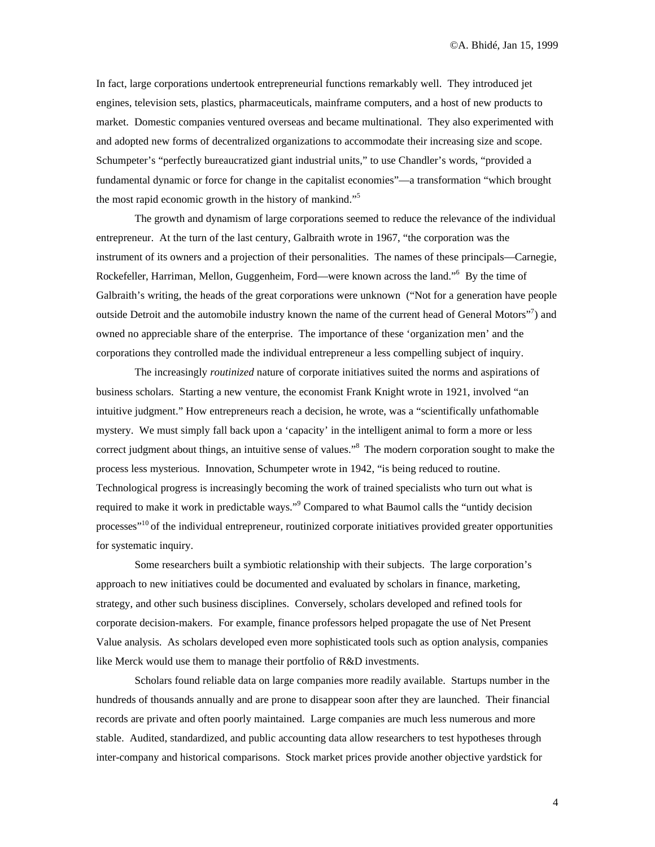In fact, large corporations undertook entrepreneurial functions remarkably well. They introduced jet engines, television sets, plastics, pharmaceuticals, mainframe computers, and a host of new products to market. Domestic companies ventured overseas and became multinational. They also experimented with and adopted new forms of decentralized organizations to accommodate their increasing size and scope. Schumpeter's "perfectly bureaucratized giant industrial units," to use Chandler's words, "provided a fundamental dynamic or force for change in the capitalist economies"—a transformation "which brought the most rapid economic growth in the history of mankind."<sup>5</sup>

The growth and dynamism of large corporations seemed to reduce the relevance of the individual entrepreneur. At the turn of the last century, Galbraith wrote in 1967, "the corporation was the instrument of its owners and a projection of their personalities. The names of these principals—Carnegie, Rockefeller, Harriman, Mellon, Guggenheim, Ford—were known across the land."<sup>6</sup> By the time of Galbraith's writing, the heads of the great corporations were unknown ("Not for a generation have people outside Detroit and the automobile industry known the name of the current head of General Motors"<sup>7</sup>) and owned no appreciable share of the enterprise. The importance of these 'organization men' and the corporations they controlled made the individual entrepreneur a less compelling subject of inquiry.

The increasingly *routinized* nature of corporate initiatives suited the norms and aspirations of business scholars. Starting a new venture, the economist Frank Knight wrote in 1921, involved "an intuitive judgment." How entrepreneurs reach a decision, he wrote, was a "scientifically unfathomable mystery. We must simply fall back upon a 'capacity' in the intelligent animal to form a more or less correct judgment about things, an intuitive sense of values."<sup>8</sup> The modern corporation sought to make the process less mysterious. Innovation, Schumpeter wrote in 1942, "is being reduced to routine. Technological progress is increasingly becoming the work of trained specialists who turn out what is required to make it work in predictable ways."<sup>9</sup> Compared to what Baumol calls the "untidy decision processes<sup>"10</sup> of the individual entrepreneur, routinized corporate initiatives provided greater opportunities for systematic inquiry.

Some researchers built a symbiotic relationship with their subjects. The large corporation's approach to new initiatives could be documented and evaluated by scholars in finance, marketing, strategy, and other such business disciplines. Conversely, scholars developed and refined tools for corporate decision-makers. For example, finance professors helped propagate the use of Net Present Value analysis. As scholars developed even more sophisticated tools such as option analysis, companies like Merck would use them to manage their portfolio of R&D investments.

Scholars found reliable data on large companies more readily available. Startups number in the hundreds of thousands annually and are prone to disappear soon after they are launched. Their financial records are private and often poorly maintained. Large companies are much less numerous and more stable. Audited, standardized, and public accounting data allow researchers to test hypotheses through inter-company and historical comparisons. Stock market prices provide another objective yardstick for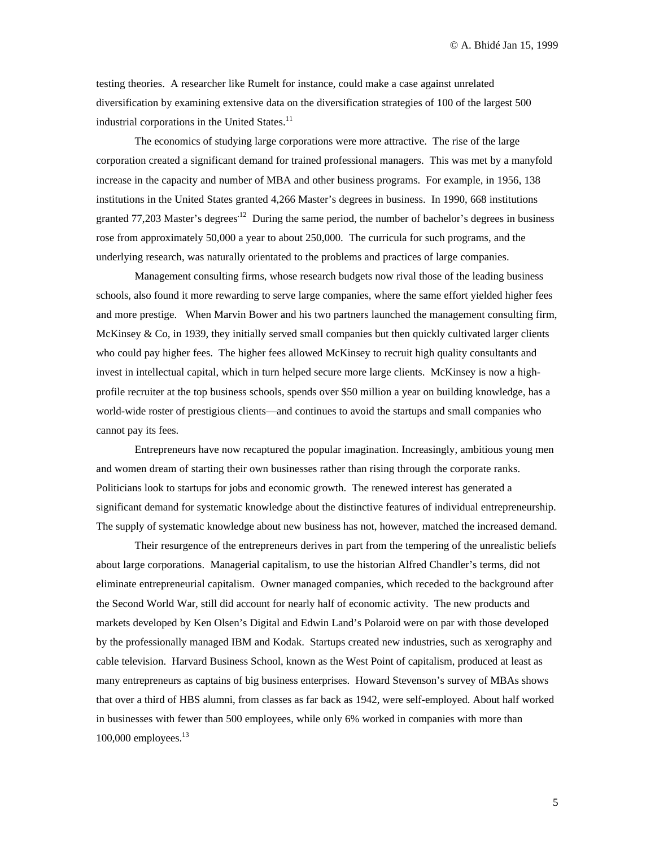testing theories. A researcher like Rumelt for instance, could make a case against unrelated diversification by examining extensive data on the diversification strategies of 100 of the largest 500 industrial corporations in the United States.<sup>11</sup>

The economics of studying large corporations were more attractive. The rise of the large corporation created a significant demand for trained professional managers. This was met by a manyfold increase in the capacity and number of MBA and other business programs. For example, in 1956, 138 institutions in the United States granted 4,266 Master's degrees in business. In 1990, 668 institutions granted 77,203 Master's degrees<sup>.12</sup> During the same period, the number of bachelor's degrees in business rose from approximately 50,000 a year to about 250,000. The curricula for such programs, and the underlying research, was naturally orientated to the problems and practices of large companies.

Management consulting firms, whose research budgets now rival those of the leading business schools, also found it more rewarding to serve large companies, where the same effort yielded higher fees and more prestige. When Marvin Bower and his two partners launched the management consulting firm, McKinsey & Co, in 1939, they initially served small companies but then quickly cultivated larger clients who could pay higher fees. The higher fees allowed McKinsey to recruit high quality consultants and invest in intellectual capital, which in turn helped secure more large clients. McKinsey is now a highprofile recruiter at the top business schools, spends over \$50 million a year on building knowledge, has a world-wide roster of prestigious clients—and continues to avoid the startups and small companies who cannot pay its fees.

Entrepreneurs have now recaptured the popular imagination. Increasingly, ambitious young men and women dream of starting their own businesses rather than rising through the corporate ranks. Politicians look to startups for jobs and economic growth. The renewed interest has generated a significant demand for systematic knowledge about the distinctive features of individual entrepreneurship. The supply of systematic knowledge about new business has not, however, matched the increased demand.

Their resurgence of the entrepreneurs derives in part from the tempering of the unrealistic beliefs about large corporations. Managerial capitalism, to use the historian Alfred Chandler's terms, did not eliminate entrepreneurial capitalism. Owner managed companies, which receded to the background after the Second World War, still did account for nearly half of economic activity. The new products and markets developed by Ken Olsen's Digital and Edwin Land's Polaroid were on par with those developed by the professionally managed IBM and Kodak. Startups created new industries, such as xerography and cable television. Harvard Business School, known as the West Point of capitalism, produced at least as many entrepreneurs as captains of big business enterprises. Howard Stevenson's survey of MBAs shows that over a third of HBS alumni, from classes as far back as 1942, were self-employed. About half worked in businesses with fewer than 500 employees, while only 6% worked in companies with more than  $100,000$  employees. $13$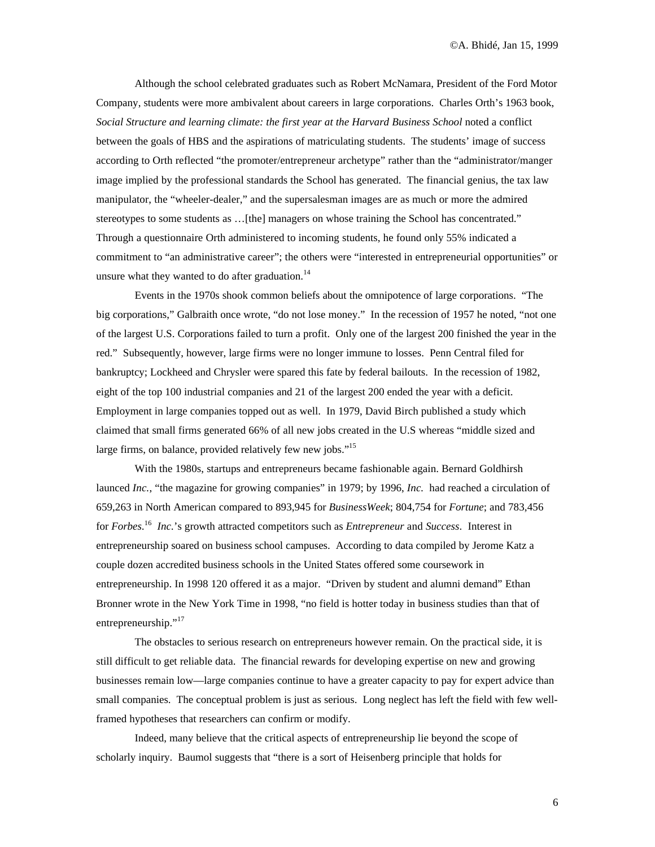Although the school celebrated graduates such as Robert McNamara, President of the Ford Motor Company, students were more ambivalent about careers in large corporations. Charles Orth's 1963 book, *Social Structure and learning climate: the first year at the Harvard Business School* noted a conflict between the goals of HBS and the aspirations of matriculating students. The students' image of success according to Orth reflected "the promoter/entrepreneur archetype" rather than the "administrator/manger image implied by the professional standards the School has generated. The financial genius, the tax law manipulator, the "wheeler-dealer," and the supersalesman images are as much or more the admired stereotypes to some students as …[the] managers on whose training the School has concentrated." Through a questionnaire Orth administered to incoming students, he found only 55% indicated a commitment to "an administrative career"; the others were "interested in entrepreneurial opportunities" or unsure what they wanted to do after graduation. $^{14}$ 

Events in the 1970s shook common beliefs about the omnipotence of large corporations. "The big corporations," Galbraith once wrote, "do not lose money." In the recession of 1957 he noted, "not one of the largest U.S. Corporations failed to turn a profit. Only one of the largest 200 finished the year in the red." Subsequently, however, large firms were no longer immune to losses. Penn Central filed for bankruptcy; Lockheed and Chrysler were spared this fate by federal bailouts. In the recession of 1982, eight of the top 100 industrial companies and 21 of the largest 200 ended the year with a deficit. Employment in large companies topped out as well. In 1979, David Birch published a study which claimed that small firms generated 66% of all new jobs created in the U.S whereas "middle sized and large firms, on balance, provided relatively few new jobs."<sup>15</sup>

With the 1980s, startups and entrepreneurs became fashionable again. Bernard Goldhirsh launced *Inc.*, "the magazine for growing companies" in 1979; by 1996, *Inc.* had reached a circulation of 659,263 in North American compared to 893,945 for *BusinessWeek*; 804,754 for *Fortune*; and 783,456 for *Forbes*. 16 *Inc.*'s growth attracted competitors such as *Entrepreneur* and *Success*. Interest in entrepreneurship soared on business school campuses. According to data compiled by Jerome Katz a couple dozen accredited business schools in the United States offered some coursework in entrepreneurship. In 1998 120 offered it as a major. "Driven by student and alumni demand" Ethan Bronner wrote in the New York Time in 1998, "no field is hotter today in business studies than that of entrepreneurship."<sup>17</sup>

The obstacles to serious research on entrepreneurs however remain. On the practical side, it is still difficult to get reliable data. The financial rewards for developing expertise on new and growing businesses remain low—large companies continue to have a greater capacity to pay for expert advice than small companies. The conceptual problem is just as serious. Long neglect has left the field with few wellframed hypotheses that researchers can confirm or modify.

Indeed, many believe that the critical aspects of entrepreneurship lie beyond the scope of scholarly inquiry. Baumol suggests that "there is a sort of Heisenberg principle that holds for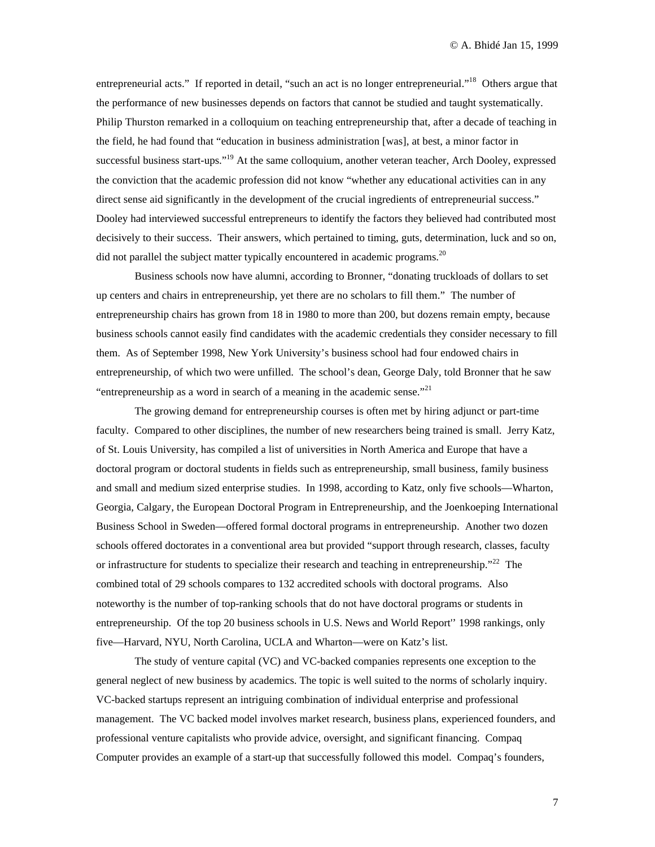entrepreneurial acts." If reported in detail, "such an act is no longer entrepreneurial."<sup>18</sup> Others argue that the performance of new businesses depends on factors that cannot be studied and taught systematically. Philip Thurston remarked in a colloquium on teaching entrepreneurship that, after a decade of teaching in the field, he had found that "education in business administration [was], at best, a minor factor in successful business start-ups."<sup>19</sup> At the same colloquium, another veteran teacher, Arch Dooley, expressed the conviction that the academic profession did not know "whether any educational activities can in any direct sense aid significantly in the development of the crucial ingredients of entrepreneurial success." Dooley had interviewed successful entrepreneurs to identify the factors they believed had contributed most decisively to their success. Their answers, which pertained to timing, guts, determination, luck and so on, did not parallel the subject matter typically encountered in academic programs.<sup>20</sup>

Business schools now have alumni, according to Bronner, "donating truckloads of dollars to set up centers and chairs in entrepreneurship, yet there are no scholars to fill them." The number of entrepreneurship chairs has grown from 18 in 1980 to more than 200, but dozens remain empty, because business schools cannot easily find candidates with the academic credentials they consider necessary to fill them. As of September 1998, New York University's business school had four endowed chairs in entrepreneurship, of which two were unfilled. The school's dean, George Daly, told Bronner that he saw "entrepreneurship as a word in search of a meaning in the academic sense."

The growing demand for entrepreneurship courses is often met by hiring adjunct or part-time faculty. Compared to other disciplines, the number of new researchers being trained is small. Jerry Katz, of St. Louis University, has compiled a list of universities in North America and Europe that have a doctoral program or doctoral students in fields such as entrepreneurship, small business, family business and small and medium sized enterprise studies. In 1998, according to Katz, only five schools—Wharton, Georgia, Calgary, the European Doctoral Program in Entrepreneurship, and the Joenkoeping International Business School in Sweden—offered formal doctoral programs in entrepreneurship. Another two dozen schools offered doctorates in a conventional area but provided "support through research, classes, faculty or infrastructure for students to specialize their research and teaching in entrepreneurship."<sup>22</sup> The combined total of 29 schools compares to 132 accredited schools with doctoral programs. Also noteworthy is the number of top-ranking schools that do not have doctoral programs or students in entrepreneurship. Of the top 20 business schools in U.S. News and World Report'' 1998 rankings, only five—Harvard, NYU, North Carolina, UCLA and Wharton—were on Katz's list.

The study of venture capital (VC) and VC-backed companies represents one exception to the general neglect of new business by academics. The topic is well suited to the norms of scholarly inquiry. VC-backed startups represent an intriguing combination of individual enterprise and professional management. The VC backed model involves market research, business plans, experienced founders, and professional venture capitalists who provide advice, oversight, and significant financing. Compaq Computer provides an example of a start-up that successfully followed this model. Compaq's founders,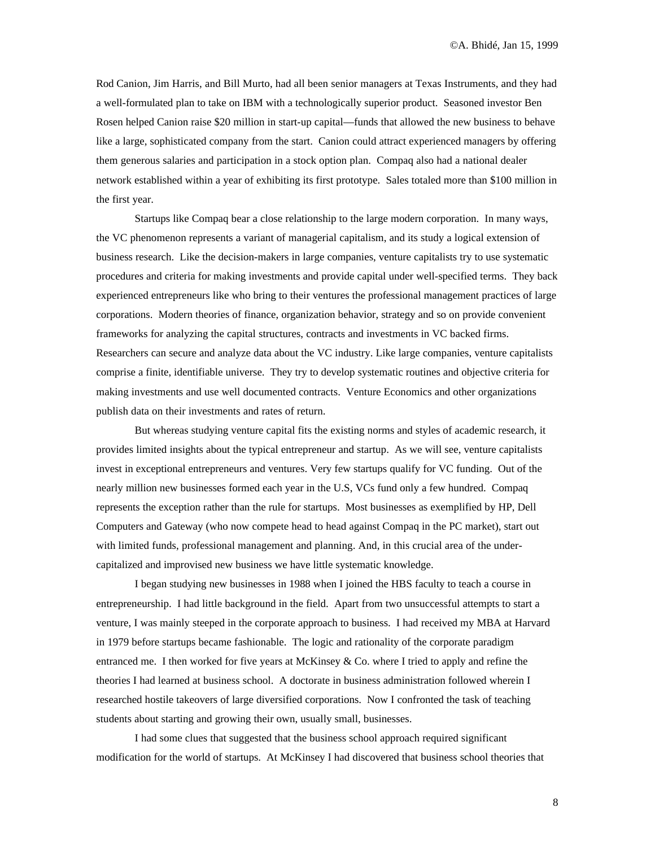Rod Canion, Jim Harris, and Bill Murto, had all been senior managers at Texas Instruments, and they had a well-formulated plan to take on IBM with a technologically superior product. Seasoned investor Ben Rosen helped Canion raise \$20 million in start-up capital—funds that allowed the new business to behave like a large, sophisticated company from the start. Canion could attract experienced managers by offering them generous salaries and participation in a stock option plan. Compaq also had a national dealer network established within a year of exhibiting its first prototype. Sales totaled more than \$100 million in the first year.

Startups like Compaq bear a close relationship to the large modern corporation. In many ways, the VC phenomenon represents a variant of managerial capitalism, and its study a logical extension of business research. Like the decision-makers in large companies, venture capitalists try to use systematic procedures and criteria for making investments and provide capital under well-specified terms. They back experienced entrepreneurs like who bring to their ventures the professional management practices of large corporations. Modern theories of finance, organization behavior, strategy and so on provide convenient frameworks for analyzing the capital structures, contracts and investments in VC backed firms. Researchers can secure and analyze data about the VC industry. Like large companies, venture capitalists comprise a finite, identifiable universe. They try to develop systematic routines and objective criteria for making investments and use well documented contracts. Venture Economics and other organizations publish data on their investments and rates of return.

But whereas studying venture capital fits the existing norms and styles of academic research, it provides limited insights about the typical entrepreneur and startup. As we will see, venture capitalists invest in exceptional entrepreneurs and ventures. Very few startups qualify for VC funding. Out of the nearly million new businesses formed each year in the U.S, VCs fund only a few hundred. Compaq represents the exception rather than the rule for startups. Most businesses as exemplified by HP, Dell Computers and Gateway (who now compete head to head against Compaq in the PC market), start out with limited funds, professional management and planning. And, in this crucial area of the undercapitalized and improvised new business we have little systematic knowledge.

I began studying new businesses in 1988 when I joined the HBS faculty to teach a course in entrepreneurship. I had little background in the field. Apart from two unsuccessful attempts to start a venture, I was mainly steeped in the corporate approach to business. I had received my MBA at Harvard in 1979 before startups became fashionable. The logic and rationality of the corporate paradigm entranced me. I then worked for five years at McKinsey & Co. where I tried to apply and refine the theories I had learned at business school. A doctorate in business administration followed wherein I researched hostile takeovers of large diversified corporations. Now I confronted the task of teaching students about starting and growing their own, usually small, businesses.

I had some clues that suggested that the business school approach required significant modification for the world of startups. At McKinsey I had discovered that business school theories that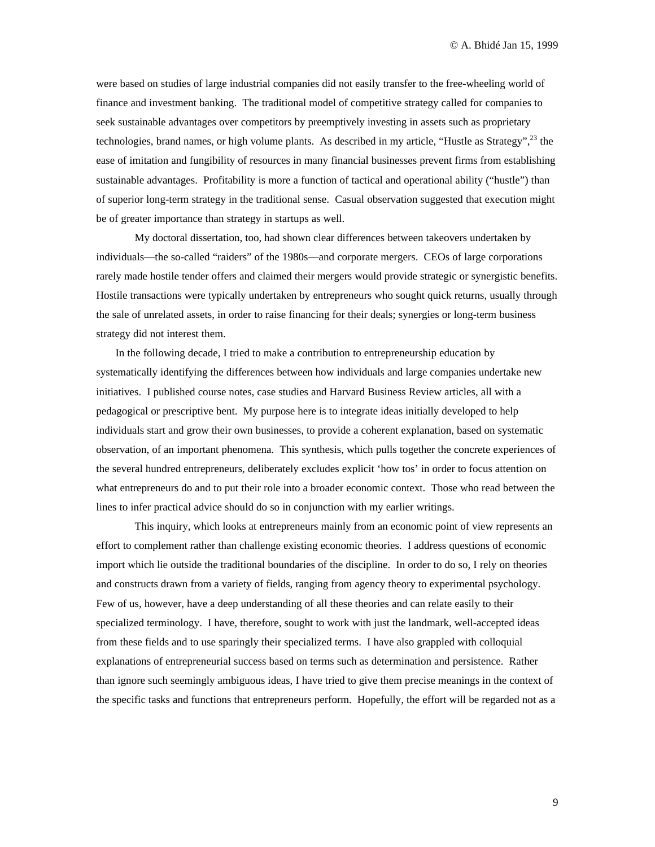were based on studies of large industrial companies did not easily transfer to the free-wheeling world of finance and investment banking. The traditional model of competitive strategy called for companies to seek sustainable advantages over competitors by preemptively investing in assets such as proprietary technologies, brand names, or high volume plants. As described in my article, "Hustle as Strategy", $^{23}$  the ease of imitation and fungibility of resources in many financial businesses prevent firms from establishing sustainable advantages. Profitability is more a function of tactical and operational ability ("hustle") than of superior long-term strategy in the traditional sense. Casual observation suggested that execution might be of greater importance than strategy in startups as well.

My doctoral dissertation, too, had shown clear differences between takeovers undertaken by individuals—the so-called "raiders" of the 1980s—and corporate mergers. CEOs of large corporations rarely made hostile tender offers and claimed their mergers would provide strategic or synergistic benefits. Hostile transactions were typically undertaken by entrepreneurs who sought quick returns, usually through the sale of unrelated assets, in order to raise financing for their deals; synergies or long-term business strategy did not interest them.

In the following decade, I tried to make a contribution to entrepreneurship education by systematically identifying the differences between how individuals and large companies undertake new initiatives. I published course notes, case studies and Harvard Business Review articles, all with a pedagogical or prescriptive bent. My purpose here is to integrate ideas initially developed to help individuals start and grow their own businesses, to provide a coherent explanation, based on systematic observation, of an important phenomena. This synthesis, which pulls together the concrete experiences of the several hundred entrepreneurs, deliberately excludes explicit 'how tos' in order to focus attention on what entrepreneurs do and to put their role into a broader economic context. Those who read between the lines to infer practical advice should do so in conjunction with my earlier writings.

This inquiry, which looks at entrepreneurs mainly from an economic point of view represents an effort to complement rather than challenge existing economic theories. I address questions of economic import which lie outside the traditional boundaries of the discipline. In order to do so, I rely on theories and constructs drawn from a variety of fields, ranging from agency theory to experimental psychology. Few of us, however, have a deep understanding of all these theories and can relate easily to their specialized terminology. I have, therefore, sought to work with just the landmark, well-accepted ideas from these fields and to use sparingly their specialized terms. I have also grappled with colloquial explanations of entrepreneurial success based on terms such as determination and persistence. Rather than ignore such seemingly ambiguous ideas, I have tried to give them precise meanings in the context of the specific tasks and functions that entrepreneurs perform. Hopefully, the effort will be regarded not as a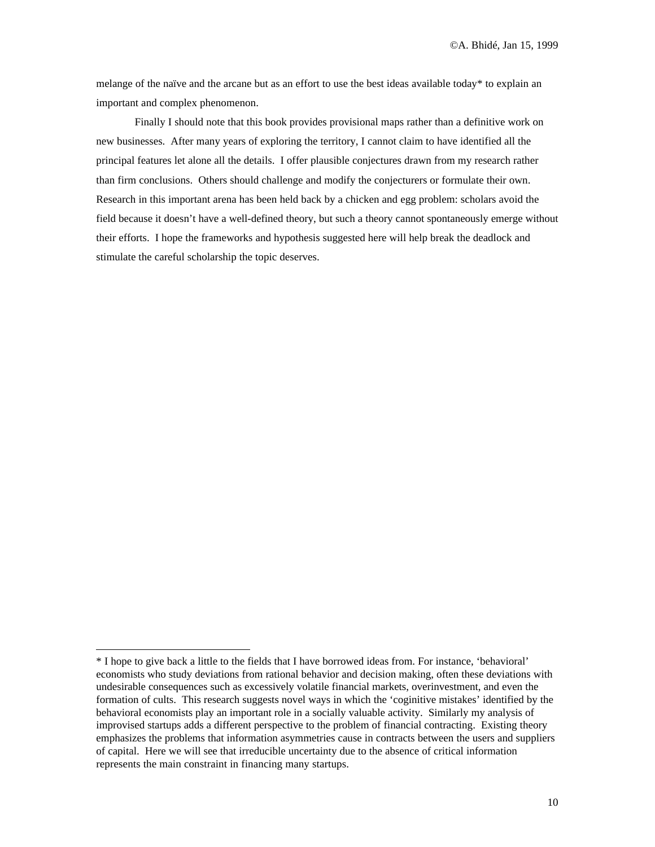melange of the naïve and the arcane but as an effort to use the best ideas available today\* to explain an important and complex phenomenon.

Finally I should note that this book provides provisional maps rather than a definitive work on new businesses. After many years of exploring the territory, I cannot claim to have identified all the principal features let alone all the details. I offer plausible conjectures drawn from my research rather than firm conclusions. Others should challenge and modify the conjecturers or formulate their own. Research in this important arena has been held back by a chicken and egg problem: scholars avoid the field because it doesn't have a well-defined theory, but such a theory cannot spontaneously emerge without their efforts. I hope the frameworks and hypothesis suggested here will help break the deadlock and stimulate the careful scholarship the topic deserves.

 $\overline{a}$ 

<sup>\*</sup> I hope to give back a little to the fields that I have borrowed ideas from. For instance, 'behavioral' economists who study deviations from rational behavior and decision making, often these deviations with undesirable consequences such as excessively volatile financial markets, overinvestment, and even the formation of cults. This research suggests novel ways in which the 'coginitive mistakes' identified by the behavioral economists play an important role in a socially valuable activity. Similarly my analysis of improvised startups adds a different perspective to the problem of financial contracting. Existing theory emphasizes the problems that information asymmetries cause in contracts between the users and suppliers of capital. Here we will see that irreducible uncertainty due to the absence of critical information represents the main constraint in financing many startups.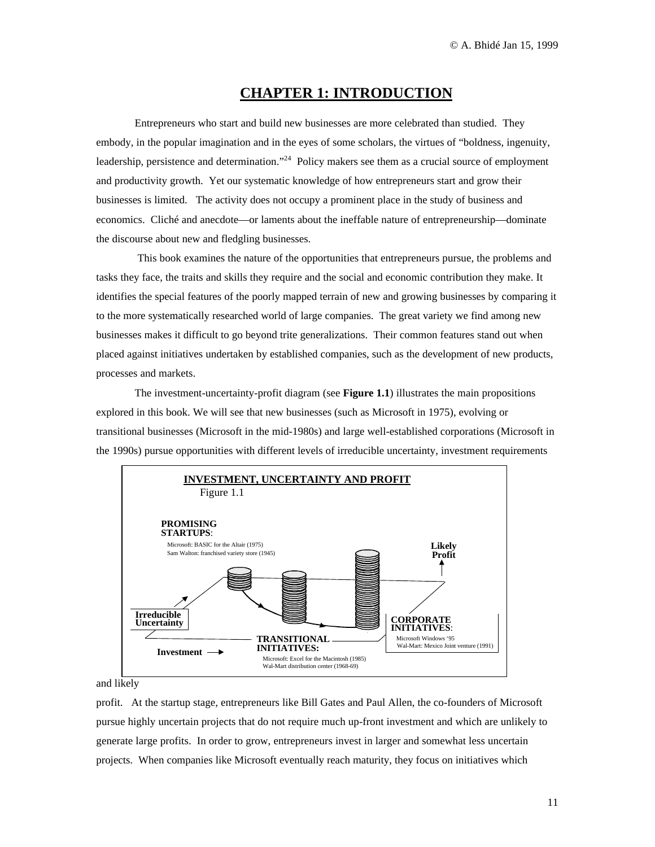## **CHAPTER 1: INTRODUCTION**

Entrepreneurs who start and build new businesses are more celebrated than studied. They embody, in the popular imagination and in the eyes of some scholars, the virtues of "boldness, ingenuity, leadership, persistence and determination."<sup>24</sup> Policy makers see them as a crucial source of employment and productivity growth. Yet our systematic knowledge of how entrepreneurs start and grow their businesses is limited. The activity does not occupy a prominent place in the study of business and economics. Cliché and anecdote—or laments about the ineffable nature of entrepreneurship—dominate the discourse about new and fledgling businesses.

 This book examines the nature of the opportunities that entrepreneurs pursue, the problems and tasks they face, the traits and skills they require and the social and economic contribution they make. It identifies the special features of the poorly mapped terrain of new and growing businesses by comparing it to the more systematically researched world of large companies. The great variety we find among new businesses makes it difficult to go beyond trite generalizations. Their common features stand out when placed against initiatives undertaken by established companies, such as the development of new products, processes and markets.

The investment-uncertainty-profit diagram (see **Figure 1.1**) illustrates the main propositions explored in this book. We will see that new businesses (such as Microsoft in 1975), evolving or transitional businesses (Microsoft in the mid-1980s) and large well-established corporations (Microsoft in the 1990s) pursue opportunities with different levels of irreducible uncertainty, investment requirements



and likely

profit. At the startup stage, entrepreneurs like Bill Gates and Paul Allen, the co-founders of Microsoft pursue highly uncertain projects that do not require much up-front investment and which are unlikely to generate large profits. In order to grow, entrepreneurs invest in larger and somewhat less uncertain projects. When companies like Microsoft eventually reach maturity, they focus on initiatives which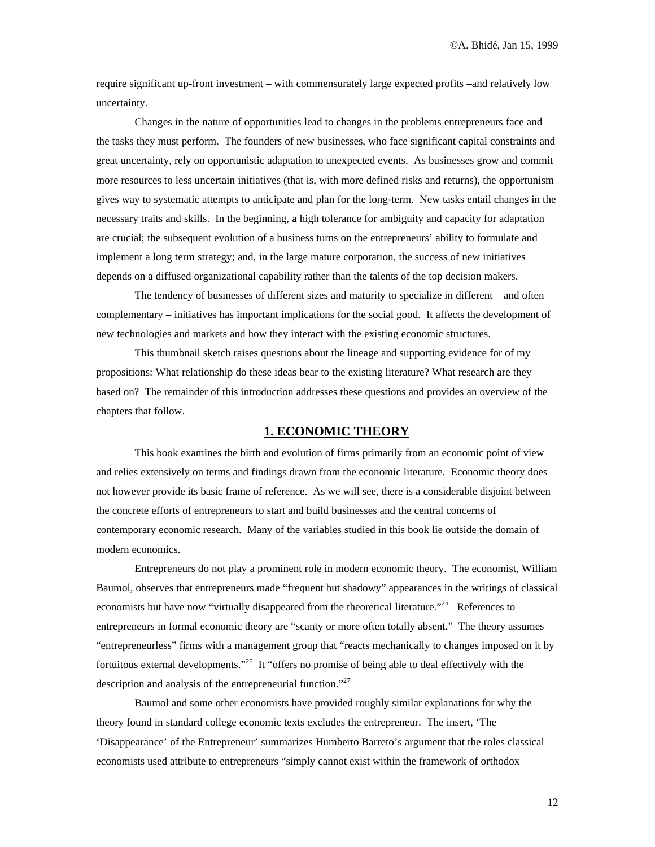require significant up-front investment – with commensurately large expected profits –and relatively low uncertainty.

Changes in the nature of opportunities lead to changes in the problems entrepreneurs face and the tasks they must perform. The founders of new businesses, who face significant capital constraints and great uncertainty, rely on opportunistic adaptation to unexpected events. As businesses grow and commit more resources to less uncertain initiatives (that is, with more defined risks and returns), the opportunism gives way to systematic attempts to anticipate and plan for the long-term. New tasks entail changes in the necessary traits and skills. In the beginning, a high tolerance for ambiguity and capacity for adaptation are crucial; the subsequent evolution of a business turns on the entrepreneurs' ability to formulate and implement a long term strategy; and, in the large mature corporation, the success of new initiatives depends on a diffused organizational capability rather than the talents of the top decision makers.

The tendency of businesses of different sizes and maturity to specialize in different – and often complementary – initiatives has important implications for the social good. It affects the development of new technologies and markets and how they interact with the existing economic structures.

This thumbnail sketch raises questions about the lineage and supporting evidence for of my propositions: What relationship do these ideas bear to the existing literature? What research are they based on? The remainder of this introduction addresses these questions and provides an overview of the chapters that follow.

### **1. ECONOMIC THEORY**

This book examines the birth and evolution of firms primarily from an economic point of view and relies extensively on terms and findings drawn from the economic literature. Economic theory does not however provide its basic frame of reference. As we will see, there is a considerable disjoint between the concrete efforts of entrepreneurs to start and build businesses and the central concerns of contemporary economic research. Many of the variables studied in this book lie outside the domain of modern economics.

Entrepreneurs do not play a prominent role in modern economic theory. The economist, William Baumol, observes that entrepreneurs made "frequent but shadowy" appearances in the writings of classical economists but have now "virtually disappeared from the theoretical literature."<sup>25</sup> References to entrepreneurs in formal economic theory are "scanty or more often totally absent." The theory assumes "entrepreneurless" firms with a management group that "reacts mechanically to changes imposed on it by fortuitous external developments."<sup>26</sup> It "offers no promise of being able to deal effectively with the description and analysis of the entrepreneurial function."<sup>27</sup>

Baumol and some other economists have provided roughly similar explanations for why the theory found in standard college economic texts excludes the entrepreneur. The insert, 'The 'Disappearance' of the Entrepreneur' summarizes Humberto Barreto's argument that the roles classical economists used attribute to entrepreneurs "simply cannot exist within the framework of orthodox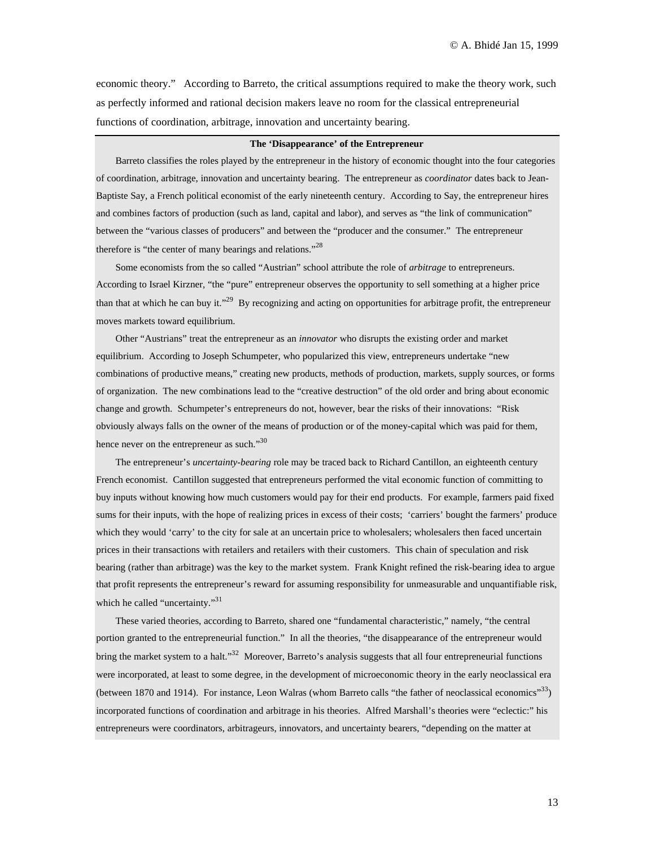economic theory." According to Barreto, the critical assumptions required to make the theory work, such as perfectly informed and rational decision makers leave no room for the classical entrepreneurial functions of coordination, arbitrage, innovation and uncertainty bearing.

#### **The 'Disappearance' of the Entrepreneur**

Barreto classifies the roles played by the entrepreneur in the history of economic thought into the four categories of coordination, arbitrage, innovation and uncertainty bearing. The entrepreneur as *coordinator* dates back to Jean-Baptiste Say, a French political economist of the early nineteenth century. According to Say, the entrepreneur hires and combines factors of production (such as land, capital and labor), and serves as "the link of communication" between the "various classes of producers" and between the "producer and the consumer." The entrepreneur therefore is "the center of many bearings and relations."<sup>28</sup>

Some economists from the so called "Austrian" school attribute the role of *arbitrage* to entrepreneurs. According to Israel Kirzner, "the "pure" entrepreneur observes the opportunity to sell something at a higher price than that at which he can buy it."<sup>29</sup> By recognizing and acting on opportunities for arbitrage profit, the entrepreneur moves markets toward equilibrium.

Other "Austrians" treat the entrepreneur as an *innovator* who disrupts the existing order and market equilibrium. According to Joseph Schumpeter, who popularized this view, entrepreneurs undertake "new combinations of productive means," creating new products, methods of production, markets, supply sources, or forms of organization. The new combinations lead to the "creative destruction" of the old order and bring about economic change and growth. Schumpeter's entrepreneurs do not, however, bear the risks of their innovations: "Risk obviously always falls on the owner of the means of production or of the money-capital which was paid for them, hence never on the entrepreneur as such."30

The entrepreneur's *uncertainty-bearing* role may be traced back to Richard Cantillon, an eighteenth century French economist. Cantillon suggested that entrepreneurs performed the vital economic function of committing to buy inputs without knowing how much customers would pay for their end products. For example, farmers paid fixed sums for their inputs, with the hope of realizing prices in excess of their costs; 'carriers' bought the farmers' produce which they would 'carry' to the city for sale at an uncertain price to wholesalers; wholesalers then faced uncertain prices in their transactions with retailers and retailers with their customers. This chain of speculation and risk bearing (rather than arbitrage) was the key to the market system. Frank Knight refined the risk-bearing idea to argue that profit represents the entrepreneur's reward for assuming responsibility for unmeasurable and unquantifiable risk, which he called "uncertainty."<sup>31</sup>

These varied theories, according to Barreto, shared one "fundamental characteristic," namely, "the central portion granted to the entrepreneurial function." In all the theories, "the disappearance of the entrepreneur would bring the market system to a halt."<sup>32</sup> Moreover, Barreto's analysis suggests that all four entrepreneurial functions were incorporated, at least to some degree, in the development of microeconomic theory in the early neoclassical era (between 1870 and 1914). For instance, Leon Walras (whom Barreto calls "the father of neoclassical economics"<sup>33</sup>) incorporated functions of coordination and arbitrage in his theories. Alfred Marshall's theories were "eclectic:" his entrepreneurs were coordinators, arbitrageurs, innovators, and uncertainty bearers, "depending on the matter at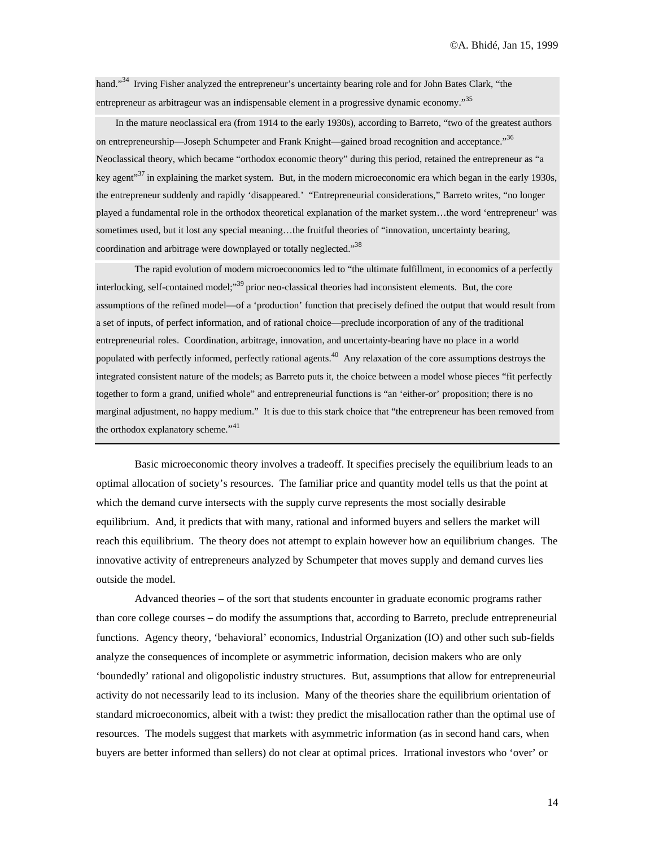hand."<sup>34</sup> Irving Fisher analyzed the entrepreneur's uncertainty bearing role and for John Bates Clark, "the entrepreneur as arbitrageur was an indispensable element in a progressive dynamic economy."<sup>35</sup>

In the mature neoclassical era (from 1914 to the early 1930s), according to Barreto, "two of the greatest authors on entrepreneurship—Joseph Schumpeter and Frank Knight—gained broad recognition and acceptance."<sup>36</sup> Neoclassical theory, which became "orthodox economic theory" during this period, retained the entrepreneur as "a key agent<sup>37</sup> in explaining the market system. But, in the modern microeconomic era which began in the early 1930s, the entrepreneur suddenly and rapidly 'disappeared.' "Entrepreneurial considerations," Barreto writes, "no longer played a fundamental role in the orthodox theoretical explanation of the market system…the word 'entrepreneur' was sometimes used, but it lost any special meaning...the fruitful theories of "innovation, uncertainty bearing, coordination and arbitrage were downplayed or totally neglected."<sup>38</sup>

The rapid evolution of modern microeconomics led to "the ultimate fulfillment, in economics of a perfectly interlocking, self-contained model; $^{39}$  prior neo-classical theories had inconsistent elements. But, the core assumptions of the refined model—of a 'production' function that precisely defined the output that would result from a set of inputs, of perfect information, and of rational choice—preclude incorporation of any of the traditional entrepreneurial roles. Coordination, arbitrage, innovation, and uncertainty-bearing have no place in a world populated with perfectly informed, perfectly rational agents.40 Any relaxation of the core assumptions destroys the integrated consistent nature of the models; as Barreto puts it, the choice between a model whose pieces "fit perfectly together to form a grand, unified whole" and entrepreneurial functions is "an 'either-or' proposition; there is no marginal adjustment, no happy medium." It is due to this stark choice that "the entrepreneur has been removed from the orthodox explanatory scheme."<sup>41</sup>

Basic microeconomic theory involves a tradeoff. It specifies precisely the equilibrium leads to an optimal allocation of society's resources. The familiar price and quantity model tells us that the point at which the demand curve intersects with the supply curve represents the most socially desirable equilibrium. And, it predicts that with many, rational and informed buyers and sellers the market will reach this equilibrium. The theory does not attempt to explain however how an equilibrium changes. The innovative activity of entrepreneurs analyzed by Schumpeter that moves supply and demand curves lies outside the model.

Advanced theories – of the sort that students encounter in graduate economic programs rather than core college courses – do modify the assumptions that, according to Barreto, preclude entrepreneurial functions. Agency theory, 'behavioral' economics, Industrial Organization (IO) and other such sub-fields analyze the consequences of incomplete or asymmetric information, decision makers who are only 'boundedly' rational and oligopolistic industry structures. But, assumptions that allow for entrepreneurial activity do not necessarily lead to its inclusion. Many of the theories share the equilibrium orientation of standard microeconomics, albeit with a twist: they predict the misallocation rather than the optimal use of resources. The models suggest that markets with asymmetric information (as in second hand cars, when buyers are better informed than sellers) do not clear at optimal prices. Irrational investors who 'over' or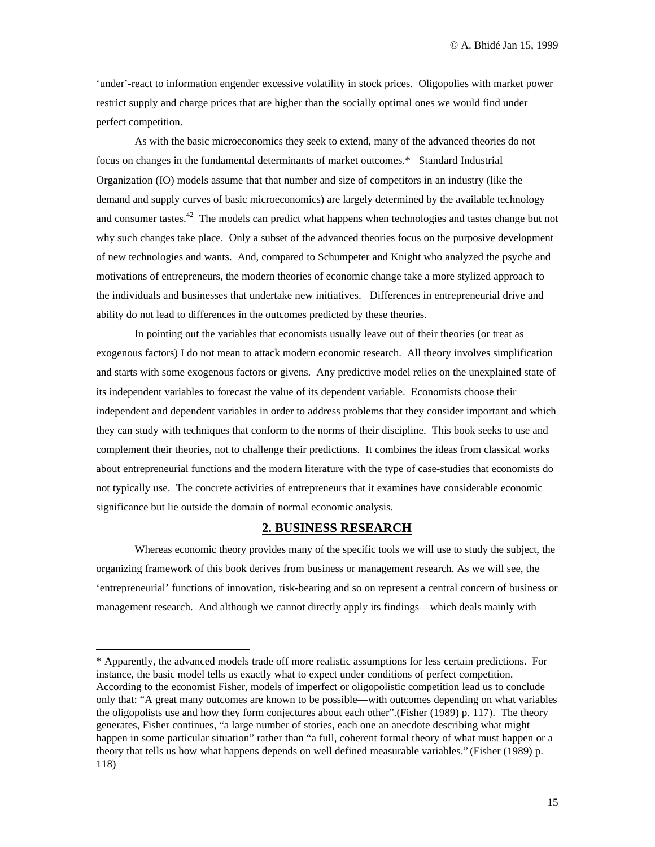'under'-react to information engender excessive volatility in stock prices. Oligopolies with market power restrict supply and charge prices that are higher than the socially optimal ones we would find under perfect competition.

As with the basic microeconomics they seek to extend, many of the advanced theories do not focus on changes in the fundamental determinants of market outcomes.\* Standard Industrial Organization (IO) models assume that that number and size of competitors in an industry (like the demand and supply curves of basic microeconomics) are largely determined by the available technology and consumer tastes.<sup>42</sup> The models can predict what happens when technologies and tastes change but not why such changes take place. Only a subset of the advanced theories focus on the purposive development of new technologies and wants. And, compared to Schumpeter and Knight who analyzed the psyche and motivations of entrepreneurs, the modern theories of economic change take a more stylized approach to the individuals and businesses that undertake new initiatives. Differences in entrepreneurial drive and ability do not lead to differences in the outcomes predicted by these theories.

In pointing out the variables that economists usually leave out of their theories (or treat as exogenous factors) I do not mean to attack modern economic research. All theory involves simplification and starts with some exogenous factors or givens. Any predictive model relies on the unexplained state of its independent variables to forecast the value of its dependent variable. Economists choose their independent and dependent variables in order to address problems that they consider important and which they can study with techniques that conform to the norms of their discipline. This book seeks to use and complement their theories, not to challenge their predictions. It combines the ideas from classical works about entrepreneurial functions and the modern literature with the type of case-studies that economists do not typically use. The concrete activities of entrepreneurs that it examines have considerable economic significance but lie outside the domain of normal economic analysis.

#### **2. BUSINESS RESEARCH**

Whereas economic theory provides many of the specific tools we will use to study the subject, the organizing framework of this book derives from business or management research. As we will see, the 'entrepreneurial' functions of innovation, risk-bearing and so on represent a central concern of business or management research. And although we cannot directly apply its findings—which deals mainly with

 $\overline{a}$ 

<sup>\*</sup> Apparently, the advanced models trade off more realistic assumptions for less certain predictions. For instance, the basic model tells us exactly what to expect under conditions of perfect competition. According to the economist Fisher, models of imperfect or oligopolistic competition lead us to conclude only that: "A great many outcomes are known to be possible—with outcomes depending on what variables the oligopolists use and how they form conjectures about each other".(Fisher (1989) p. 117). The theory generates, Fisher continues, "a large number of stories, each one an anecdote describing what might happen in some particular situation" rather than "a full, coherent formal theory of what must happen or a theory that tells us how what happens depends on well defined measurable variables." (Fisher (1989) p. 118)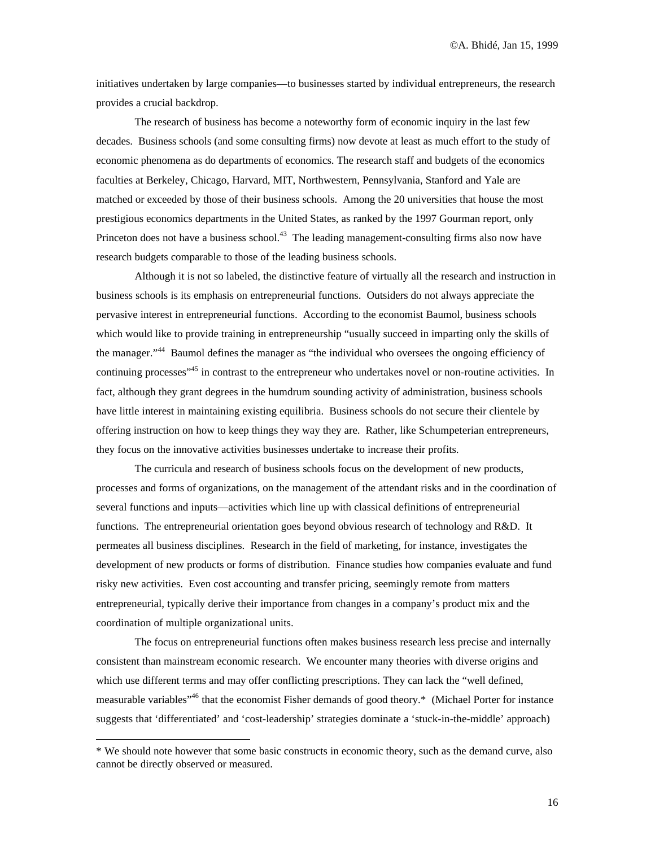initiatives undertaken by large companies—to businesses started by individual entrepreneurs, the research provides a crucial backdrop.

The research of business has become a noteworthy form of economic inquiry in the last few decades. Business schools (and some consulting firms) now devote at least as much effort to the study of economic phenomena as do departments of economics. The research staff and budgets of the economics faculties at Berkeley, Chicago, Harvard, MIT, Northwestern, Pennsylvania, Stanford and Yale are matched or exceeded by those of their business schools. Among the 20 universities that house the most prestigious economics departments in the United States, as ranked by the 1997 Gourman report, only Princeton does not have a business school. $43$  The leading management-consulting firms also now have research budgets comparable to those of the leading business schools.

Although it is not so labeled, the distinctive feature of virtually all the research and instruction in business schools is its emphasis on entrepreneurial functions. Outsiders do not always appreciate the pervasive interest in entrepreneurial functions. According to the economist Baumol, business schools which would like to provide training in entrepreneurship "usually succeed in imparting only the skills of the manager."<sup>44</sup> Baumol defines the manager as "the individual who oversees the ongoing efficiency of continuing processes<sup>,45</sup> in contrast to the entrepreneur who undertakes novel or non-routine activities. In fact, although they grant degrees in the humdrum sounding activity of administration, business schools have little interest in maintaining existing equilibria. Business schools do not secure their clientele by offering instruction on how to keep things they way they are. Rather, like Schumpeterian entrepreneurs, they focus on the innovative activities businesses undertake to increase their profits.

The curricula and research of business schools focus on the development of new products, processes and forms of organizations, on the management of the attendant risks and in the coordination of several functions and inputs—activities which line up with classical definitions of entrepreneurial functions. The entrepreneurial orientation goes beyond obvious research of technology and R&D. It permeates all business disciplines. Research in the field of marketing, for instance, investigates the development of new products or forms of distribution. Finance studies how companies evaluate and fund risky new activities. Even cost accounting and transfer pricing, seemingly remote from matters entrepreneurial, typically derive their importance from changes in a company's product mix and the coordination of multiple organizational units.

The focus on entrepreneurial functions often makes business research less precise and internally consistent than mainstream economic research. We encounter many theories with diverse origins and which use different terms and may offer conflicting prescriptions. They can lack the "well defined, measurable variables"<sup>46</sup> that the economist Fisher demands of good theory.\* (Michael Porter for instance suggests that 'differentiated' and 'cost-leadership' strategies dominate a 'stuck-in-the-middle' approach)

 $\overline{a}$ 

<sup>\*</sup> We should note however that some basic constructs in economic theory, such as the demand curve, also cannot be directly observed or measured.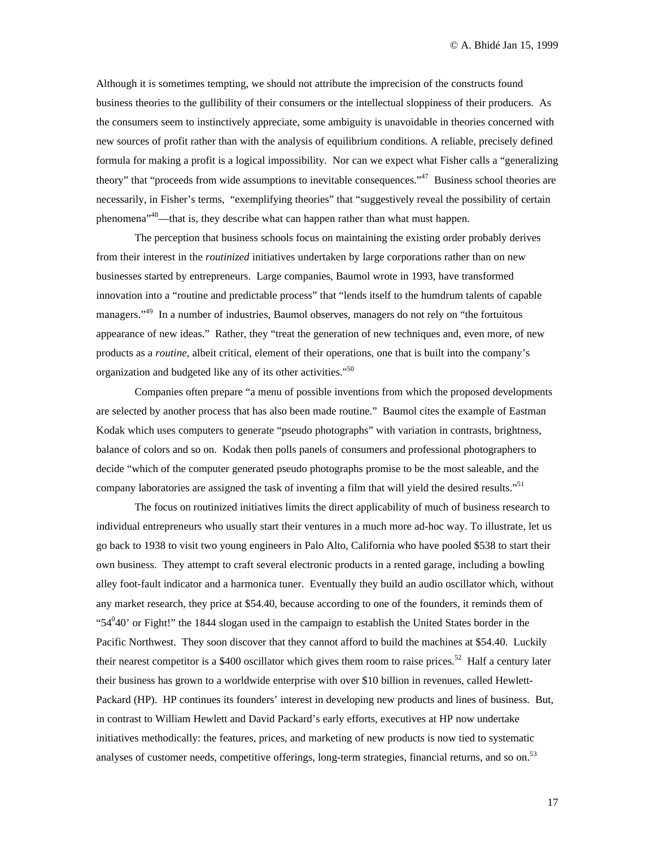Although it is sometimes tempting, we should not attribute the imprecision of the constructs found business theories to the gullibility of their consumers or the intellectual sloppiness of their producers. As the consumers seem to instinctively appreciate, some ambiguity is unavoidable in theories concerned with new sources of profit rather than with the analysis of equilibrium conditions. A reliable, precisely defined formula for making a profit is a logical impossibility. Nor can we expect what Fisher calls a "generalizing theory" that "proceeds from wide assumptions to inevitable consequences."<sup>47</sup> Business school theories are necessarily, in Fisher's terms, "exemplifying theories" that "suggestively reveal the possibility of certain phenomena<sup>"48</sup>—that is, they describe what can happen rather than what must happen.

The perception that business schools focus on maintaining the existing order probably derives from their interest in the *routinized* initiatives undertaken by large corporations rather than on new businesses started by entrepreneurs. Large companies, Baumol wrote in 1993, have transformed innovation into a "routine and predictable process" that "lends itself to the humdrum talents of capable managers."<sup>49</sup> In a number of industries, Baumol observes, managers do not rely on "the fortuitous appearance of new ideas." Rather, they "treat the generation of new techniques and, even more, of new products as a *routine*, albeit critical, element of their operations, one that is built into the company's organization and budgeted like any of its other activities."<sup>50</sup>

Companies often prepare "a menu of possible inventions from which the proposed developments are selected by another process that has also been made routine." Baumol cites the example of Eastman Kodak which uses computers to generate "pseudo photographs" with variation in contrasts, brightness, balance of colors and so on. Kodak then polls panels of consumers and professional photographers to decide "which of the computer generated pseudo photographs promise to be the most saleable, and the company laboratories are assigned the task of inventing a film that will yield the desired results."<sup>51</sup>

The focus on routinized initiatives limits the direct applicability of much of business research to individual entrepreneurs who usually start their ventures in a much more ad-hoc way. To illustrate, let us go back to 1938 to visit two young engineers in Palo Alto, California who have pooled \$538 to start their own business. They attempt to craft several electronic products in a rented garage, including a bowling alley foot-fault indicator and a harmonica tuner. Eventually they build an audio oscillator which, without any market research, they price at \$54.40, because according to one of the founders, it reminds them of " $54^040$ ' or Fight!" the 1844 slogan used in the campaign to establish the United States border in the Pacific Northwest. They soon discover that they cannot afford to build the machines at \$54.40. Luckily their nearest competitor is a \$400 oscillator which gives them room to raise prices.<sup>52</sup> Half a century later their business has grown to a worldwide enterprise with over \$10 billion in revenues, called Hewlett-Packard (HP). HP continues its founders' interest in developing new products and lines of business. But, in contrast to William Hewlett and David Packard's early efforts, executives at HP now undertake initiatives methodically: the features, prices, and marketing of new products is now tied to systematic analyses of customer needs, competitive offerings, long-term strategies, financial returns, and so on.<sup>53</sup>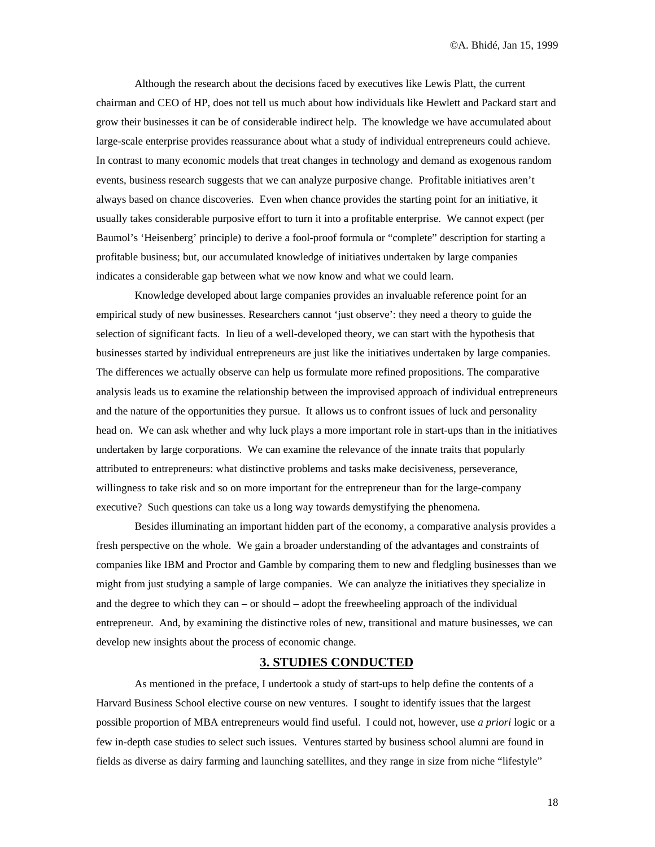Although the research about the decisions faced by executives like Lewis Platt, the current chairman and CEO of HP, does not tell us much about how individuals like Hewlett and Packard start and grow their businesses it can be of considerable indirect help. The knowledge we have accumulated about large-scale enterprise provides reassurance about what a study of individual entrepreneurs could achieve. In contrast to many economic models that treat changes in technology and demand as exogenous random events, business research suggests that we can analyze purposive change. Profitable initiatives aren't always based on chance discoveries. Even when chance provides the starting point for an initiative, it usually takes considerable purposive effort to turn it into a profitable enterprise. We cannot expect (per Baumol's 'Heisenberg' principle) to derive a fool-proof formula or "complete" description for starting a profitable business; but, our accumulated knowledge of initiatives undertaken by large companies indicates a considerable gap between what we now know and what we could learn.

Knowledge developed about large companies provides an invaluable reference point for an empirical study of new businesses. Researchers cannot 'just observe': they need a theory to guide the selection of significant facts. In lieu of a well-developed theory, we can start with the hypothesis that businesses started by individual entrepreneurs are just like the initiatives undertaken by large companies. The differences we actually observe can help us formulate more refined propositions. The comparative analysis leads us to examine the relationship between the improvised approach of individual entrepreneurs and the nature of the opportunities they pursue. It allows us to confront issues of luck and personality head on. We can ask whether and why luck plays a more important role in start-ups than in the initiatives undertaken by large corporations. We can examine the relevance of the innate traits that popularly attributed to entrepreneurs: what distinctive problems and tasks make decisiveness, perseverance, willingness to take risk and so on more important for the entrepreneur than for the large-company executive? Such questions can take us a long way towards demystifying the phenomena.

Besides illuminating an important hidden part of the economy, a comparative analysis provides a fresh perspective on the whole. We gain a broader understanding of the advantages and constraints of companies like IBM and Proctor and Gamble by comparing them to new and fledgling businesses than we might from just studying a sample of large companies. We can analyze the initiatives they specialize in and the degree to which they can – or should – adopt the freewheeling approach of the individual entrepreneur. And, by examining the distinctive roles of new, transitional and mature businesses, we can develop new insights about the process of economic change.

#### **3. STUDIES CONDUCTED**

As mentioned in the preface, I undertook a study of start-ups to help define the contents of a Harvard Business School elective course on new ventures. I sought to identify issues that the largest possible proportion of MBA entrepreneurs would find useful. I could not, however, use *a priori* logic or a few in-depth case studies to select such issues. Ventures started by business school alumni are found in fields as diverse as dairy farming and launching satellites, and they range in size from niche "lifestyle"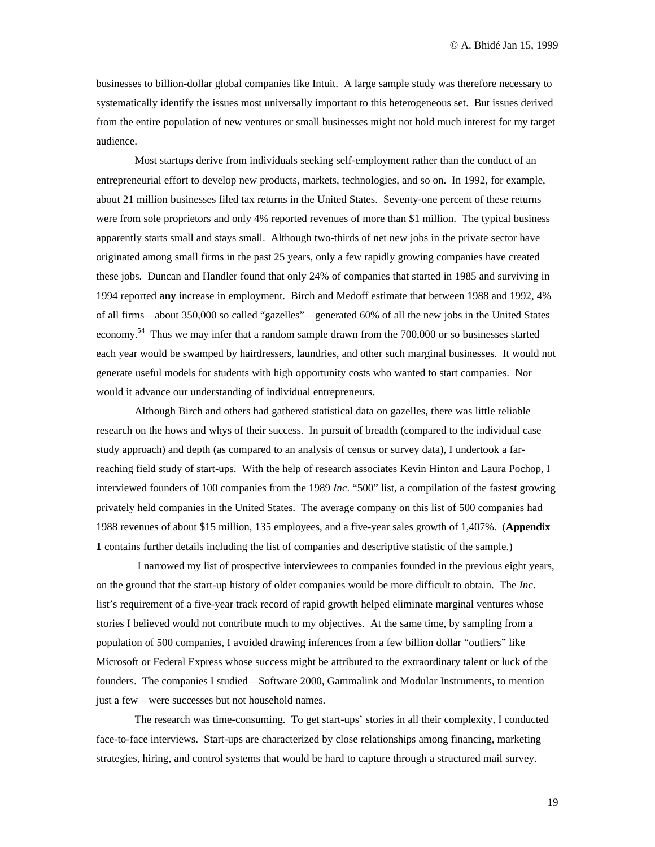businesses to billion-dollar global companies like Intuit. A large sample study was therefore necessary to systematically identify the issues most universally important to this heterogeneous set. But issues derived from the entire population of new ventures or small businesses might not hold much interest for my target audience.

Most startups derive from individuals seeking self-employment rather than the conduct of an entrepreneurial effort to develop new products, markets, technologies, and so on. In 1992, for example, about 21 million businesses filed tax returns in the United States. Seventy-one percent of these returns were from sole proprietors and only 4% reported revenues of more than \$1 million. The typical business apparently starts small and stays small. Although two-thirds of net new jobs in the private sector have originated among small firms in the past 25 years, only a few rapidly growing companies have created these jobs. Duncan and Handler found that only 24% of companies that started in 1985 and surviving in 1994 reported **any** increase in employment. Birch and Medoff estimate that between 1988 and 1992, 4% of all firms—about 350,000 so called "gazelles"—generated 60% of all the new jobs in the United States economy.<sup>54</sup> Thus we may infer that a random sample drawn from the 700,000 or so businesses started each year would be swamped by hairdressers, laundries, and other such marginal businesses. It would not generate useful models for students with high opportunity costs who wanted to start companies. Nor would it advance our understanding of individual entrepreneurs.

Although Birch and others had gathered statistical data on gazelles, there was little reliable research on the hows and whys of their success. In pursuit of breadth (compared to the individual case study approach) and depth (as compared to an analysis of census or survey data), I undertook a farreaching field study of start-ups. With the help of research associates Kevin Hinton and Laura Pochop, I interviewed founders of 100 companies from the 1989 *Inc*. "500" list, a compilation of the fastest growing privately held companies in the United States. The average company on this list of 500 companies had 1988 revenues of about \$15 million, 135 employees, and a five-year sales growth of 1,407%. (**Appendix 1** contains further details including the list of companies and descriptive statistic of the sample.)

 I narrowed my list of prospective interviewees to companies founded in the previous eight years, on the ground that the start-up history of older companies would be more difficult to obtain. The *Inc*. list's requirement of a five-year track record of rapid growth helped eliminate marginal ventures whose stories I believed would not contribute much to my objectives. At the same time, by sampling from a population of 500 companies, I avoided drawing inferences from a few billion dollar "outliers" like Microsoft or Federal Express whose success might be attributed to the extraordinary talent or luck of the founders. The companies I studied—Software 2000, Gammalink and Modular Instruments, to mention just a few—were successes but not household names.

The research was time-consuming. To get start-ups' stories in all their complexity, I conducted face-to-face interviews. Start-ups are characterized by close relationships among financing, marketing strategies, hiring, and control systems that would be hard to capture through a structured mail survey.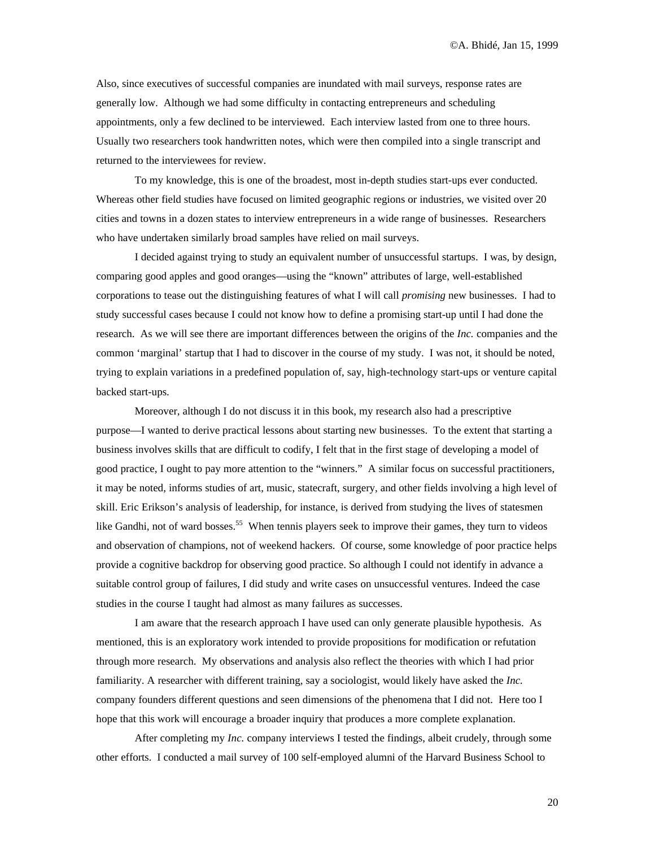Also, since executives of successful companies are inundated with mail surveys, response rates are generally low. Although we had some difficulty in contacting entrepreneurs and scheduling appointments, only a few declined to be interviewed. Each interview lasted from one to three hours. Usually two researchers took handwritten notes, which were then compiled into a single transcript and returned to the interviewees for review.

To my knowledge, this is one of the broadest, most in-depth studies start-ups ever conducted. Whereas other field studies have focused on limited geographic regions or industries, we visited over 20 cities and towns in a dozen states to interview entrepreneurs in a wide range of businesses. Researchers who have undertaken similarly broad samples have relied on mail surveys.

I decided against trying to study an equivalent number of unsuccessful startups. I was, by design, comparing good apples and good oranges—using the "known" attributes of large, well-established corporations to tease out the distinguishing features of what I will call *promising* new businesses. I had to study successful cases because I could not know how to define a promising start-up until I had done the research. As we will see there are important differences between the origins of the *Inc.* companies and the common 'marginal' startup that I had to discover in the course of my study. I was not, it should be noted, trying to explain variations in a predefined population of, say, high-technology start-ups or venture capital backed start-ups.

Moreover, although I do not discuss it in this book, my research also had a prescriptive purpose—I wanted to derive practical lessons about starting new businesses. To the extent that starting a business involves skills that are difficult to codify, I felt that in the first stage of developing a model of good practice, I ought to pay more attention to the "winners." A similar focus on successful practitioners, it may be noted, informs studies of art, music, statecraft, surgery, and other fields involving a high level of skill. Eric Erikson's analysis of leadership, for instance, is derived from studying the lives of statesmen like Gandhi, not of ward bosses.<sup>55</sup> When tennis players seek to improve their games, they turn to videos and observation of champions, not of weekend hackers. Of course, some knowledge of poor practice helps provide a cognitive backdrop for observing good practice. So although I could not identify in advance a suitable control group of failures, I did study and write cases on unsuccessful ventures. Indeed the case studies in the course I taught had almost as many failures as successes.

I am aware that the research approach I have used can only generate plausible hypothesis. As mentioned, this is an exploratory work intended to provide propositions for modification or refutation through more research. My observations and analysis also reflect the theories with which I had prior familiarity. A researcher with different training, say a sociologist, would likely have asked the *Inc.* company founders different questions and seen dimensions of the phenomena that I did not. Here too I hope that this work will encourage a broader inquiry that produces a more complete explanation.

After completing my *Inc.* company interviews I tested the findings, albeit crudely, through some other efforts. I conducted a mail survey of 100 self-employed alumni of the Harvard Business School to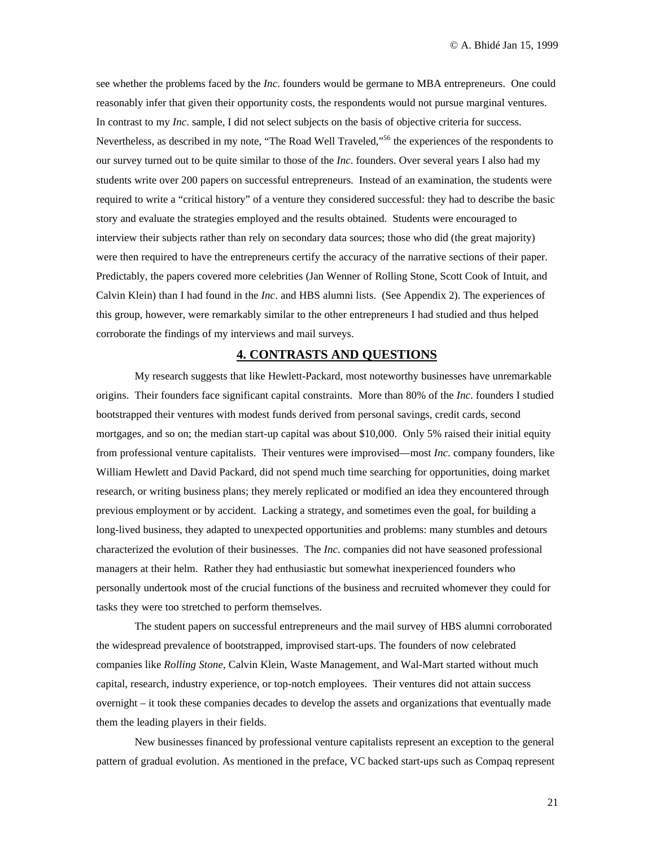see whether the problems faced by the *Inc*. founders would be germane to MBA entrepreneurs. One could reasonably infer that given their opportunity costs, the respondents would not pursue marginal ventures. In contrast to my *Inc*. sample, I did not select subjects on the basis of objective criteria for success. Nevertheless, as described in my note, "The Road Well Traveled,"<sup>56</sup> the experiences of the respondents to our survey turned out to be quite similar to those of the *Inc*. founders. Over several years I also had my students write over 200 papers on successful entrepreneurs. Instead of an examination, the students were required to write a "critical history" of a venture they considered successful: they had to describe the basic story and evaluate the strategies employed and the results obtained. Students were encouraged to interview their subjects rather than rely on secondary data sources; those who did (the great majority) were then required to have the entrepreneurs certify the accuracy of the narrative sections of their paper. Predictably, the papers covered more celebrities (Jan Wenner of Rolling Stone, Scott Cook of Intuit, and Calvin Klein) than I had found in the *Inc*. and HBS alumni lists. (See Appendix 2). The experiences of this group, however, were remarkably similar to the other entrepreneurs I had studied and thus helped corroborate the findings of my interviews and mail surveys.

### **4. CONTRASTS AND QUESTIONS**

My research suggests that like Hewlett-Packard, most noteworthy businesses have unremarkable origins. Their founders face significant capital constraints. More than 80% of the *Inc*. founders I studied bootstrapped their ventures with modest funds derived from personal savings, credit cards, second mortgages, and so on; the median start-up capital was about \$10,000. Only 5% raised their initial equity from professional venture capitalists. Their ventures were improvised—most *Inc*. company founders, like William Hewlett and David Packard, did not spend much time searching for opportunities, doing market research, or writing business plans; they merely replicated or modified an idea they encountered through previous employment or by accident. Lacking a strategy, and sometimes even the goal, for building a long-lived business, they adapted to unexpected opportunities and problems: many stumbles and detours characterized the evolution of their businesses. The *Inc*. companies did not have seasoned professional managers at their helm. Rather they had enthusiastic but somewhat inexperienced founders who personally undertook most of the crucial functions of the business and recruited whomever they could for tasks they were too stretched to perform themselves.

The student papers on successful entrepreneurs and the mail survey of HBS alumni corroborated the widespread prevalence of bootstrapped, improvised start-ups. The founders of now celebrated companies like *Rolling Stone,* Calvin Klein, Waste Management, and Wal-Mart started without much capital, research, industry experience, or top-notch employees. Their ventures did not attain success overnight – it took these companies decades to develop the assets and organizations that eventually made them the leading players in their fields.

New businesses financed by professional venture capitalists represent an exception to the general pattern of gradual evolution. As mentioned in the preface, VC backed start-ups such as Compaq represent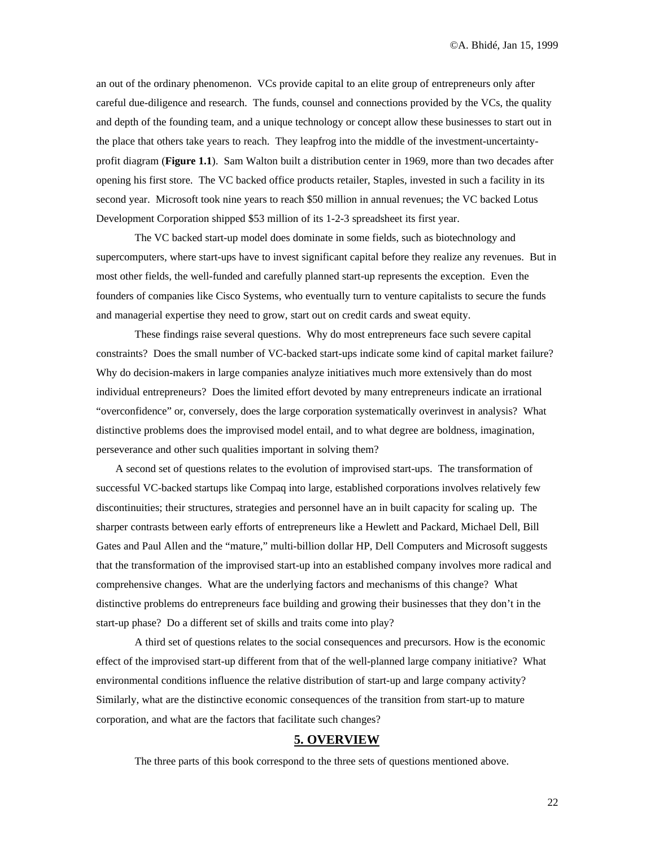an out of the ordinary phenomenon. VCs provide capital to an elite group of entrepreneurs only after careful due-diligence and research. The funds, counsel and connections provided by the VCs, the quality and depth of the founding team, and a unique technology or concept allow these businesses to start out in the place that others take years to reach. They leapfrog into the middle of the investment-uncertaintyprofit diagram (**Figure 1.1**). Sam Walton built a distribution center in 1969, more than two decades after opening his first store. The VC backed office products retailer, Staples, invested in such a facility in its second year. Microsoft took nine years to reach \$50 million in annual revenues; the VC backed Lotus Development Corporation shipped \$53 million of its 1-2-3 spreadsheet its first year.

The VC backed start-up model does dominate in some fields, such as biotechnology and supercomputers, where start-ups have to invest significant capital before they realize any revenues. But in most other fields, the well-funded and carefully planned start-up represents the exception. Even the founders of companies like Cisco Systems, who eventually turn to venture capitalists to secure the funds and managerial expertise they need to grow, start out on credit cards and sweat equity.

These findings raise several questions. Why do most entrepreneurs face such severe capital constraints? Does the small number of VC-backed start-ups indicate some kind of capital market failure? Why do decision-makers in large companies analyze initiatives much more extensively than do most individual entrepreneurs? Does the limited effort devoted by many entrepreneurs indicate an irrational "overconfidence" or, conversely, does the large corporation systematically overinvest in analysis? What distinctive problems does the improvised model entail, and to what degree are boldness, imagination, perseverance and other such qualities important in solving them?

A second set of questions relates to the evolution of improvised start-ups. The transformation of successful VC-backed startups like Compaq into large, established corporations involves relatively few discontinuities; their structures, strategies and personnel have an in built capacity for scaling up. The sharper contrasts between early efforts of entrepreneurs like a Hewlett and Packard, Michael Dell, Bill Gates and Paul Allen and the "mature," multi-billion dollar HP, Dell Computers and Microsoft suggests that the transformation of the improvised start-up into an established company involves more radical and comprehensive changes. What are the underlying factors and mechanisms of this change? What distinctive problems do entrepreneurs face building and growing their businesses that they don't in the start-up phase? Do a different set of skills and traits come into play?

A third set of questions relates to the social consequences and precursors. How is the economic effect of the improvised start-up different from that of the well-planned large company initiative? What environmental conditions influence the relative distribution of start-up and large company activity? Similarly, what are the distinctive economic consequences of the transition from start-up to mature corporation, and what are the factors that facilitate such changes?

#### **5. OVERVIEW**

The three parts of this book correspond to the three sets of questions mentioned above.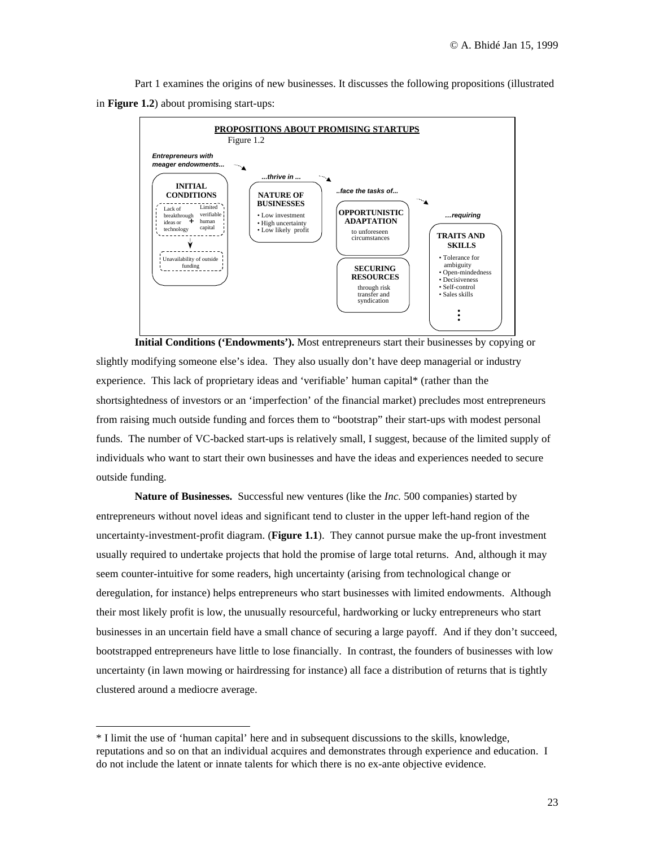Part 1 examines the origins of new businesses. It discusses the following propositions (illustrated in **Figure 1.2**) about promising start-ups:





**Nature of Businesses.** Successful new ventures (like the *Inc.* 500 companies) started by entrepreneurs without novel ideas and significant tend to cluster in the upper left-hand region of the uncertainty-investment-profit diagram. (**Figure 1.1**). They cannot pursue make the up-front investment usually required to undertake projects that hold the promise of large total returns. And, although it may seem counter-intuitive for some readers, high uncertainty (arising from technological change or deregulation, for instance) helps entrepreneurs who start businesses with limited endowments. Although their most likely profit is low, the unusually resourceful, hardworking or lucky entrepreneurs who start businesses in an uncertain field have a small chance of securing a large payoff. And if they don't succeed, bootstrapped entrepreneurs have little to lose financially. In contrast, the founders of businesses with low uncertainty (in lawn mowing or hairdressing for instance) all face a distribution of returns that is tightly clustered around a mediocre average.

 $\overline{a}$ 

<sup>\*</sup> I limit the use of 'human capital' here and in subsequent discussions to the skills, knowledge, reputations and so on that an individual acquires and demonstrates through experience and education. I do not include the latent or innate talents for which there is no ex-ante objective evidence.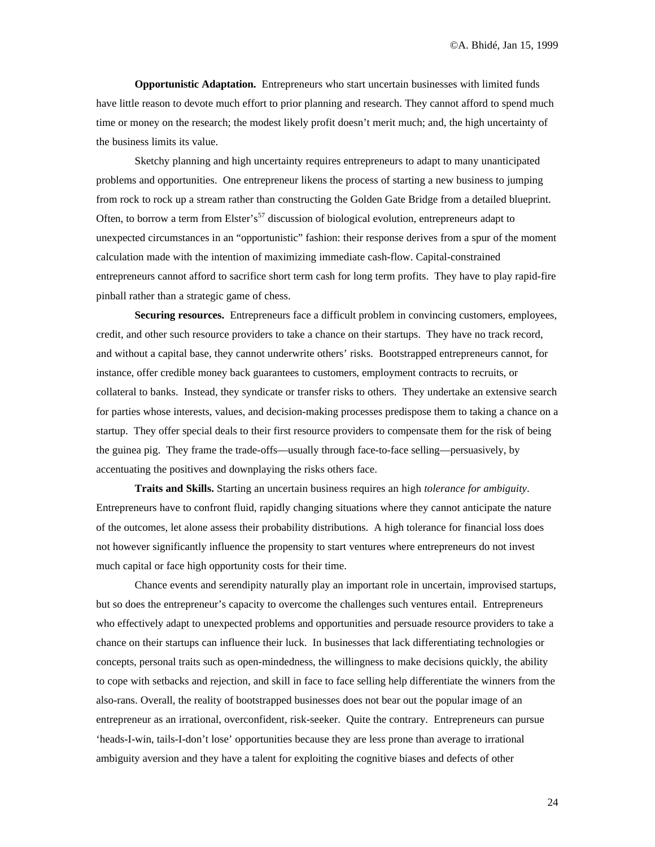**Opportunistic Adaptation.** Entrepreneurs who start uncertain businesses with limited funds have little reason to devote much effort to prior planning and research. They cannot afford to spend much time or money on the research; the modest likely profit doesn't merit much; and, the high uncertainty of the business limits its value.

Sketchy planning and high uncertainty requires entrepreneurs to adapt to many unanticipated problems and opportunities. One entrepreneur likens the process of starting a new business to jumping from rock to rock up a stream rather than constructing the Golden Gate Bridge from a detailed blueprint. Often, to borrow a term from Elster's<sup>57</sup> discussion of biological evolution, entrepreneurs adapt to unexpected circumstances in an "opportunistic" fashion: their response derives from a spur of the moment calculation made with the intention of maximizing immediate cash-flow. Capital-constrained entrepreneurs cannot afford to sacrifice short term cash for long term profits. They have to play rapid-fire pinball rather than a strategic game of chess.

**Securing resources.** Entrepreneurs face a difficult problem in convincing customers, employees, credit, and other such resource providers to take a chance on their startups. They have no track record, and without a capital base, they cannot underwrite others' risks. Bootstrapped entrepreneurs cannot, for instance, offer credible money back guarantees to customers, employment contracts to recruits, or collateral to banks. Instead, they syndicate or transfer risks to others. They undertake an extensive search for parties whose interests, values, and decision-making processes predispose them to taking a chance on a startup. They offer special deals to their first resource providers to compensate them for the risk of being the guinea pig. They frame the trade-offs—usually through face-to-face selling—persuasively, by accentuating the positives and downplaying the risks others face.

**Traits and Skills.** Starting an uncertain business requires an high *tolerance for ambiguity*. Entrepreneurs have to confront fluid, rapidly changing situations where they cannot anticipate the nature of the outcomes, let alone assess their probability distributions. A high tolerance for financial loss does not however significantly influence the propensity to start ventures where entrepreneurs do not invest much capital or face high opportunity costs for their time.

Chance events and serendipity naturally play an important role in uncertain, improvised startups, but so does the entrepreneur's capacity to overcome the challenges such ventures entail. Entrepreneurs who effectively adapt to unexpected problems and opportunities and persuade resource providers to take a chance on their startups can influence their luck. In businesses that lack differentiating technologies or concepts, personal traits such as open-mindedness, the willingness to make decisions quickly, the ability to cope with setbacks and rejection, and skill in face to face selling help differentiate the winners from the also-rans. Overall, the reality of bootstrapped businesses does not bear out the popular image of an entrepreneur as an irrational, overconfident, risk-seeker. Quite the contrary. Entrepreneurs can pursue 'heads-I-win, tails-I-don't lose' opportunities because they are less prone than average to irrational ambiguity aversion and they have a talent for exploiting the cognitive biases and defects of other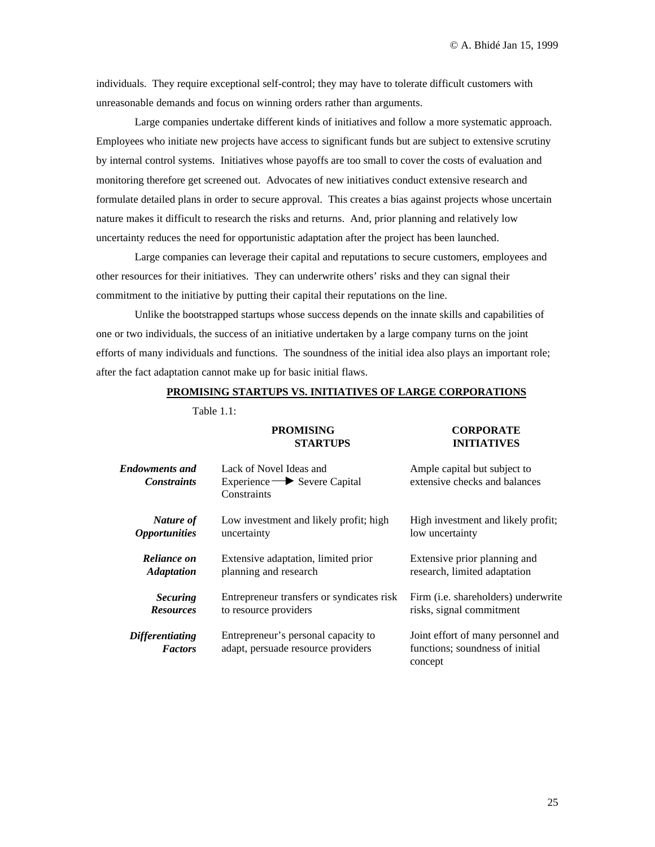**CORPORATE**

individuals. They require exceptional self-control; they may have to tolerate difficult customers with unreasonable demands and focus on winning orders rather than arguments.

Large companies undertake different kinds of initiatives and follow a more systematic approach. Employees who initiate new projects have access to significant funds but are subject to extensive scrutiny by internal control systems. Initiatives whose payoffs are too small to cover the costs of evaluation and monitoring therefore get screened out. Advocates of new initiatives conduct extensive research and formulate detailed plans in order to secure approval. This creates a bias against projects whose uncertain nature makes it difficult to research the risks and returns. And, prior planning and relatively low uncertainty reduces the need for opportunistic adaptation after the project has been launched.

Large companies can leverage their capital and reputations to secure customers, employees and other resources for their initiatives. They can underwrite others' risks and they can signal their commitment to the initiative by putting their capital their reputations on the line.

Unlike the bootstrapped startups whose success depends on the innate skills and capabilities of one or two individuals, the success of an initiative undertaken by a large company turns on the joint efforts of many individuals and functions. The soundness of the initial idea also plays an important role; after the fact adaptation cannot make up for basic initial flaws.

**PROMISING**

#### **PROMISING STARTUPS VS. INITIATIVES OF LARGE CORPORATIONS**

Table 1.1:

|                                             | PRUMISING<br><b>STARTUPS</b>                                              | LUKPUKAIL<br><b>INITIATIVES</b>                                                  |  |  |
|---------------------------------------------|---------------------------------------------------------------------------|----------------------------------------------------------------------------------|--|--|
| <b>Endowments and</b><br><b>Constraints</b> | Lack of Novel Ideas and<br>Experience Severe Capital<br>Constraints       | Ample capital but subject to<br>extensive checks and balances                    |  |  |
| Nature of                                   | Low investment and likely profit; high                                    | High investment and likely profit;                                               |  |  |
| <b>Opportunities</b>                        | uncertainty                                                               | low uncertainty                                                                  |  |  |
| Reliance on                                 | Extensive adaptation, limited prior                                       | Extensive prior planning and                                                     |  |  |
| <b>Adaptation</b>                           | planning and research                                                     | research, limited adaptation                                                     |  |  |
| <b>Securing</b>                             | Entrepreneur transfers or syndicates risk                                 | Firm ( <i>i.e.</i> shareholders) underwrite                                      |  |  |
| <b>Resources</b>                            | to resource providers                                                     | risks, signal commitment                                                         |  |  |
| <b>Differentiating</b><br><b>Factors</b>    | Entrepreneur's personal capacity to<br>adapt, persuade resource providers | Joint effort of many personnel and<br>functions; soundness of initial<br>concept |  |  |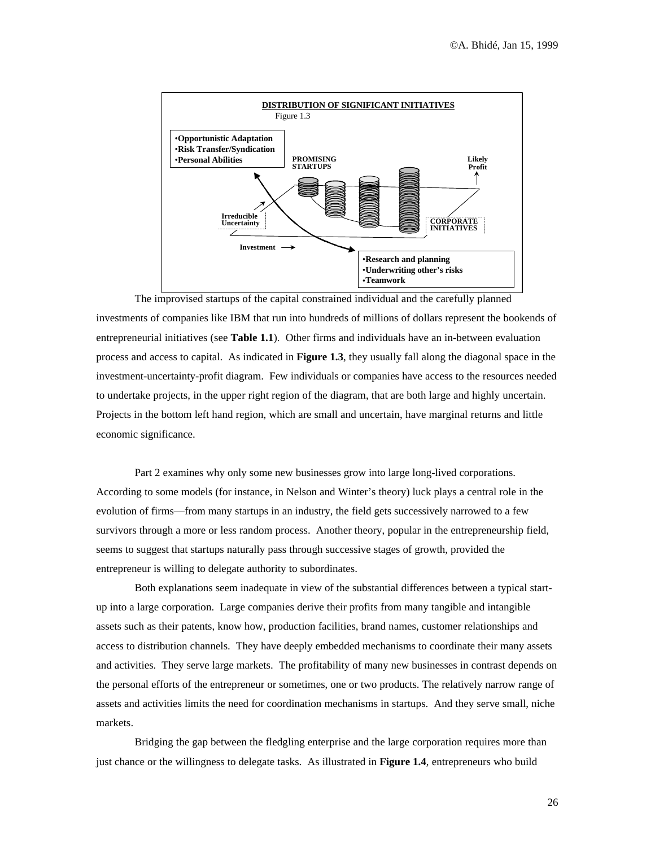

The improvised startups of the capital constrained individual and the carefully planned investments of companies like IBM that run into hundreds of millions of dollars represent the bookends of entrepreneurial initiatives (see **Table 1.1**). Other firms and individuals have an in-between evaluation process and access to capital. As indicated in **Figure 1.3**, they usually fall along the diagonal space in the investment-uncertainty-profit diagram. Few individuals or companies have access to the resources needed to undertake projects, in the upper right region of the diagram, that are both large and highly uncertain. Projects in the bottom left hand region, which are small and uncertain, have marginal returns and little economic significance.

Part 2 examines why only some new businesses grow into large long-lived corporations. According to some models (for instance, in Nelson and Winter's theory) luck plays a central role in the evolution of firms—from many startups in an industry, the field gets successively narrowed to a few survivors through a more or less random process. Another theory, popular in the entrepreneurship field, seems to suggest that startups naturally pass through successive stages of growth, provided the entrepreneur is willing to delegate authority to subordinates.

Both explanations seem inadequate in view of the substantial differences between a typical startup into a large corporation. Large companies derive their profits from many tangible and intangible assets such as their patents, know how, production facilities, brand names, customer relationships and access to distribution channels. They have deeply embedded mechanisms to coordinate their many assets and activities. They serve large markets. The profitability of many new businesses in contrast depends on the personal efforts of the entrepreneur or sometimes, one or two products. The relatively narrow range of assets and activities limits the need for coordination mechanisms in startups. And they serve small, niche markets.

Bridging the gap between the fledgling enterprise and the large corporation requires more than just chance or the willingness to delegate tasks. As illustrated in **Figure 1.4**, entrepreneurs who build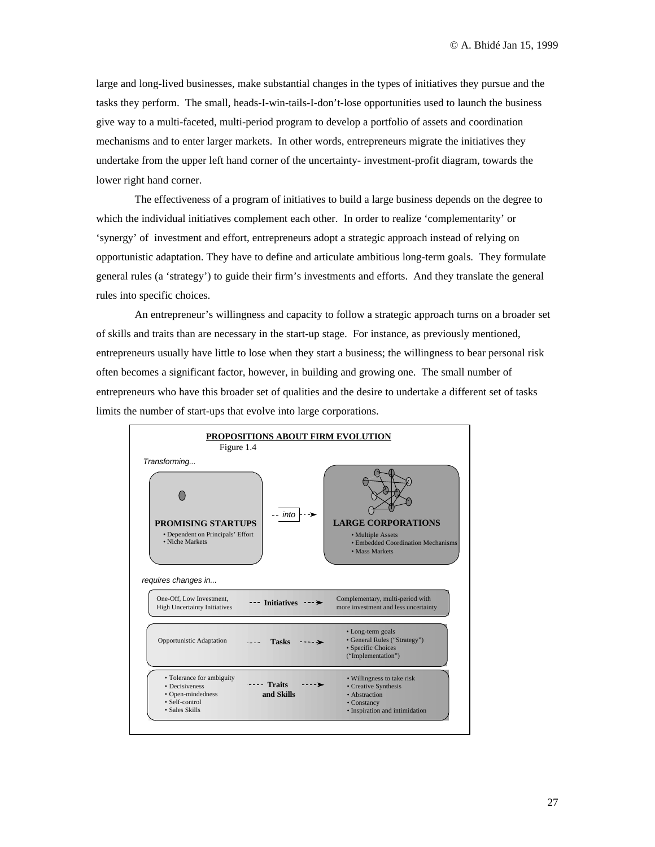large and long-lived businesses, make substantial changes in the types of initiatives they pursue and the tasks they perform. The small, heads-I-win-tails-I-don't-lose opportunities used to launch the business give way to a multi-faceted, multi-period program to develop a portfolio of assets and coordination mechanisms and to enter larger markets. In other words, entrepreneurs migrate the initiatives they undertake from the upper left hand corner of the uncertainty- investment-profit diagram, towards the lower right hand corner.

The effectiveness of a program of initiatives to build a large business depends on the degree to which the individual initiatives complement each other. In order to realize 'complementarity' or 'synergy' of investment and effort, entrepreneurs adopt a strategic approach instead of relying on opportunistic adaptation. They have to define and articulate ambitious long-term goals. They formulate general rules (a 'strategy') to guide their firm's investments and efforts. And they translate the general rules into specific choices.

An entrepreneur's willingness and capacity to follow a strategic approach turns on a broader set of skills and traits than are necessary in the start-up stage. For instance, as previously mentioned, entrepreneurs usually have little to lose when they start a business; the willingness to bear personal risk often becomes a significant factor, however, in building and growing one. The small number of entrepreneurs who have this broader set of qualities and the desire to undertake a different set of tasks limits the number of start-ups that evolve into large corporations.

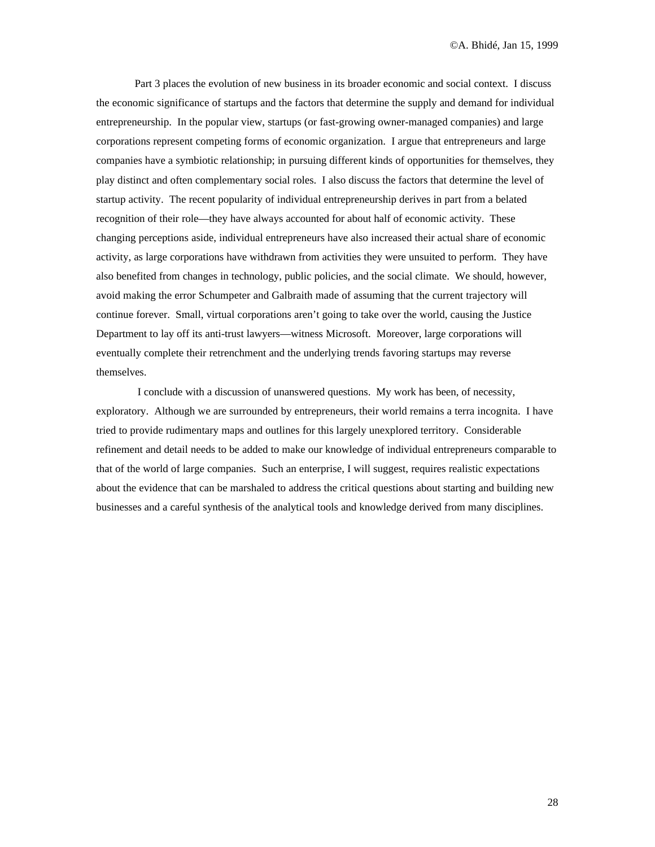Part 3 places the evolution of new business in its broader economic and social context. I discuss the economic significance of startups and the factors that determine the supply and demand for individual entrepreneurship. In the popular view, startups (or fast-growing owner-managed companies) and large corporations represent competing forms of economic organization. I argue that entrepreneurs and large companies have a symbiotic relationship; in pursuing different kinds of opportunities for themselves, they play distinct and often complementary social roles. I also discuss the factors that determine the level of startup activity. The recent popularity of individual entrepreneurship derives in part from a belated recognition of their role—they have always accounted for about half of economic activity. These changing perceptions aside, individual entrepreneurs have also increased their actual share of economic activity, as large corporations have withdrawn from activities they were unsuited to perform. They have also benefited from changes in technology, public policies, and the social climate. We should, however, avoid making the error Schumpeter and Galbraith made of assuming that the current trajectory will continue forever. Small, virtual corporations aren't going to take over the world, causing the Justice Department to lay off its anti-trust lawyers—witness Microsoft. Moreover, large corporations will eventually complete their retrenchment and the underlying trends favoring startups may reverse themselves.

 I conclude with a discussion of unanswered questions. My work has been, of necessity, exploratory. Although we are surrounded by entrepreneurs, their world remains a terra incognita. I have tried to provide rudimentary maps and outlines for this largely unexplored territory. Considerable refinement and detail needs to be added to make our knowledge of individual entrepreneurs comparable to that of the world of large companies. Such an enterprise, I will suggest, requires realistic expectations about the evidence that can be marshaled to address the critical questions about starting and building new businesses and a careful synthesis of the analytical tools and knowledge derived from many disciplines.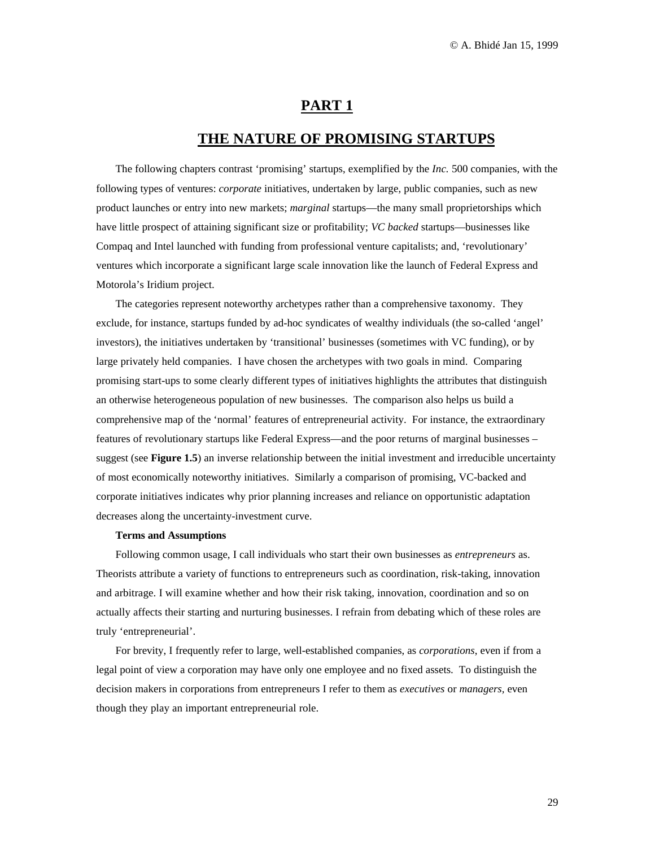## **PART 1**

## **THE NATURE OF PROMISING STARTUPS**

The following chapters contrast 'promising' startups, exemplified by the *Inc.* 500 companies, with the following types of ventures: *corporate* initiatives, undertaken by large, public companies, such as new product launches or entry into new markets; *marginal* startups—the many small proprietorships which have little prospect of attaining significant size or profitability; *VC backed* startups—businesses like Compaq and Intel launched with funding from professional venture capitalists; and, 'revolutionary' ventures which incorporate a significant large scale innovation like the launch of Federal Express and Motorola's Iridium project.

The categories represent noteworthy archetypes rather than a comprehensive taxonomy. They exclude, for instance, startups funded by ad-hoc syndicates of wealthy individuals (the so-called 'angel' investors), the initiatives undertaken by 'transitional' businesses (sometimes with VC funding), or by large privately held companies. I have chosen the archetypes with two goals in mind. Comparing promising start-ups to some clearly different types of initiatives highlights the attributes that distinguish an otherwise heterogeneous population of new businesses. The comparison also helps us build a comprehensive map of the 'normal' features of entrepreneurial activity. For instance, the extraordinary features of revolutionary startups like Federal Express—and the poor returns of marginal businesses – suggest (see **Figure 1.5**) an inverse relationship between the initial investment and irreducible uncertainty of most economically noteworthy initiatives. Similarly a comparison of promising, VC-backed and corporate initiatives indicates why prior planning increases and reliance on opportunistic adaptation decreases along the uncertainty-investment curve.

#### **Terms and Assumptions**

Following common usage, I call individuals who start their own businesses as *entrepreneurs* as. Theorists attribute a variety of functions to entrepreneurs such as coordination, risk-taking, innovation and arbitrage. I will examine whether and how their risk taking, innovation, coordination and so on actually affects their starting and nurturing businesses. I refrain from debating which of these roles are truly 'entrepreneurial'.

For brevity, I frequently refer to large, well-established companies, as *corporations*, even if from a legal point of view a corporation may have only one employee and no fixed assets. To distinguish the decision makers in corporations from entrepreneurs I refer to them as *executives* or *managers,* even though they play an important entrepreneurial role.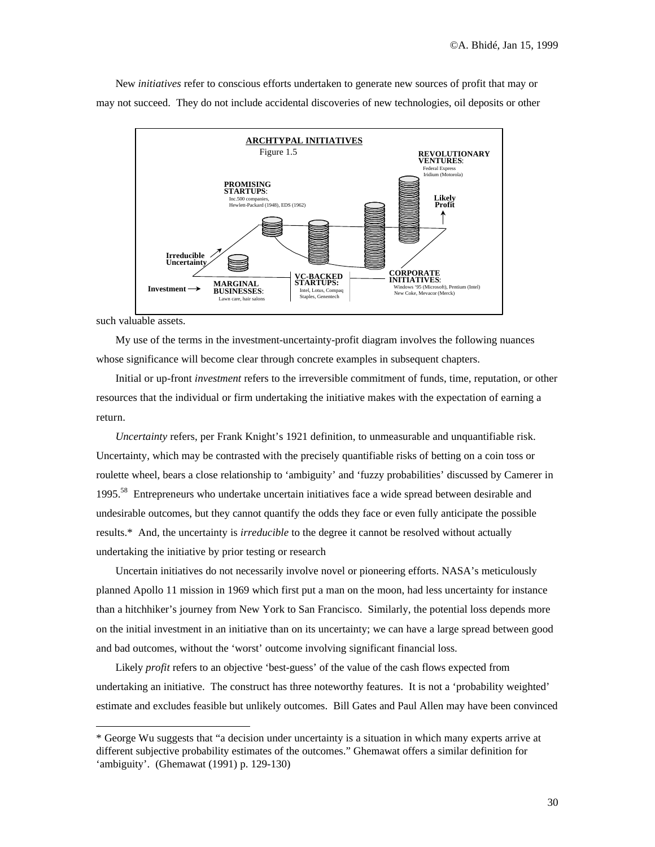New *initiatives* refer to conscious efforts undertaken to generate new sources of profit that may or may not succeed. They do not include accidental discoveries of new technologies, oil deposits or other



such valuable assets.

 $\overline{a}$ 

My use of the terms in the investment-uncertainty-profit diagram involves the following nuances whose significance will become clear through concrete examples in subsequent chapters.

Initial or up-front *investment* refers to the irreversible commitment of funds, time, reputation, or other resources that the individual or firm undertaking the initiative makes with the expectation of earning a return.

*Uncertainty* refers, per Frank Knight's 1921 definition, to unmeasurable and unquantifiable risk. Uncertainty, which may be contrasted with the precisely quantifiable risks of betting on a coin toss or roulette wheel, bears a close relationship to 'ambiguity' and 'fuzzy probabilities' discussed by Camerer in 1995.<sup>58</sup> Entrepreneurs who undertake uncertain initiatives face a wide spread between desirable and undesirable outcomes, but they cannot quantify the odds they face or even fully anticipate the possible results.\* And, the uncertainty is *irreducible* to the degree it cannot be resolved without actually undertaking the initiative by prior testing or research

Uncertain initiatives do not necessarily involve novel or pioneering efforts. NASA's meticulously planned Apollo 11 mission in 1969 which first put a man on the moon, had less uncertainty for instance than a hitchhiker's journey from New York to San Francisco. Similarly, the potential loss depends more on the initial investment in an initiative than on its uncertainty; we can have a large spread between good and bad outcomes, without the 'worst' outcome involving significant financial loss.

Likely *profit* refers to an objective 'best-guess' of the value of the cash flows expected from undertaking an initiative. The construct has three noteworthy features. It is not a 'probability weighted' estimate and excludes feasible but unlikely outcomes. Bill Gates and Paul Allen may have been convinced

<sup>\*</sup> George Wu suggests that "a decision under uncertainty is a situation in which many experts arrive at different subjective probability estimates of the outcomes." Ghemawat offers a similar definition for 'ambiguity'. (Ghemawat (1991) p. 129-130)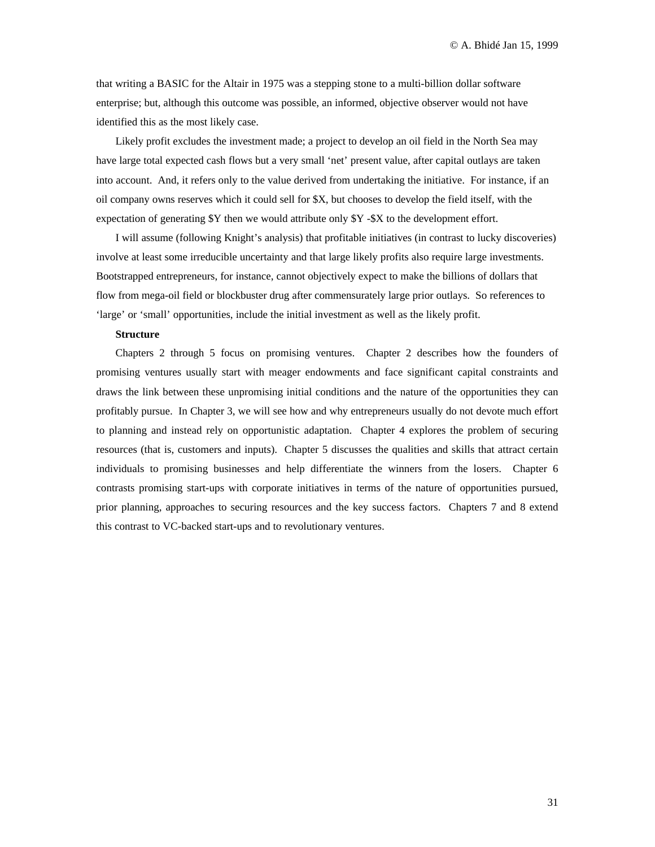that writing a BASIC for the Altair in 1975 was a stepping stone to a multi-billion dollar software enterprise; but, although this outcome was possible, an informed, objective observer would not have identified this as the most likely case.

Likely profit excludes the investment made; a project to develop an oil field in the North Sea may have large total expected cash flows but a very small 'net' present value, after capital outlays are taken into account. And, it refers only to the value derived from undertaking the initiative. For instance, if an oil company owns reserves which it could sell for \$X, but chooses to develop the field itself, with the expectation of generating  $Y$  then we would attribute only  $Y - X$  to the development effort.

I will assume (following Knight's analysis) that profitable initiatives (in contrast to lucky discoveries) involve at least some irreducible uncertainty and that large likely profits also require large investments. Bootstrapped entrepreneurs, for instance, cannot objectively expect to make the billions of dollars that flow from mega-oil field or blockbuster drug after commensurately large prior outlays. So references to 'large' or 'small' opportunities, include the initial investment as well as the likely profit.

#### **Structure**

Chapters 2 through 5 focus on promising ventures. Chapter 2 describes how the founders of promising ventures usually start with meager endowments and face significant capital constraints and draws the link between these unpromising initial conditions and the nature of the opportunities they can profitably pursue. In Chapter 3, we will see how and why entrepreneurs usually do not devote much effort to planning and instead rely on opportunistic adaptation. Chapter 4 explores the problem of securing resources (that is, customers and inputs). Chapter 5 discusses the qualities and skills that attract certain individuals to promising businesses and help differentiate the winners from the losers. Chapter 6 contrasts promising start-ups with corporate initiatives in terms of the nature of opportunities pursued, prior planning, approaches to securing resources and the key success factors. Chapters 7 and 8 extend this contrast to VC-backed start-ups and to revolutionary ventures.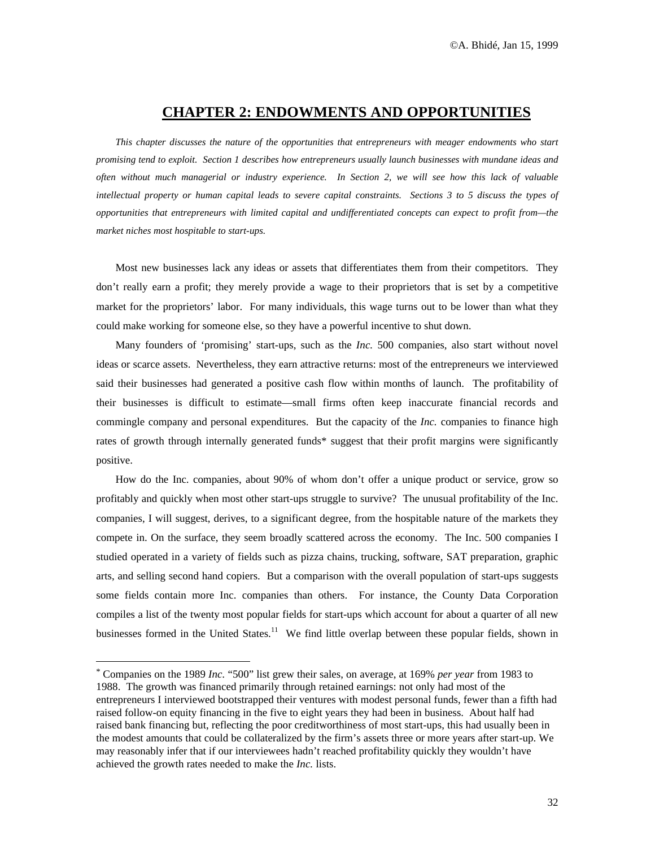## **CHAPTER 2: ENDOWMENTS AND OPPORTUNITIES**

*This chapter discusses the nature of the opportunities that entrepreneurs with meager endowments who start promising tend to exploit. Section 1 describes how entrepreneurs usually launch businesses with mundane ideas and often without much managerial or industry experience. In Section 2, we will see how this lack of valuable intellectual property or human capital leads to severe capital constraints. Sections 3 to 5 discuss the types of opportunities that entrepreneurs with limited capital and undifferentiated concepts can expect to profit from—the market niches most hospitable to start-ups.*

Most new businesses lack any ideas or assets that differentiates them from their competitors. They don't really earn a profit; they merely provide a wage to their proprietors that is set by a competitive market for the proprietors' labor. For many individuals, this wage turns out to be lower than what they could make working for someone else, so they have a powerful incentive to shut down.

Many founders of 'promising' start-ups, such as the *Inc.* 500 companies, also start without novel ideas or scarce assets. Nevertheless, they earn attractive returns: most of the entrepreneurs we interviewed said their businesses had generated a positive cash flow within months of launch. The profitability of their businesses is difficult to estimate—small firms often keep inaccurate financial records and commingle company and personal expenditures. But the capacity of the *Inc.* companies to finance high rates of growth through internally generated funds\* suggest that their profit margins were significantly positive.

How do the Inc. companies, about 90% of whom don't offer a unique product or service, grow so profitably and quickly when most other start-ups struggle to survive? The unusual profitability of the Inc. companies, I will suggest, derives, to a significant degree, from the hospitable nature of the markets they compete in. On the surface, they seem broadly scattered across the economy. The Inc. 500 companies I studied operated in a variety of fields such as pizza chains, trucking, software, SAT preparation, graphic arts, and selling second hand copiers. But a comparison with the overall population of start-ups suggests some fields contain more Inc. companies than others. For instance, the County Data Corporation compiles a list of the twenty most popular fields for start-ups which account for about a quarter of all new businesses formed in the United States.<sup>11</sup> We find little overlap between these popular fields, shown in

-

<sup>\*</sup> Companies on the 1989 *Inc.* "500" list grew their sales, on average, at 169% *per year* from 1983 to 1988. The growth was financed primarily through retained earnings: not only had most of the entrepreneurs I interviewed bootstrapped their ventures with modest personal funds, fewer than a fifth had raised follow-on equity financing in the five to eight years they had been in business. About half had raised bank financing but, reflecting the poor creditworthiness of most start-ups, this had usually been in the modest amounts that could be collateralized by the firm's assets three or more years after start-up. We may reasonably infer that if our interviewees hadn't reached profitability quickly they wouldn't have achieved the growth rates needed to make the *Inc.* lists.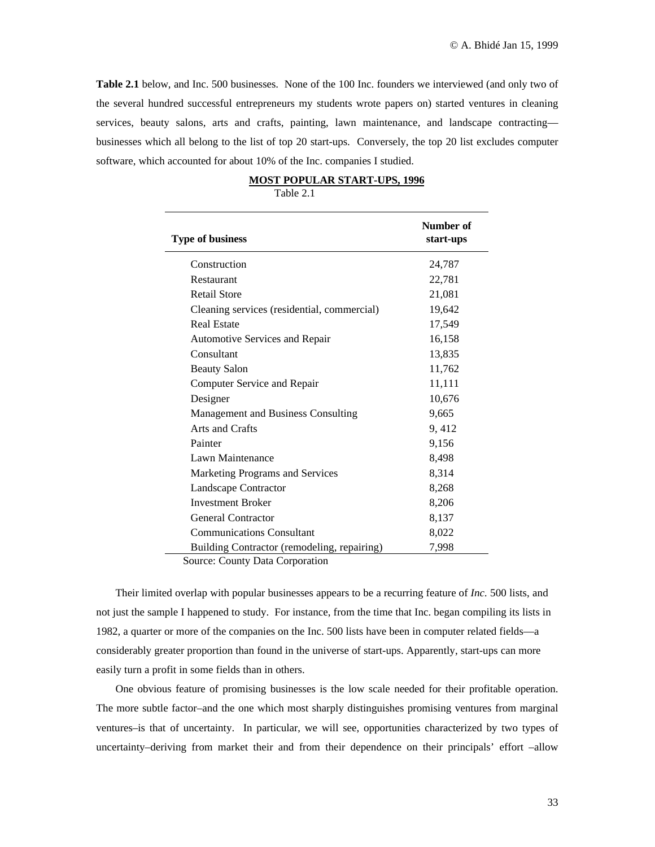**Table 2.1** below, and Inc. 500 businesses. None of the 100 Inc. founders we interviewed (and only two of the several hundred successful entrepreneurs my students wrote papers on) started ventures in cleaning services, beauty salons, arts and crafts, painting, lawn maintenance, and landscape contracting businesses which all belong to the list of top 20 start-ups. Conversely, the top 20 list excludes computer software, which accounted for about 10% of the Inc. companies I studied.

| <b>Type of business</b>                     | Number of<br>start-ups |
|---------------------------------------------|------------------------|
| Construction                                | 24,787                 |
| Restaurant                                  | 22,781                 |
| <b>Retail Store</b>                         | 21,081                 |
| Cleaning services (residential, commercial) | 19,642                 |
| <b>Real Estate</b>                          | 17,549                 |
| Automotive Services and Repair              | 16,158                 |
| Consultant                                  | 13,835                 |
| <b>Beauty Salon</b>                         | 11,762                 |
| <b>Computer Service and Repair</b>          | 11,111                 |
| Designer                                    | 10,676                 |
| Management and Business Consulting          | 9,665                  |
| Arts and Crafts                             | 9,412                  |
| Painter                                     | 9,156                  |
| Lawn Maintenance                            | 8,498                  |
| Marketing Programs and Services             | 8,314                  |
| Landscape Contractor                        | 8,268                  |
| <b>Investment Broker</b>                    | 8,206                  |
| <b>General Contractor</b>                   | 8,137                  |
| <b>Communications Consultant</b>            | 8,022                  |
| Building Contractor (remodeling, repairing) | 7,998                  |

| <b>MOST POPULAR START-UPS, 1996</b> |  |  |  |
|-------------------------------------|--|--|--|
|                                     |  |  |  |

Table 2.1

Source: County Data Corporation

Their limited overlap with popular businesses appears to be a recurring feature of *Inc.* 500 lists, and not just the sample I happened to study. For instance, from the time that Inc. began compiling its lists in 1982, a quarter or more of the companies on the Inc. 500 lists have been in computer related fields—a considerably greater proportion than found in the universe of start-ups. Apparently, start-ups can more easily turn a profit in some fields than in others.

One obvious feature of promising businesses is the low scale needed for their profitable operation. The more subtle factor–and the one which most sharply distinguishes promising ventures from marginal ventures–is that of uncertainty. In particular, we will see, opportunities characterized by two types of uncertainty–deriving from market their and from their dependence on their principals' effort –allow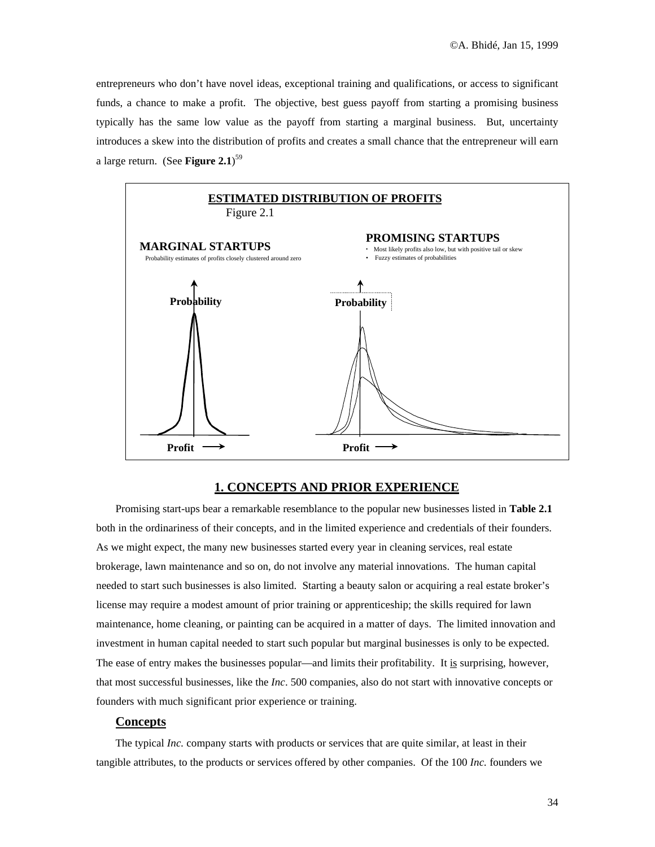entrepreneurs who don't have novel ideas, exceptional training and qualifications, or access to significant funds, a chance to make a profit. The objective, best guess payoff from starting a promising business typically has the same low value as the payoff from starting a marginal business. But, uncertainty introduces a skew into the distribution of profits and creates a small chance that the entrepreneur will earn a large return. (See **Figure 2.1**) 59



#### **1. CONCEPTS AND PRIOR EXPERIENCE**

Promising start-ups bear a remarkable resemblance to the popular new businesses listed in **Table 2.1** both in the ordinariness of their concepts, and in the limited experience and credentials of their founders. As we might expect, the many new businesses started every year in cleaning services, real estate brokerage, lawn maintenance and so on, do not involve any material innovations. The human capital needed to start such businesses is also limited. Starting a beauty salon or acquiring a real estate broker's license may require a modest amount of prior training or apprenticeship; the skills required for lawn maintenance, home cleaning, or painting can be acquired in a matter of days. The limited innovation and investment in human capital needed to start such popular but marginal businesses is only to be expected. The ease of entry makes the businesses popular—and limits their profitability. It is surprising, however, that most successful businesses, like the *Inc*. 500 companies, also do not start with innovative concepts or founders with much significant prior experience or training.

## **Concepts**

The typical *Inc.* company starts with products or services that are quite similar, at least in their tangible attributes, to the products or services offered by other companies. Of the 100 *Inc.* founders we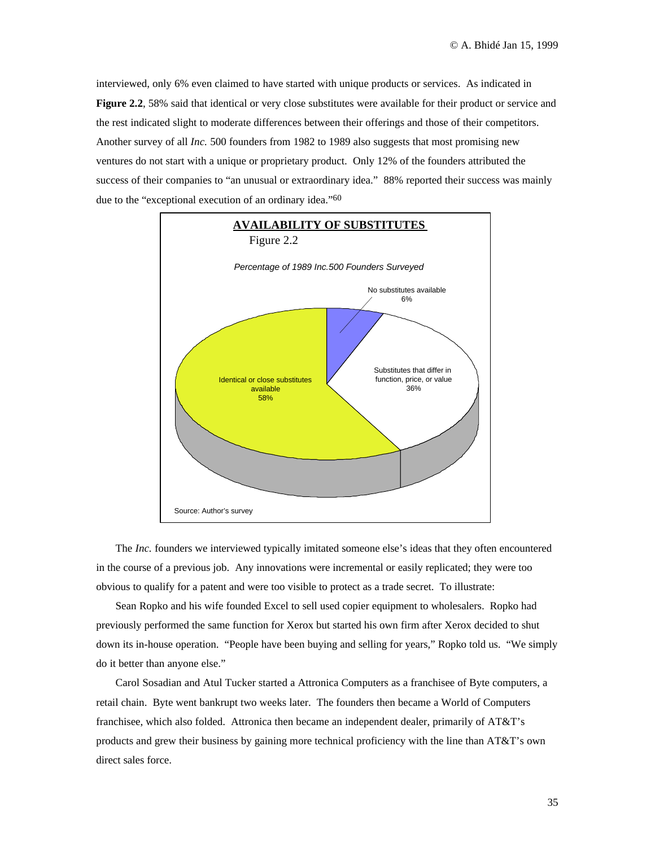interviewed, only 6% even claimed to have started with unique products or services. As indicated in **Figure 2.2**, 58% said that identical or very close substitutes were available for their product or service and the rest indicated slight to moderate differences between their offerings and those of their competitors. Another survey of all *Inc.* 500 founders from 1982 to 1989 also suggests that most promising new ventures do not start with a unique or proprietary product. Only 12% of the founders attributed the success of their companies to "an unusual or extraordinary idea." 88% reported their success was mainly due to the "exceptional execution of an ordinary idea."<sup>60</sup>



The *Inc.* founders we interviewed typically imitated someone else's ideas that they often encountered in the course of a previous job. Any innovations were incremental or easily replicated; they were too obvious to qualify for a patent and were too visible to protect as a trade secret. To illustrate:

Sean Ropko and his wife founded Excel to sell used copier equipment to wholesalers. Ropko had previously performed the same function for Xerox but started his own firm after Xerox decided to shut down its in-house operation. "People have been buying and selling for years," Ropko told us. "We simply do it better than anyone else."

Carol Sosadian and Atul Tucker started a Attronica Computers as a franchisee of Byte computers, a retail chain. Byte went bankrupt two weeks later. The founders then became a World of Computers franchisee, which also folded. Attronica then became an independent dealer, primarily of AT&T's products and grew their business by gaining more technical proficiency with the line than AT&T's own direct sales force.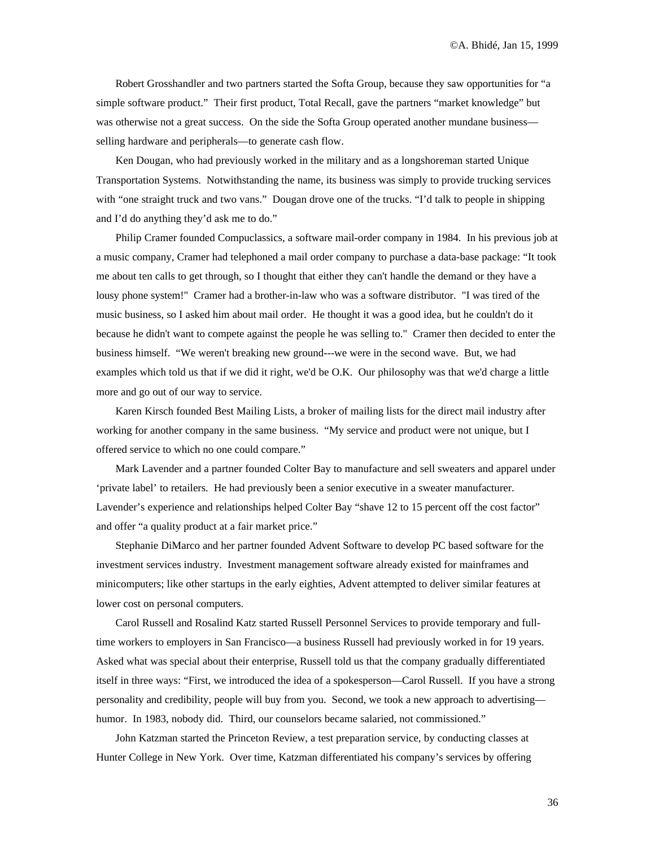Robert Grosshandler and two partners started the Softa Group, because they saw opportunities for "a simple software product." Their first product, Total Recall, gave the partners "market knowledge" but was otherwise not a great success. On the side the Softa Group operated another mundane business selling hardware and peripherals—to generate cash flow.

Ken Dougan, who had previously worked in the military and as a longshoreman started Unique Transportation Systems. Notwithstanding the name, its business was simply to provide trucking services with "one straight truck and two vans." Dougan drove one of the trucks. "I'd talk to people in shipping and I'd do anything they'd ask me to do."

Philip Cramer founded Compuclassics, a software mail-order company in 1984. In his previous job at a music company, Cramer had telephoned a mail order company to purchase a data-base package: "It took me about ten calls to get through, so I thought that either they can't handle the demand or they have a lousy phone system!" Cramer had a brother-in-law who was a software distributor. "I was tired of the music business, so I asked him about mail order. He thought it was a good idea, but he couldn't do it because he didn't want to compete against the people he was selling to." Cramer then decided to enter the business himself. "We weren't breaking new ground---we were in the second wave. But, we had examples which told us that if we did it right, we'd be O.K. Our philosophy was that we'd charge a little more and go out of our way to service.

Karen Kirsch founded Best Mailing Lists, a broker of mailing lists for the direct mail industry after working for another company in the same business. "My service and product were not unique, but I offered service to which no one could compare."

Mark Lavender and a partner founded Colter Bay to manufacture and sell sweaters and apparel under 'private label' to retailers. He had previously been a senior executive in a sweater manufacturer. Lavender's experience and relationships helped Colter Bay "shave 12 to 15 percent off the cost factor" and offer "a quality product at a fair market price."

Stephanie DiMarco and her partner founded Advent Software to develop PC based software for the investment services industry. Investment management software already existed for mainframes and minicomputers; like other startups in the early eighties, Advent attempted to deliver similar features at lower cost on personal computers.

Carol Russell and Rosalind Katz started Russell Personnel Services to provide temporary and fulltime workers to employers in San Francisco—a business Russell had previously worked in for 19 years. Asked what was special about their enterprise, Russell told us that the company gradually differentiated itself in three ways: "First, we introduced the idea of a spokesperson—Carol Russell. If you have a strong personality and credibility, people will buy from you. Second, we took a new approach to advertising humor. In 1983, nobody did. Third, our counselors became salaried, not commissioned."

John Katzman started the Princeton Review, a test preparation service, by conducting classes at Hunter College in New York. Over time, Katzman differentiated his company's services by offering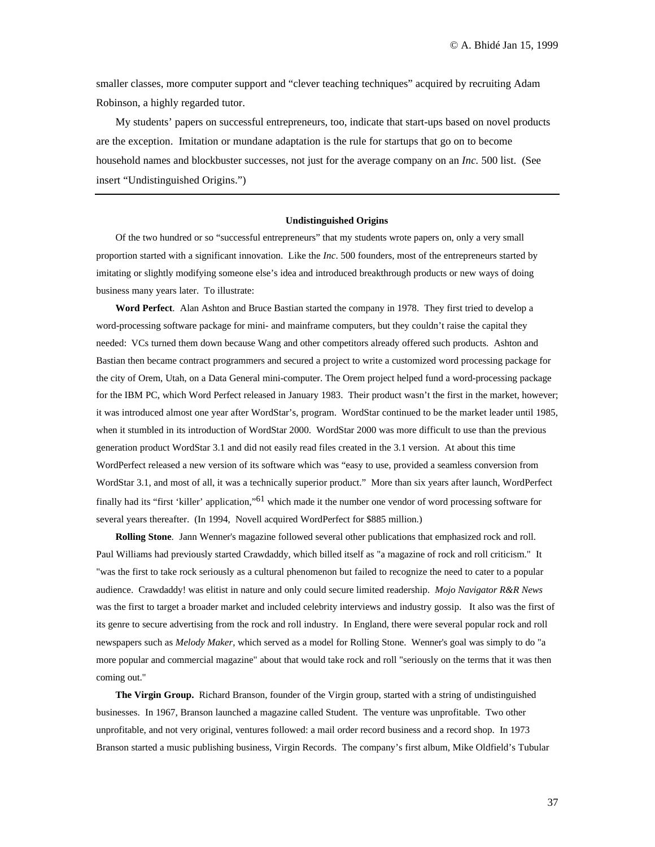smaller classes, more computer support and "clever teaching techniques" acquired by recruiting Adam Robinson, a highly regarded tutor.

My students' papers on successful entrepreneurs, too, indicate that start-ups based on novel products are the exception. Imitation or mundane adaptation is the rule for startups that go on to become household names and blockbuster successes, not just for the average company on an *Inc.* 500 list. (See insert "Undistinguished Origins.")

#### **Undistinguished Origins**

Of the two hundred or so "successful entrepreneurs" that my students wrote papers on, only a very small proportion started with a significant innovation. Like the *Inc*. 500 founders, most of the entrepreneurs started by imitating or slightly modifying someone else's idea and introduced breakthrough products or new ways of doing business many years later. To illustrate:

**Word Perfect**. Alan Ashton and Bruce Bastian started the company in 1978. They first tried to develop a word-processing software package for mini- and mainframe computers, but they couldn't raise the capital they needed: VCs turned them down because Wang and other competitors already offered such products. Ashton and Bastian then became contract programmers and secured a project to write a customized word processing package for the city of Orem, Utah, on a Data General mini-computer. The Orem project helped fund a word-processing package for the IBM PC, which Word Perfect released in January 1983. Their product wasn't the first in the market, however; it was introduced almost one year after WordStar's, program. WordStar continued to be the market leader until 1985, when it stumbled in its introduction of WordStar 2000. WordStar 2000 was more difficult to use than the previous generation product WordStar 3.1 and did not easily read files created in the 3.1 version. At about this time WordPerfect released a new version of its software which was "easy to use, provided a seamless conversion from WordStar 3.1, and most of all, it was a technically superior product." More than six years after launch, WordPerfect finally had its "first 'killer' application,"61 which made it the number one vendor of word processing software for several years thereafter. (In 1994, Novell acquired WordPerfect for \$885 million.)

**Rolling Stone**. Jann Wenner's magazine followed several other publications that emphasized rock and roll. Paul Williams had previously started Crawdaddy, which billed itself as "a magazine of rock and roll criticism." It "was the first to take rock seriously as a cultural phenomenon but failed to recognize the need to cater to a popular audience. Crawdaddy! was elitist in nature and only could secure limited readership. *Mojo Navigator R&R News* was the first to target a broader market and included celebrity interviews and industry gossip. It also was the first of its genre to secure advertising from the rock and roll industry. In England, there were several popular rock and roll newspapers such as *Melody Maker*, which served as a model for Rolling Stone. Wenner's goal was simply to do "a more popular and commercial magazine" about that would take rock and roll "seriously on the terms that it was then coming out."

**The Virgin Group.** Richard Branson, founder of the Virgin group, started with a string of undistinguished businesses. In 1967, Branson launched a magazine called Student. The venture was unprofitable. Two other unprofitable, and not very original, ventures followed: a mail order record business and a record shop. In 1973 Branson started a music publishing business, Virgin Records. The company's first album, Mike Oldfield's Tubular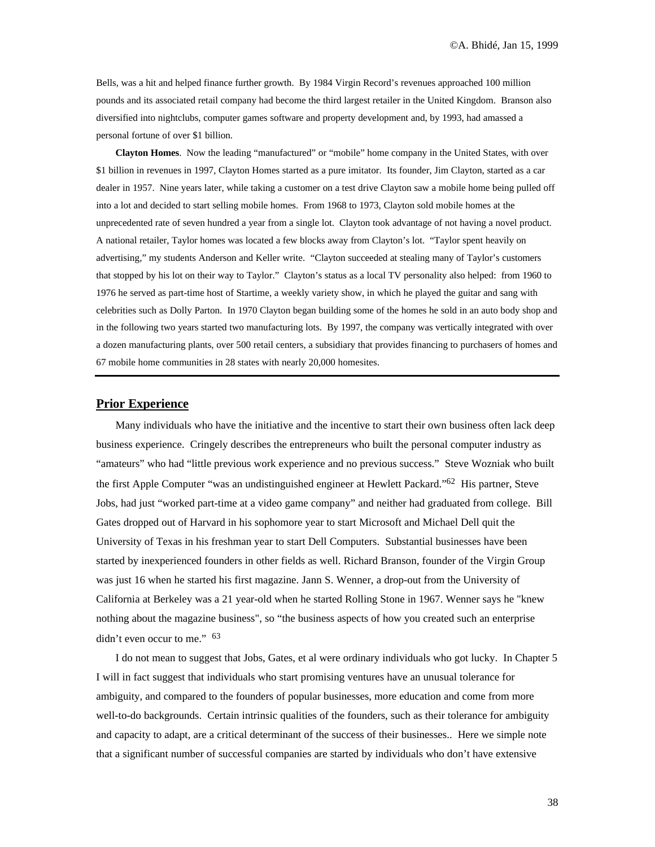Bells, was a hit and helped finance further growth. By 1984 Virgin Record's revenues approached 100 million pounds and its associated retail company had become the third largest retailer in the United Kingdom. Branson also diversified into nightclubs, computer games software and property development and, by 1993, had amassed a personal fortune of over \$1 billion.

**Clayton Homes**. Now the leading "manufactured" or "mobile" home company in the United States, with over \$1 billion in revenues in 1997, Clayton Homes started as a pure imitator. Its founder, Jim Clayton, started as a car dealer in 1957. Nine years later, while taking a customer on a test drive Clayton saw a mobile home being pulled off into a lot and decided to start selling mobile homes. From 1968 to 1973, Clayton sold mobile homes at the unprecedented rate of seven hundred a year from a single lot. Clayton took advantage of not having a novel product. A national retailer, Taylor homes was located a few blocks away from Clayton's lot. "Taylor spent heavily on advertising," my students Anderson and Keller write. "Clayton succeeded at stealing many of Taylor's customers that stopped by his lot on their way to Taylor." Clayton's status as a local TV personality also helped: from 1960 to 1976 he served as part-time host of Startime, a weekly variety show, in which he played the guitar and sang with celebrities such as Dolly Parton. In 1970 Clayton began building some of the homes he sold in an auto body shop and in the following two years started two manufacturing lots. By 1997, the company was vertically integrated with over a dozen manufacturing plants, over 500 retail centers, a subsidiary that provides financing to purchasers of homes and 67 mobile home communities in 28 states with nearly 20,000 homesites.

### **Prior Experience**

Many individuals who have the initiative and the incentive to start their own business often lack deep business experience. Cringely describes the entrepreneurs who built the personal computer industry as "amateurs" who had "little previous work experience and no previous success." Steve Wozniak who built the first Apple Computer "was an undistinguished engineer at Hewlett Packard."<sup>62</sup> His partner, Steve Jobs, had just "worked part-time at a video game company" and neither had graduated from college. Bill Gates dropped out of Harvard in his sophomore year to start Microsoft and Michael Dell quit the University of Texas in his freshman year to start Dell Computers. Substantial businesses have been started by inexperienced founders in other fields as well. Richard Branson, founder of the Virgin Group was just 16 when he started his first magazine. Jann S. Wenner, a drop-out from the University of California at Berkeley was a 21 year-old when he started Rolling Stone in 1967. Wenner says he "knew nothing about the magazine business", so "the business aspects of how you created such an enterprise didn't even occur to me." <sup>63</sup>

I do not mean to suggest that Jobs, Gates, et al were ordinary individuals who got lucky. In Chapter 5 I will in fact suggest that individuals who start promising ventures have an unusual tolerance for ambiguity, and compared to the founders of popular businesses, more education and come from more well-to-do backgrounds. Certain intrinsic qualities of the founders, such as their tolerance for ambiguity and capacity to adapt, are a critical determinant of the success of their businesses.. Here we simple note that a significant number of successful companies are started by individuals who don't have extensive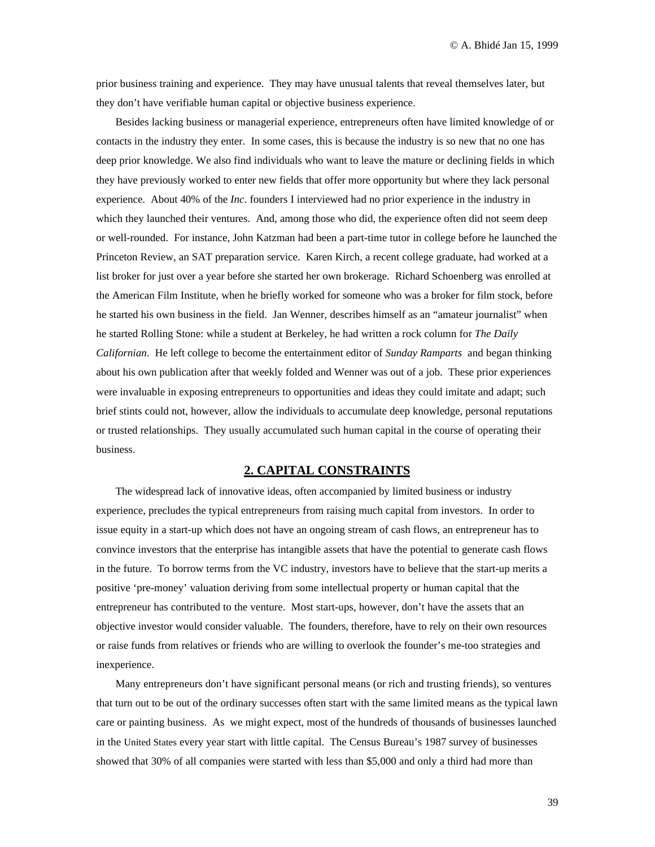prior business training and experience. They may have unusual talents that reveal themselves later, but they don't have verifiable human capital or objective business experience.

Besides lacking business or managerial experience, entrepreneurs often have limited knowledge of or contacts in the industry they enter. In some cases, this is because the industry is so new that no one has deep prior knowledge. We also find individuals who want to leave the mature or declining fields in which they have previously worked to enter new fields that offer more opportunity but where they lack personal experience. About 40% of the *Inc*. founders I interviewed had no prior experience in the industry in which they launched their ventures. And, among those who did, the experience often did not seem deep or well-rounded. For instance, John Katzman had been a part-time tutor in college before he launched the Princeton Review, an SAT preparation service. Karen Kirch, a recent college graduate, had worked at a list broker for just over a year before she started her own brokerage. Richard Schoenberg was enrolled at the American Film Institute, when he briefly worked for someone who was a broker for film stock, before he started his own business in the field. Jan Wenner, describes himself as an "amateur journalist" when he started Rolling Stone: while a student at Berkeley, he had written a rock column for *The Daily Californian*. He left college to become the entertainment editor of *Sunday Ramparts* and began thinking about his own publication after that weekly folded and Wenner was out of a job. These prior experiences were invaluable in exposing entrepreneurs to opportunities and ideas they could imitate and adapt; such brief stints could not, however, allow the individuals to accumulate deep knowledge, personal reputations or trusted relationships. They usually accumulated such human capital in the course of operating their business.

# **2. CAPITAL CONSTRAINTS**

The widespread lack of innovative ideas, often accompanied by limited business or industry experience, precludes the typical entrepreneurs from raising much capital from investors. In order to issue equity in a start-up which does not have an ongoing stream of cash flows, an entrepreneur has to convince investors that the enterprise has intangible assets that have the potential to generate cash flows in the future. To borrow terms from the VC industry, investors have to believe that the start-up merits a positive 'pre-money' valuation deriving from some intellectual property or human capital that the entrepreneur has contributed to the venture. Most start-ups, however, don't have the assets that an objective investor would consider valuable. The founders, therefore, have to rely on their own resources or raise funds from relatives or friends who are willing to overlook the founder's me-too strategies and inexperience.

Many entrepreneurs don't have significant personal means (or rich and trusting friends), so ventures that turn out to be out of the ordinary successes often start with the same limited means as the typical lawn care or painting business. As we might expect, most of the hundreds of thousands of businesses launched in the United States every year start with little capital. The Census Bureau's 1987 survey of businesses showed that 30% of all companies were started with less than \$5,000 and only a third had more than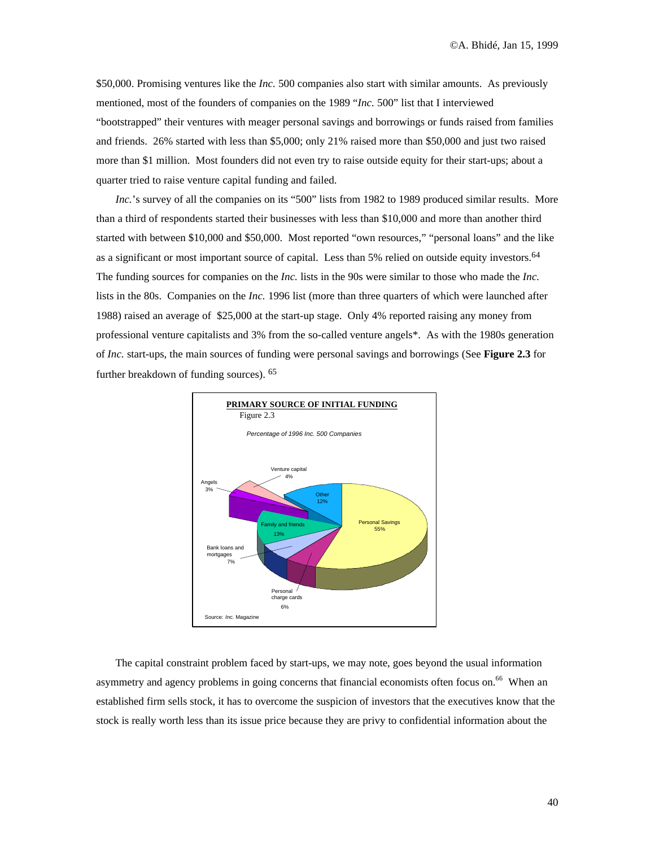\$50,000. Promising ventures like the *Inc.* 500 companies also start with similar amounts. As previously mentioned, most of the founders of companies on the 1989 "*Inc.* 500" list that I interviewed "bootstrapped" their ventures with meager personal savings and borrowings or funds raised from families and friends. 26% started with less than \$5,000; only 21% raised more than \$50,000 and just two raised more than \$1 million. Most founders did not even try to raise outside equity for their start-ups; about a quarter tried to raise venture capital funding and failed.

*Inc.*'s survey of all the companies on its "500" lists from 1982 to 1989 produced similar results. More than a third of respondents started their businesses with less than \$10,000 and more than another third started with between \$10,000 and \$50,000. Most reported "own resources," "personal loans" and the like as a significant or most important source of capital. Less than 5% relied on outside equity investors.<sup>64</sup> The funding sources for companies on the *Inc.* lists in the 90s were similar to those who made the *Inc.* lists in the 80s. Companies on the *Inc.* 1996 list (more than three quarters of which were launched after 1988) raised an average of \$25,000 at the start-up stage. Only 4% reported raising any money from professional venture capitalists and 3% from the so-called venture angels\*. As with the 1980s generation of *Inc.* start-ups, the main sources of funding were personal savings and borrowings (See **Figure 2.3** for further breakdown of funding sources). <sup>65</sup>



The capital constraint problem faced by start-ups, we may note, goes beyond the usual information asymmetry and agency problems in going concerns that financial economists often focus on.<sup>66</sup> When an established firm sells stock, it has to overcome the suspicion of investors that the executives know that the stock is really worth less than its issue price because they are privy to confidential information about the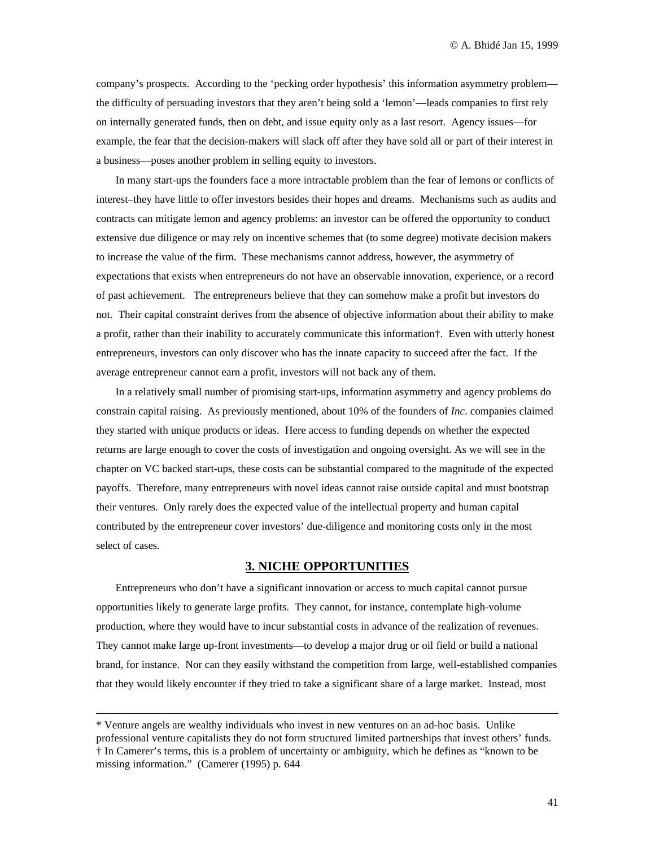company's prospects. According to the 'pecking order hypothesis' this information asymmetry problem the difficulty of persuading investors that they aren't being sold a 'lemon'—leads companies to first rely on internally generated funds, then on debt, and issue equity only as a last resort. Agency issues—for example, the fear that the decision-makers will slack off after they have sold all or part of their interest in a business—poses another problem in selling equity to investors.

In many start-ups the founders face a more intractable problem than the fear of lemons or conflicts of interest–they have little to offer investors besides their hopes and dreams. Mechanisms such as audits and contracts can mitigate lemon and agency problems: an investor can be offered the opportunity to conduct extensive due diligence or may rely on incentive schemes that (to some degree) motivate decision makers to increase the value of the firm. These mechanisms cannot address, however, the asymmetry of expectations that exists when entrepreneurs do not have an observable innovation, experience, or a record of past achievement. The entrepreneurs believe that they can somehow make a profit but investors do not. Their capital constraint derives from the absence of objective information about their ability to make a profit, rather than their inability to accurately communicate this information†. Even with utterly honest entrepreneurs, investors can only discover who has the innate capacity to succeed after the fact. If the average entrepreneur cannot earn a profit, investors will not back any of them.

In a relatively small number of promising start-ups, information asymmetry and agency problems do constrain capital raising. As previously mentioned, about 10% of the founders of *Inc*. companies claimed they started with unique products or ideas. Here access to funding depends on whether the expected returns are large enough to cover the costs of investigation and ongoing oversight. As we will see in the chapter on VC backed start-ups, these costs can be substantial compared to the magnitude of the expected payoffs. Therefore, many entrepreneurs with novel ideas cannot raise outside capital and must bootstrap their ventures. Only rarely does the expected value of the intellectual property and human capital contributed by the entrepreneur cover investors' due-diligence and monitoring costs only in the most select of cases.

### **3. NICHE OPPORTUNITIES**

Entrepreneurs who don't have a significant innovation or access to much capital cannot pursue opportunities likely to generate large profits. They cannot, for instance, contemplate high-volume production, where they would have to incur substantial costs in advance of the realization of revenues. They cannot make large up-front investments—to develop a major drug or oil field or build a national brand, for instance. Nor can they easily withstand the competition from large, well-established companies that they would likely encounter if they tried to take a significant share of a large market. Instead, most

 $\overline{a}$ 

<sup>\*</sup> Venture angels are wealthy individuals who invest in new ventures on an ad-hoc basis. Unlike professional venture capitalists they do not form structured limited partnerships that invest others' funds. † In Camerer's terms, this is a problem of uncertainty or ambiguity, which he defines as "known to be missing information." (Camerer (1995) p. 644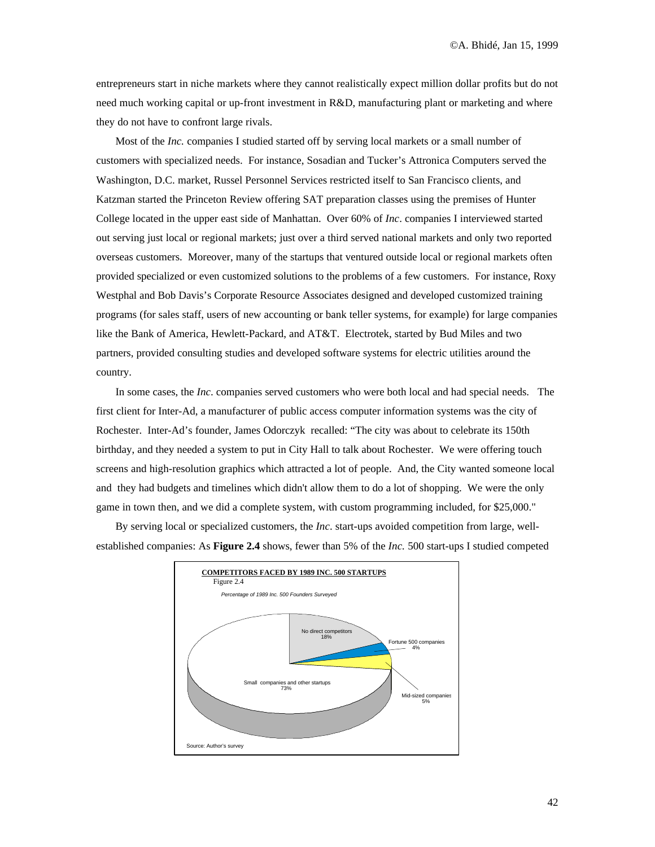entrepreneurs start in niche markets where they cannot realistically expect million dollar profits but do not need much working capital or up-front investment in R&D, manufacturing plant or marketing and where they do not have to confront large rivals.

Most of the *Inc.* companies I studied started off by serving local markets or a small number of customers with specialized needs. For instance, Sosadian and Tucker's Attronica Computers served the Washington, D.C. market, Russel Personnel Services restricted itself to San Francisco clients, and Katzman started the Princeton Review offering SAT preparation classes using the premises of Hunter College located in the upper east side of Manhattan. Over 60% of *Inc*. companies I interviewed started out serving just local or regional markets; just over a third served national markets and only two reported overseas customers. Moreover, many of the startups that ventured outside local or regional markets often provided specialized or even customized solutions to the problems of a few customers. For instance, Roxy Westphal and Bob Davis's Corporate Resource Associates designed and developed customized training programs (for sales staff, users of new accounting or bank teller systems, for example) for large companies like the Bank of America, Hewlett-Packard, and AT&T. Electrotek, started by Bud Miles and two partners, provided consulting studies and developed software systems for electric utilities around the country.

In some cases, the *Inc*. companies served customers who were both local and had special needs. The first client for Inter-Ad, a manufacturer of public access computer information systems was the city of Rochester. Inter-Ad's founder, James Odorczyk recalled: "The city was about to celebrate its 150th birthday, and they needed a system to put in City Hall to talk about Rochester. We were offering touch screens and high-resolution graphics which attracted a lot of people. And, the City wanted someone local and they had budgets and timelines which didn't allow them to do a lot of shopping. We were the only game in town then, and we did a complete system, with custom programming included, for \$25,000."

By serving local or specialized customers, the *Inc*. start-ups avoided competition from large, wellestablished companies: As **Figure 2.4** shows, fewer than 5% of the *Inc.* 500 start-ups I studied competed

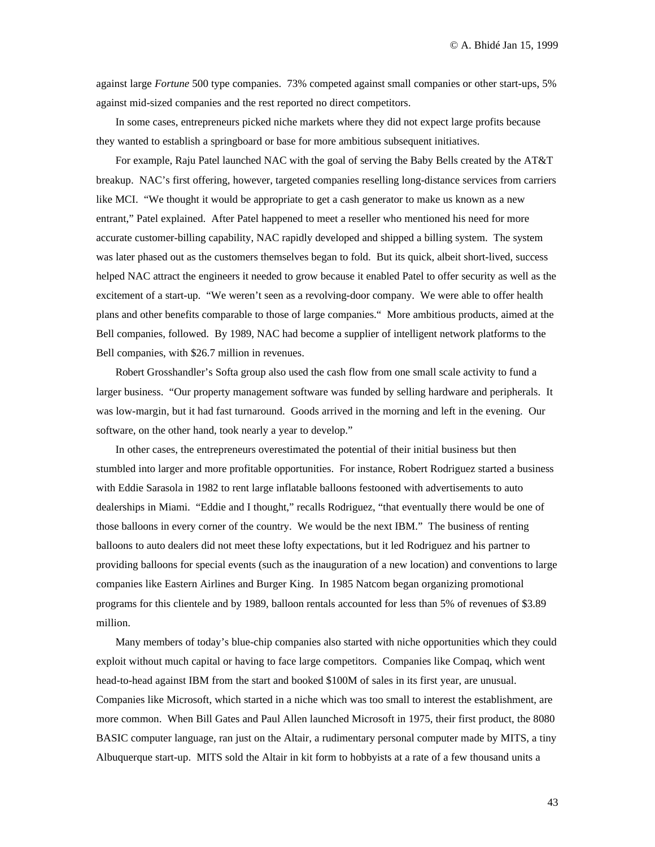against large *Fortune* 500 type companies. 73% competed against small companies or other start-ups, 5% against mid-sized companies and the rest reported no direct competitors.

In some cases, entrepreneurs picked niche markets where they did not expect large profits because they wanted to establish a springboard or base for more ambitious subsequent initiatives.

For example, Raju Patel launched NAC with the goal of serving the Baby Bells created by the AT&T breakup. NAC's first offering, however, targeted companies reselling long-distance services from carriers like MCI. "We thought it would be appropriate to get a cash generator to make us known as a new entrant," Patel explained. After Patel happened to meet a reseller who mentioned his need for more accurate customer-billing capability, NAC rapidly developed and shipped a billing system. The system was later phased out as the customers themselves began to fold. But its quick, albeit short-lived, success helped NAC attract the engineers it needed to grow because it enabled Patel to offer security as well as the excitement of a start-up. "We weren't seen as a revolving-door company. We were able to offer health plans and other benefits comparable to those of large companies." More ambitious products, aimed at the Bell companies, followed. By 1989, NAC had become a supplier of intelligent network platforms to the Bell companies, with \$26.7 million in revenues.

Robert Grosshandler's Softa group also used the cash flow from one small scale activity to fund a larger business. "Our property management software was funded by selling hardware and peripherals. It was low-margin, but it had fast turnaround. Goods arrived in the morning and left in the evening. Our software, on the other hand, took nearly a year to develop."

In other cases, the entrepreneurs overestimated the potential of their initial business but then stumbled into larger and more profitable opportunities. For instance, Robert Rodriguez started a business with Eddie Sarasola in 1982 to rent large inflatable balloons festooned with advertisements to auto dealerships in Miami. "Eddie and I thought," recalls Rodriguez, "that eventually there would be one of those balloons in every corner of the country. We would be the next IBM." The business of renting balloons to auto dealers did not meet these lofty expectations, but it led Rodriguez and his partner to providing balloons for special events (such as the inauguration of a new location) and conventions to large companies like Eastern Airlines and Burger King. In 1985 Natcom began organizing promotional programs for this clientele and by 1989, balloon rentals accounted for less than 5% of revenues of \$3.89 million.

Many members of today's blue-chip companies also started with niche opportunities which they could exploit without much capital or having to face large competitors. Companies like Compaq, which went head-to-head against IBM from the start and booked \$100M of sales in its first year, are unusual. Companies like Microsoft, which started in a niche which was too small to interest the establishment, are more common. When Bill Gates and Paul Allen launched Microsoft in 1975, their first product, the 8080 BASIC computer language, ran just on the Altair, a rudimentary personal computer made by MITS, a tiny Albuquerque start-up. MITS sold the Altair in kit form to hobbyists at a rate of a few thousand units a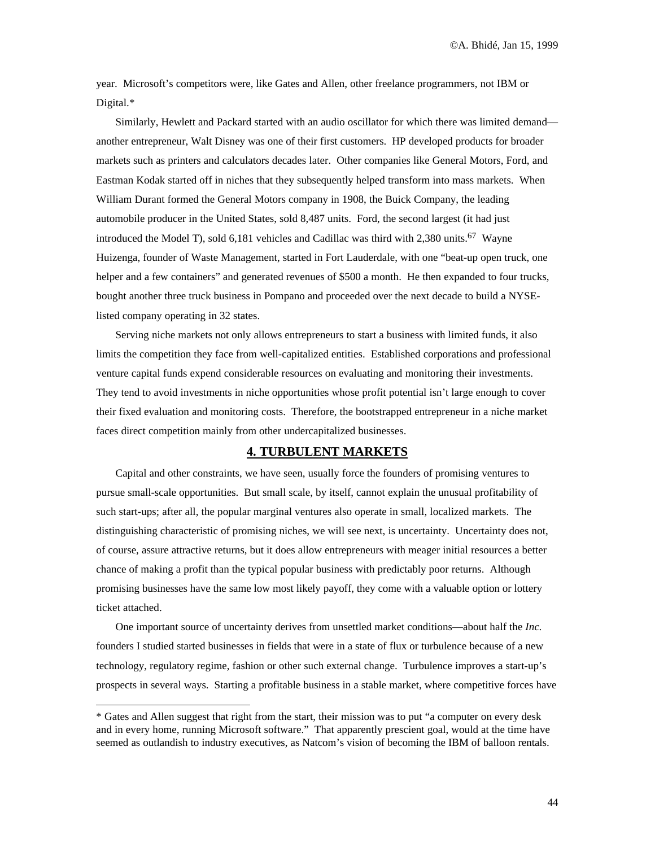year. Microsoft's competitors were, like Gates and Allen, other freelance programmers, not IBM or Digital.\*

Similarly, Hewlett and Packard started with an audio oscillator for which there was limited demand another entrepreneur, Walt Disney was one of their first customers. HP developed products for broader markets such as printers and calculators decades later. Other companies like General Motors, Ford, and Eastman Kodak started off in niches that they subsequently helped transform into mass markets. When William Durant formed the General Motors company in 1908, the Buick Company, the leading automobile producer in the United States, sold 8,487 units. Ford, the second largest (it had just introduced the Model T), sold 6,181 vehicles and Cadillac was third with 2,380 units.<sup>67</sup> Wayne Huizenga, founder of Waste Management, started in Fort Lauderdale, with one "beat-up open truck, one helper and a few containers" and generated revenues of \$500 a month. He then expanded to four trucks, bought another three truck business in Pompano and proceeded over the next decade to build a NYSElisted company operating in 32 states.

Serving niche markets not only allows entrepreneurs to start a business with limited funds, it also limits the competition they face from well-capitalized entities. Established corporations and professional venture capital funds expend considerable resources on evaluating and monitoring their investments. They tend to avoid investments in niche opportunities whose profit potential isn't large enough to cover their fixed evaluation and monitoring costs. Therefore, the bootstrapped entrepreneur in a niche market faces direct competition mainly from other undercapitalized businesses.

### **4. TURBULENT MARKETS**

Capital and other constraints, we have seen, usually force the founders of promising ventures to pursue small-scale opportunities. But small scale, by itself, cannot explain the unusual profitability of such start-ups; after all, the popular marginal ventures also operate in small, localized markets. The distinguishing characteristic of promising niches, we will see next, is uncertainty. Uncertainty does not, of course, assure attractive returns, but it does allow entrepreneurs with meager initial resources a better chance of making a profit than the typical popular business with predictably poor returns. Although promising businesses have the same low most likely payoff, they come with a valuable option or lottery ticket attached.

One important source of uncertainty derives from unsettled market conditions—about half the *Inc.* founders I studied started businesses in fields that were in a state of flux or turbulence because of a new technology, regulatory regime, fashion or other such external change. Turbulence improves a start-up's prospects in several ways. Starting a profitable business in a stable market, where competitive forces have

 $\overline{a}$ 

<sup>\*</sup> Gates and Allen suggest that right from the start, their mission was to put "a computer on every desk and in every home, running Microsoft software." That apparently prescient goal, would at the time have seemed as outlandish to industry executives, as Natcom's vision of becoming the IBM of balloon rentals.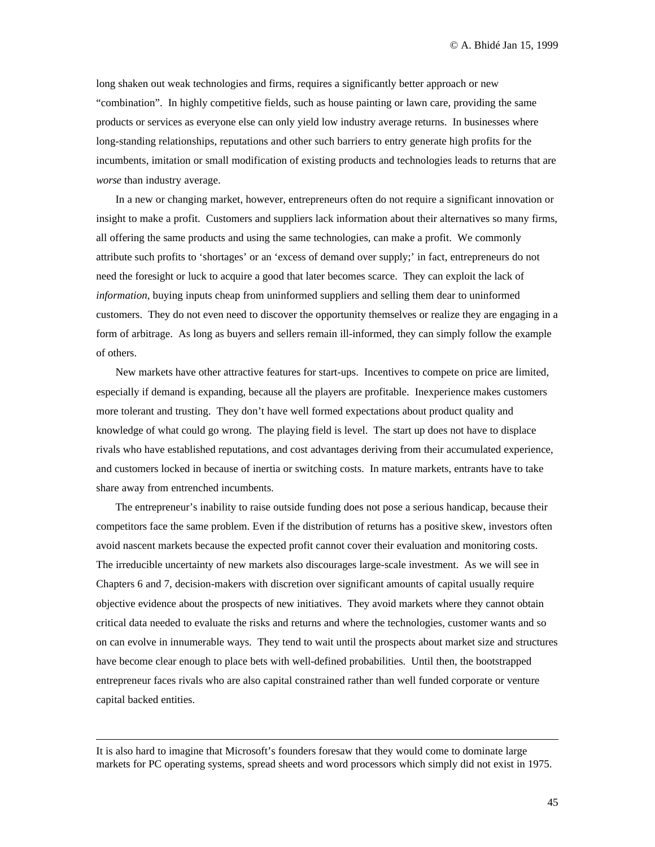long shaken out weak technologies and firms, requires a significantly better approach or new "combination". In highly competitive fields, such as house painting or lawn care, providing the same products or services as everyone else can only yield low industry average returns. In businesses where long-standing relationships, reputations and other such barriers to entry generate high profits for the incumbents, imitation or small modification of existing products and technologies leads to returns that are *worse* than industry average.

In a new or changing market, however, entrepreneurs often do not require a significant innovation or insight to make a profit. Customers and suppliers lack information about their alternatives so many firms, all offering the same products and using the same technologies, can make a profit. We commonly attribute such profits to 'shortages' or an 'excess of demand over supply;' in fact, entrepreneurs do not need the foresight or luck to acquire a good that later becomes scarce. They can exploit the lack of *information*, buying inputs cheap from uninformed suppliers and selling them dear to uninformed customers. They do not even need to discover the opportunity themselves or realize they are engaging in a form of arbitrage. As long as buyers and sellers remain ill-informed, they can simply follow the example of others.

New markets have other attractive features for start-ups. Incentives to compete on price are limited, especially if demand is expanding, because all the players are profitable. Inexperience makes customers more tolerant and trusting. They don't have well formed expectations about product quality and knowledge of what could go wrong. The playing field is level. The start up does not have to displace rivals who have established reputations, and cost advantages deriving from their accumulated experience, and customers locked in because of inertia or switching costs. In mature markets, entrants have to take share away from entrenched incumbents.

The entrepreneur's inability to raise outside funding does not pose a serious handicap, because their competitors face the same problem. Even if the distribution of returns has a positive skew, investors often avoid nascent markets because the expected profit cannot cover their evaluation and monitoring costs. The irreducible uncertainty of new markets also discourages large-scale investment. As we will see in Chapters 6 and 7, decision-makers with discretion over significant amounts of capital usually require objective evidence about the prospects of new initiatives. They avoid markets where they cannot obtain critical data needed to evaluate the risks and returns and where the technologies, customer wants and so on can evolve in innumerable ways. They tend to wait until the prospects about market size and structures have become clear enough to place bets with well-defined probabilities. Until then, the bootstrapped entrepreneur faces rivals who are also capital constrained rather than well funded corporate or venture capital backed entities.

It is also hard to imagine that Microsoft's founders foresaw that they would come to dominate large markets for PC operating systems, spread sheets and word processors which simply did not exist in 1975.

 $\overline{a}$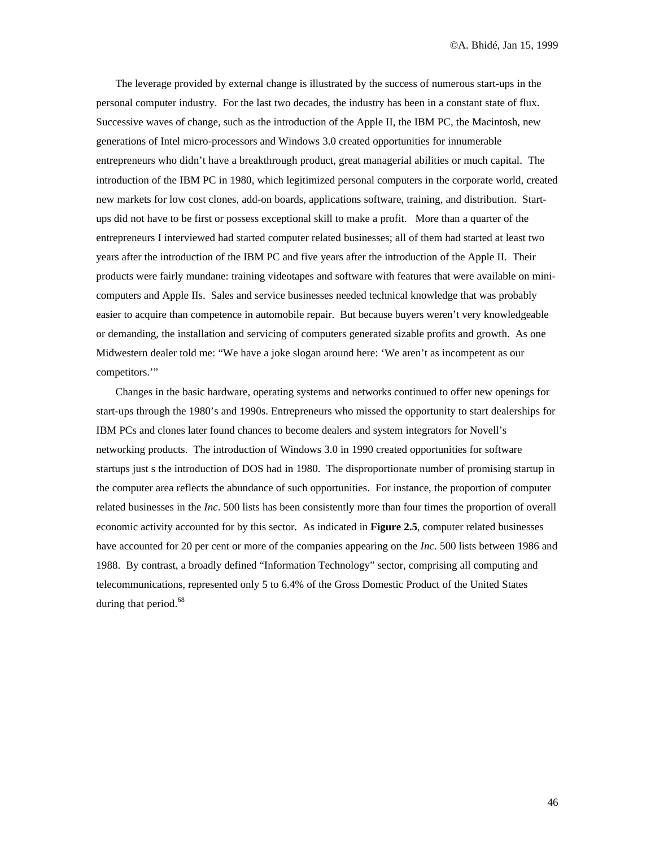The leverage provided by external change is illustrated by the success of numerous start-ups in the personal computer industry. For the last two decades, the industry has been in a constant state of flux. Successive waves of change, such as the introduction of the Apple II, the IBM PC, the Macintosh, new generations of Intel micro-processors and Windows 3.0 created opportunities for innumerable entrepreneurs who didn't have a breakthrough product, great managerial abilities or much capital. The introduction of the IBM PC in 1980, which legitimized personal computers in the corporate world, created new markets for low cost clones, add-on boards, applications software, training, and distribution. Startups did not have to be first or possess exceptional skill to make a profit. More than a quarter of the entrepreneurs I interviewed had started computer related businesses; all of them had started at least two years after the introduction of the IBM PC and five years after the introduction of the Apple II. Their products were fairly mundane: training videotapes and software with features that were available on minicomputers and Apple IIs. Sales and service businesses needed technical knowledge that was probably easier to acquire than competence in automobile repair. But because buyers weren't very knowledgeable or demanding, the installation and servicing of computers generated sizable profits and growth. As one Midwestern dealer told me: "We have a joke slogan around here: 'We aren't as incompetent as our competitors.'"

Changes in the basic hardware, operating systems and networks continued to offer new openings for start-ups through the 1980's and 1990s. Entrepreneurs who missed the opportunity to start dealerships for IBM PCs and clones later found chances to become dealers and system integrators for Novell's networking products. The introduction of Windows 3.0 in 1990 created opportunities for software startups just s the introduction of DOS had in 1980. The disproportionate number of promising startup in the computer area reflects the abundance of such opportunities. For instance, the proportion of computer related businesses in the *Inc*. 500 lists has been consistently more than four times the proportion of overall economic activity accounted for by this sector. As indicated in **Figure 2.5**, computer related businesses have accounted for 20 per cent or more of the companies appearing on the *Inc.* 500 lists between 1986 and 1988. By contrast, a broadly defined "Information Technology" sector, comprising all computing and telecommunications, represented only 5 to 6.4% of the Gross Domestic Product of the United States during that period.<sup>68</sup>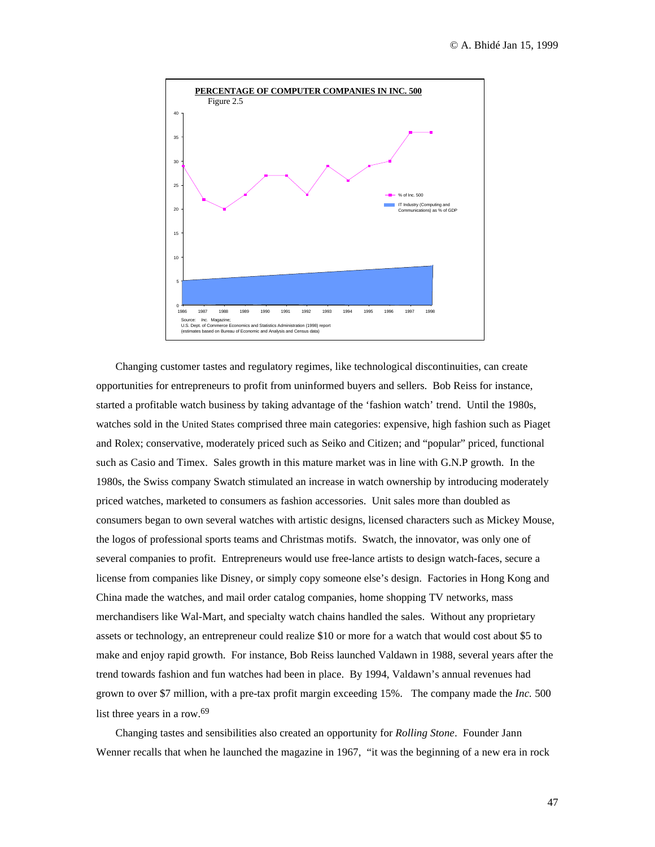

Changing customer tastes and regulatory regimes, like technological discontinuities, can create opportunities for entrepreneurs to profit from uninformed buyers and sellers. Bob Reiss for instance, started a profitable watch business by taking advantage of the 'fashion watch' trend. Until the 1980s, watches sold in the United States comprised three main categories: expensive, high fashion such as Piaget and Rolex; conservative, moderately priced such as Seiko and Citizen; and "popular" priced, functional such as Casio and Timex. Sales growth in this mature market was in line with G.N.P growth. In the 1980s, the Swiss company Swatch stimulated an increase in watch ownership by introducing moderately priced watches, marketed to consumers as fashion accessories. Unit sales more than doubled as consumers began to own several watches with artistic designs, licensed characters such as Mickey Mouse, the logos of professional sports teams and Christmas motifs. Swatch, the innovator, was only one of several companies to profit. Entrepreneurs would use free-lance artists to design watch-faces, secure a license from companies like Disney, or simply copy someone else's design. Factories in Hong Kong and China made the watches, and mail order catalog companies, home shopping TV networks, mass merchandisers like Wal-Mart, and specialty watch chains handled the sales. Without any proprietary assets or technology, an entrepreneur could realize \$10 or more for a watch that would cost about \$5 to make and enjoy rapid growth. For instance, Bob Reiss launched Valdawn in 1988, several years after the trend towards fashion and fun watches had been in place. By 1994, Valdawn's annual revenues had grown to over \$7 million, with a pre-tax profit margin exceeding 15%. The company made the *Inc.* 500 list three years in a row.<sup>69</sup>

Changing tastes and sensibilities also created an opportunity for *Rolling Stone*. Founder Jann Wenner recalls that when he launched the magazine in 1967, "it was the beginning of a new era in rock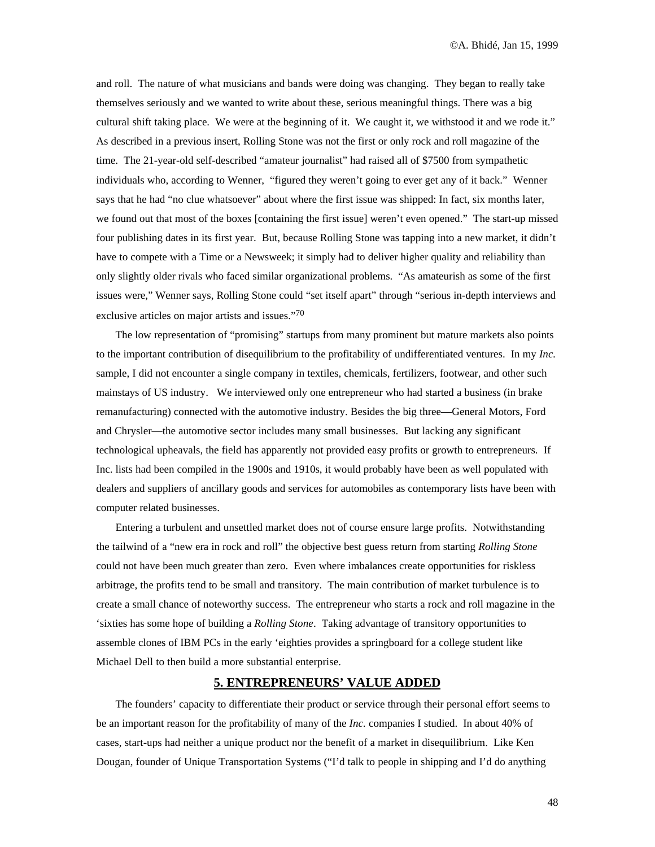and roll. The nature of what musicians and bands were doing was changing. They began to really take themselves seriously and we wanted to write about these, serious meaningful things. There was a big cultural shift taking place. We were at the beginning of it. We caught it, we withstood it and we rode it." As described in a previous insert, Rolling Stone was not the first or only rock and roll magazine of the time. The 21-year-old self-described "amateur journalist" had raised all of \$7500 from sympathetic individuals who, according to Wenner, "figured they weren't going to ever get any of it back." Wenner says that he had "no clue whatsoever" about where the first issue was shipped: In fact, six months later, we found out that most of the boxes [containing the first issue] weren't even opened." The start-up missed four publishing dates in its first year. But, because Rolling Stone was tapping into a new market, it didn't have to compete with a Time or a Newsweek; it simply had to deliver higher quality and reliability than only slightly older rivals who faced similar organizational problems. "As amateurish as some of the first issues were," Wenner says, Rolling Stone could "set itself apart" through "serious in-depth interviews and exclusive articles on major artists and issues."<sup>70</sup>

The low representation of "promising" startups from many prominent but mature markets also points to the important contribution of disequilibrium to the profitability of undifferentiated ventures. In my *Inc.* sample, I did not encounter a single company in textiles, chemicals, fertilizers, footwear, and other such mainstays of US industry. We interviewed only one entrepreneur who had started a business (in brake remanufacturing) connected with the automotive industry. Besides the big three—General Motors, Ford and Chrysler—the automotive sector includes many small businesses. But lacking any significant technological upheavals, the field has apparently not provided easy profits or growth to entrepreneurs. If Inc. lists had been compiled in the 1900s and 1910s, it would probably have been as well populated with dealers and suppliers of ancillary goods and services for automobiles as contemporary lists have been with computer related businesses.

Entering a turbulent and unsettled market does not of course ensure large profits. Notwithstanding the tailwind of a "new era in rock and roll" the objective best guess return from starting *Rolling Stone* could not have been much greater than zero. Even where imbalances create opportunities for riskless arbitrage, the profits tend to be small and transitory. The main contribution of market turbulence is to create a small chance of noteworthy success. The entrepreneur who starts a rock and roll magazine in the 'sixties has some hope of building a *Rolling Stone*. Taking advantage of transitory opportunities to assemble clones of IBM PCs in the early 'eighties provides a springboard for a college student like Michael Dell to then build a more substantial enterprise.

### **5. ENTREPRENEURS' VALUE ADDED**

The founders' capacity to differentiate their product or service through their personal effort seems to be an important reason for the profitability of many of the *Inc.* companies I studied. In about 40% of cases, start-ups had neither a unique product nor the benefit of a market in disequilibrium. Like Ken Dougan, founder of Unique Transportation Systems ("I'd talk to people in shipping and I'd do anything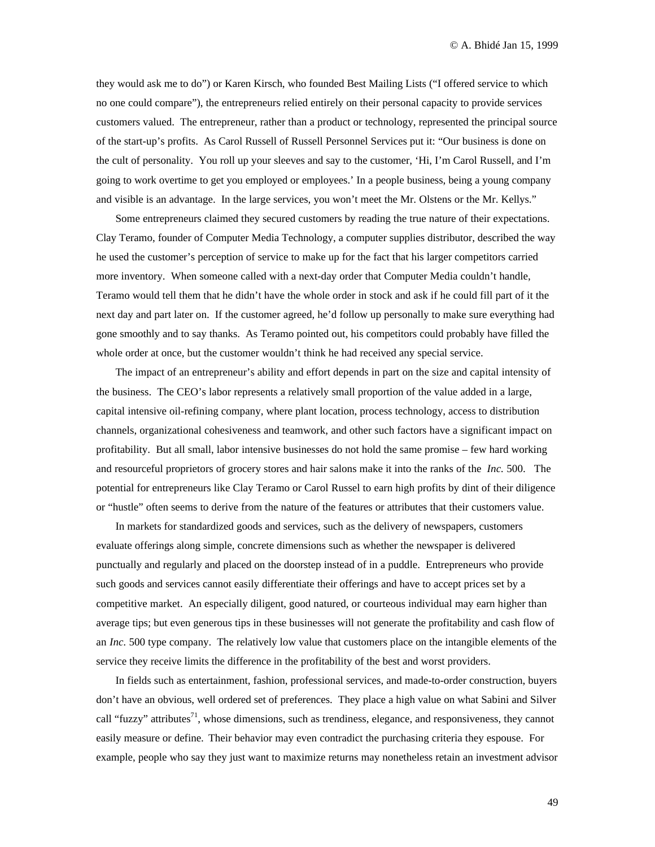they would ask me to do") or Karen Kirsch, who founded Best Mailing Lists ("I offered service to which no one could compare"), the entrepreneurs relied entirely on their personal capacity to provide services customers valued. The entrepreneur, rather than a product or technology, represented the principal source of the start-up's profits. As Carol Russell of Russell Personnel Services put it: "Our business is done on the cult of personality. You roll up your sleeves and say to the customer, 'Hi, I'm Carol Russell, and I'm going to work overtime to get you employed or employees.' In a people business, being a young company and visible is an advantage. In the large services, you won't meet the Mr. Olstens or the Mr. Kellys."

Some entrepreneurs claimed they secured customers by reading the true nature of their expectations. Clay Teramo, founder of Computer Media Technology, a computer supplies distributor, described the way he used the customer's perception of service to make up for the fact that his larger competitors carried more inventory. When someone called with a next-day order that Computer Media couldn't handle, Teramo would tell them that he didn't have the whole order in stock and ask if he could fill part of it the next day and part later on. If the customer agreed, he'd follow up personally to make sure everything had gone smoothly and to say thanks. As Teramo pointed out, his competitors could probably have filled the whole order at once, but the customer wouldn't think he had received any special service.

The impact of an entrepreneur's ability and effort depends in part on the size and capital intensity of the business. The CEO's labor represents a relatively small proportion of the value added in a large, capital intensive oil-refining company, where plant location, process technology, access to distribution channels, organizational cohesiveness and teamwork, and other such factors have a significant impact on profitability. But all small, labor intensive businesses do not hold the same promise – few hard working and resourceful proprietors of grocery stores and hair salons make it into the ranks of the *Inc.* 500. The potential for entrepreneurs like Clay Teramo or Carol Russel to earn high profits by dint of their diligence or "hustle" often seems to derive from the nature of the features or attributes that their customers value.

In markets for standardized goods and services, such as the delivery of newspapers, customers evaluate offerings along simple, concrete dimensions such as whether the newspaper is delivered punctually and regularly and placed on the doorstep instead of in a puddle. Entrepreneurs who provide such goods and services cannot easily differentiate their offerings and have to accept prices set by a competitive market. An especially diligent, good natured, or courteous individual may earn higher than average tips; but even generous tips in these businesses will not generate the profitability and cash flow of an *Inc.* 500 type company. The relatively low value that customers place on the intangible elements of the service they receive limits the difference in the profitability of the best and worst providers.

In fields such as entertainment, fashion, professional services, and made-to-order construction, buyers don't have an obvious, well ordered set of preferences. They place a high value on what Sabini and Silver call "fuzzy" attributes $T<sup>1</sup>$ , whose dimensions, such as trendiness, elegance, and responsiveness, they cannot easily measure or define. Their behavior may even contradict the purchasing criteria they espouse. For example, people who say they just want to maximize returns may nonetheless retain an investment advisor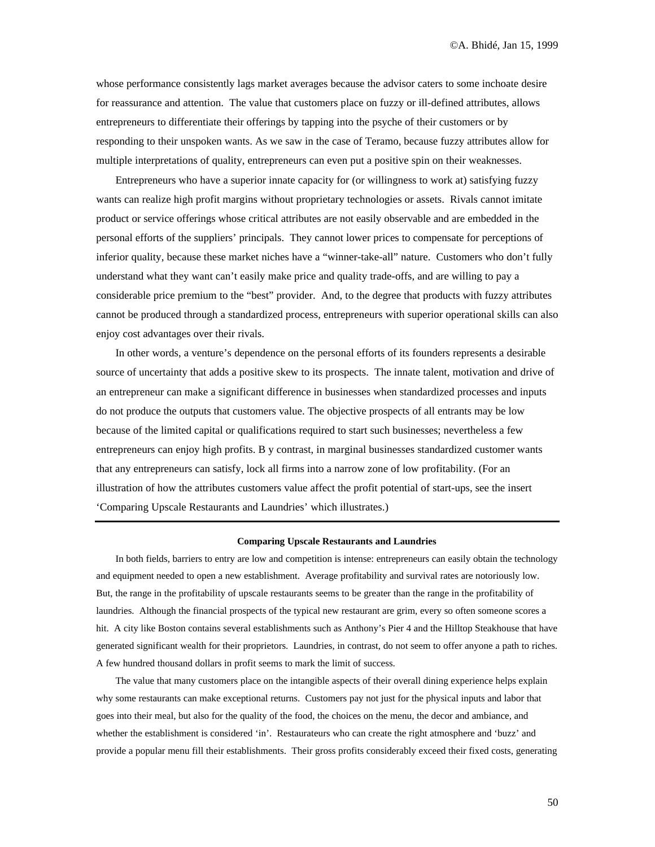whose performance consistently lags market averages because the advisor caters to some inchoate desire for reassurance and attention. The value that customers place on fuzzy or ill-defined attributes, allows entrepreneurs to differentiate their offerings by tapping into the psyche of their customers or by responding to their unspoken wants. As we saw in the case of Teramo, because fuzzy attributes allow for multiple interpretations of quality, entrepreneurs can even put a positive spin on their weaknesses.

Entrepreneurs who have a superior innate capacity for (or willingness to work at) satisfying fuzzy wants can realize high profit margins without proprietary technologies or assets. Rivals cannot imitate product or service offerings whose critical attributes are not easily observable and are embedded in the personal efforts of the suppliers' principals. They cannot lower prices to compensate for perceptions of inferior quality, because these market niches have a "winner-take-all" nature. Customers who don't fully understand what they want can't easily make price and quality trade-offs, and are willing to pay a considerable price premium to the "best" provider. And, to the degree that products with fuzzy attributes cannot be produced through a standardized process, entrepreneurs with superior operational skills can also enjoy cost advantages over their rivals.

In other words, a venture's dependence on the personal efforts of its founders represents a desirable source of uncertainty that adds a positive skew to its prospects. The innate talent, motivation and drive of an entrepreneur can make a significant difference in businesses when standardized processes and inputs do not produce the outputs that customers value. The objective prospects of all entrants may be low because of the limited capital or qualifications required to start such businesses; nevertheless a few entrepreneurs can enjoy high profits. B y contrast, in marginal businesses standardized customer wants that any entrepreneurs can satisfy, lock all firms into a narrow zone of low profitability. (For an illustration of how the attributes customers value affect the profit potential of start-ups, see the insert 'Comparing Upscale Restaurants and Laundries' which illustrates.)

#### **Comparing Upscale Restaurants and Laundries**

In both fields, barriers to entry are low and competition is intense: entrepreneurs can easily obtain the technology and equipment needed to open a new establishment. Average profitability and survival rates are notoriously low. But, the range in the profitability of upscale restaurants seems to be greater than the range in the profitability of laundries. Although the financial prospects of the typical new restaurant are grim, every so often someone scores a hit. A city like Boston contains several establishments such as Anthony's Pier 4 and the Hilltop Steakhouse that have generated significant wealth for their proprietors. Laundries, in contrast, do not seem to offer anyone a path to riches. A few hundred thousand dollars in profit seems to mark the limit of success.

The value that many customers place on the intangible aspects of their overall dining experience helps explain why some restaurants can make exceptional returns. Customers pay not just for the physical inputs and labor that goes into their meal, but also for the quality of the food, the choices on the menu, the decor and ambiance, and whether the establishment is considered 'in'. Restaurateurs who can create the right atmosphere and 'buzz' and provide a popular menu fill their establishments. Their gross profits considerably exceed their fixed costs, generating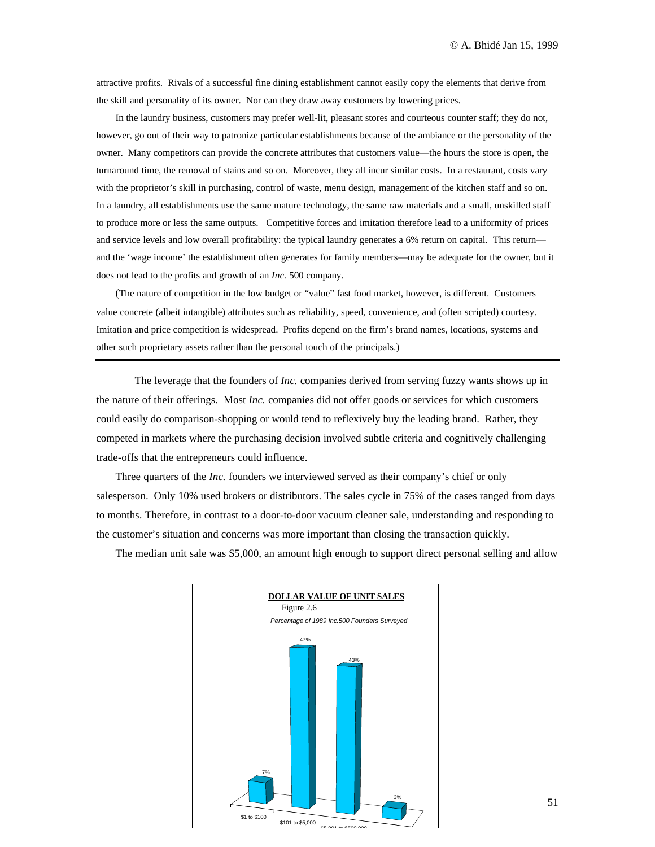attractive profits. Rivals of a successful fine dining establishment cannot easily copy the elements that derive from the skill and personality of its owner. Nor can they draw away customers by lowering prices.

In the laundry business, customers may prefer well-lit, pleasant stores and courteous counter staff; they do not, however, go out of their way to patronize particular establishments because of the ambiance or the personality of the owner. Many competitors can provide the concrete attributes that customers value—the hours the store is open, the turnaround time, the removal of stains and so on. Moreover, they all incur similar costs. In a restaurant, costs vary with the proprietor's skill in purchasing, control of waste, menu design, management of the kitchen staff and so on. In a laundry, all establishments use the same mature technology, the same raw materials and a small, unskilled staff to produce more or less the same outputs. Competitive forces and imitation therefore lead to a uniformity of prices and service levels and low overall profitability: the typical laundry generates a 6% return on capital. This return and the 'wage income' the establishment often generates for family members—may be adequate for the owner, but it does not lead to the profits and growth of an *Inc.* 500 company.

(The nature of competition in the low budget or "value" fast food market, however, is different. Customers value concrete (albeit intangible) attributes such as reliability, speed, convenience, and (often scripted) courtesy. Imitation and price competition is widespread. Profits depend on the firm's brand names, locations, systems and other such proprietary assets rather than the personal touch of the principals.)

The leverage that the founders of *Inc.* companies derived from serving fuzzy wants shows up in the nature of their offerings. Most *Inc.* companies did not offer goods or services for which customers could easily do comparison-shopping or would tend to reflexively buy the leading brand. Rather, they competed in markets where the purchasing decision involved subtle criteria and cognitively challenging trade-offs that the entrepreneurs could influence.

Three quarters of the *Inc.* founders we interviewed served as their company's chief or only salesperson. Only 10% used brokers or distributors. The sales cycle in 75% of the cases ranged from days to months. Therefore, in contrast to a door-to-door vacuum cleaner sale, understanding and responding to the customer's situation and concerns was more important than closing the transaction quickly.

The median unit sale was \$5,000, an amount high enough to support direct personal selling and allow

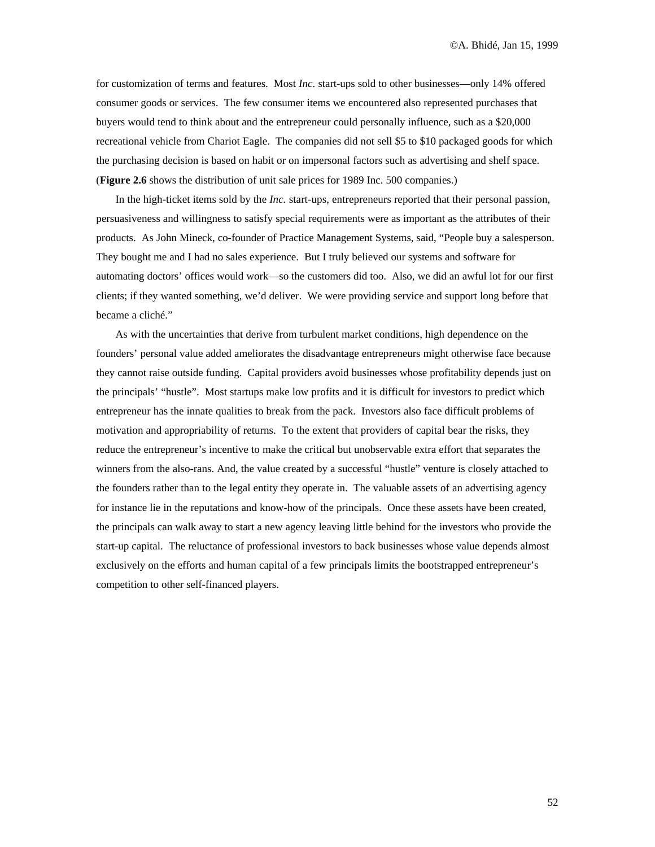for customization of terms and features. Most *Inc.* start-ups sold to other businesses—only 14% offered consumer goods or services. The few consumer items we encountered also represented purchases that buyers would tend to think about and the entrepreneur could personally influence, such as a \$20,000 recreational vehicle from Chariot Eagle. The companies did not sell \$5 to \$10 packaged goods for which the purchasing decision is based on habit or on impersonal factors such as advertising and shelf space. (**Figure 2.6** shows the distribution of unit sale prices for 1989 Inc. 500 companies.)

In the high-ticket items sold by the *Inc.* start-ups, entrepreneurs reported that their personal passion, persuasiveness and willingness to satisfy special requirements were as important as the attributes of their products. As John Mineck, co-founder of Practice Management Systems, said, "People buy a salesperson. They bought me and I had no sales experience. But I truly believed our systems and software for automating doctors' offices would work—so the customers did too. Also, we did an awful lot for our first clients; if they wanted something, we'd deliver. We were providing service and support long before that became a cliché."

As with the uncertainties that derive from turbulent market conditions, high dependence on the founders' personal value added ameliorates the disadvantage entrepreneurs might otherwise face because they cannot raise outside funding. Capital providers avoid businesses whose profitability depends just on the principals' "hustle". Most startups make low profits and it is difficult for investors to predict which entrepreneur has the innate qualities to break from the pack. Investors also face difficult problems of motivation and appropriability of returns. To the extent that providers of capital bear the risks, they reduce the entrepreneur's incentive to make the critical but unobservable extra effort that separates the winners from the also-rans. And, the value created by a successful "hustle" venture is closely attached to the founders rather than to the legal entity they operate in. The valuable assets of an advertising agency for instance lie in the reputations and know-how of the principals. Once these assets have been created, the principals can walk away to start a new agency leaving little behind for the investors who provide the start-up capital. The reluctance of professional investors to back businesses whose value depends almost exclusively on the efforts and human capital of a few principals limits the bootstrapped entrepreneur's competition to other self-financed players.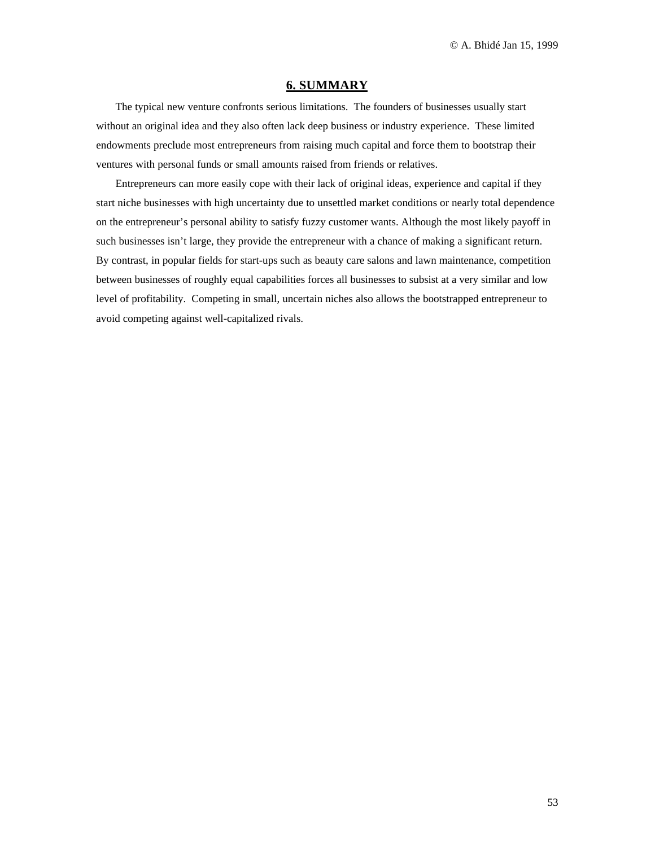## **6. SUMMARY**

The typical new venture confronts serious limitations. The founders of businesses usually start without an original idea and they also often lack deep business or industry experience. These limited endowments preclude most entrepreneurs from raising much capital and force them to bootstrap their ventures with personal funds or small amounts raised from friends or relatives.

Entrepreneurs can more easily cope with their lack of original ideas, experience and capital if they start niche businesses with high uncertainty due to unsettled market conditions or nearly total dependence on the entrepreneur's personal ability to satisfy fuzzy customer wants. Although the most likely payoff in such businesses isn't large, they provide the entrepreneur with a chance of making a significant return. By contrast, in popular fields for start-ups such as beauty care salons and lawn maintenance, competition between businesses of roughly equal capabilities forces all businesses to subsist at a very similar and low level of profitability. Competing in small, uncertain niches also allows the bootstrapped entrepreneur to avoid competing against well-capitalized rivals.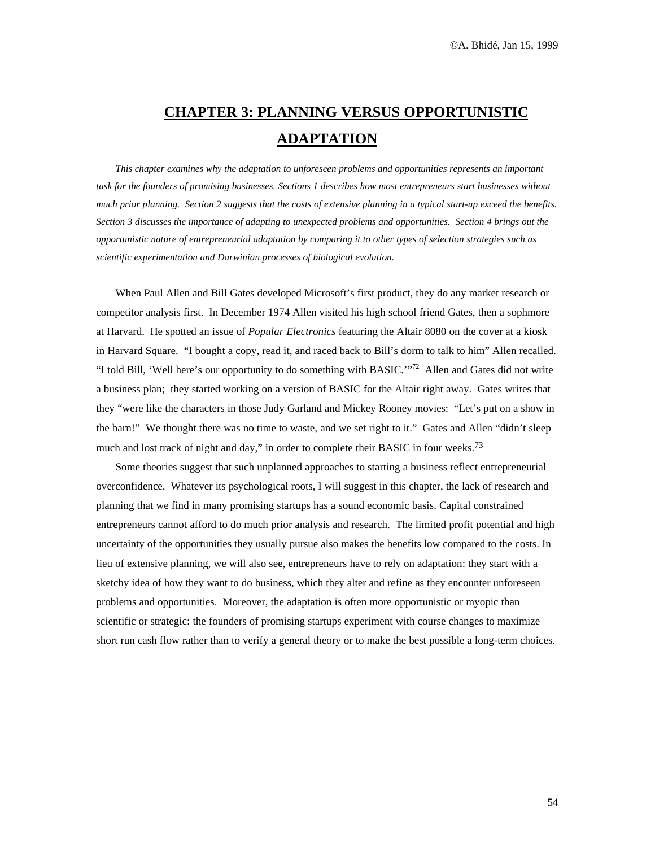# **CHAPTER 3: PLANNING VERSUS OPPORTUNISTIC ADAPTATION**

*This chapter examines why the adaptation to unforeseen problems and opportunities represents an important task for the founders of promising businesses. Sections 1 describes how most entrepreneurs start businesses without much prior planning. Section 2 suggests that the costs of extensive planning in a typical start-up exceed the benefits. Section 3 discusses the importance of adapting to unexpected problems and opportunities. Section 4 brings out the opportunistic nature of entrepreneurial adaptation by comparing it to other types of selection strategies such as scientific experimentation and Darwinian processes of biological evolution.*

When Paul Allen and Bill Gates developed Microsoft's first product, they do any market research or competitor analysis first. In December 1974 Allen visited his high school friend Gates, then a sophmore at Harvard. He spotted an issue of *Popular Electronics* featuring the Altair 8080 on the cover at a kiosk in Harvard Square. "I bought a copy, read it, and raced back to Bill's dorm to talk to him" Allen recalled. "I told Bill, 'Well here's our opportunity to do something with BASIC."<sup>72</sup> Allen and Gates did not write a business plan; they started working on a version of BASIC for the Altair right away. Gates writes that they "were like the characters in those Judy Garland and Mickey Rooney movies: "Let's put on a show in the barn!" We thought there was no time to waste, and we set right to it." Gates and Allen "didn't sleep much and lost track of night and day," in order to complete their BASIC in four weeks.<sup>73</sup>

Some theories suggest that such unplanned approaches to starting a business reflect entrepreneurial overconfidence. Whatever its psychological roots, I will suggest in this chapter, the lack of research and planning that we find in many promising startups has a sound economic basis. Capital constrained entrepreneurs cannot afford to do much prior analysis and research. The limited profit potential and high uncertainty of the opportunities they usually pursue also makes the benefits low compared to the costs. In lieu of extensive planning, we will also see, entrepreneurs have to rely on adaptation: they start with a sketchy idea of how they want to do business, which they alter and refine as they encounter unforeseen problems and opportunities. Moreover, the adaptation is often more opportunistic or myopic than scientific or strategic: the founders of promising startups experiment with course changes to maximize short run cash flow rather than to verify a general theory or to make the best possible a long-term choices.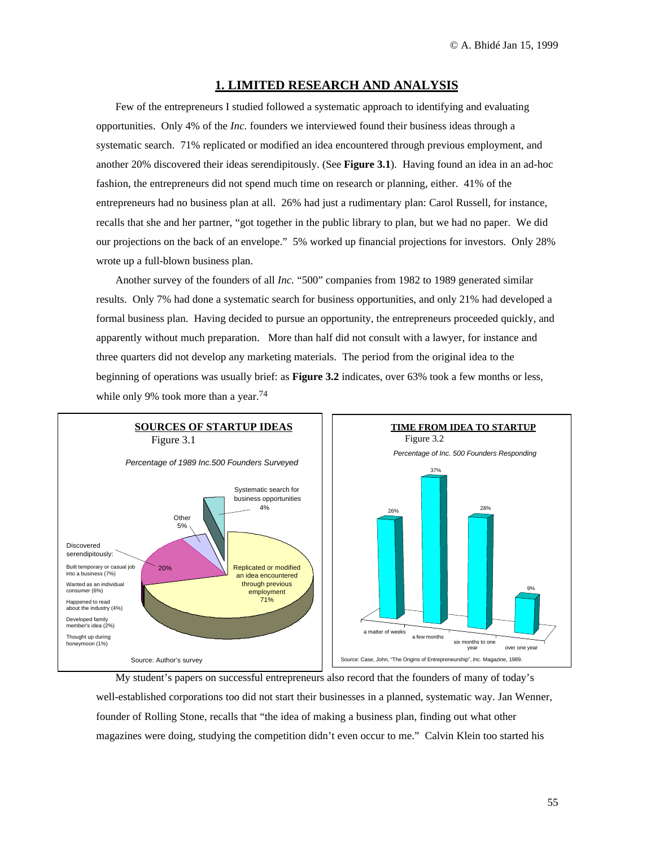### **1. LIMITED RESEARCH AND ANALYSIS**

Few of the entrepreneurs I studied followed a systematic approach to identifying and evaluating opportunities. Only 4% of the *Inc.* founders we interviewed found their business ideas through a systematic search. 71% replicated or modified an idea encountered through previous employment, and another 20% discovered their ideas serendipitously. (See **Figure 3.1**). Having found an idea in an ad-hoc fashion, the entrepreneurs did not spend much time on research or planning, either. 41% of the entrepreneurs had no business plan at all. 26% had just a rudimentary plan: Carol Russell, for instance, recalls that she and her partner, "got together in the public library to plan, but we had no paper. We did our projections on the back of an envelope." 5% worked up financial projections for investors. Only 28% wrote up a full-blown business plan.

Another survey of the founders of all *Inc.* "500" companies from 1982 to 1989 generated similar results. Only 7% had done a systematic search for business opportunities, and only 21% had developed a formal business plan. Having decided to pursue an opportunity, the entrepreneurs proceeded quickly, and apparently without much preparation. More than half did not consult with a lawyer, for instance and three quarters did not develop any marketing materials. The period from the original idea to the beginning of operations was usually brief: as **Figure 3.2** indicates, over 63% took a few months or less, while only 9% took more than a year.<sup>74</sup>



My student's papers on successful entrepreneurs also record that the founders of many of today's well-established corporations too did not start their businesses in a planned, systematic way. Jan Wenner, founder of Rolling Stone, recalls that "the idea of making a business plan, finding out what other magazines were doing, studying the competition didn't even occur to me." Calvin Klein too started his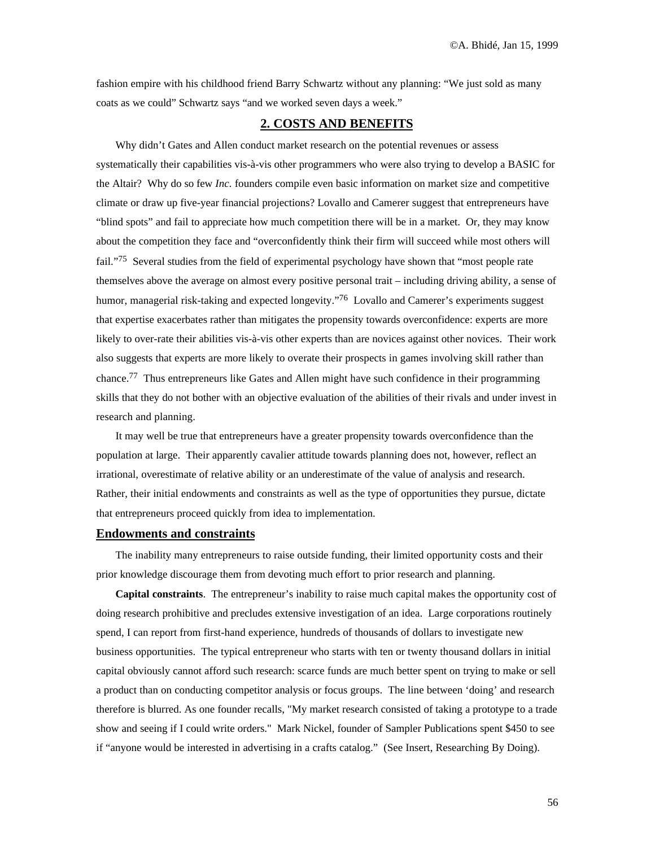fashion empire with his childhood friend Barry Schwartz without any planning: "We just sold as many coats as we could" Schwartz says "and we worked seven days a week."

# **2. COSTS AND BENEFITS**

Why didn't Gates and Allen conduct market research on the potential revenues or assess systematically their capabilities vis-à-vis other programmers who were also trying to develop a BASIC for the Altair? Why do so few *Inc.* founders compile even basic information on market size and competitive climate or draw up five-year financial projections? Lovallo and Camerer suggest that entrepreneurs have "blind spots" and fail to appreciate how much competition there will be in a market. Or, they may know about the competition they face and "overconfidently think their firm will succeed while most others will fail."<sup>75</sup> Several studies from the field of experimental psychology have shown that "most people rate" themselves above the average on almost every positive personal trait – including driving ability, a sense of humor, managerial risk-taking and expected longevity."<sup>76</sup> Lovallo and Camerer's experiments suggest that expertise exacerbates rather than mitigates the propensity towards overconfidence: experts are more likely to over-rate their abilities vis-à-vis other experts than are novices against other novices. Their work also suggests that experts are more likely to overate their prospects in games involving skill rather than chance.77 Thus entrepreneurs like Gates and Allen might have such confidence in their programming skills that they do not bother with an objective evaluation of the abilities of their rivals and under invest in research and planning.

It may well be true that entrepreneurs have a greater propensity towards overconfidence than the population at large. Their apparently cavalier attitude towards planning does not, however, reflect an irrational, overestimate of relative ability or an underestimate of the value of analysis and research. Rather, their initial endowments and constraints as well as the type of opportunities they pursue, dictate that entrepreneurs proceed quickly from idea to implementation.

### **Endowments and constraints**

The inability many entrepreneurs to raise outside funding, their limited opportunity costs and their prior knowledge discourage them from devoting much effort to prior research and planning.

**Capital constraints**. The entrepreneur's inability to raise much capital makes the opportunity cost of doing research prohibitive and precludes extensive investigation of an idea. Large corporations routinely spend, I can report from first-hand experience, hundreds of thousands of dollars to investigate new business opportunities. The typical entrepreneur who starts with ten or twenty thousand dollars in initial capital obviously cannot afford such research: scarce funds are much better spent on trying to make or sell a product than on conducting competitor analysis or focus groups. The line between 'doing' and research therefore is blurred. As one founder recalls, "My market research consisted of taking a prototype to a trade show and seeing if I could write orders." Mark Nickel, founder of Sampler Publications spent \$450 to see if "anyone would be interested in advertising in a crafts catalog." (See Insert, Researching By Doing).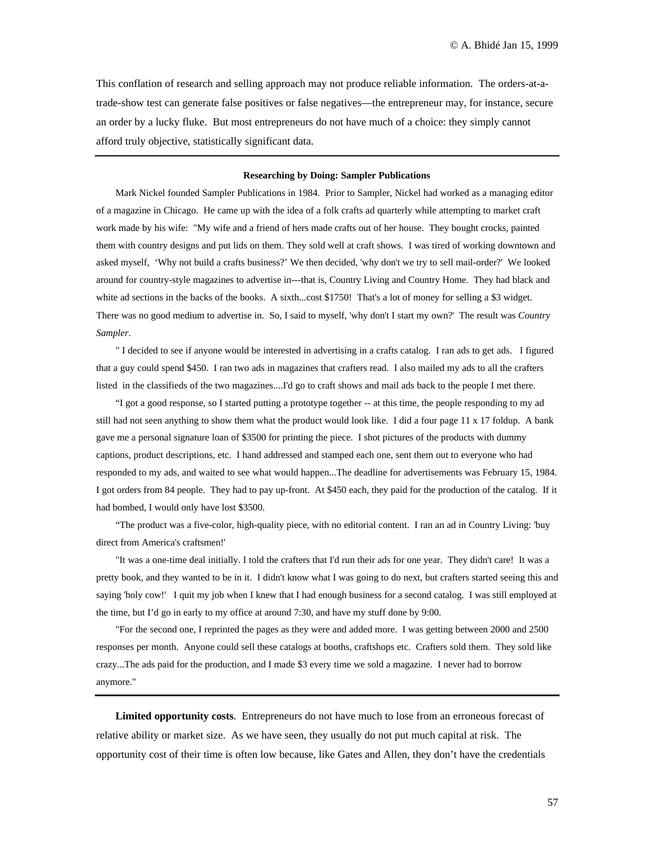This conflation of research and selling approach may not produce reliable information. The orders-at-atrade-show test can generate false positives or false negatives—the entrepreneur may, for instance, secure an order by a lucky fluke. But most entrepreneurs do not have much of a choice: they simply cannot afford truly objective, statistically significant data.

#### **Researching by Doing: Sampler Publications**

Mark Nickel founded Sampler Publications in 1984. Prior to Sampler, Nickel had worked as a managing editor of a magazine in Chicago. He came up with the idea of a folk crafts ad quarterly while attempting to market craft work made by his wife: "My wife and a friend of hers made crafts out of her house. They bought crocks, painted them with country designs and put lids on them. They sold well at craft shows. I was tired of working downtown and asked myself, 'Why not build a crafts business?' We then decided, 'why don't we try to sell mail-order?' We looked around for country-style magazines to advertise in---that is, Country Living and Country Home. They had black and white ad sections in the backs of the books. A sixth...cost \$1750! That's a lot of money for selling a \$3 widget. There was no good medium to advertise in. So, I said to myself, 'why don't I start my own?' The result was *Country Sampler*.

" I decided to see if anyone would be interested in advertising in a crafts catalog. I ran ads to get ads. I figured that a guy could spend \$450. I ran two ads in magazines that crafters read. I also mailed my ads to all the crafters listed in the classifieds of the two magazines....I'd go to craft shows and mail ads back to the people I met there.

"I got a good response, so I started putting a prototype together -- at this time, the people responding to my ad still had not seen anything to show them what the product would look like. I did a four page 11 x 17 foldup. A bank gave me a personal signature loan of \$3500 for printing the piece. I shot pictures of the products with dummy captions, product descriptions, etc. I hand addressed and stamped each one, sent them out to everyone who had responded to my ads, and waited to see what would happen...The deadline for advertisements was February 15, 1984. I got orders from 84 people. They had to pay up-front. At \$450 each, they paid for the production of the catalog. If it had bombed, I would only have lost \$3500.

"The product was a five-color, high-quality piece, with no editorial content. I ran an ad in Country Living: 'buy direct from America's craftsmen!'

"It was a one-time deal initially. I told the crafters that I'd run their ads for one year. They didn't care! It was a pretty book, and they wanted to be in it. I didn't know what I was going to do next, but crafters started seeing this and saying 'holy cow!' I quit my job when I knew that I had enough business for a second catalog. I was still employed at the time, but I'd go in early to my office at around 7:30, and have my stuff done by 9:00.

"For the second one, I reprinted the pages as they were and added more. I was getting between 2000 and 2500 responses per month. Anyone could sell these catalogs at booths, craftshops etc. Crafters sold them. They sold like crazy...The ads paid for the production, and I made \$3 every time we sold a magazine. I never had to borrow anymore."

**Limited opportunity costs**. Entrepreneurs do not have much to lose from an erroneous forecast of relative ability or market size. As we have seen, they usually do not put much capital at risk. The opportunity cost of their time is often low because, like Gates and Allen, they don't have the credentials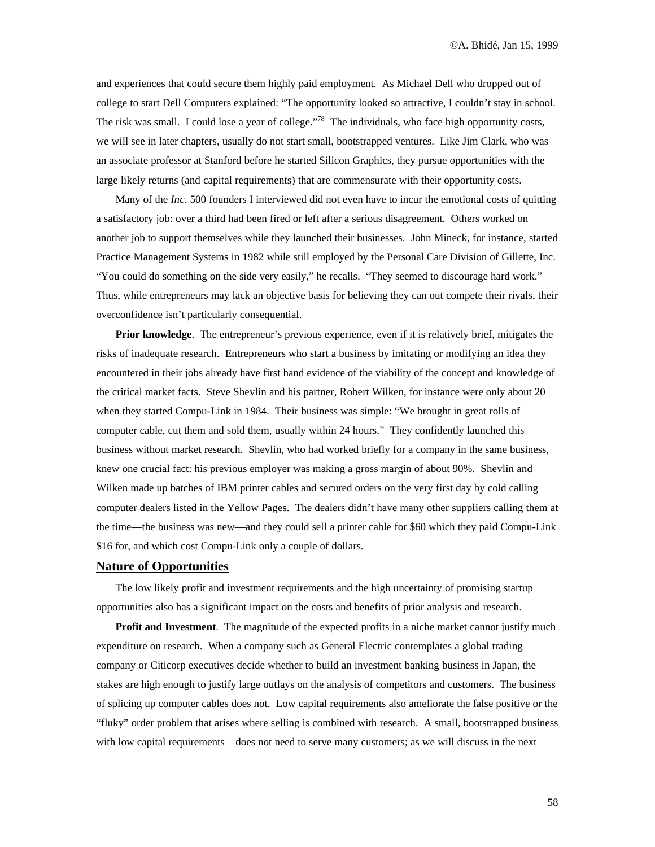and experiences that could secure them highly paid employment. As Michael Dell who dropped out of college to start Dell Computers explained: "The opportunity looked so attractive, I couldn't stay in school. The risk was small. I could lose a year of college."<sup>78</sup> The individuals, who face high opportunity costs, we will see in later chapters, usually do not start small, bootstrapped ventures. Like Jim Clark, who was an associate professor at Stanford before he started Silicon Graphics, they pursue opportunities with the large likely returns (and capital requirements) that are commensurate with their opportunity costs.

Many of the *Inc*. 500 founders I interviewed did not even have to incur the emotional costs of quitting a satisfactory job: over a third had been fired or left after a serious disagreement. Others worked on another job to support themselves while they launched their businesses. John Mineck, for instance, started Practice Management Systems in 1982 while still employed by the Personal Care Division of Gillette, Inc. "You could do something on the side very easily," he recalls. "They seemed to discourage hard work." Thus, while entrepreneurs may lack an objective basis for believing they can out compete their rivals, their overconfidence isn't particularly consequential.

**Prior knowledge**. The entrepreneur's previous experience, even if it is relatively brief, mitigates the risks of inadequate research. Entrepreneurs who start a business by imitating or modifying an idea they encountered in their jobs already have first hand evidence of the viability of the concept and knowledge of the critical market facts. Steve Shevlin and his partner, Robert Wilken, for instance were only about 20 when they started Compu-Link in 1984. Their business was simple: "We brought in great rolls of computer cable, cut them and sold them, usually within 24 hours." They confidently launched this business without market research. Shevlin, who had worked briefly for a company in the same business, knew one crucial fact: his previous employer was making a gross margin of about 90%. Shevlin and Wilken made up batches of IBM printer cables and secured orders on the very first day by cold calling computer dealers listed in the Yellow Pages. The dealers didn't have many other suppliers calling them at the time—the business was new—and they could sell a printer cable for \$60 which they paid Compu-Link \$16 for, and which cost Compu-Link only a couple of dollars.

### **Nature of Opportunities**

The low likely profit and investment requirements and the high uncertainty of promising startup opportunities also has a significant impact on the costs and benefits of prior analysis and research.

**Profit and Investment**. The magnitude of the expected profits in a niche market cannot justify much expenditure on research. When a company such as General Electric contemplates a global trading company or Citicorp executives decide whether to build an investment banking business in Japan, the stakes are high enough to justify large outlays on the analysis of competitors and customers. The business of splicing up computer cables does not. Low capital requirements also ameliorate the false positive or the "fluky" order problem that arises where selling is combined with research. A small, bootstrapped business with low capital requirements – does not need to serve many customers; as we will discuss in the next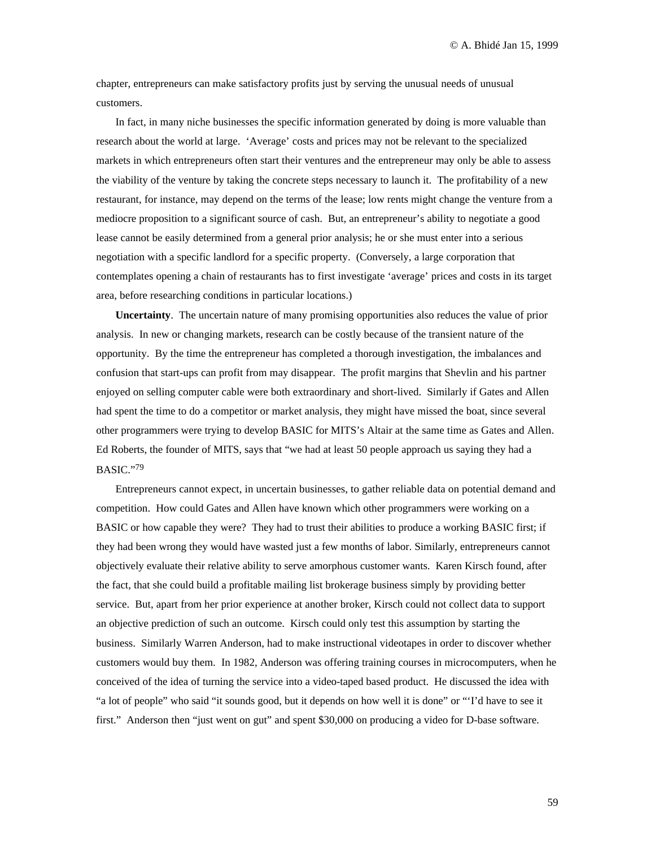chapter, entrepreneurs can make satisfactory profits just by serving the unusual needs of unusual customers.

In fact, in many niche businesses the specific information generated by doing is more valuable than research about the world at large. 'Average' costs and prices may not be relevant to the specialized markets in which entrepreneurs often start their ventures and the entrepreneur may only be able to assess the viability of the venture by taking the concrete steps necessary to launch it. The profitability of a new restaurant, for instance, may depend on the terms of the lease; low rents might change the venture from a mediocre proposition to a significant source of cash. But, an entrepreneur's ability to negotiate a good lease cannot be easily determined from a general prior analysis; he or she must enter into a serious negotiation with a specific landlord for a specific property. (Conversely, a large corporation that contemplates opening a chain of restaurants has to first investigate 'average' prices and costs in its target area, before researching conditions in particular locations.)

**Uncertainty**. The uncertain nature of many promising opportunities also reduces the value of prior analysis. In new or changing markets, research can be costly because of the transient nature of the opportunity. By the time the entrepreneur has completed a thorough investigation, the imbalances and confusion that start-ups can profit from may disappear. The profit margins that Shevlin and his partner enjoyed on selling computer cable were both extraordinary and short-lived. Similarly if Gates and Allen had spent the time to do a competitor or market analysis, they might have missed the boat, since several other programmers were trying to develop BASIC for MITS's Altair at the same time as Gates and Allen. Ed Roberts, the founder of MITS, says that "we had at least 50 people approach us saying they had a BASIC."<sup>79</sup>

Entrepreneurs cannot expect, in uncertain businesses, to gather reliable data on potential demand and competition. How could Gates and Allen have known which other programmers were working on a BASIC or how capable they were? They had to trust their abilities to produce a working BASIC first; if they had been wrong they would have wasted just a few months of labor. Similarly, entrepreneurs cannot objectively evaluate their relative ability to serve amorphous customer wants. Karen Kirsch found, after the fact, that she could build a profitable mailing list brokerage business simply by providing better service. But, apart from her prior experience at another broker, Kirsch could not collect data to support an objective prediction of such an outcome. Kirsch could only test this assumption by starting the business. Similarly Warren Anderson, had to make instructional videotapes in order to discover whether customers would buy them. In 1982, Anderson was offering training courses in microcomputers, when he conceived of the idea of turning the service into a video-taped based product. He discussed the idea with "a lot of people" who said "it sounds good, but it depends on how well it is done" or "'I'd have to see it first." Anderson then "just went on gut" and spent \$30,000 on producing a video for D-base software.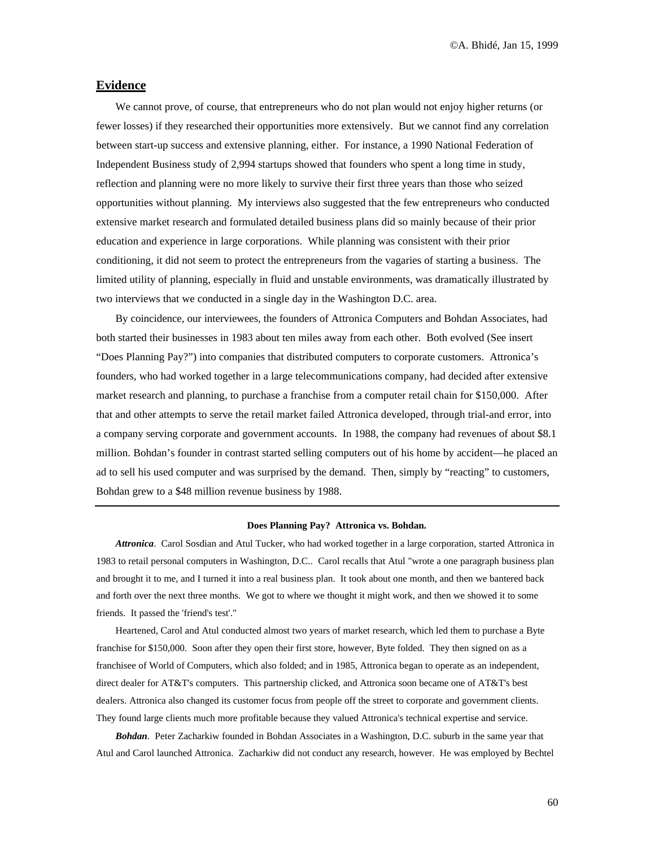### **Evidence**

We cannot prove, of course, that entrepreneurs who do not plan would not enjoy higher returns (or fewer losses) if they researched their opportunities more extensively. But we cannot find any correlation between start-up success and extensive planning, either. For instance, a 1990 National Federation of Independent Business study of 2,994 startups showed that founders who spent a long time in study, reflection and planning were no more likely to survive their first three years than those who seized opportunities without planning. My interviews also suggested that the few entrepreneurs who conducted extensive market research and formulated detailed business plans did so mainly because of their prior education and experience in large corporations. While planning was consistent with their prior conditioning, it did not seem to protect the entrepreneurs from the vagaries of starting a business. The limited utility of planning, especially in fluid and unstable environments, was dramatically illustrated by two interviews that we conducted in a single day in the Washington D.C. area.

By coincidence, our interviewees, the founders of Attronica Computers and Bohdan Associates, had both started their businesses in 1983 about ten miles away from each other. Both evolved (See insert "Does Planning Pay?") into companies that distributed computers to corporate customers. Attronica's founders, who had worked together in a large telecommunications company, had decided after extensive market research and planning, to purchase a franchise from a computer retail chain for \$150,000. After that and other attempts to serve the retail market failed Attronica developed, through trial-and error, into a company serving corporate and government accounts. In 1988, the company had revenues of about \$8.1 million. Bohdan's founder in contrast started selling computers out of his home by accident—he placed an ad to sell his used computer and was surprised by the demand. Then, simply by "reacting" to customers, Bohdan grew to a \$48 million revenue business by 1988.

#### **Does Planning Pay? Attronica vs. Bohdan.**

*Attronica*. Carol Sosdian and Atul Tucker, who had worked together in a large corporation, started Attronica in 1983 to retail personal computers in Washington, D.C.. Carol recalls that Atul "wrote a one paragraph business plan and brought it to me, and I turned it into a real business plan. It took about one month, and then we bantered back and forth over the next three months. We got to where we thought it might work, and then we showed it to some friends. It passed the 'friend's test'."

Heartened, Carol and Atul conducted almost two years of market research, which led them to purchase a Byte franchise for \$150,000. Soon after they open their first store, however, Byte folded. They then signed on as a franchisee of World of Computers, which also folded; and in 1985, Attronica began to operate as an independent, direct dealer for AT&T's computers. This partnership clicked, and Attronica soon became one of AT&T's best dealers. Attronica also changed its customer focus from people off the street to corporate and government clients. They found large clients much more profitable because they valued Attronica's technical expertise and service.

*Bohdan*. Peter Zacharkiw founded in Bohdan Associates in a Washington, D.C. suburb in the same year that Atul and Carol launched Attronica. Zacharkiw did not conduct any research, however. He was employed by Bechtel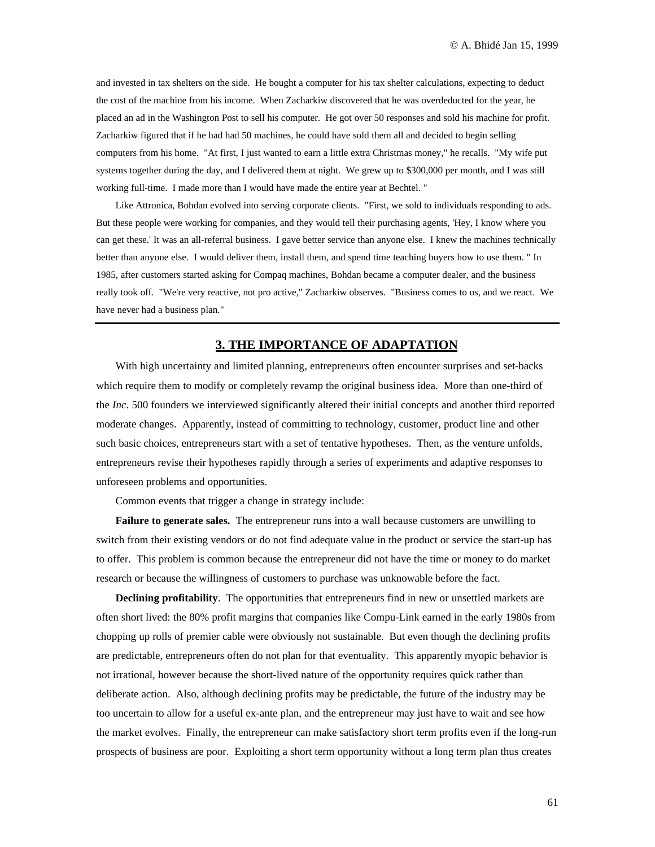and invested in tax shelters on the side. He bought a computer for his tax shelter calculations, expecting to deduct the cost of the machine from his income. When Zacharkiw discovered that he was overdeducted for the year, he placed an ad in the Washington Post to sell his computer. He got over 50 responses and sold his machine for profit. Zacharkiw figured that if he had had 50 machines, he could have sold them all and decided to begin selling computers from his home. "At first, I just wanted to earn a little extra Christmas money," he recalls. "My wife put systems together during the day, and I delivered them at night. We grew up to \$300,000 per month, and I was still working full-time. I made more than I would have made the entire year at Bechtel. "

Like Attronica, Bohdan evolved into serving corporate clients. "First, we sold to individuals responding to ads. But these people were working for companies, and they would tell their purchasing agents, 'Hey, I know where you can get these.' It was an all-referral business. I gave better service than anyone else. I knew the machines technically better than anyone else. I would deliver them, install them, and spend time teaching buyers how to use them. " In 1985, after customers started asking for Compaq machines, Bohdan became a computer dealer, and the business really took off. "We're very reactive, not pro active," Zacharkiw observes. "Business comes to us, and we react. We have never had a business plan."

### **3. THE IMPORTANCE OF ADAPTATION**

With high uncertainty and limited planning, entrepreneurs often encounter surprises and set-backs which require them to modify or completely revamp the original business idea. More than one-third of the *Inc.* 500 founders we interviewed significantly altered their initial concepts and another third reported moderate changes. Apparently, instead of committing to technology, customer, product line and other such basic choices, entrepreneurs start with a set of tentative hypotheses. Then, as the venture unfolds, entrepreneurs revise their hypotheses rapidly through a series of experiments and adaptive responses to unforeseen problems and opportunities.

Common events that trigger a change in strategy include:

**Failure to generate sales.** The entrepreneur runs into a wall because customers are unwilling to switch from their existing vendors or do not find adequate value in the product or service the start-up has to offer. This problem is common because the entrepreneur did not have the time or money to do market research or because the willingness of customers to purchase was unknowable before the fact.

**Declining profitability**. The opportunities that entrepreneurs find in new or unsettled markets are often short lived: the 80% profit margins that companies like Compu-Link earned in the early 1980s from chopping up rolls of premier cable were obviously not sustainable. But even though the declining profits are predictable, entrepreneurs often do not plan for that eventuality. This apparently myopic behavior is not irrational, however because the short-lived nature of the opportunity requires quick rather than deliberate action. Also, although declining profits may be predictable, the future of the industry may be too uncertain to allow for a useful ex-ante plan, and the entrepreneur may just have to wait and see how the market evolves. Finally, the entrepreneur can make satisfactory short term profits even if the long-run prospects of business are poor. Exploiting a short term opportunity without a long term plan thus creates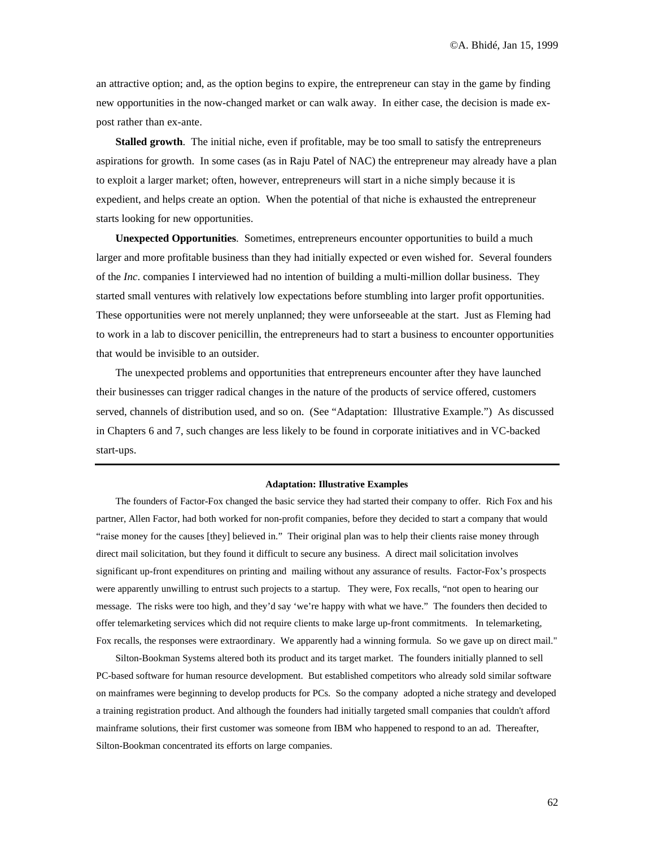an attractive option; and, as the option begins to expire, the entrepreneur can stay in the game by finding new opportunities in the now-changed market or can walk away. In either case, the decision is made expost rather than ex-ante.

**Stalled growth**. The initial niche, even if profitable, may be too small to satisfy the entrepreneurs aspirations for growth. In some cases (as in Raju Patel of NAC) the entrepreneur may already have a plan to exploit a larger market; often, however, entrepreneurs will start in a niche simply because it is expedient, and helps create an option. When the potential of that niche is exhausted the entrepreneur starts looking for new opportunities.

**Unexpected Opportunities**. Sometimes, entrepreneurs encounter opportunities to build a much larger and more profitable business than they had initially expected or even wished for. Several founders of the *Inc*. companies I interviewed had no intention of building a multi-million dollar business. They started small ventures with relatively low expectations before stumbling into larger profit opportunities. These opportunities were not merely unplanned; they were unforseeable at the start. Just as Fleming had to work in a lab to discover penicillin, the entrepreneurs had to start a business to encounter opportunities that would be invisible to an outsider.

The unexpected problems and opportunities that entrepreneurs encounter after they have launched their businesses can trigger radical changes in the nature of the products of service offered, customers served, channels of distribution used, and so on. (See "Adaptation: Illustrative Example.") As discussed in Chapters 6 and 7, such changes are less likely to be found in corporate initiatives and in VC-backed start-ups.

#### **Adaptation: Illustrative Examples**

The founders of Factor-Fox changed the basic service they had started their company to offer. Rich Fox and his partner, Allen Factor, had both worked for non-profit companies, before they decided to start a company that would "raise money for the causes [they] believed in." Their original plan was to help their clients raise money through direct mail solicitation, but they found it difficult to secure any business. A direct mail solicitation involves significant up-front expenditures on printing and mailing without any assurance of results. Factor-Fox's prospects were apparently unwilling to entrust such projects to a startup. They were, Fox recalls, "not open to hearing our message. The risks were too high, and they'd say 'we're happy with what we have." The founders then decided to offer telemarketing services which did not require clients to make large up-front commitments. In telemarketing, Fox recalls, the responses were extraordinary. We apparently had a winning formula. So we gave up on direct mail."

Silton-Bookman Systems altered both its product and its target market. The founders initially planned to sell PC-based software for human resource development. But established competitors who already sold similar software on mainframes were beginning to develop products for PCs. So the company adopted a niche strategy and developed a training registration product. And although the founders had initially targeted small companies that couldn't afford mainframe solutions, their first customer was someone from IBM who happened to respond to an ad. Thereafter, Silton-Bookman concentrated its efforts on large companies.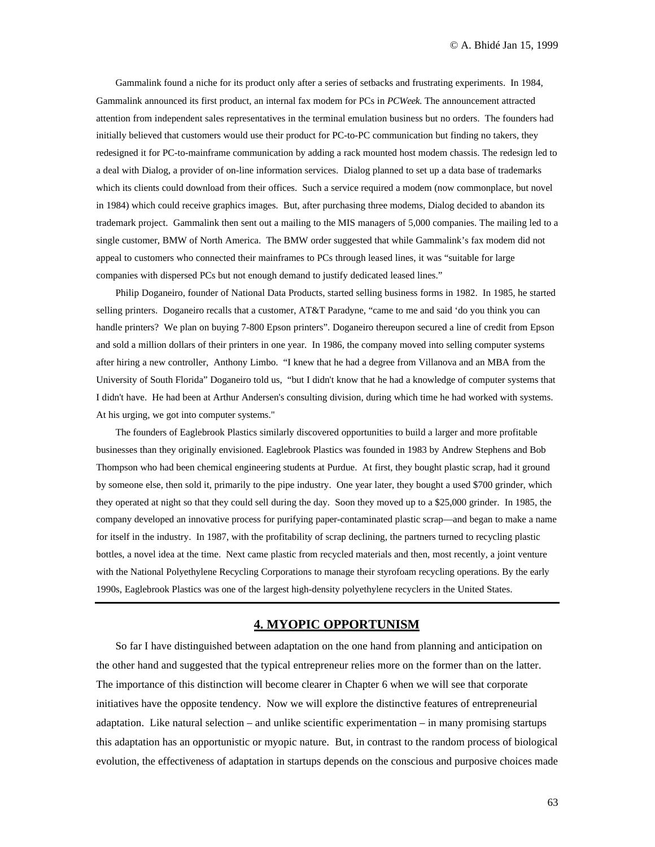Gammalink found a niche for its product only after a series of setbacks and frustrating experiments. In 1984, Gammalink announced its first product, an internal fax modem for PCs in *PCWeek*. The announcement attracted attention from independent sales representatives in the terminal emulation business but no orders. The founders had initially believed that customers would use their product for PC-to-PC communication but finding no takers, they redesigned it for PC-to-mainframe communication by adding a rack mounted host modem chassis. The redesign led to a deal with Dialog, a provider of on-line information services. Dialog planned to set up a data base of trademarks which its clients could download from their offices. Such a service required a modem (now commonplace, but novel in 1984) which could receive graphics images. But, after purchasing three modems, Dialog decided to abandon its trademark project. Gammalink then sent out a mailing to the MIS managers of 5,000 companies. The mailing led to a single customer, BMW of North America. The BMW order suggested that while Gammalink's fax modem did not appeal to customers who connected their mainframes to PCs through leased lines, it was "suitable for large companies with dispersed PCs but not enough demand to justify dedicated leased lines."

Philip Doganeiro, founder of National Data Products, started selling business forms in 1982. In 1985, he started selling printers. Doganeiro recalls that a customer, AT&T Paradyne, "came to me and said 'do you think you can handle printers? We plan on buying 7-800 Epson printers". Doganeiro thereupon secured a line of credit from Epson and sold a million dollars of their printers in one year. In 1986, the company moved into selling computer systems after hiring a new controller, Anthony Limbo. "I knew that he had a degree from Villanova and an MBA from the University of South Florida" Doganeiro told us, "but I didn't know that he had a knowledge of computer systems that I didn't have. He had been at Arthur Andersen's consulting division, during which time he had worked with systems. At his urging, we got into computer systems."

The founders of Eaglebrook Plastics similarly discovered opportunities to build a larger and more profitable businesses than they originally envisioned. Eaglebrook Plastics was founded in 1983 by Andrew Stephens and Bob Thompson who had been chemical engineering students at Purdue. At first, they bought plastic scrap, had it ground by someone else, then sold it, primarily to the pipe industry. One year later, they bought a used \$700 grinder, which they operated at night so that they could sell during the day. Soon they moved up to a \$25,000 grinder. In 1985, the company developed an innovative process for purifying paper-contaminated plastic scrap—and began to make a name for itself in the industry. In 1987, with the profitability of scrap declining, the partners turned to recycling plastic bottles, a novel idea at the time. Next came plastic from recycled materials and then, most recently, a joint venture with the National Polyethylene Recycling Corporations to manage their styrofoam recycling operations. By the early 1990s, Eaglebrook Plastics was one of the largest high-density polyethylene recyclers in the United States.

### **4. MYOPIC OPPORTUNISM**

So far I have distinguished between adaptation on the one hand from planning and anticipation on the other hand and suggested that the typical entrepreneur relies more on the former than on the latter. The importance of this distinction will become clearer in Chapter 6 when we will see that corporate initiatives have the opposite tendency. Now we will explore the distinctive features of entrepreneurial adaptation. Like natural selection – and unlike scientific experimentation – in many promising startups this adaptation has an opportunistic or myopic nature. But, in contrast to the random process of biological evolution, the effectiveness of adaptation in startups depends on the conscious and purposive choices made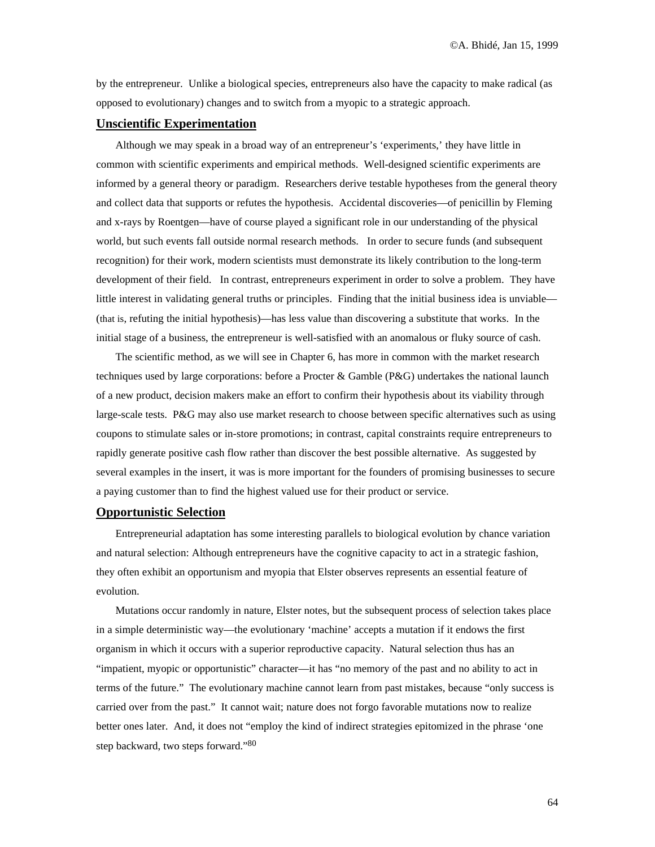by the entrepreneur. Unlike a biological species, entrepreneurs also have the capacity to make radical (as opposed to evolutionary) changes and to switch from a myopic to a strategic approach.

### **Unscientific Experimentation**

Although we may speak in a broad way of an entrepreneur's 'experiments,' they have little in common with scientific experiments and empirical methods. Well-designed scientific experiments are informed by a general theory or paradigm. Researchers derive testable hypotheses from the general theory and collect data that supports or refutes the hypothesis. Accidental discoveries—of penicillin by Fleming and x-rays by Roentgen—have of course played a significant role in our understanding of the physical world, but such events fall outside normal research methods. In order to secure funds (and subsequent recognition) for their work, modern scientists must demonstrate its likely contribution to the long-term development of their field. In contrast, entrepreneurs experiment in order to solve a problem. They have little interest in validating general truths or principles. Finding that the initial business idea is unviable— (that is, refuting the initial hypothesis)—has less value than discovering a substitute that works. In the initial stage of a business, the entrepreneur is well-satisfied with an anomalous or fluky source of cash.

The scientific method, as we will see in Chapter 6, has more in common with the market research techniques used by large corporations: before a Procter & Gamble (P&G) undertakes the national launch of a new product, decision makers make an effort to confirm their hypothesis about its viability through large-scale tests. P&G may also use market research to choose between specific alternatives such as using coupons to stimulate sales or in-store promotions; in contrast, capital constraints require entrepreneurs to rapidly generate positive cash flow rather than discover the best possible alternative. As suggested by several examples in the insert, it was is more important for the founders of promising businesses to secure a paying customer than to find the highest valued use for their product or service.

# **Opportunistic Selection**

Entrepreneurial adaptation has some interesting parallels to biological evolution by chance variation and natural selection: Although entrepreneurs have the cognitive capacity to act in a strategic fashion, they often exhibit an opportunism and myopia that Elster observes represents an essential feature of evolution.

Mutations occur randomly in nature, Elster notes, but the subsequent process of selection takes place in a simple deterministic way—the evolutionary 'machine' accepts a mutation if it endows the first organism in which it occurs with a superior reproductive capacity. Natural selection thus has an "impatient, myopic or opportunistic" character—it has "no memory of the past and no ability to act in terms of the future." The evolutionary machine cannot learn from past mistakes, because "only success is carried over from the past." It cannot wait; nature does not forgo favorable mutations now to realize better ones later. And, it does not "employ the kind of indirect strategies epitomized in the phrase 'one step backward, two steps forward."<sup>80</sup>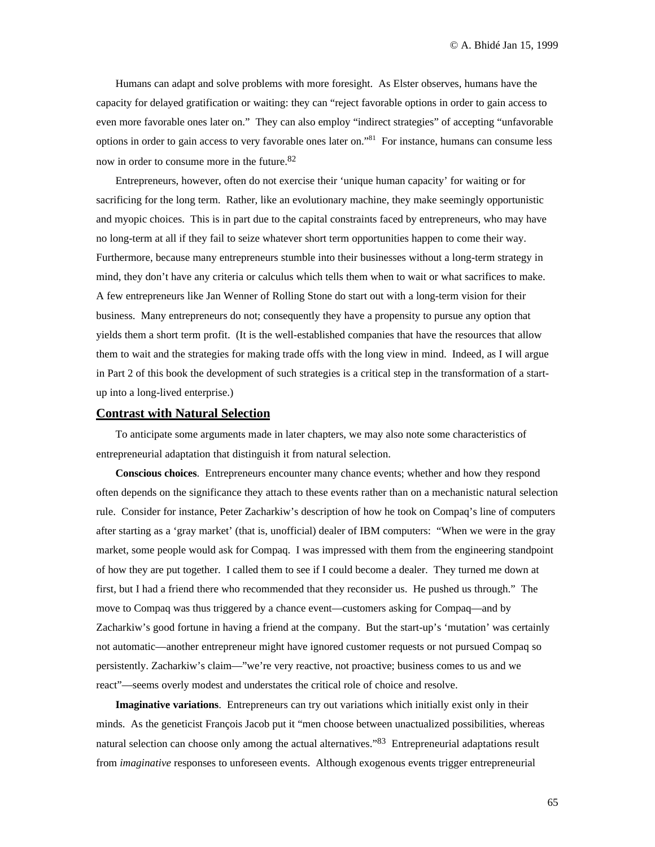Humans can adapt and solve problems with more foresight. As Elster observes, humans have the capacity for delayed gratification or waiting: they can "reject favorable options in order to gain access to even more favorable ones later on." They can also employ "indirect strategies" of accepting "unfavorable options in order to gain access to very favorable ones later on."<sup>81</sup> For instance, humans can consume less now in order to consume more in the future. $82$ 

Entrepreneurs, however, often do not exercise their 'unique human capacity' for waiting or for sacrificing for the long term. Rather, like an evolutionary machine, they make seemingly opportunistic and myopic choices. This is in part due to the capital constraints faced by entrepreneurs, who may have no long-term at all if they fail to seize whatever short term opportunities happen to come their way. Furthermore, because many entrepreneurs stumble into their businesses without a long-term strategy in mind, they don't have any criteria or calculus which tells them when to wait or what sacrifices to make. A few entrepreneurs like Jan Wenner of Rolling Stone do start out with a long-term vision for their business. Many entrepreneurs do not; consequently they have a propensity to pursue any option that yields them a short term profit. (It is the well-established companies that have the resources that allow them to wait and the strategies for making trade offs with the long view in mind. Indeed, as I will argue in Part 2 of this book the development of such strategies is a critical step in the transformation of a startup into a long-lived enterprise.)

### **Contrast with Natural Selection**

To anticipate some arguments made in later chapters, we may also note some characteristics of entrepreneurial adaptation that distinguish it from natural selection.

**Conscious choices**. Entrepreneurs encounter many chance events; whether and how they respond often depends on the significance they attach to these events rather than on a mechanistic natural selection rule. Consider for instance, Peter Zacharkiw's description of how he took on Compaq's line of computers after starting as a 'gray market' (that is, unofficial) dealer of IBM computers: "When we were in the gray market, some people would ask for Compaq. I was impressed with them from the engineering standpoint of how they are put together. I called them to see if I could become a dealer. They turned me down at first, but I had a friend there who recommended that they reconsider us. He pushed us through." The move to Compaq was thus triggered by a chance event—customers asking for Compaq—and by Zacharkiw's good fortune in having a friend at the company. But the start-up's 'mutation' was certainly not automatic—another entrepreneur might have ignored customer requests or not pursued Compaq so persistently. Zacharkiw's claim—"we're very reactive, not proactive; business comes to us and we react"—seems overly modest and understates the critical role of choice and resolve.

**Imaginative variations**. Entrepreneurs can try out variations which initially exist only in their minds. As the geneticist François Jacob put it "men choose between unactualized possibilities, whereas natural selection can choose only among the actual alternatives."<sup>83</sup> Entrepreneurial adaptations result from *imaginative* responses to unforeseen events. Although exogenous events trigger entrepreneurial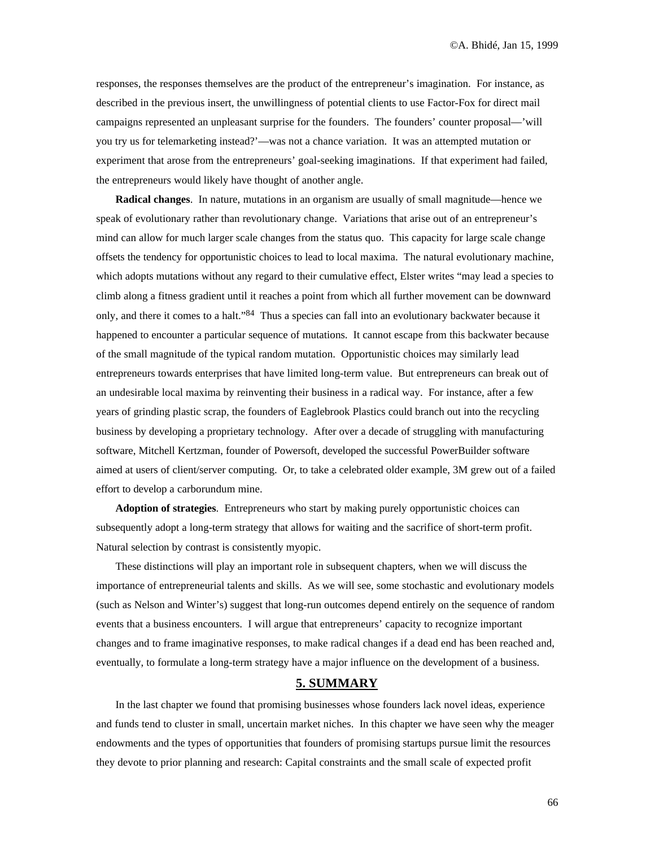responses, the responses themselves are the product of the entrepreneur's imagination. For instance, as described in the previous insert, the unwillingness of potential clients to use Factor-Fox for direct mail campaigns represented an unpleasant surprise for the founders. The founders' counter proposal—'will you try us for telemarketing instead?'—was not a chance variation. It was an attempted mutation or experiment that arose from the entrepreneurs' goal-seeking imaginations. If that experiment had failed, the entrepreneurs would likely have thought of another angle.

**Radical changes**. In nature, mutations in an organism are usually of small magnitude—hence we speak of evolutionary rather than revolutionary change. Variations that arise out of an entrepreneur's mind can allow for much larger scale changes from the status quo. This capacity for large scale change offsets the tendency for opportunistic choices to lead to local maxima. The natural evolutionary machine, which adopts mutations without any regard to their cumulative effect, Elster writes "may lead a species to climb along a fitness gradient until it reaches a point from which all further movement can be downward only, and there it comes to a halt."84 Thus a species can fall into an evolutionary backwater because it happened to encounter a particular sequence of mutations. It cannot escape from this backwater because of the small magnitude of the typical random mutation. Opportunistic choices may similarly lead entrepreneurs towards enterprises that have limited long-term value. But entrepreneurs can break out of an undesirable local maxima by reinventing their business in a radical way. For instance, after a few years of grinding plastic scrap, the founders of Eaglebrook Plastics could branch out into the recycling business by developing a proprietary technology. After over a decade of struggling with manufacturing software, Mitchell Kertzman, founder of Powersoft, developed the successful PowerBuilder software aimed at users of client/server computing. Or, to take a celebrated older example, 3M grew out of a failed effort to develop a carborundum mine.

**Adoption of strategies**. Entrepreneurs who start by making purely opportunistic choices can subsequently adopt a long-term strategy that allows for waiting and the sacrifice of short-term profit. Natural selection by contrast is consistently myopic.

These distinctions will play an important role in subsequent chapters, when we will discuss the importance of entrepreneurial talents and skills. As we will see, some stochastic and evolutionary models (such as Nelson and Winter's) suggest that long-run outcomes depend entirely on the sequence of random events that a business encounters. I will argue that entrepreneurs' capacity to recognize important changes and to frame imaginative responses, to make radical changes if a dead end has been reached and, eventually, to formulate a long-term strategy have a major influence on the development of a business.

# **5. SUMMARY**

In the last chapter we found that promising businesses whose founders lack novel ideas, experience and funds tend to cluster in small, uncertain market niches. In this chapter we have seen why the meager endowments and the types of opportunities that founders of promising startups pursue limit the resources they devote to prior planning and research: Capital constraints and the small scale of expected profit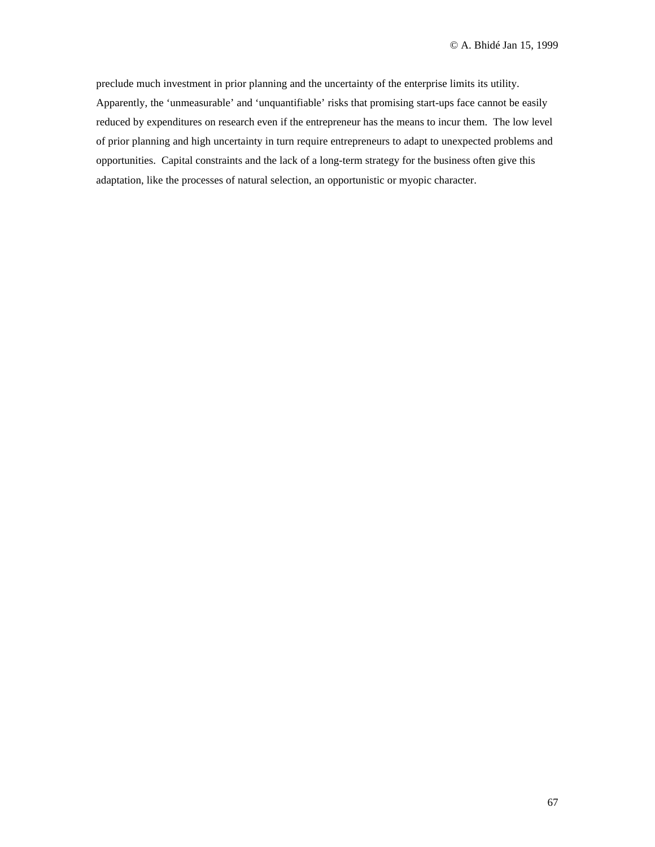preclude much investment in prior planning and the uncertainty of the enterprise limits its utility. Apparently, the 'unmeasurable' and 'unquantifiable' risks that promising start-ups face cannot be easily reduced by expenditures on research even if the entrepreneur has the means to incur them. The low level of prior planning and high uncertainty in turn require entrepreneurs to adapt to unexpected problems and opportunities. Capital constraints and the lack of a long-term strategy for the business often give this adaptation, like the processes of natural selection, an opportunistic or myopic character.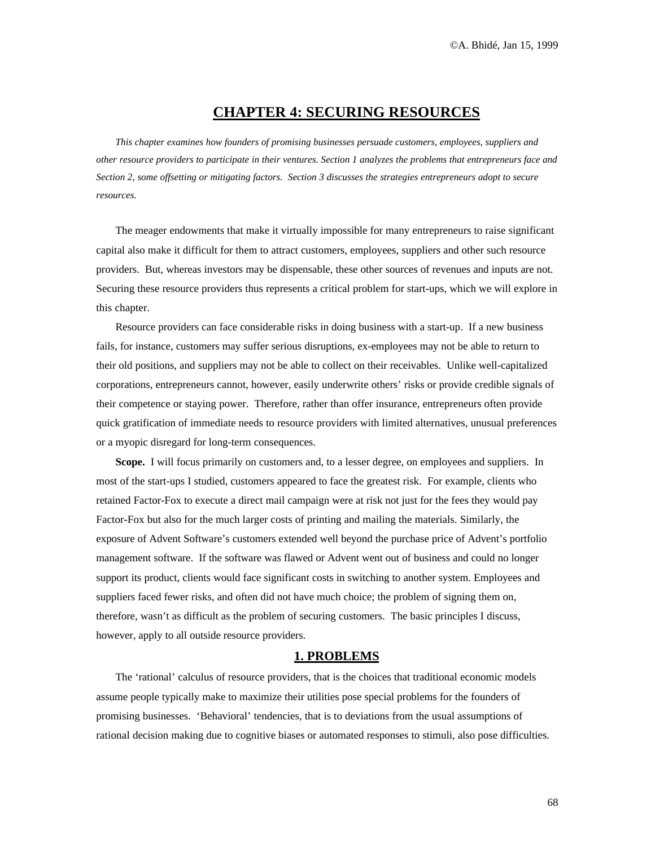# **CHAPTER 4: SECURING RESOURCES**

*This chapter examines how founders of promising businesses persuade customers, employees, suppliers and other resource providers to participate in their ventures. Section 1 analyzes the problems that entrepreneurs face and Section 2, some offsetting or mitigating factors. Section 3 discusses the strategies entrepreneurs adopt to secure resources.*

The meager endowments that make it virtually impossible for many entrepreneurs to raise significant capital also make it difficult for them to attract customers, employees, suppliers and other such resource providers. But, whereas investors may be dispensable, these other sources of revenues and inputs are not. Securing these resource providers thus represents a critical problem for start-ups, which we will explore in this chapter.

Resource providers can face considerable risks in doing business with a start-up. If a new business fails, for instance, customers may suffer serious disruptions, ex-employees may not be able to return to their old positions, and suppliers may not be able to collect on their receivables. Unlike well-capitalized corporations, entrepreneurs cannot, however, easily underwrite others' risks or provide credible signals of their competence or staying power. Therefore, rather than offer insurance, entrepreneurs often provide quick gratification of immediate needs to resource providers with limited alternatives, unusual preferences or a myopic disregard for long-term consequences.

**Scope.** I will focus primarily on customers and, to a lesser degree, on employees and suppliers. In most of the start-ups I studied, customers appeared to face the greatest risk. For example, clients who retained Factor-Fox to execute a direct mail campaign were at risk not just for the fees they would pay Factor-Fox but also for the much larger costs of printing and mailing the materials. Similarly, the exposure of Advent Software's customers extended well beyond the purchase price of Advent's portfolio management software. If the software was flawed or Advent went out of business and could no longer support its product, clients would face significant costs in switching to another system. Employees and suppliers faced fewer risks, and often did not have much choice; the problem of signing them on, therefore, wasn't as difficult as the problem of securing customers. The basic principles I discuss, however, apply to all outside resource providers.

### **1. PROBLEMS**

The 'rational' calculus of resource providers, that is the choices that traditional economic models assume people typically make to maximize their utilities pose special problems for the founders of promising businesses. 'Behavioral' tendencies, that is to deviations from the usual assumptions of rational decision making due to cognitive biases or automated responses to stimuli, also pose difficulties.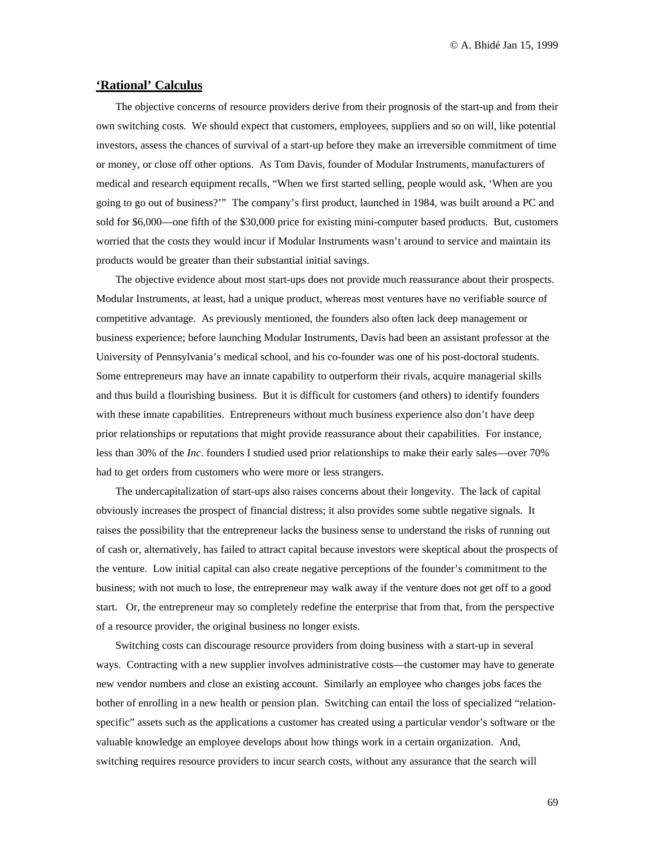### **'Rational' Calculus**

The objective concerns of resource providers derive from their prognosis of the start-up and from their own switching costs. We should expect that customers, employees, suppliers and so on will, like potential investors, assess the chances of survival of a start-up before they make an irreversible commitment of time or money, or close off other options. As Tom Davis, founder of Modular Instruments, manufacturers of medical and research equipment recalls, "When we first started selling, people would ask, 'When are you going to go out of business?'" The company's first product, launched in 1984, was built around a PC and sold for \$6,000—one fifth of the \$30,000 price for existing mini-computer based products. But, customers worried that the costs they would incur if Modular Instruments wasn't around to service and maintain its products would be greater than their substantial initial savings.

The objective evidence about most start-ups does not provide much reassurance about their prospects. Modular Instruments, at least, had a unique product, whereas most ventures have no verifiable source of competitive advantage. As previously mentioned, the founders also often lack deep management or business experience; before launching Modular Instruments, Davis had been an assistant professor at the University of Pennsylvania's medical school, and his co-founder was one of his post-doctoral students. Some entrepreneurs may have an innate capability to outperform their rivals, acquire managerial skills and thus build a flourishing business. But it is difficult for customers (and others) to identify founders with these innate capabilities. Entrepreneurs without much business experience also don't have deep prior relationships or reputations that might provide reassurance about their capabilities. For instance, less than 30% of the *Inc*. founders I studied used prior relationships to make their early sales—over 70% had to get orders from customers who were more or less strangers.

The undercapitalization of start-ups also raises concerns about their longevity. The lack of capital obviously increases the prospect of financial distress; it also provides some subtle negative signals. It raises the possibility that the entrepreneur lacks the business sense to understand the risks of running out of cash or, alternatively, has failed to attract capital because investors were skeptical about the prospects of the venture. Low initial capital can also create negative perceptions of the founder's commitment to the business; with not much to lose, the entrepreneur may walk away if the venture does not get off to a good start. Or, the entrepreneur may so completely redefine the enterprise that from that, from the perspective of a resource provider, the original business no longer exists.

Switching costs can discourage resource providers from doing business with a start-up in several ways. Contracting with a new supplier involves administrative costs—the customer may have to generate new vendor numbers and close an existing account. Similarly an employee who changes jobs faces the bother of enrolling in a new health or pension plan. Switching can entail the loss of specialized "relationspecific" assets such as the applications a customer has created using a particular vendor's software or the valuable knowledge an employee develops about how things work in a certain organization. And, switching requires resource providers to incur search costs, without any assurance that the search will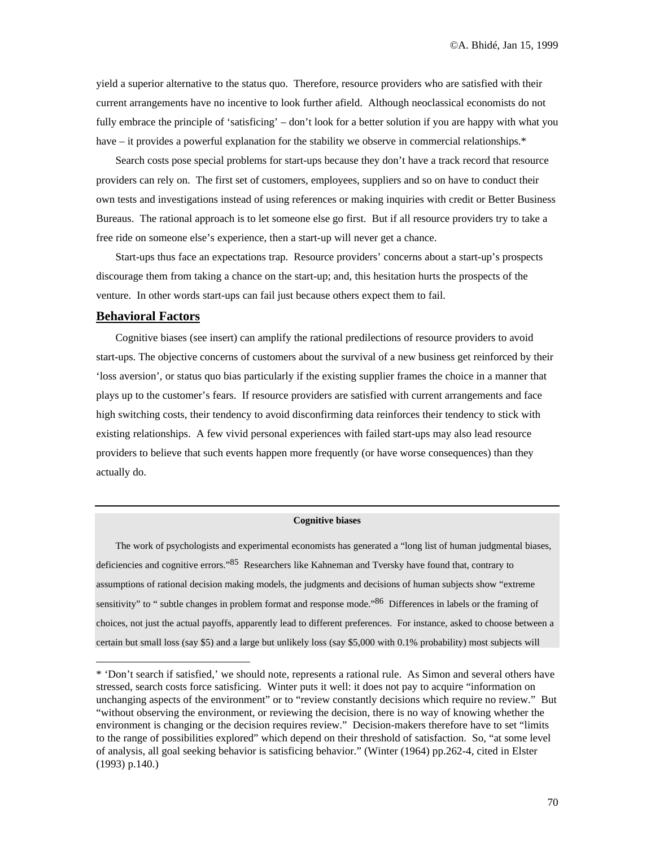yield a superior alternative to the status quo. Therefore, resource providers who are satisfied with their current arrangements have no incentive to look further afield. Although neoclassical economists do not fully embrace the principle of 'satisficing' – don't look for a better solution if you are happy with what you have – it provides a powerful explanation for the stability we observe in commercial relationships.\*

Search costs pose special problems for start-ups because they don't have a track record that resource providers can rely on. The first set of customers, employees, suppliers and so on have to conduct their own tests and investigations instead of using references or making inquiries with credit or Better Business Bureaus. The rational approach is to let someone else go first. But if all resource providers try to take a free ride on someone else's experience, then a start-up will never get a chance.

Start-ups thus face an expectations trap. Resource providers' concerns about a start-up's prospects discourage them from taking a chance on the start-up; and, this hesitation hurts the prospects of the venture. In other words start-ups can fail just because others expect them to fail.

### **Behavioral Factors**

 $\overline{a}$ 

Cognitive biases (see insert) can amplify the rational predilections of resource providers to avoid start-ups. The objective concerns of customers about the survival of a new business get reinforced by their 'loss aversion', or status quo bias particularly if the existing supplier frames the choice in a manner that plays up to the customer's fears. If resource providers are satisfied with current arrangements and face high switching costs, their tendency to avoid disconfirming data reinforces their tendency to stick with existing relationships. A few vivid personal experiences with failed start-ups may also lead resource providers to believe that such events happen more frequently (or have worse consequences) than they actually do.

#### **Cognitive biases**

The work of psychologists and experimental economists has generated a "long list of human judgmental biases, deficiencies and cognitive errors."<sup>85</sup> Researchers like Kahneman and Tversky have found that, contrary to assumptions of rational decision making models, the judgments and decisions of human subjects show "extreme sensitivity" to " subtle changes in problem format and response mode."<sup>86</sup> Differences in labels or the framing of choices, not just the actual payoffs, apparently lead to different preferences. For instance, asked to choose between a certain but small loss (say \$5) and a large but unlikely loss (say \$5,000 with 0.1% probability) most subjects will

<sup>\* &#</sup>x27;Don't search if satisfied,' we should note, represents a rational rule. As Simon and several others have stressed, search costs force satisficing. Winter puts it well: it does not pay to acquire "information on unchanging aspects of the environment" or to "review constantly decisions which require no review." But "without observing the environment, or reviewing the decision, there is no way of knowing whether the environment is changing or the decision requires review." Decision-makers therefore have to set "limits to the range of possibilities explored" which depend on their threshold of satisfaction. So, "at some level of analysis, all goal seeking behavior is satisficing behavior." (Winter (1964) pp.262-4, cited in Elster (1993) p.140.)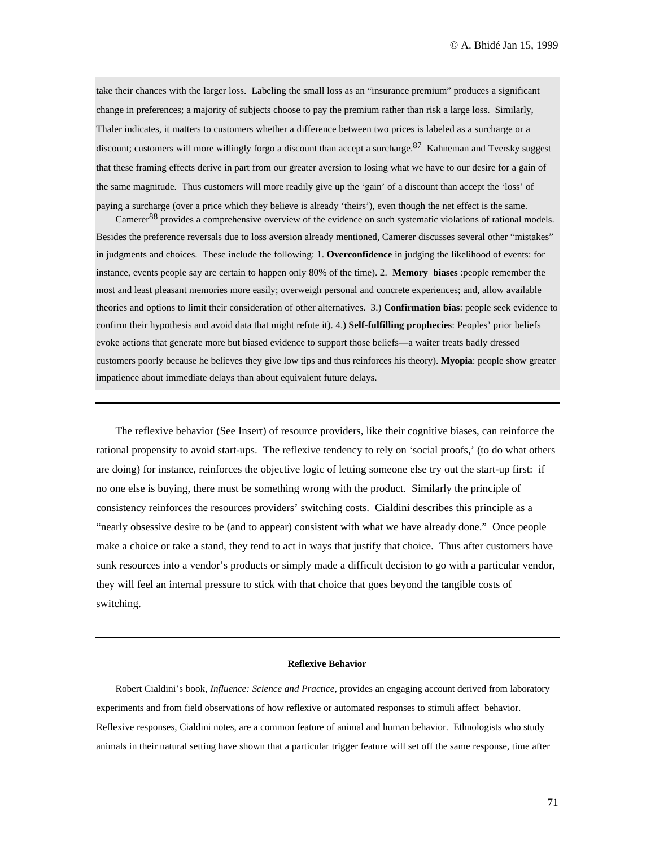take their chances with the larger loss. Labeling the small loss as an "insurance premium" produces a significant change in preferences; a majority of subjects choose to pay the premium rather than risk a large loss. Similarly, Thaler indicates, it matters to customers whether a difference between two prices is labeled as a surcharge or a discount; customers will more willingly forgo a discount than accept a surcharge.<sup>87</sup> Kahneman and Tversky suggest that these framing effects derive in part from our greater aversion to losing what we have to our desire for a gain of the same magnitude. Thus customers will more readily give up the 'gain' of a discount than accept the 'loss' of paying a surcharge (over a price which they believe is already 'theirs'), even though the net effect is the same.

Camerer<sup>88</sup> provides a comprehensive overview of the evidence on such systematic violations of rational models. Besides the preference reversals due to loss aversion already mentioned, Camerer discusses several other "mistakes" in judgments and choices. These include the following: 1. **Overconfidence** in judging the likelihood of events: for instance, events people say are certain to happen only 80% of the time). 2. **Memory biases** :people remember the most and least pleasant memories more easily; overweigh personal and concrete experiences; and, allow available theories and options to limit their consideration of other alternatives. 3.) **Confirmation bias**: people seek evidence to confirm their hypothesis and avoid data that might refute it). 4.) **Self-fulfilling prophecies**: Peoples' prior beliefs evoke actions that generate more but biased evidence to support those beliefs—a waiter treats badly dressed customers poorly because he believes they give low tips and thus reinforces his theory). **Myopia**: people show greater impatience about immediate delays than about equivalent future delays.

The reflexive behavior (See Insert) of resource providers, like their cognitive biases, can reinforce the rational propensity to avoid start-ups. The reflexive tendency to rely on 'social proofs,' (to do what others are doing) for instance, reinforces the objective logic of letting someone else try out the start-up first: if no one else is buying, there must be something wrong with the product. Similarly the principle of consistency reinforces the resources providers' switching costs. Cialdini describes this principle as a "nearly obsessive desire to be (and to appear) consistent with what we have already done." Once people make a choice or take a stand, they tend to act in ways that justify that choice. Thus after customers have sunk resources into a vendor's products or simply made a difficult decision to go with a particular vendor, they will feel an internal pressure to stick with that choice that goes beyond the tangible costs of switching.

### **Reflexive Behavior**

Robert Cialdini's book, *Influence: Science and Practice,* provides an engaging account derived from laboratory experiments and from field observations of how reflexive or automated responses to stimuli affect behavior. Reflexive responses, Cialdini notes, are a common feature of animal and human behavior. Ethnologists who study animals in their natural setting have shown that a particular trigger feature will set off the same response, time after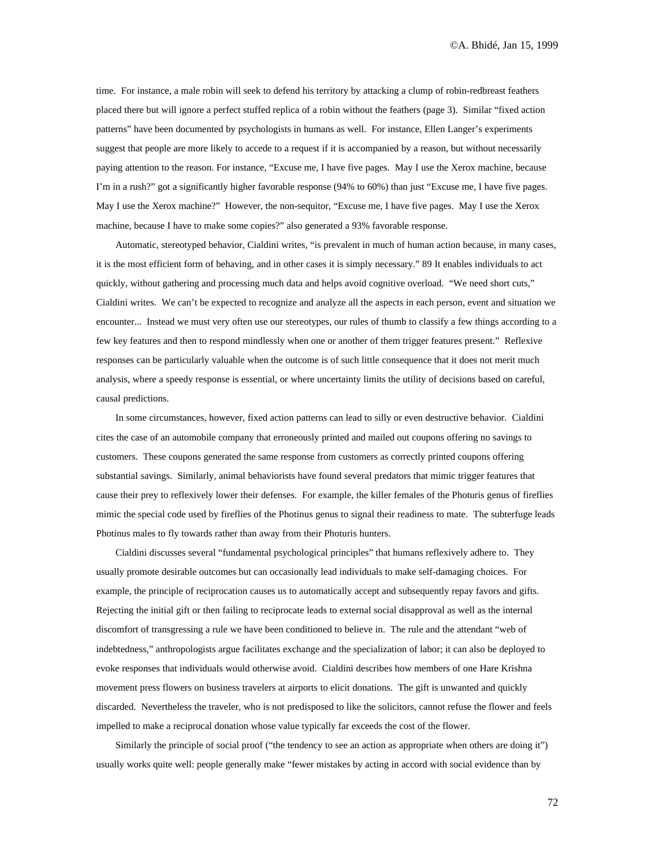time. For instance, a male robin will seek to defend his territory by attacking a clump of robin-redbreast feathers placed there but will ignore a perfect stuffed replica of a robin without the feathers (page 3). Similar "fixed action patterns" have been documented by psychologists in humans as well. For instance, Ellen Langer's experiments suggest that people are more likely to accede to a request if it is accompanied by a reason, but without necessarily paying attention to the reason. For instance, "Excuse me, I have five pages. May I use the Xerox machine, because I'm in a rush?" got a significantly higher favorable response (94% to 60%) than just "Excuse me, I have five pages. May I use the Xerox machine?" However, the non-sequitor, "Excuse me, I have five pages. May I use the Xerox machine, because I have to make some copies?" also generated a 93% favorable response.

Automatic, stereotyped behavior, Cialdini writes, "is prevalent in much of human action because, in many cases, it is the most efficient form of behaving, and in other cases it is simply necessary." 89 It enables individuals to act quickly, without gathering and processing much data and helps avoid cognitive overload. "We need short cuts," Cialdini writes. We can't be expected to recognize and analyze all the aspects in each person, event and situation we encounter... Instead we must very often use our stereotypes, our rules of thumb to classify a few things according to a few key features and then to respond mindlessly when one or another of them trigger features present." Reflexive responses can be particularly valuable when the outcome is of such little consequence that it does not merit much analysis, where a speedy response is essential, or where uncertainty limits the utility of decisions based on careful, causal predictions.

In some circumstances, however, fixed action patterns can lead to silly or even destructive behavior. Cialdini cites the case of an automobile company that erroneously printed and mailed out coupons offering no savings to customers. These coupons generated the same response from customers as correctly printed coupons offering substantial savings. Similarly, animal behaviorists have found several predators that mimic trigger features that cause their prey to reflexively lower their defenses. For example, the killer females of the Photuris genus of fireflies mimic the special code used by fireflies of the Photinus genus to signal their readiness to mate. The subterfuge leads Photinus males to fly towards rather than away from their Photuris hunters.

Cialdini discusses several "fundamental psychological principles" that humans reflexively adhere to. They usually promote desirable outcomes but can occasionally lead individuals to make self-damaging choices. For example, the principle of reciprocation causes us to automatically accept and subsequently repay favors and gifts. Rejecting the initial gift or then failing to reciprocate leads to external social disapproval as well as the internal discomfort of transgressing a rule we have been conditioned to believe in. The rule and the attendant "web of indebtedness," anthropologists argue facilitates exchange and the specialization of labor; it can also be deployed to evoke responses that individuals would otherwise avoid. Cialdini describes how members of one Hare Krishna movement press flowers on business travelers at airports to elicit donations. The gift is unwanted and quickly discarded. Nevertheless the traveler, who is not predisposed to like the solicitors, cannot refuse the flower and feels impelled to make a reciprocal donation whose value typically far exceeds the cost of the flower.

Similarly the principle of social proof ("the tendency to see an action as appropriate when others are doing it") usually works quite well: people generally make "fewer mistakes by acting in accord with social evidence than by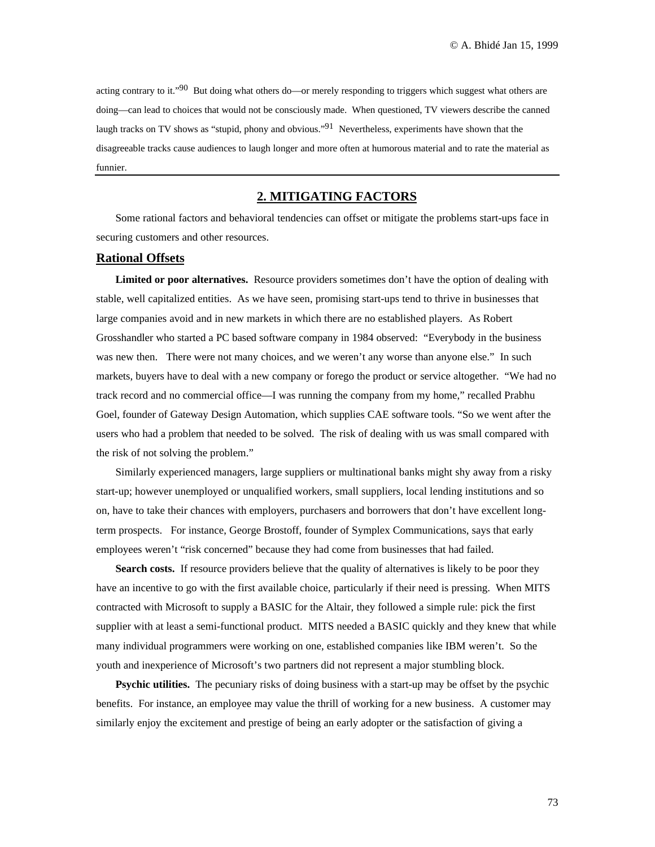acting contrary to it."<sup>90</sup> But doing what others do—or merely responding to triggers which suggest what others are doing—can lead to choices that would not be consciously made. When questioned, TV viewers describe the canned laugh tracks on TV shows as "stupid, phony and obvious."<sup>91</sup> Nevertheless, experiments have shown that the disagreeable tracks cause audiences to laugh longer and more often at humorous material and to rate the material as funnier.

# **2. MITIGATING FACTORS**

Some rational factors and behavioral tendencies can offset or mitigate the problems start-ups face in securing customers and other resources.

## **Rational Offsets**

Limited or poor alternatives. Resource providers sometimes don't have the option of dealing with stable, well capitalized entities. As we have seen, promising start-ups tend to thrive in businesses that large companies avoid and in new markets in which there are no established players. As Robert Grosshandler who started a PC based software company in 1984 observed: "Everybody in the business was new then. There were not many choices, and we weren't any worse than anyone else." In such markets, buyers have to deal with a new company or forego the product or service altogether. "We had no track record and no commercial office—I was running the company from my home," recalled Prabhu Goel, founder of Gateway Design Automation, which supplies CAE software tools. "So we went after the users who had a problem that needed to be solved. The risk of dealing with us was small compared with the risk of not solving the problem."

Similarly experienced managers, large suppliers or multinational banks might shy away from a risky start-up; however unemployed or unqualified workers, small suppliers, local lending institutions and so on, have to take their chances with employers, purchasers and borrowers that don't have excellent longterm prospects. For instance, George Brostoff, founder of Symplex Communications, says that early employees weren't "risk concerned" because they had come from businesses that had failed.

**Search costs.** If resource providers believe that the quality of alternatives is likely to be poor they have an incentive to go with the first available choice, particularly if their need is pressing. When MITS contracted with Microsoft to supply a BASIC for the Altair, they followed a simple rule: pick the first supplier with at least a semi-functional product. MITS needed a BASIC quickly and they knew that while many individual programmers were working on one, established companies like IBM weren't. So the youth and inexperience of Microsoft's two partners did not represent a major stumbling block.

**Psychic utilities.** The pecuniary risks of doing business with a start-up may be offset by the psychic benefits. For instance, an employee may value the thrill of working for a new business. A customer may similarly enjoy the excitement and prestige of being an early adopter or the satisfaction of giving a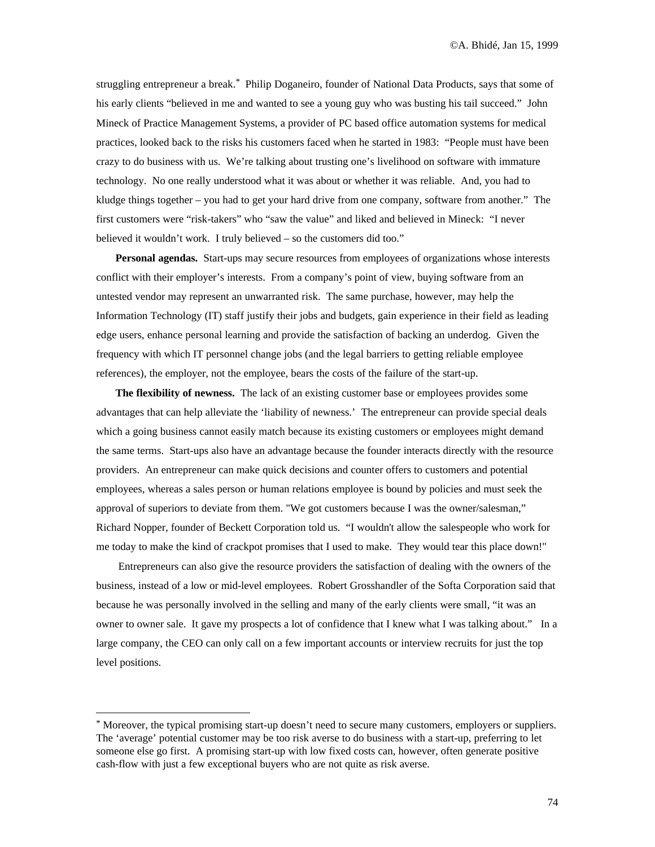struggling entrepreneur a break.<sup>\*</sup> Philip Doganeiro, founder of National Data Products, says that some of his early clients "believed in me and wanted to see a young guy who was busting his tail succeed." John Mineck of Practice Management Systems, a provider of PC based office automation systems for medical practices, looked back to the risks his customers faced when he started in 1983: "People must have been crazy to do business with us. We're talking about trusting one's livelihood on software with immature technology. No one really understood what it was about or whether it was reliable. And, you had to kludge things together – you had to get your hard drive from one company, software from another." The first customers were "risk-takers" who "saw the value" and liked and believed in Mineck: "I never believed it wouldn't work. I truly believed – so the customers did too."

**Personal agendas.** Start-ups may secure resources from employees of organizations whose interests conflict with their employer's interests. From a company's point of view, buying software from an untested vendor may represent an unwarranted risk. The same purchase, however, may help the Information Technology (IT) staff justify their jobs and budgets, gain experience in their field as leading edge users, enhance personal learning and provide the satisfaction of backing an underdog. Given the frequency with which IT personnel change jobs (and the legal barriers to getting reliable employee references), the employer, not the employee, bears the costs of the failure of the start-up.

**The flexibility of newness.** The lack of an existing customer base or employees provides some advantages that can help alleviate the 'liability of newness.' The entrepreneur can provide special deals which a going business cannot easily match because its existing customers or employees might demand the same terms. Start-ups also have an advantage because the founder interacts directly with the resource providers. An entrepreneur can make quick decisions and counter offers to customers and potential employees, whereas a sales person or human relations employee is bound by policies and must seek the approval of superiors to deviate from them. "We got customers because I was the owner/salesman," Richard Nopper, founder of Beckett Corporation told us. "I wouldn't allow the salespeople who work for me today to make the kind of crackpot promises that I used to make. They would tear this place down!"

 Entrepreneurs can also give the resource providers the satisfaction of dealing with the owners of the business, instead of a low or mid-level employees. Robert Grosshandler of the Softa Corporation said that because he was personally involved in the selling and many of the early clients were small, "it was an owner to owner sale. It gave my prospects a lot of confidence that I knew what I was talking about." In a large company, the CEO can only call on a few important accounts or interview recruits for just the top level positions.

 $\overline{a}$ 

<sup>\*</sup> Moreover, the typical promising start-up doesn't need to secure many customers, employers or suppliers. The 'average' potential customer may be too risk averse to do business with a start-up, preferring to let someone else go first. A promising start-up with low fixed costs can, however, often generate positive cash-flow with just a few exceptional buyers who are not quite as risk averse.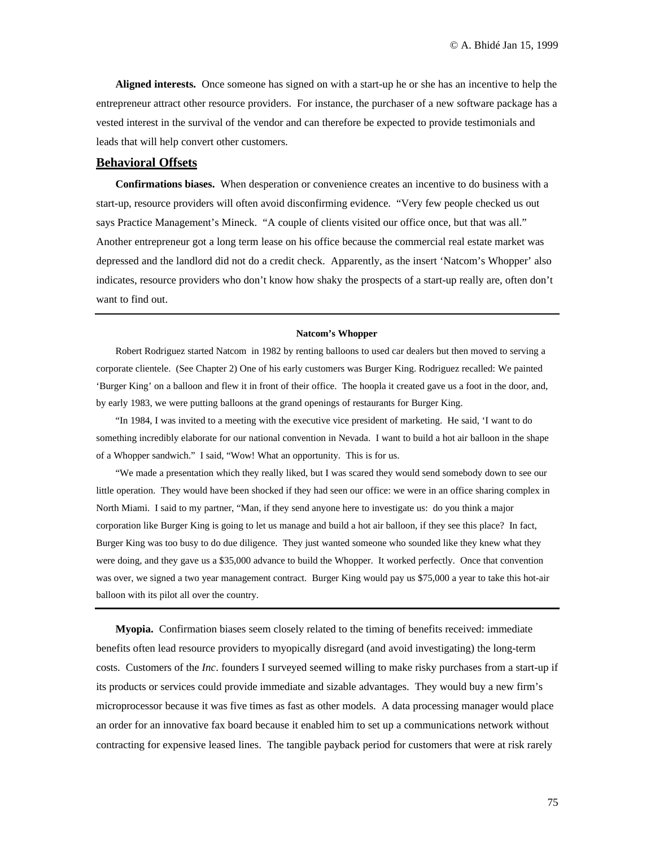**Aligned interests.** Once someone has signed on with a start-up he or she has an incentive to help the entrepreneur attract other resource providers. For instance, the purchaser of a new software package has a vested interest in the survival of the vendor and can therefore be expected to provide testimonials and leads that will help convert other customers.

#### **Behavioral Offsets**

**Confirmations biases.** When desperation or convenience creates an incentive to do business with a start-up, resource providers will often avoid disconfirming evidence. "Very few people checked us out says Practice Management's Mineck. "A couple of clients visited our office once, but that was all." Another entrepreneur got a long term lease on his office because the commercial real estate market was depressed and the landlord did not do a credit check. Apparently, as the insert 'Natcom's Whopper' also indicates, resource providers who don't know how shaky the prospects of a start-up really are, often don't want to find out.

#### **Natcom's Whopper**

Robert Rodriguez started Natcom in 1982 by renting balloons to used car dealers but then moved to serving a corporate clientele. (See Chapter 2) One of his early customers was Burger King. Rodriguez recalled: We painted 'Burger King' on a balloon and flew it in front of their office. The hoopla it created gave us a foot in the door, and, by early 1983, we were putting balloons at the grand openings of restaurants for Burger King.

"In 1984, I was invited to a meeting with the executive vice president of marketing. He said, 'I want to do something incredibly elaborate for our national convention in Nevada. I want to build a hot air balloon in the shape of a Whopper sandwich." I said, "Wow! What an opportunity. This is for us.

"We made a presentation which they really liked, but I was scared they would send somebody down to see our little operation. They would have been shocked if they had seen our office: we were in an office sharing complex in North Miami. I said to my partner, "Man, if they send anyone here to investigate us: do you think a major corporation like Burger King is going to let us manage and build a hot air balloon, if they see this place? In fact, Burger King was too busy to do due diligence. They just wanted someone who sounded like they knew what they were doing, and they gave us a \$35,000 advance to build the Whopper. It worked perfectly. Once that convention was over, we signed a two year management contract. Burger King would pay us \$75,000 a year to take this hot-air balloon with its pilot all over the country.

**Myopia.** Confirmation biases seem closely related to the timing of benefits received: immediate benefits often lead resource providers to myopically disregard (and avoid investigating) the long-term costs. Customers of the *Inc*. founders I surveyed seemed willing to make risky purchases from a start-up if its products or services could provide immediate and sizable advantages. They would buy a new firm's microprocessor because it was five times as fast as other models. A data processing manager would place an order for an innovative fax board because it enabled him to set up a communications network without contracting for expensive leased lines. The tangible payback period for customers that were at risk rarely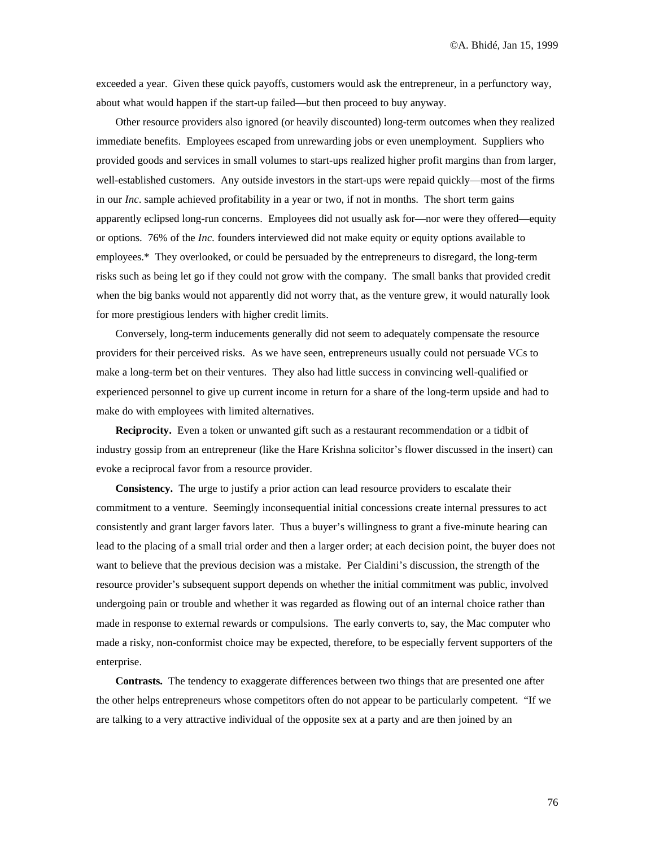exceeded a year. Given these quick payoffs, customers would ask the entrepreneur, in a perfunctory way, about what would happen if the start-up failed—but then proceed to buy anyway.

Other resource providers also ignored (or heavily discounted) long-term outcomes when they realized immediate benefits. Employees escaped from unrewarding jobs or even unemployment. Suppliers who provided goods and services in small volumes to start-ups realized higher profit margins than from larger, well-established customers. Any outside investors in the start-ups were repaid quickly—most of the firms in our *Inc*. sample achieved profitability in a year or two, if not in months. The short term gains apparently eclipsed long-run concerns. Employees did not usually ask for—nor were they offered—equity or options. 76% of the *Inc.* founders interviewed did not make equity or equity options available to employees.\* They overlooked, or could be persuaded by the entrepreneurs to disregard, the long-term risks such as being let go if they could not grow with the company. The small banks that provided credit when the big banks would not apparently did not worry that, as the venture grew, it would naturally look for more prestigious lenders with higher credit limits.

Conversely, long-term inducements generally did not seem to adequately compensate the resource providers for their perceived risks. As we have seen, entrepreneurs usually could not persuade VCs to make a long-term bet on their ventures. They also had little success in convincing well-qualified or experienced personnel to give up current income in return for a share of the long-term upside and had to make do with employees with limited alternatives.

**Reciprocity.** Even a token or unwanted gift such as a restaurant recommendation or a tidbit of industry gossip from an entrepreneur (like the Hare Krishna solicitor's flower discussed in the insert) can evoke a reciprocal favor from a resource provider.

**Consistency.** The urge to justify a prior action can lead resource providers to escalate their commitment to a venture. Seemingly inconsequential initial concessions create internal pressures to act consistently and grant larger favors later. Thus a buyer's willingness to grant a five-minute hearing can lead to the placing of a small trial order and then a larger order; at each decision point, the buyer does not want to believe that the previous decision was a mistake. Per Cialdini's discussion, the strength of the resource provider's subsequent support depends on whether the initial commitment was public, involved undergoing pain or trouble and whether it was regarded as flowing out of an internal choice rather than made in response to external rewards or compulsions. The early converts to, say, the Mac computer who made a risky, non-conformist choice may be expected, therefore, to be especially fervent supporters of the enterprise.

**Contrasts.** The tendency to exaggerate differences between two things that are presented one after the other helps entrepreneurs whose competitors often do not appear to be particularly competent. "If we are talking to a very attractive individual of the opposite sex at a party and are then joined by an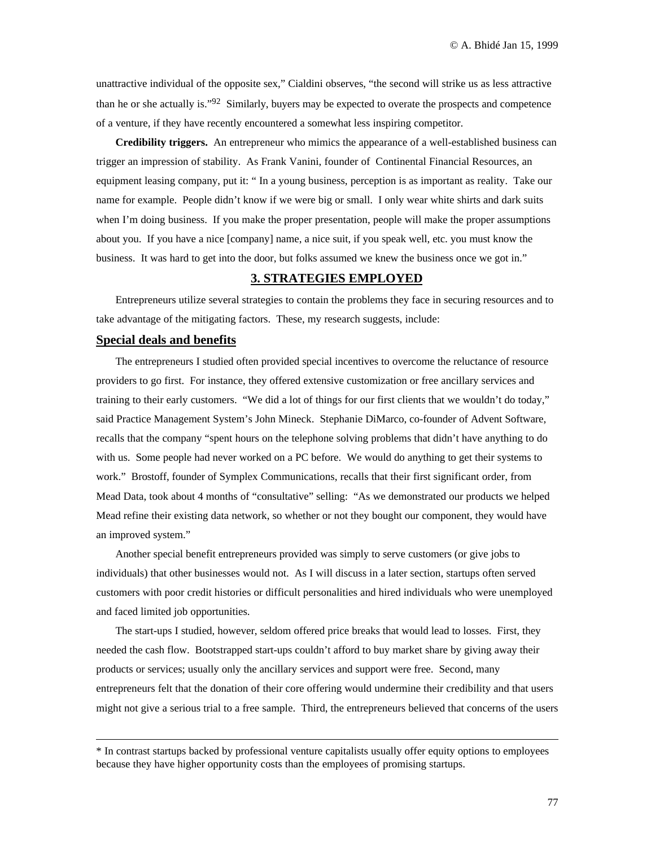unattractive individual of the opposite sex," Cialdini observes, "the second will strike us as less attractive than he or she actually is."92 Similarly, buyers may be expected to overate the prospects and competence of a venture, if they have recently encountered a somewhat less inspiring competitor.

**Credibility triggers.** An entrepreneur who mimics the appearance of a well-established business can trigger an impression of stability. As Frank Vanini, founder of Continental Financial Resources, an equipment leasing company, put it: " In a young business, perception is as important as reality. Take our name for example. People didn't know if we were big or small. I only wear white shirts and dark suits when I'm doing business. If you make the proper presentation, people will make the proper assumptions about you. If you have a nice [company] name, a nice suit, if you speak well, etc. you must know the business. It was hard to get into the door, but folks assumed we knew the business once we got in."

## **3. STRATEGIES EMPLOYED**

Entrepreneurs utilize several strategies to contain the problems they face in securing resources and to take advantage of the mitigating factors. These, my research suggests, include:

## **Special deals and benefits**

 $\overline{a}$ 

The entrepreneurs I studied often provided special incentives to overcome the reluctance of resource providers to go first. For instance, they offered extensive customization or free ancillary services and training to their early customers. "We did a lot of things for our first clients that we wouldn't do today," said Practice Management System's John Mineck. Stephanie DiMarco, co-founder of Advent Software, recalls that the company "spent hours on the telephone solving problems that didn't have anything to do with us. Some people had never worked on a PC before. We would do anything to get their systems to work." Brostoff, founder of Symplex Communications, recalls that their first significant order, from Mead Data, took about 4 months of "consultative" selling: "As we demonstrated our products we helped Mead refine their existing data network, so whether or not they bought our component, they would have an improved system."

Another special benefit entrepreneurs provided was simply to serve customers (or give jobs to individuals) that other businesses would not. As I will discuss in a later section, startups often served customers with poor credit histories or difficult personalities and hired individuals who were unemployed and faced limited job opportunities.

The start-ups I studied, however, seldom offered price breaks that would lead to losses. First, they needed the cash flow. Bootstrapped start-ups couldn't afford to buy market share by giving away their products or services; usually only the ancillary services and support were free. Second, many entrepreneurs felt that the donation of their core offering would undermine their credibility and that users might not give a serious trial to a free sample. Third, the entrepreneurs believed that concerns of the users

<sup>\*</sup> In contrast startups backed by professional venture capitalists usually offer equity options to employees because they have higher opportunity costs than the employees of promising startups.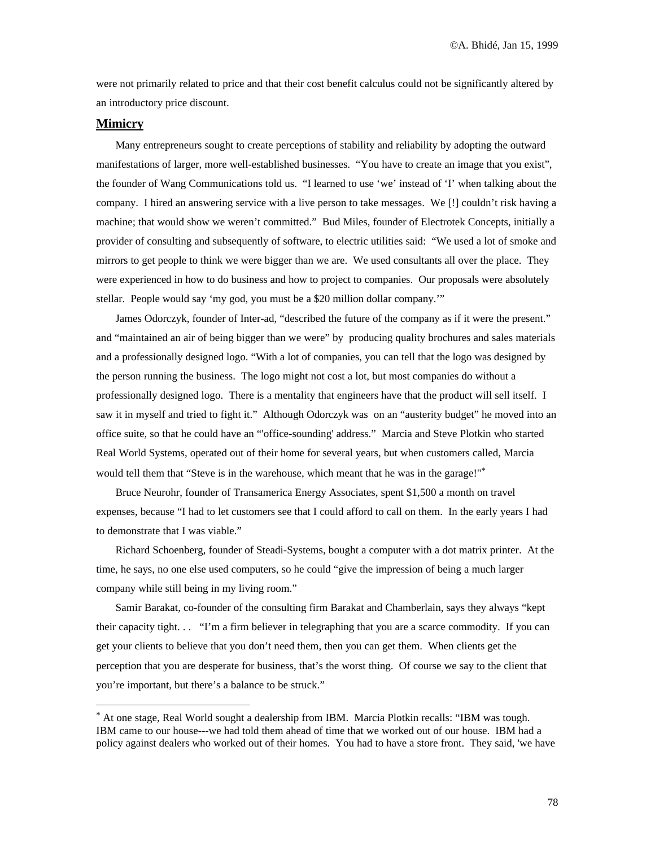were not primarily related to price and that their cost benefit calculus could not be significantly altered by an introductory price discount.

# **Mimicry**

-

Many entrepreneurs sought to create perceptions of stability and reliability by adopting the outward manifestations of larger, more well-established businesses. "You have to create an image that you exist", the founder of Wang Communications told us. "I learned to use 'we' instead of 'I' when talking about the company. I hired an answering service with a live person to take messages. We [!] couldn't risk having a machine; that would show we weren't committed." Bud Miles, founder of Electrotek Concepts, initially a provider of consulting and subsequently of software, to electric utilities said: "We used a lot of smoke and mirrors to get people to think we were bigger than we are. We used consultants all over the place. They were experienced in how to do business and how to project to companies. Our proposals were absolutely stellar. People would say 'my god, you must be a \$20 million dollar company.'"

James Odorczyk, founder of Inter-ad, "described the future of the company as if it were the present." and "maintained an air of being bigger than we were" by producing quality brochures and sales materials and a professionally designed logo. "With a lot of companies, you can tell that the logo was designed by the person running the business. The logo might not cost a lot, but most companies do without a professionally designed logo. There is a mentality that engineers have that the product will sell itself. I saw it in myself and tried to fight it." Although Odorczyk was on an "austerity budget" he moved into an office suite, so that he could have an "'office-sounding' address." Marcia and Steve Plotkin who started Real World Systems, operated out of their home for several years, but when customers called, Marcia would tell them that "Steve is in the warehouse, which meant that he was in the garage!"\*

Bruce Neurohr, founder of Transamerica Energy Associates, spent \$1,500 a month on travel expenses, because "I had to let customers see that I could afford to call on them. In the early years I had to demonstrate that I was viable."

Richard Schoenberg, founder of Steadi-Systems, bought a computer with a dot matrix printer. At the time, he says, no one else used computers, so he could "give the impression of being a much larger company while still being in my living room."

Samir Barakat, co-founder of the consulting firm Barakat and Chamberlain, says they always "kept their capacity tight. . . "I'm a firm believer in telegraphing that you are a scarce commodity. If you can get your clients to believe that you don't need them, then you can get them. When clients get the perception that you are desperate for business, that's the worst thing. Of course we say to the client that you're important, but there's a balance to be struck."

<sup>\*</sup> At one stage, Real World sought a dealership from IBM. Marcia Plotkin recalls: "IBM was tough. IBM came to our house---we had told them ahead of time that we worked out of our house. IBM had a policy against dealers who worked out of their homes. You had to have a store front. They said, 'we have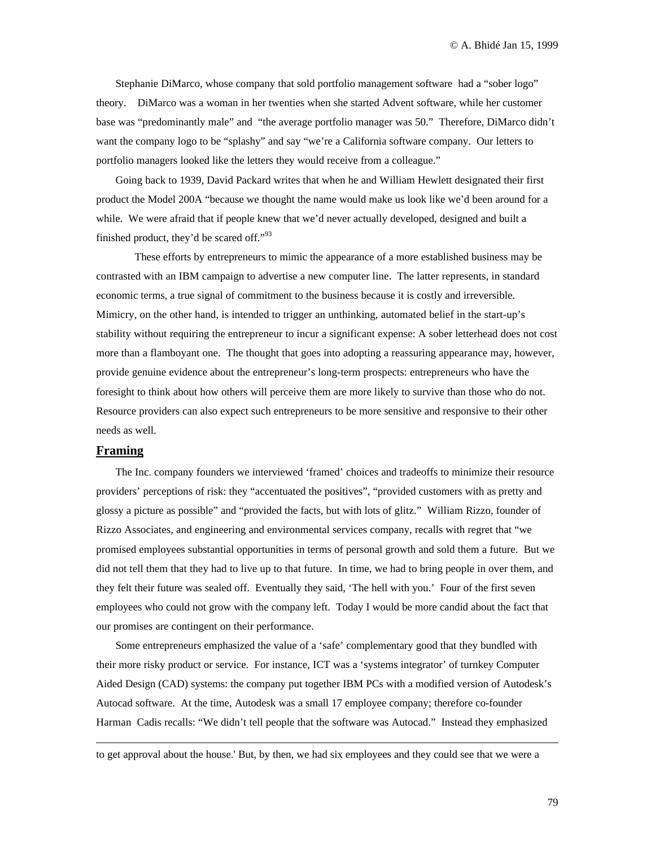Stephanie DiMarco, whose company that sold portfolio management software had a "sober logo" theory. DiMarco was a woman in her twenties when she started Advent software, while her customer base was "predominantly male" and "the average portfolio manager was 50." Therefore, DiMarco didn't want the company logo to be "splashy" and say "we're a California software company. Our letters to portfolio managers looked like the letters they would receive from a colleague."

Going back to 1939, David Packard writes that when he and William Hewlett designated their first product the Model 200A "because we thought the name would make us look like we'd been around for a while. We were afraid that if people knew that we'd never actually developed, designed and built a finished product, they'd be scared off."<sup>93</sup>

These efforts by entrepreneurs to mimic the appearance of a more established business may be contrasted with an IBM campaign to advertise a new computer line. The latter represents, in standard economic terms, a true signal of commitment to the business because it is costly and irreversible. Mimicry, on the other hand, is intended to trigger an unthinking, automated belief in the start-up's stability without requiring the entrepreneur to incur a significant expense: A sober letterhead does not cost more than a flamboyant one. The thought that goes into adopting a reassuring appearance may, however, provide genuine evidence about the entrepreneur's long-term prospects: entrepreneurs who have the foresight to think about how others will perceive them are more likely to survive than those who do not. Resource providers can also expect such entrepreneurs to be more sensitive and responsive to their other needs as well.

#### **Framing**

-

The Inc. company founders we interviewed 'framed' choices and tradeoffs to minimize their resource providers' perceptions of risk: they "accentuated the positives", "provided customers with as pretty and glossy a picture as possible" and "provided the facts, but with lots of glitz." William Rizzo, founder of Rizzo Associates, and engineering and environmental services company, recalls with regret that "we promised employees substantial opportunities in terms of personal growth and sold them a future. But we did not tell them that they had to live up to that future. In time, we had to bring people in over them, and they felt their future was sealed off. Eventually they said, 'The hell with you.' Four of the first seven employees who could not grow with the company left. Today I would be more candid about the fact that our promises are contingent on their performance.

Some entrepreneurs emphasized the value of a 'safe' complementary good that they bundled with their more risky product or service. For instance, ICT was a 'systems integrator' of turnkey Computer Aided Design (CAD) systems: the company put together IBM PCs with a modified version of Autodesk's Autocad software. At the time, Autodesk was a small 17 employee company; therefore co-founder Harman Cadis recalls: "We didn't tell people that the software was Autocad." Instead they emphasized

to get approval about the house.' But, by then, we had six employees and they could see that we were a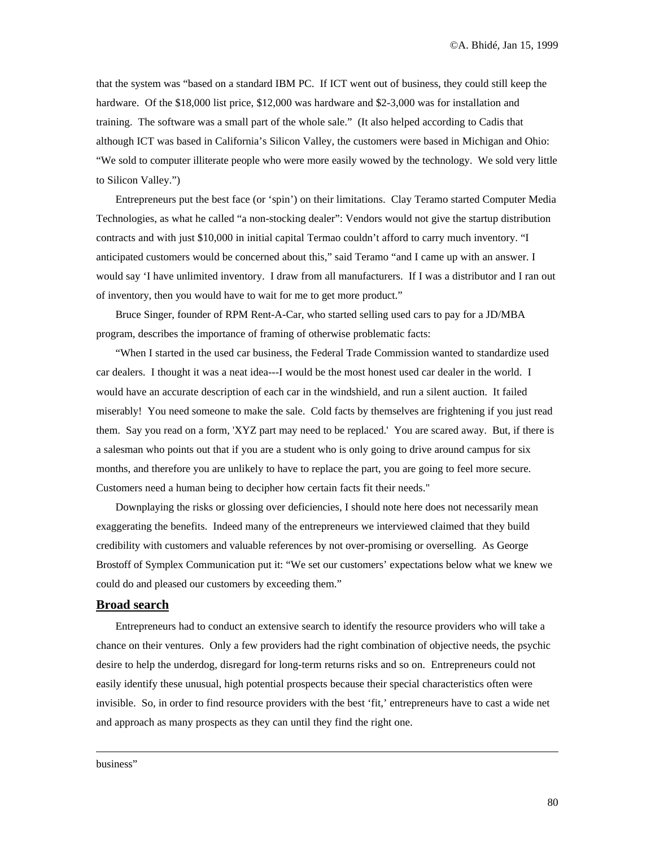that the system was "based on a standard IBM PC. If ICT went out of business, they could still keep the hardware. Of the \$18,000 list price, \$12,000 was hardware and \$2-3,000 was for installation and training. The software was a small part of the whole sale." (It also helped according to Cadis that although ICT was based in California's Silicon Valley, the customers were based in Michigan and Ohio: "We sold to computer illiterate people who were more easily wowed by the technology. We sold very little to Silicon Valley.")

Entrepreneurs put the best face (or 'spin') on their limitations. Clay Teramo started Computer Media Technologies, as what he called "a non-stocking dealer": Vendors would not give the startup distribution contracts and with just \$10,000 in initial capital Termao couldn't afford to carry much inventory. "I anticipated customers would be concerned about this," said Teramo "and I came up with an answer. I would say 'I have unlimited inventory. I draw from all manufacturers. If I was a distributor and I ran out of inventory, then you would have to wait for me to get more product."

Bruce Singer, founder of RPM Rent-A-Car, who started selling used cars to pay for a JD/MBA program, describes the importance of framing of otherwise problematic facts:

"When I started in the used car business, the Federal Trade Commission wanted to standardize used car dealers. I thought it was a neat idea---I would be the most honest used car dealer in the world. I would have an accurate description of each car in the windshield, and run a silent auction. It failed miserably! You need someone to make the sale. Cold facts by themselves are frightening if you just read them. Say you read on a form, 'XYZ part may need to be replaced.' You are scared away. But, if there is a salesman who points out that if you are a student who is only going to drive around campus for six months, and therefore you are unlikely to have to replace the part, you are going to feel more secure. Customers need a human being to decipher how certain facts fit their needs."

Downplaying the risks or glossing over deficiencies, I should note here does not necessarily mean exaggerating the benefits. Indeed many of the entrepreneurs we interviewed claimed that they build credibility with customers and valuable references by not over-promising or overselling. As George Brostoff of Symplex Communication put it: "We set our customers' expectations below what we knew we could do and pleased our customers by exceeding them."

## **Broad search**

Entrepreneurs had to conduct an extensive search to identify the resource providers who will take a chance on their ventures. Only a few providers had the right combination of objective needs, the psychic desire to help the underdog, disregard for long-term returns risks and so on. Entrepreneurs could not easily identify these unusual, high potential prospects because their special characteristics often were invisible. So, in order to find resource providers with the best 'fit,' entrepreneurs have to cast a wide net and approach as many prospects as they can until they find the right one.

 $\overline{a}$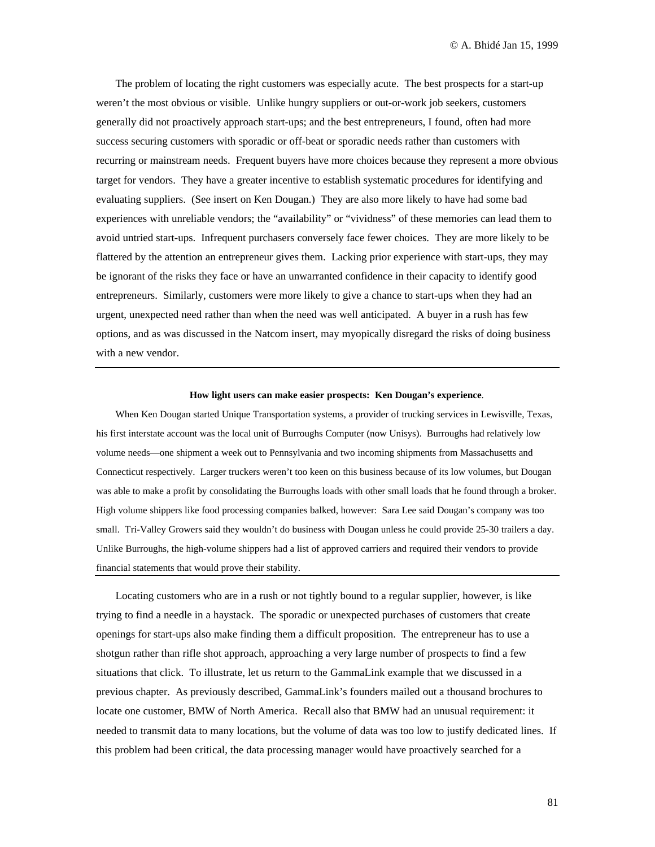The problem of locating the right customers was especially acute. The best prospects for a start-up weren't the most obvious or visible. Unlike hungry suppliers or out-or-work job seekers, customers generally did not proactively approach start-ups; and the best entrepreneurs, I found, often had more success securing customers with sporadic or off-beat or sporadic needs rather than customers with recurring or mainstream needs. Frequent buyers have more choices because they represent a more obvious target for vendors. They have a greater incentive to establish systematic procedures for identifying and evaluating suppliers. (See insert on Ken Dougan.) They are also more likely to have had some bad experiences with unreliable vendors; the "availability" or "vividness" of these memories can lead them to avoid untried start-ups. Infrequent purchasers conversely face fewer choices. They are more likely to be flattered by the attention an entrepreneur gives them. Lacking prior experience with start-ups, they may be ignorant of the risks they face or have an unwarranted confidence in their capacity to identify good entrepreneurs. Similarly, customers were more likely to give a chance to start-ups when they had an urgent, unexpected need rather than when the need was well anticipated. A buyer in a rush has few options, and as was discussed in the Natcom insert, may myopically disregard the risks of doing business with a new vendor.

#### **How light users can make easier prospects: Ken Dougan's experience**.

When Ken Dougan started Unique Transportation systems, a provider of trucking services in Lewisville, Texas, his first interstate account was the local unit of Burroughs Computer (now Unisys). Burroughs had relatively low volume needs—one shipment a week out to Pennsylvania and two incoming shipments from Massachusetts and Connecticut respectively. Larger truckers weren't too keen on this business because of its low volumes, but Dougan was able to make a profit by consolidating the Burroughs loads with other small loads that he found through a broker. High volume shippers like food processing companies balked, however: Sara Lee said Dougan's company was too small. Tri-Valley Growers said they wouldn't do business with Dougan unless he could provide 25-30 trailers a day. Unlike Burroughs, the high-volume shippers had a list of approved carriers and required their vendors to provide financial statements that would prove their stability.

Locating customers who are in a rush or not tightly bound to a regular supplier, however, is like trying to find a needle in a haystack. The sporadic or unexpected purchases of customers that create openings for start-ups also make finding them a difficult proposition. The entrepreneur has to use a shotgun rather than rifle shot approach, approaching a very large number of prospects to find a few situations that click. To illustrate, let us return to the GammaLink example that we discussed in a previous chapter. As previously described, GammaLink's founders mailed out a thousand brochures to locate one customer, BMW of North America. Recall also that BMW had an unusual requirement: it needed to transmit data to many locations, but the volume of data was too low to justify dedicated lines. If this problem had been critical, the data processing manager would have proactively searched for a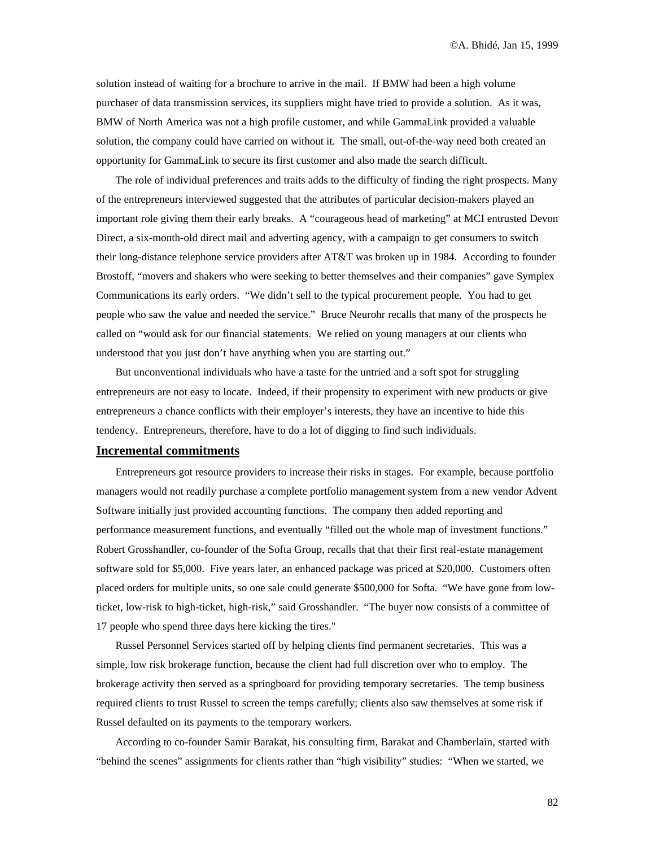solution instead of waiting for a brochure to arrive in the mail. If BMW had been a high volume purchaser of data transmission services, its suppliers might have tried to provide a solution. As it was, BMW of North America was not a high profile customer, and while GammaLink provided a valuable solution, the company could have carried on without it. The small, out-of-the-way need both created an opportunity for GammaLink to secure its first customer and also made the search difficult.

The role of individual preferences and traits adds to the difficulty of finding the right prospects. Many of the entrepreneurs interviewed suggested that the attributes of particular decision-makers played an important role giving them their early breaks. A "courageous head of marketing" at MCI entrusted Devon Direct, a six-month-old direct mail and adverting agency, with a campaign to get consumers to switch their long-distance telephone service providers after AT&T was broken up in 1984. According to founder Brostoff, "movers and shakers who were seeking to better themselves and their companies" gave Symplex Communications its early orders. "We didn't sell to the typical procurement people. You had to get people who saw the value and needed the service." Bruce Neurohr recalls that many of the prospects he called on "would ask for our financial statements. We relied on young managers at our clients who understood that you just don't have anything when you are starting out."

But unconventional individuals who have a taste for the untried and a soft spot for struggling entrepreneurs are not easy to locate. Indeed, if their propensity to experiment with new products or give entrepreneurs a chance conflicts with their employer's interests, they have an incentive to hide this tendency. Entrepreneurs, therefore, have to do a lot of digging to find such individuals.

#### **Incremental commitments**

Entrepreneurs got resource providers to increase their risks in stages. For example, because portfolio managers would not readily purchase a complete portfolio management system from a new vendor Advent Software initially just provided accounting functions. The company then added reporting and performance measurement functions, and eventually "filled out the whole map of investment functions." Robert Grosshandler, co-founder of the Softa Group, recalls that that their first real-estate management software sold for \$5,000. Five years later, an enhanced package was priced at \$20,000. Customers often placed orders for multiple units, so one sale could generate \$500,000 for Softa. "We have gone from lowticket, low-risk to high-ticket, high-risk," said Grosshandler. "The buyer now consists of a committee of 17 people who spend three days here kicking the tires."

Russel Personnel Services started off by helping clients find permanent secretaries. This was a simple, low risk brokerage function, because the client had full discretion over who to employ. The brokerage activity then served as a springboard for providing temporary secretaries. The temp business required clients to trust Russel to screen the temps carefully; clients also saw themselves at some risk if Russel defaulted on its payments to the temporary workers.

According to co-founder Samir Barakat, his consulting firm, Barakat and Chamberlain, started with "behind the scenes" assignments for clients rather than "high visibility" studies: "When we started, we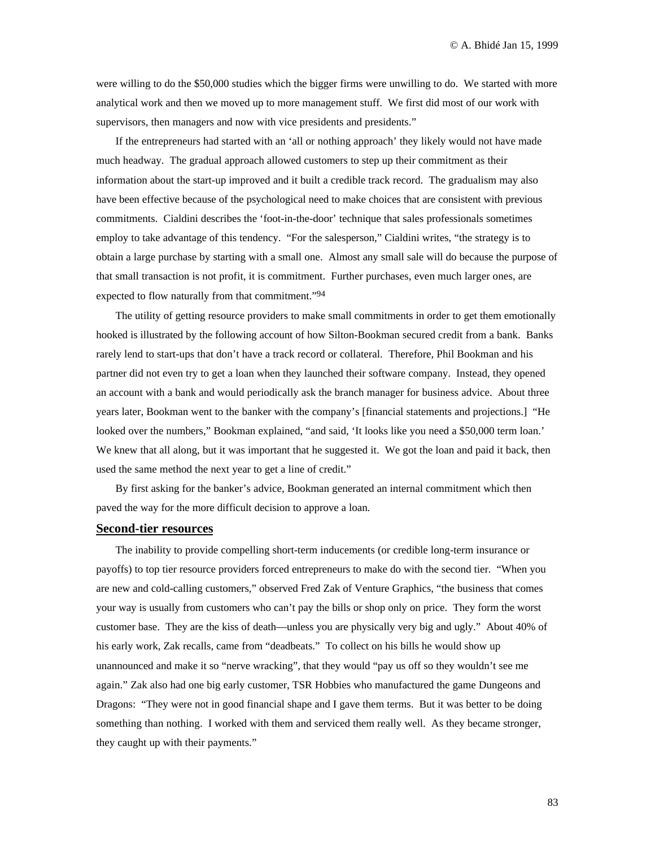were willing to do the \$50,000 studies which the bigger firms were unwilling to do. We started with more analytical work and then we moved up to more management stuff. We first did most of our work with supervisors, then managers and now with vice presidents and presidents."

If the entrepreneurs had started with an 'all or nothing approach' they likely would not have made much headway. The gradual approach allowed customers to step up their commitment as their information about the start-up improved and it built a credible track record. The gradualism may also have been effective because of the psychological need to make choices that are consistent with previous commitments. Cialdini describes the 'foot-in-the-door' technique that sales professionals sometimes employ to take advantage of this tendency. "For the salesperson," Cialdini writes, "the strategy is to obtain a large purchase by starting with a small one. Almost any small sale will do because the purpose of that small transaction is not profit, it is commitment. Further purchases, even much larger ones, are expected to flow naturally from that commitment."<sup>94</sup>

The utility of getting resource providers to make small commitments in order to get them emotionally hooked is illustrated by the following account of how Silton-Bookman secured credit from a bank. Banks rarely lend to start-ups that don't have a track record or collateral. Therefore, Phil Bookman and his partner did not even try to get a loan when they launched their software company. Instead, they opened an account with a bank and would periodically ask the branch manager for business advice. About three years later, Bookman went to the banker with the company's [financial statements and projections.] "He looked over the numbers," Bookman explained, "and said, 'It looks like you need a \$50,000 term loan.' We knew that all along, but it was important that he suggested it. We got the loan and paid it back, then used the same method the next year to get a line of credit."

By first asking for the banker's advice, Bookman generated an internal commitment which then paved the way for the more difficult decision to approve a loan.

# **Second-tier resources**

The inability to provide compelling short-term inducements (or credible long-term insurance or payoffs) to top tier resource providers forced entrepreneurs to make do with the second tier. "When you are new and cold-calling customers," observed Fred Zak of Venture Graphics, "the business that comes your way is usually from customers who can't pay the bills or shop only on price. They form the worst customer base. They are the kiss of death—unless you are physically very big and ugly." About 40% of his early work, Zak recalls, came from "deadbeats." To collect on his bills he would show up unannounced and make it so "nerve wracking", that they would "pay us off so they wouldn't see me again." Zak also had one big early customer, TSR Hobbies who manufactured the game Dungeons and Dragons: "They were not in good financial shape and I gave them terms. But it was better to be doing something than nothing. I worked with them and serviced them really well. As they became stronger, they caught up with their payments."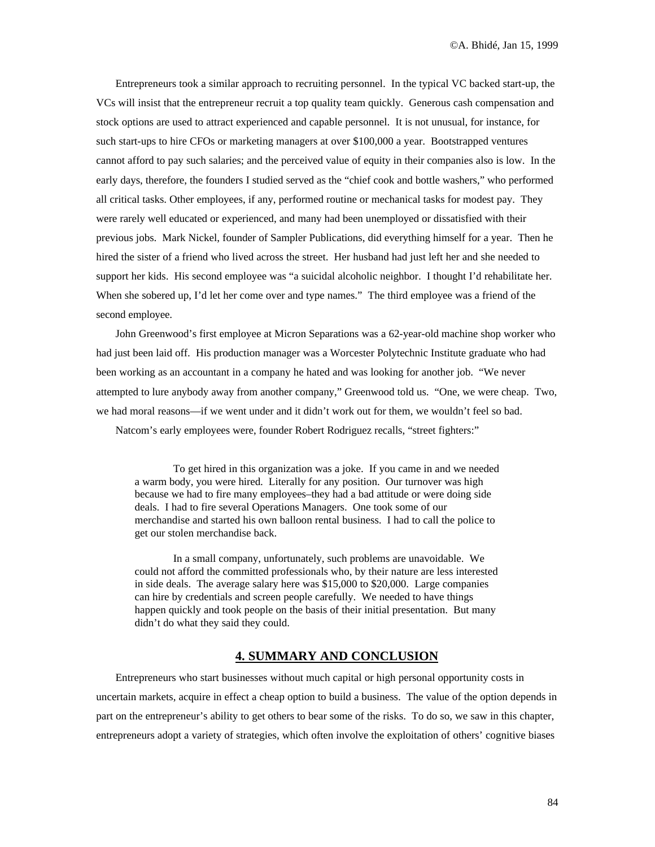Entrepreneurs took a similar approach to recruiting personnel. In the typical VC backed start-up, the VCs will insist that the entrepreneur recruit a top quality team quickly. Generous cash compensation and stock options are used to attract experienced and capable personnel. It is not unusual, for instance, for such start-ups to hire CFOs or marketing managers at over \$100,000 a year. Bootstrapped ventures cannot afford to pay such salaries; and the perceived value of equity in their companies also is low. In the early days, therefore, the founders I studied served as the "chief cook and bottle washers," who performed all critical tasks. Other employees, if any, performed routine or mechanical tasks for modest pay. They were rarely well educated or experienced, and many had been unemployed or dissatisfied with their previous jobs. Mark Nickel, founder of Sampler Publications, did everything himself for a year. Then he hired the sister of a friend who lived across the street. Her husband had just left her and she needed to support her kids. His second employee was "a suicidal alcoholic neighbor. I thought I'd rehabilitate her. When she sobered up, I'd let her come over and type names." The third employee was a friend of the second employee.

John Greenwood's first employee at Micron Separations was a 62-year-old machine shop worker who had just been laid off. His production manager was a Worcester Polytechnic Institute graduate who had been working as an accountant in a company he hated and was looking for another job. "We never attempted to lure anybody away from another company," Greenwood told us. "One, we were cheap. Two, we had moral reasons—if we went under and it didn't work out for them, we wouldn't feel so bad. Natcom's early employees were, founder Robert Rodriguez recalls, "street fighters:"

To get hired in this organization was a joke. If you came in and we needed a warm body, you were hired. Literally for any position. Our turnover was high because we had to fire many employees–they had a bad attitude or were doing side deals. I had to fire several Operations Managers. One took some of our merchandise and started his own balloon rental business. I had to call the police to get our stolen merchandise back.

In a small company, unfortunately, such problems are unavoidable. We could not afford the committed professionals who, by their nature are less interested in side deals. The average salary here was \$15,000 to \$20,000. Large companies can hire by credentials and screen people carefully. We needed to have things happen quickly and took people on the basis of their initial presentation. But many didn't do what they said they could.

# **4. SUMMARY AND CONCLUSION**

Entrepreneurs who start businesses without much capital or high personal opportunity costs in uncertain markets, acquire in effect a cheap option to build a business. The value of the option depends in part on the entrepreneur's ability to get others to bear some of the risks. To do so, we saw in this chapter, entrepreneurs adopt a variety of strategies, which often involve the exploitation of others' cognitive biases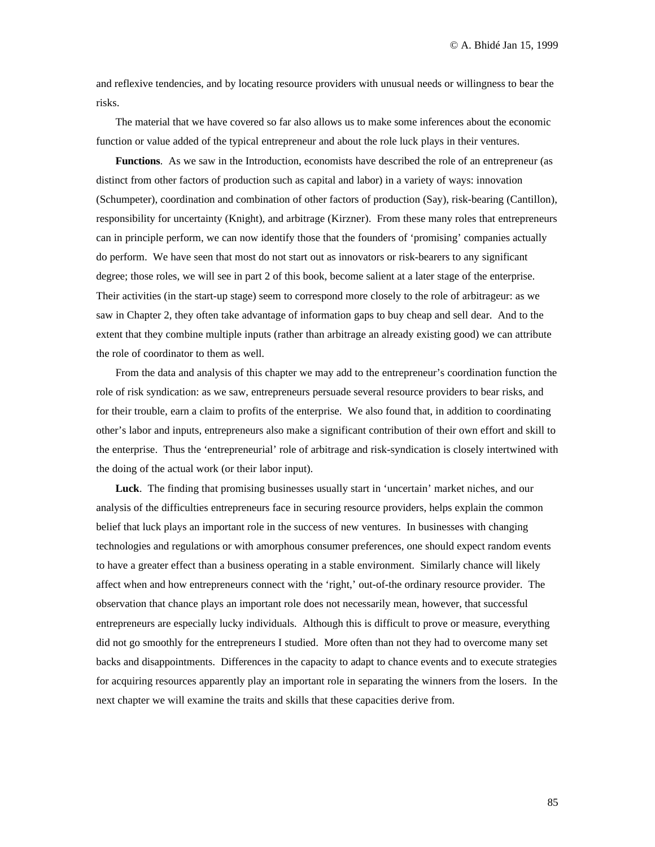and reflexive tendencies, and by locating resource providers with unusual needs or willingness to bear the risks.

The material that we have covered so far also allows us to make some inferences about the economic function or value added of the typical entrepreneur and about the role luck plays in their ventures.

**Functions**. As we saw in the Introduction, economists have described the role of an entrepreneur (as distinct from other factors of production such as capital and labor) in a variety of ways: innovation (Schumpeter), coordination and combination of other factors of production (Say), risk-bearing (Cantillon), responsibility for uncertainty (Knight), and arbitrage (Kirzner). From these many roles that entrepreneurs can in principle perform, we can now identify those that the founders of 'promising' companies actually do perform. We have seen that most do not start out as innovators or risk-bearers to any significant degree; those roles, we will see in part 2 of this book, become salient at a later stage of the enterprise. Their activities (in the start-up stage) seem to correspond more closely to the role of arbitrageur: as we saw in Chapter 2, they often take advantage of information gaps to buy cheap and sell dear. And to the extent that they combine multiple inputs (rather than arbitrage an already existing good) we can attribute the role of coordinator to them as well.

From the data and analysis of this chapter we may add to the entrepreneur's coordination function the role of risk syndication: as we saw, entrepreneurs persuade several resource providers to bear risks, and for their trouble, earn a claim to profits of the enterprise. We also found that, in addition to coordinating other's labor and inputs, entrepreneurs also make a significant contribution of their own effort and skill to the enterprise. Thus the 'entrepreneurial' role of arbitrage and risk-syndication is closely intertwined with the doing of the actual work (or their labor input).

**Luck**. The finding that promising businesses usually start in 'uncertain' market niches, and our analysis of the difficulties entrepreneurs face in securing resource providers, helps explain the common belief that luck plays an important role in the success of new ventures. In businesses with changing technologies and regulations or with amorphous consumer preferences, one should expect random events to have a greater effect than a business operating in a stable environment. Similarly chance will likely affect when and how entrepreneurs connect with the 'right,' out-of-the ordinary resource provider. The observation that chance plays an important role does not necessarily mean, however, that successful entrepreneurs are especially lucky individuals. Although this is difficult to prove or measure, everything did not go smoothly for the entrepreneurs I studied. More often than not they had to overcome many set backs and disappointments. Differences in the capacity to adapt to chance events and to execute strategies for acquiring resources apparently play an important role in separating the winners from the losers. In the next chapter we will examine the traits and skills that these capacities derive from.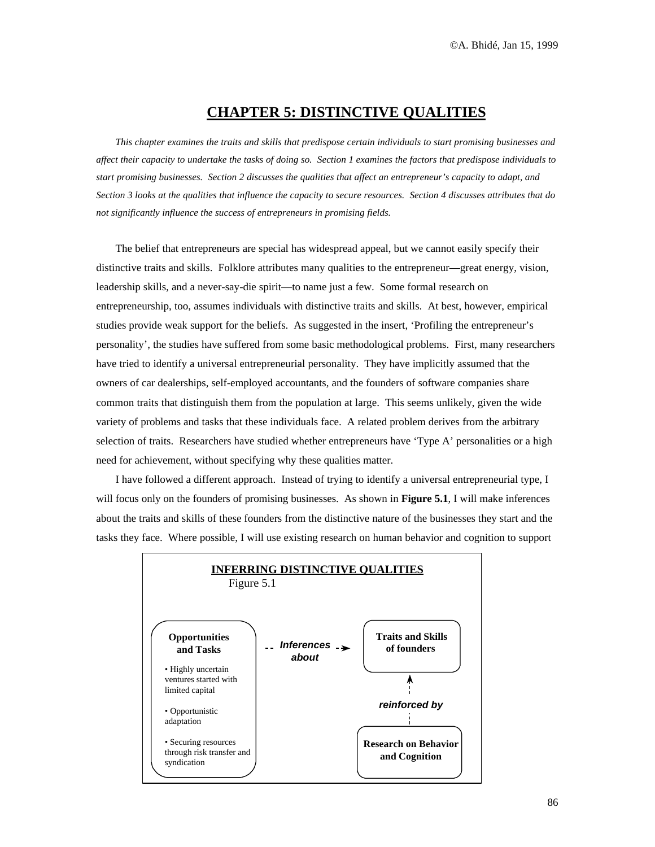# **CHAPTER 5: DISTINCTIVE QUALITIES**

*This chapter examines the traits and skills that predispose certain individuals to start promising businesses and affect their capacity to undertake the tasks of doing so. Section 1 examines the factors that predispose individuals to start promising businesses. Section 2 discusses the qualities that affect an entrepreneur's capacity to adapt, and Section 3 looks at the qualities that influence the capacity to secure resources. Section 4 discusses attributes that do not significantly influence the success of entrepreneurs in promising fields.*

The belief that entrepreneurs are special has widespread appeal, but we cannot easily specify their distinctive traits and skills. Folklore attributes many qualities to the entrepreneur—great energy, vision, leadership skills, and a never-say-die spirit—to name just a few. Some formal research on entrepreneurship, too, assumes individuals with distinctive traits and skills. At best, however, empirical studies provide weak support for the beliefs. As suggested in the insert, 'Profiling the entrepreneur's personality', the studies have suffered from some basic methodological problems. First, many researchers have tried to identify a universal entrepreneurial personality. They have implicitly assumed that the owners of car dealerships, self-employed accountants, and the founders of software companies share common traits that distinguish them from the population at large. This seems unlikely, given the wide variety of problems and tasks that these individuals face. A related problem derives from the arbitrary selection of traits. Researchers have studied whether entrepreneurs have 'Type A' personalities or a high need for achievement, without specifying why these qualities matter.

I have followed a different approach. Instead of trying to identify a universal entrepreneurial type, I will focus only on the founders of promising businesses. As shown in **Figure 5.1**, I will make inferences about the traits and skills of these founders from the distinctive nature of the businesses they start and the tasks they face. Where possible, I will use existing research on human behavior and cognition to support

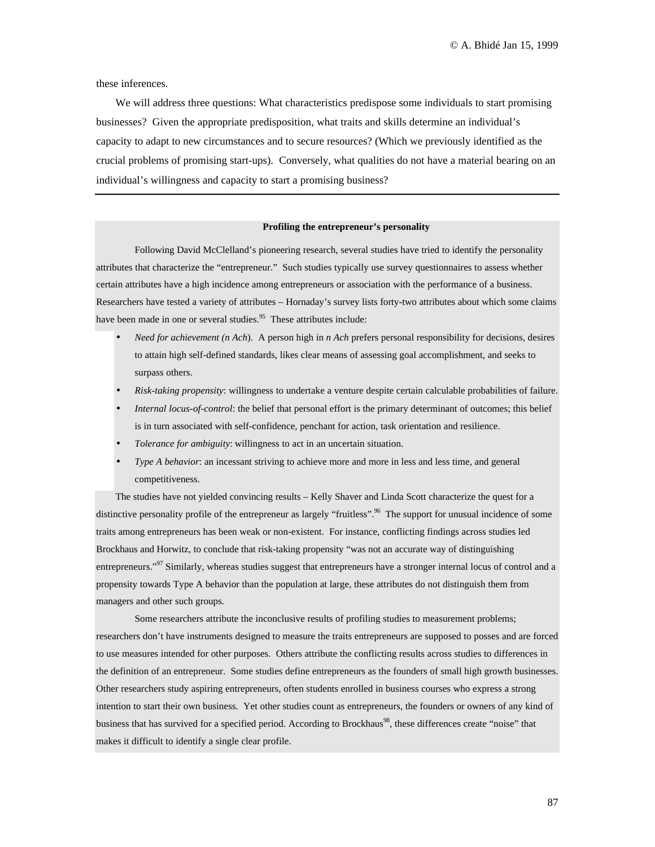these inferences.

We will address three questions: What characteristics predispose some individuals to start promising businesses? Given the appropriate predisposition, what traits and skills determine an individual's capacity to adapt to new circumstances and to secure resources? (Which we previously identified as the crucial problems of promising start-ups). Conversely, what qualities do not have a material bearing on an individual's willingness and capacity to start a promising business?

## **Profiling the entrepreneur's personality**

Following David McClelland's pioneering research, several studies have tried to identify the personality attributes that characterize the "entrepreneur." Such studies typically use survey questionnaires to assess whether certain attributes have a high incidence among entrepreneurs or association with the performance of a business. Researchers have tested a variety of attributes – Hornaday's survey lists forty-two attributes about which some claims have been made in one or several studies.<sup>95</sup> These attributes include:

- *Need for achievement (n Ach*). A person high in *n Ach* prefers personal responsibility for decisions, desires to attain high self-defined standards, likes clear means of assessing goal accomplishment, and seeks to surpass others.
- *Risk-taking propensity*: willingness to undertake a venture despite certain calculable probabilities of failure.
- *Internal locus-of-control*: the belief that personal effort is the primary determinant of outcomes; this belief is in turn associated with self-confidence, penchant for action, task orientation and resilience.
- *Tolerance for ambiguity*: willingness to act in an uncertain situation.
- *Type A behavior*: an incessant striving to achieve more and more in less and less time, and general competitiveness.

The studies have not yielded convincing results – Kelly Shaver and Linda Scott characterize the quest for a distinctive personality profile of the entrepreneur as largely "fruitless".<sup>96</sup> The support for unusual incidence of some traits among entrepreneurs has been weak or non-existent. For instance, conflicting findings across studies led Brockhaus and Horwitz, to conclude that risk-taking propensity "was not an accurate way of distinguishing entrepreneurs."<sup>97</sup> Similarly, whereas studies suggest that entrepreneurs have a stronger internal locus of control and a propensity towards Type A behavior than the population at large, these attributes do not distinguish them from managers and other such groups.

Some researchers attribute the inconclusive results of profiling studies to measurement problems; researchers don't have instruments designed to measure the traits entrepreneurs are supposed to posses and are forced to use measures intended for other purposes. Others attribute the conflicting results across studies to differences in the definition of an entrepreneur. Some studies define entrepreneurs as the founders of small high growth businesses. Other researchers study aspiring entrepreneurs, often students enrolled in business courses who express a strong intention to start their own business. Yet other studies count as entrepreneurs, the founders or owners of any kind of business that has survived for a specified period. According to Brockhaus<sup>98</sup>, these differences create "noise" that makes it difficult to identify a single clear profile.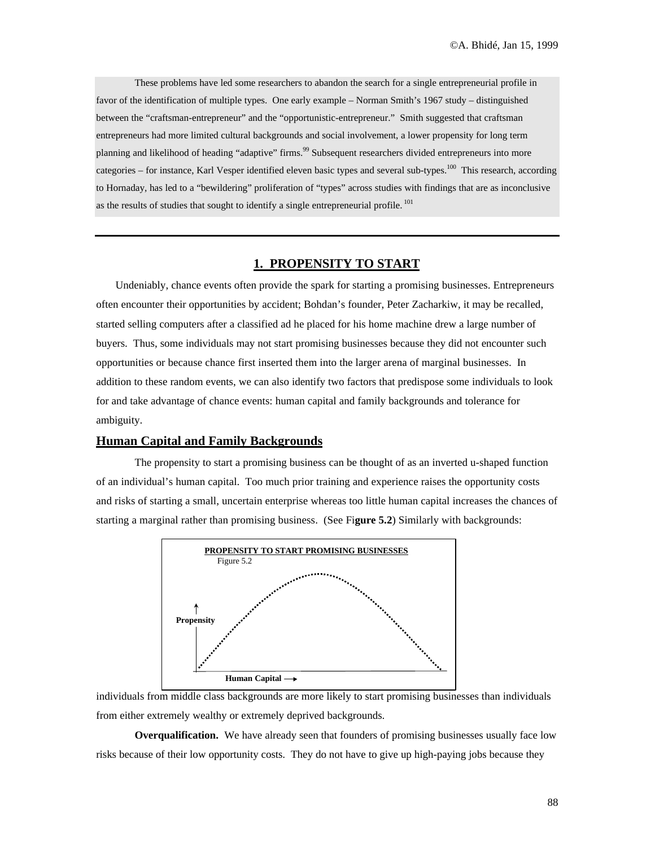These problems have led some researchers to abandon the search for a single entrepreneurial profile in favor of the identification of multiple types. One early example – Norman Smith's 1967 study – distinguished between the "craftsman-entrepreneur" and the "opportunistic-entrepreneur." Smith suggested that craftsman entrepreneurs had more limited cultural backgrounds and social involvement, a lower propensity for long term planning and likelihood of heading "adaptive" firms.<sup>99</sup> Subsequent researchers divided entrepreneurs into more categories – for instance, Karl Vesper identified eleven basic types and several sub-types.<sup>100</sup> This research, according to Hornaday, has led to a "bewildering" proliferation of "types" across studies with findings that are as inconclusive as the results of studies that sought to identify a single entrepreneurial profile. <sup>101</sup>

# **1. PROPENSITY TO START**

Undeniably, chance events often provide the spark for starting a promising businesses. Entrepreneurs often encounter their opportunities by accident; Bohdan's founder, Peter Zacharkiw, it may be recalled, started selling computers after a classified ad he placed for his home machine drew a large number of buyers. Thus, some individuals may not start promising businesses because they did not encounter such opportunities or because chance first inserted them into the larger arena of marginal businesses. In addition to these random events, we can also identify two factors that predispose some individuals to look for and take advantage of chance events: human capital and family backgrounds and tolerance for ambiguity.

# **Human Capital and Family Backgrounds**

The propensity to start a promising business can be thought of as an inverted u-shaped function of an individual's human capital. Too much prior training and experience raises the opportunity costs and risks of starting a small, uncertain enterprise whereas too little human capital increases the chances of starting a marginal rather than promising business. (See Fi**gure 5.2**) Similarly with backgrounds:



individuals from middle class backgrounds are more likely to start promising businesses than individuals from either extremely wealthy or extremely deprived backgrounds.

**Overqualification.** We have already seen that founders of promising businesses usually face low risks because of their low opportunity costs. They do not have to give up high-paying jobs because they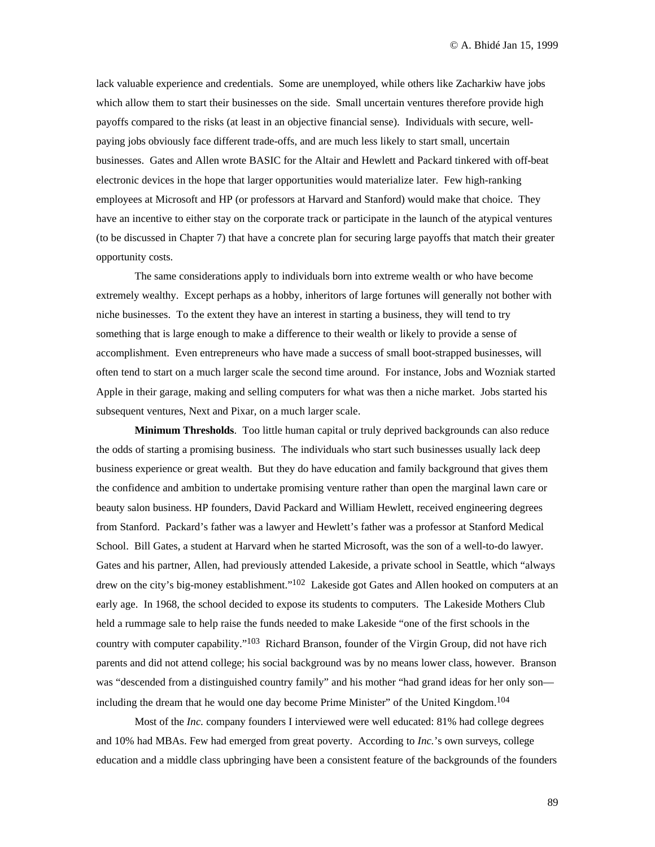lack valuable experience and credentials. Some are unemployed, while others like Zacharkiw have jobs which allow them to start their businesses on the side. Small uncertain ventures therefore provide high payoffs compared to the risks (at least in an objective financial sense). Individuals with secure, wellpaying jobs obviously face different trade-offs, and are much less likely to start small, uncertain businesses. Gates and Allen wrote BASIC for the Altair and Hewlett and Packard tinkered with off-beat electronic devices in the hope that larger opportunities would materialize later. Few high-ranking employees at Microsoft and HP (or professors at Harvard and Stanford) would make that choice. They have an incentive to either stay on the corporate track or participate in the launch of the atypical ventures (to be discussed in Chapter 7) that have a concrete plan for securing large payoffs that match their greater opportunity costs.

The same considerations apply to individuals born into extreme wealth or who have become extremely wealthy. Except perhaps as a hobby, inheritors of large fortunes will generally not bother with niche businesses. To the extent they have an interest in starting a business, they will tend to try something that is large enough to make a difference to their wealth or likely to provide a sense of accomplishment. Even entrepreneurs who have made a success of small boot-strapped businesses, will often tend to start on a much larger scale the second time around. For instance, Jobs and Wozniak started Apple in their garage, making and selling computers for what was then a niche market. Jobs started his subsequent ventures, Next and Pixar, on a much larger scale.

**Minimum Thresholds**. Too little human capital or truly deprived backgrounds can also reduce the odds of starting a promising business. The individuals who start such businesses usually lack deep business experience or great wealth. But they do have education and family background that gives them the confidence and ambition to undertake promising venture rather than open the marginal lawn care or beauty salon business. HP founders, David Packard and William Hewlett, received engineering degrees from Stanford. Packard's father was a lawyer and Hewlett's father was a professor at Stanford Medical School. Bill Gates, a student at Harvard when he started Microsoft, was the son of a well-to-do lawyer. Gates and his partner, Allen, had previously attended Lakeside, a private school in Seattle, which "always drew on the city's big-money establishment."<sup>102</sup> Lakeside got Gates and Allen hooked on computers at an early age. In 1968, the school decided to expose its students to computers. The Lakeside Mothers Club held a rummage sale to help raise the funds needed to make Lakeside "one of the first schools in the country with computer capability."103 Richard Branson, founder of the Virgin Group, did not have rich parents and did not attend college; his social background was by no means lower class, however. Branson was "descended from a distinguished country family" and his mother "had grand ideas for her only son including the dream that he would one day become Prime Minister" of the United Kingdom.<sup>104</sup>

Most of the *Inc.* company founders I interviewed were well educated: 81% had college degrees and 10% had MBAs. Few had emerged from great poverty. According to *Inc.*'s own surveys, college education and a middle class upbringing have been a consistent feature of the backgrounds of the founders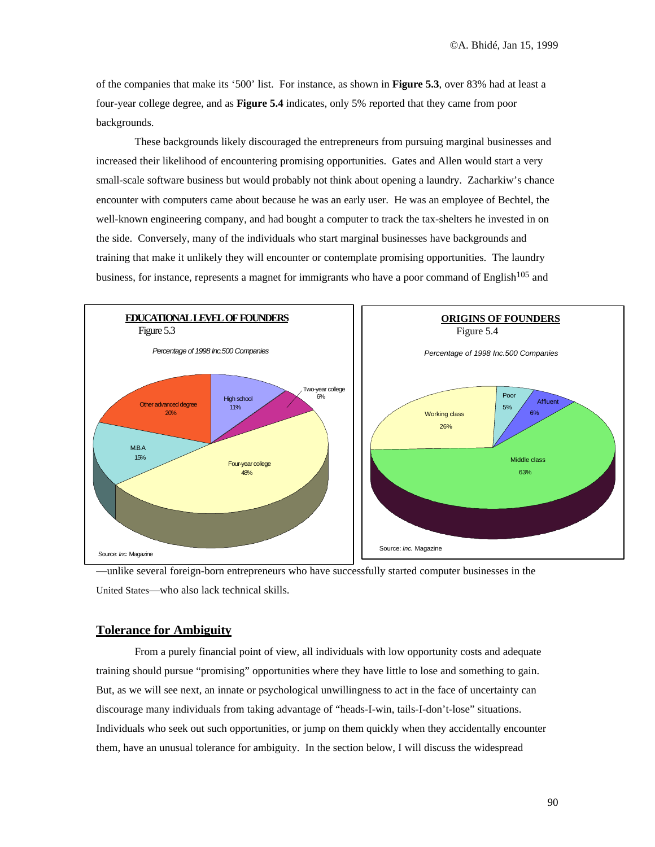of the companies that make its '500' list. For instance, as shown in **Figure 5.3**, over 83% had at least a four-year college degree, and as **Figure 5.4** indicates, only 5% reported that they came from poor backgrounds.

These backgrounds likely discouraged the entrepreneurs from pursuing marginal businesses and increased their likelihood of encountering promising opportunities. Gates and Allen would start a very small-scale software business but would probably not think about opening a laundry. Zacharkiw's chance encounter with computers came about because he was an early user. He was an employee of Bechtel, the well-known engineering company, and had bought a computer to track the tax-shelters he invested in on the side. Conversely, many of the individuals who start marginal businesses have backgrounds and training that make it unlikely they will encounter or contemplate promising opportunities. The laundry business, for instance, represents a magnet for immigrants who have a poor command of English<sup>105</sup> and



—unlike several foreign-born entrepreneurs who have successfully started computer businesses in the United States—who also lack technical skills.

# **Tolerance for Ambiguity**

From a purely financial point of view, all individuals with low opportunity costs and adequate training should pursue "promising" opportunities where they have little to lose and something to gain. But, as we will see next, an innate or psychological unwillingness to act in the face of uncertainty can discourage many individuals from taking advantage of "heads-I-win, tails-I-don't-lose" situations. Individuals who seek out such opportunities, or jump on them quickly when they accidentally encounter them, have an unusual tolerance for ambiguity. In the section below, I will discuss the widespread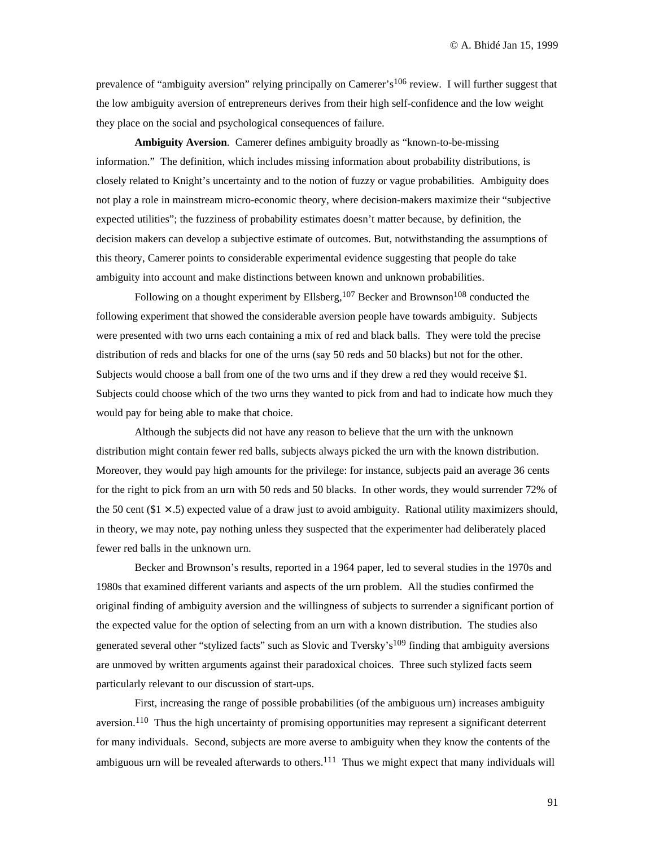prevalence of "ambiguity aversion" relying principally on Camerer's<sup>106</sup> review. I will further suggest that the low ambiguity aversion of entrepreneurs derives from their high self-confidence and the low weight they place on the social and psychological consequences of failure.

**Ambiguity Aversion**. Camerer defines ambiguity broadly as "known-to-be-missing information." The definition, which includes missing information about probability distributions, is closely related to Knight's uncertainty and to the notion of fuzzy or vague probabilities. Ambiguity does not play a role in mainstream micro-economic theory, where decision-makers maximize their "subjective expected utilities"; the fuzziness of probability estimates doesn't matter because, by definition, the decision makers can develop a subjective estimate of outcomes. But, notwithstanding the assumptions of this theory, Camerer points to considerable experimental evidence suggesting that people do take ambiguity into account and make distinctions between known and unknown probabilities.

Following on a thought experiment by Ellsberg,  $107$  Becker and Brownson  $108$  conducted the following experiment that showed the considerable aversion people have towards ambiguity. Subjects were presented with two urns each containing a mix of red and black balls. They were told the precise distribution of reds and blacks for one of the urns (say 50 reds and 50 blacks) but not for the other. Subjects would choose a ball from one of the two urns and if they drew a red they would receive \$1. Subjects could choose which of the two urns they wanted to pick from and had to indicate how much they would pay for being able to make that choice.

Although the subjects did not have any reason to believe that the urn with the unknown distribution might contain fewer red balls, subjects always picked the urn with the known distribution. Moreover, they would pay high amounts for the privilege: for instance, subjects paid an average 36 cents for the right to pick from an urn with 50 reds and 50 blacks. In other words, they would surrender 72% of the 50 cent  $(1 \times .5)$  expected value of a draw just to avoid ambiguity. Rational utility maximizers should, in theory, we may note, pay nothing unless they suspected that the experimenter had deliberately placed fewer red balls in the unknown urn.

Becker and Brownson's results, reported in a 1964 paper, led to several studies in the 1970s and 1980s that examined different variants and aspects of the urn problem. All the studies confirmed the original finding of ambiguity aversion and the willingness of subjects to surrender a significant portion of the expected value for the option of selecting from an urn with a known distribution. The studies also generated several other "stylized facts" such as Slovic and Tversky's<sup>109</sup> finding that ambiguity aversions are unmoved by written arguments against their paradoxical choices. Three such stylized facts seem particularly relevant to our discussion of start-ups.

First, increasing the range of possible probabilities (of the ambiguous urn) increases ambiguity aversion.110 Thus the high uncertainty of promising opportunities may represent a significant deterrent for many individuals. Second, subjects are more averse to ambiguity when they know the contents of the ambiguous urn will be revealed afterwards to others.<sup>111</sup> Thus we might expect that many individuals will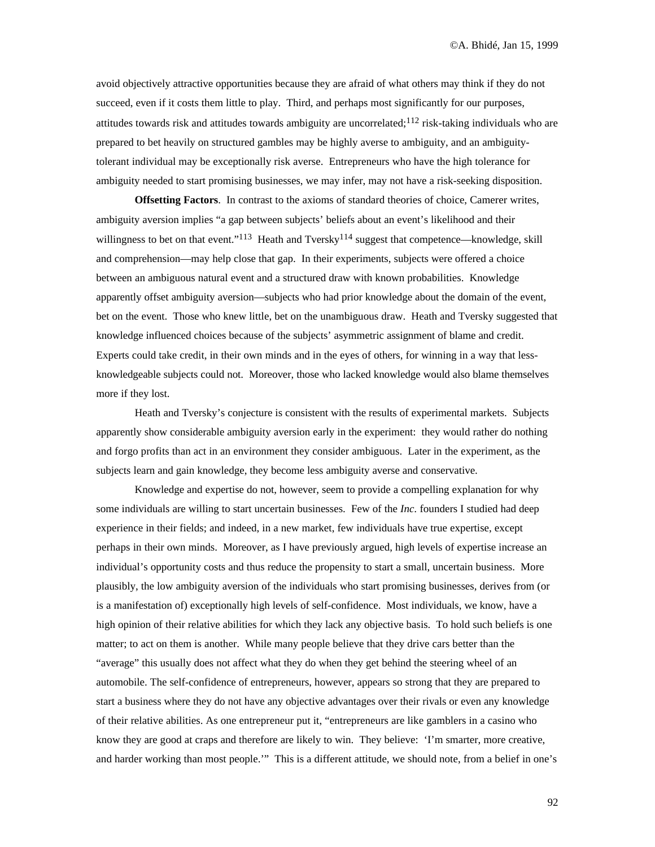avoid objectively attractive opportunities because they are afraid of what others may think if they do not succeed, even if it costs them little to play. Third, and perhaps most significantly for our purposes, attitudes towards risk and attitudes towards ambiguity are uncorrelated;<sup>112</sup> risk-taking individuals who are prepared to bet heavily on structured gambles may be highly averse to ambiguity, and an ambiguitytolerant individual may be exceptionally risk averse. Entrepreneurs who have the high tolerance for ambiguity needed to start promising businesses, we may infer, may not have a risk-seeking disposition.

**Offsetting Factors**. In contrast to the axioms of standard theories of choice, Camerer writes, ambiguity aversion implies "a gap between subjects' beliefs about an event's likelihood and their willingness to bet on that event."<sup>113</sup> Heath and Tversky<sup>114</sup> suggest that competence—knowledge, skill and comprehension—may help close that gap. In their experiments, subjects were offered a choice between an ambiguous natural event and a structured draw with known probabilities. Knowledge apparently offset ambiguity aversion—subjects who had prior knowledge about the domain of the event, bet on the event. Those who knew little, bet on the unambiguous draw. Heath and Tversky suggested that knowledge influenced choices because of the subjects' asymmetric assignment of blame and credit. Experts could take credit, in their own minds and in the eyes of others, for winning in a way that lessknowledgeable subjects could not. Moreover, those who lacked knowledge would also blame themselves more if they lost.

Heath and Tversky's conjecture is consistent with the results of experimental markets. Subjects apparently show considerable ambiguity aversion early in the experiment: they would rather do nothing and forgo profits than act in an environment they consider ambiguous. Later in the experiment, as the subjects learn and gain knowledge, they become less ambiguity averse and conservative.

Knowledge and expertise do not, however, seem to provide a compelling explanation for why some individuals are willing to start uncertain businesses. Few of the *Inc.* founders I studied had deep experience in their fields; and indeed, in a new market, few individuals have true expertise, except perhaps in their own minds. Moreover, as I have previously argued, high levels of expertise increase an individual's opportunity costs and thus reduce the propensity to start a small, uncertain business. More plausibly, the low ambiguity aversion of the individuals who start promising businesses, derives from (or is a manifestation of) exceptionally high levels of self-confidence. Most individuals, we know, have a high opinion of their relative abilities for which they lack any objective basis. To hold such beliefs is one matter; to act on them is another. While many people believe that they drive cars better than the "average" this usually does not affect what they do when they get behind the steering wheel of an automobile. The self-confidence of entrepreneurs, however, appears so strong that they are prepared to start a business where they do not have any objective advantages over their rivals or even any knowledge of their relative abilities. As one entrepreneur put it, "entrepreneurs are like gamblers in a casino who know they are good at craps and therefore are likely to win. They believe: 'I'm smarter, more creative, and harder working than most people.'" This is a different attitude, we should note, from a belief in one's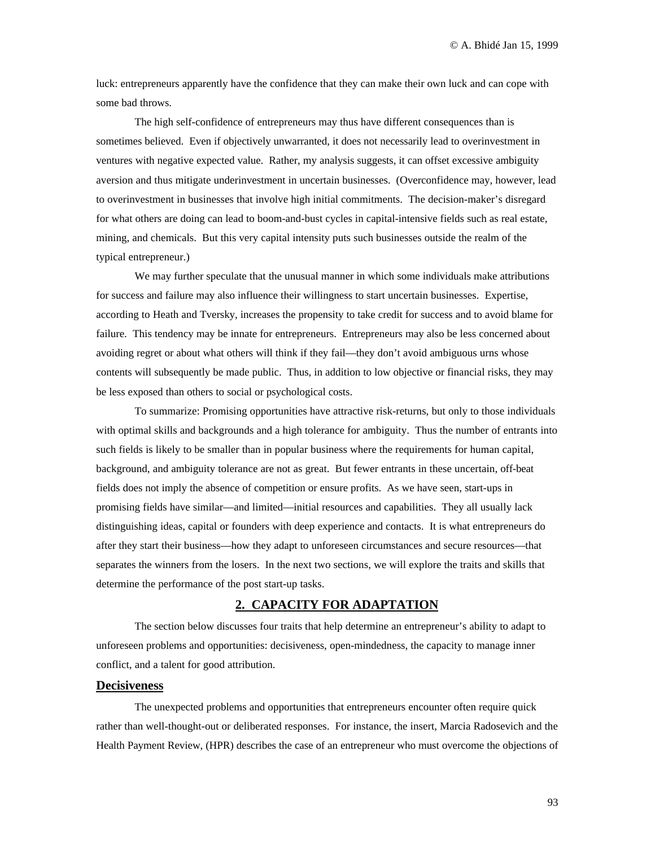luck: entrepreneurs apparently have the confidence that they can make their own luck and can cope with some bad throws.

The high self-confidence of entrepreneurs may thus have different consequences than is sometimes believed. Even if objectively unwarranted, it does not necessarily lead to overinvestment in ventures with negative expected value. Rather, my analysis suggests, it can offset excessive ambiguity aversion and thus mitigate underinvestment in uncertain businesses. (Overconfidence may, however, lead to overinvestment in businesses that involve high initial commitments. The decision-maker's disregard for what others are doing can lead to boom-and-bust cycles in capital-intensive fields such as real estate, mining, and chemicals. But this very capital intensity puts such businesses outside the realm of the typical entrepreneur.)

We may further speculate that the unusual manner in which some individuals make attributions for success and failure may also influence their willingness to start uncertain businesses. Expertise, according to Heath and Tversky, increases the propensity to take credit for success and to avoid blame for failure. This tendency may be innate for entrepreneurs. Entrepreneurs may also be less concerned about avoiding regret or about what others will think if they fail—they don't avoid ambiguous urns whose contents will subsequently be made public. Thus, in addition to low objective or financial risks, they may be less exposed than others to social or psychological costs.

To summarize: Promising opportunities have attractive risk-returns, but only to those individuals with optimal skills and backgrounds and a high tolerance for ambiguity. Thus the number of entrants into such fields is likely to be smaller than in popular business where the requirements for human capital, background, and ambiguity tolerance are not as great. But fewer entrants in these uncertain, off-beat fields does not imply the absence of competition or ensure profits. As we have seen, start-ups in promising fields have similar—and limited—initial resources and capabilities. They all usually lack distinguishing ideas, capital or founders with deep experience and contacts. It is what entrepreneurs do after they start their business—how they adapt to unforeseen circumstances and secure resources—that separates the winners from the losers. In the next two sections, we will explore the traits and skills that determine the performance of the post start-up tasks.

## **2. CAPACITY FOR ADAPTATION**

The section below discusses four traits that help determine an entrepreneur's ability to adapt to unforeseen problems and opportunities: decisiveness, open-mindedness, the capacity to manage inner conflict, and a talent for good attribution.

#### **Decisiveness**

The unexpected problems and opportunities that entrepreneurs encounter often require quick rather than well-thought-out or deliberated responses. For instance, the insert, Marcia Radosevich and the Health Payment Review, (HPR) describes the case of an entrepreneur who must overcome the objections of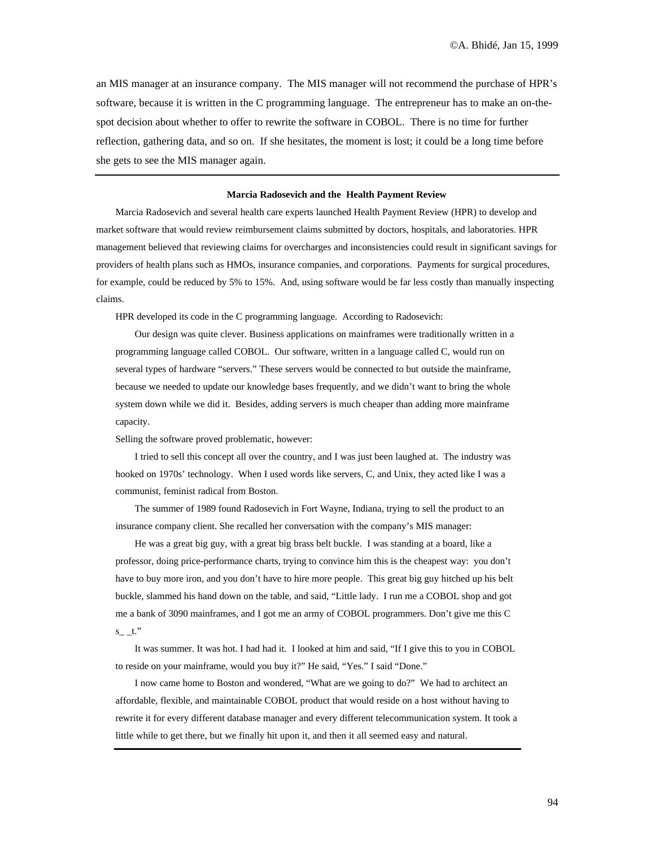an MIS manager at an insurance company. The MIS manager will not recommend the purchase of HPR's software, because it is written in the C programming language. The entrepreneur has to make an on-thespot decision about whether to offer to rewrite the software in COBOL. There is no time for further reflection, gathering data, and so on. If she hesitates, the moment is lost; it could be a long time before she gets to see the MIS manager again.

#### **Marcia Radosevich and the Health Payment Review**

Marcia Radosevich and several health care experts launched Health Payment Review (HPR) to develop and market software that would review reimbursement claims submitted by doctors, hospitals, and laboratories. HPR management believed that reviewing claims for overcharges and inconsistencies could result in significant savings for providers of health plans such as HMOs, insurance companies, and corporations. Payments for surgical procedures, for example, could be reduced by 5% to 15%. And, using software would be far less costly than manually inspecting claims.

HPR developed its code in the C programming language. According to Radosevich:

Our design was quite clever. Business applications on mainframes were traditionally written in a programming language called COBOL. Our software, written in a language called C, would run on several types of hardware "servers." These servers would be connected to but outside the mainframe, because we needed to update our knowledge bases frequently, and we didn't want to bring the whole system down while we did it. Besides, adding servers is much cheaper than adding more mainframe capacity.

Selling the software proved problematic, however:

I tried to sell this concept all over the country, and I was just been laughed at. The industry was hooked on 1970s' technology. When I used words like servers, C, and Unix, they acted like I was a communist, feminist radical from Boston.

The summer of 1989 found Radosevich in Fort Wayne, Indiana, trying to sell the product to an insurance company client. She recalled her conversation with the company's MIS manager:

He was a great big guy, with a great big brass belt buckle. I was standing at a board, like a professor, doing price-performance charts, trying to convince him this is the cheapest way: you don't have to buy more iron, and you don't have to hire more people. This great big guy hitched up his belt buckle, slammed his hand down on the table, and said, "Little lady. I run me a COBOL shop and got me a bank of 3090 mainframes, and I got me an army of COBOL programmers. Don't give me this C  $s$ \_ \_t."

It was summer. It was hot. I had had it. I looked at him and said, "If I give this to you in COBOL to reside on your mainframe, would you buy it?" He said, "Yes." I said "Done."

I now came home to Boston and wondered, "What are we going to do?" We had to architect an affordable, flexible, and maintainable COBOL product that would reside on a host without having to rewrite it for every different database manager and every different telecommunication system. It took a little while to get there, but we finally hit upon it, and then it all seemed easy and natural.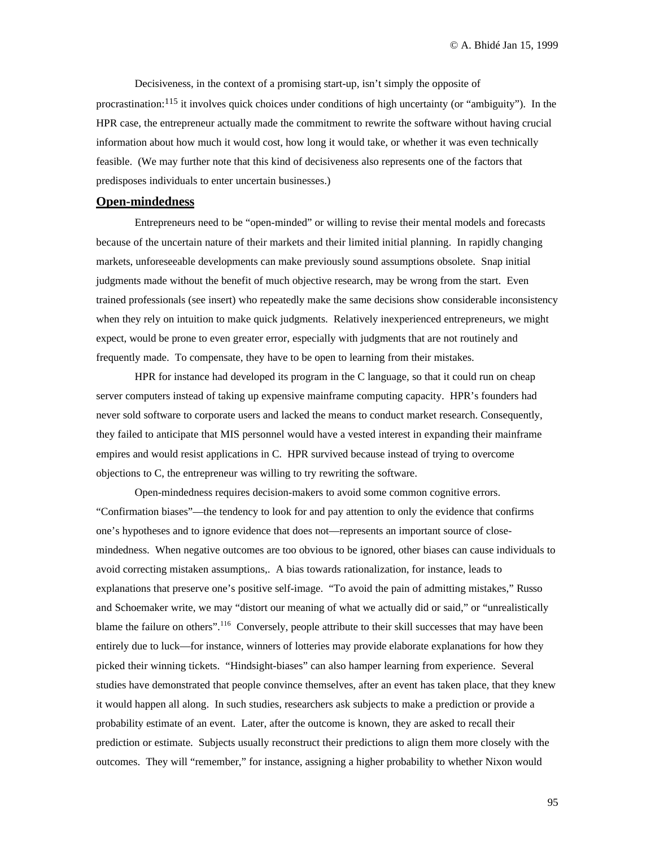Decisiveness, in the context of a promising start-up, isn't simply the opposite of procrastination:<sup>115</sup> it involves quick choices under conditions of high uncertainty (or "ambiguity"). In the HPR case, the entrepreneur actually made the commitment to rewrite the software without having crucial information about how much it would cost, how long it would take, or whether it was even technically feasible. (We may further note that this kind of decisiveness also represents one of the factors that predisposes individuals to enter uncertain businesses.)

#### **Open-mindedness**

Entrepreneurs need to be "open-minded" or willing to revise their mental models and forecasts because of the uncertain nature of their markets and their limited initial planning. In rapidly changing markets, unforeseeable developments can make previously sound assumptions obsolete. Snap initial judgments made without the benefit of much objective research, may be wrong from the start. Even trained professionals (see insert) who repeatedly make the same decisions show considerable inconsistency when they rely on intuition to make quick judgments. Relatively inexperienced entrepreneurs, we might expect, would be prone to even greater error, especially with judgments that are not routinely and frequently made. To compensate, they have to be open to learning from their mistakes.

HPR for instance had developed its program in the C language, so that it could run on cheap server computers instead of taking up expensive mainframe computing capacity. HPR's founders had never sold software to corporate users and lacked the means to conduct market research. Consequently, they failed to anticipate that MIS personnel would have a vested interest in expanding their mainframe empires and would resist applications in C. HPR survived because instead of trying to overcome objections to C, the entrepreneur was willing to try rewriting the software.

Open-mindedness requires decision-makers to avoid some common cognitive errors. "Confirmation biases"—the tendency to look for and pay attention to only the evidence that confirms one's hypotheses and to ignore evidence that does not—represents an important source of closemindedness. When negative outcomes are too obvious to be ignored, other biases can cause individuals to avoid correcting mistaken assumptions,. A bias towards rationalization, for instance, leads to explanations that preserve one's positive self-image. "To avoid the pain of admitting mistakes," Russo and Schoemaker write, we may "distort our meaning of what we actually did or said," or "unrealistically blame the failure on others".<sup>116</sup> Conversely, people attribute to their skill successes that may have been entirely due to luck—for instance, winners of lotteries may provide elaborate explanations for how they picked their winning tickets. "Hindsight-biases" can also hamper learning from experience. Several studies have demonstrated that people convince themselves, after an event has taken place, that they knew it would happen all along. In such studies, researchers ask subjects to make a prediction or provide a probability estimate of an event. Later, after the outcome is known, they are asked to recall their prediction or estimate. Subjects usually reconstruct their predictions to align them more closely with the outcomes. They will "remember," for instance, assigning a higher probability to whether Nixon would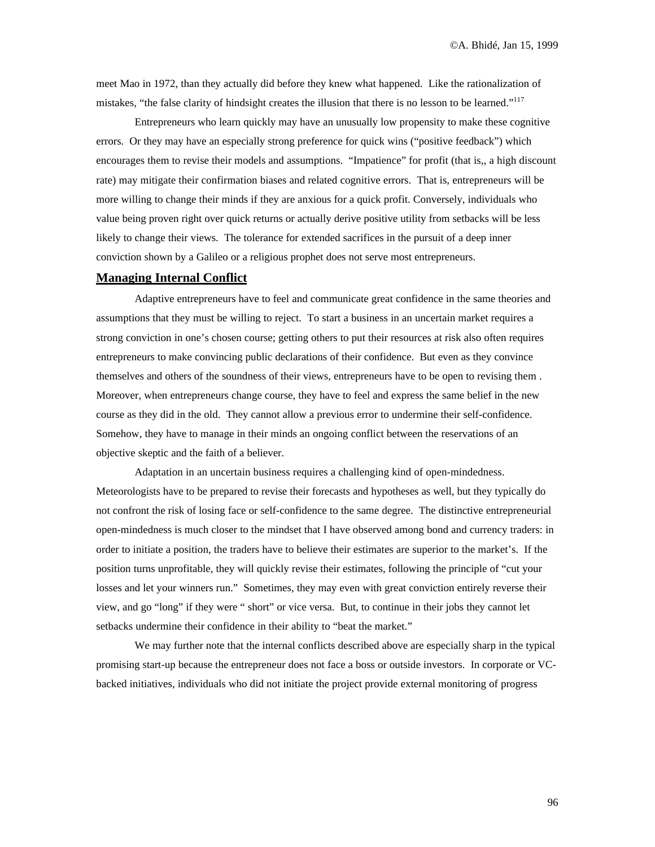meet Mao in 1972, than they actually did before they knew what happened. Like the rationalization of mistakes, "the false clarity of hindsight creates the illusion that there is no lesson to be learned."<sup>117</sup>

Entrepreneurs who learn quickly may have an unusually low propensity to make these cognitive errors. Or they may have an especially strong preference for quick wins ("positive feedback") which encourages them to revise their models and assumptions. "Impatience" for profit (that is,, a high discount rate) may mitigate their confirmation biases and related cognitive errors. That is, entrepreneurs will be more willing to change their minds if they are anxious for a quick profit. Conversely, individuals who value being proven right over quick returns or actually derive positive utility from setbacks will be less likely to change their views. The tolerance for extended sacrifices in the pursuit of a deep inner conviction shown by a Galileo or a religious prophet does not serve most entrepreneurs.

# **Managing Internal Conflict**

Adaptive entrepreneurs have to feel and communicate great confidence in the same theories and assumptions that they must be willing to reject. To start a business in an uncertain market requires a strong conviction in one's chosen course; getting others to put their resources at risk also often requires entrepreneurs to make convincing public declarations of their confidence. But even as they convince themselves and others of the soundness of their views, entrepreneurs have to be open to revising them . Moreover, when entrepreneurs change course, they have to feel and express the same belief in the new course as they did in the old. They cannot allow a previous error to undermine their self-confidence. Somehow, they have to manage in their minds an ongoing conflict between the reservations of an objective skeptic and the faith of a believer.

Adaptation in an uncertain business requires a challenging kind of open-mindedness. Meteorologists have to be prepared to revise their forecasts and hypotheses as well, but they typically do not confront the risk of losing face or self-confidence to the same degree. The distinctive entrepreneurial open-mindedness is much closer to the mindset that I have observed among bond and currency traders: in order to initiate a position, the traders have to believe their estimates are superior to the market's. If the position turns unprofitable, they will quickly revise their estimates, following the principle of "cut your losses and let your winners run." Sometimes, they may even with great conviction entirely reverse their view, and go "long" if they were " short" or vice versa. But, to continue in their jobs they cannot let setbacks undermine their confidence in their ability to "beat the market."

We may further note that the internal conflicts described above are especially sharp in the typical promising start-up because the entrepreneur does not face a boss or outside investors. In corporate or VCbacked initiatives, individuals who did not initiate the project provide external monitoring of progress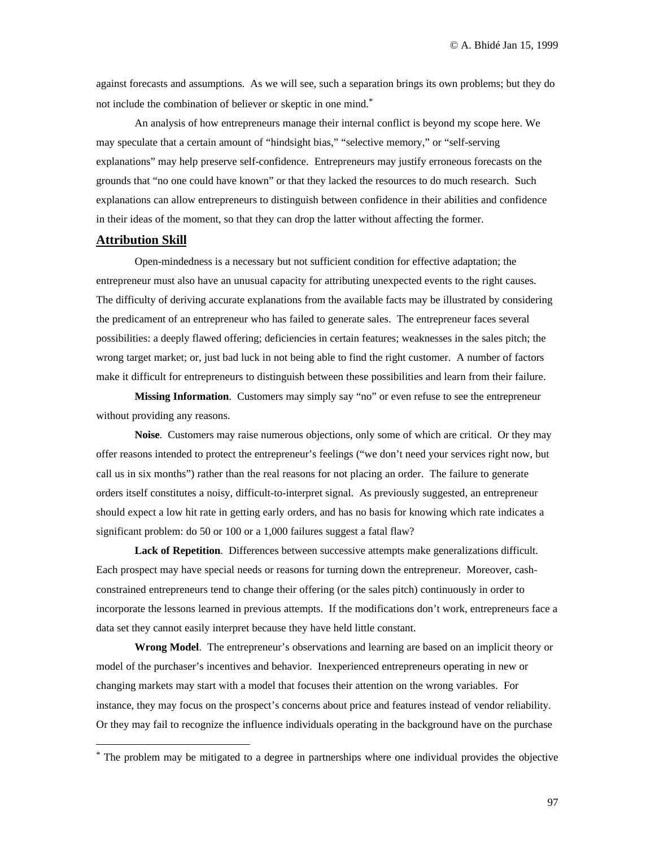against forecasts and assumptions. As we will see, such a separation brings its own problems; but they do not include the combination of believer or skeptic in one mind.\*

An analysis of how entrepreneurs manage their internal conflict is beyond my scope here. We may speculate that a certain amount of "hindsight bias," "selective memory," or "self-serving explanations" may help preserve self-confidence. Entrepreneurs may justify erroneous forecasts on the grounds that "no one could have known" or that they lacked the resources to do much research. Such explanations can allow entrepreneurs to distinguish between confidence in their abilities and confidence in their ideas of the moment, so that they can drop the latter without affecting the former.

#### **Attribution Skill**

 $\overline{a}$ 

Open-mindedness is a necessary but not sufficient condition for effective adaptation; the entrepreneur must also have an unusual capacity for attributing unexpected events to the right causes. The difficulty of deriving accurate explanations from the available facts may be illustrated by considering the predicament of an entrepreneur who has failed to generate sales. The entrepreneur faces several possibilities: a deeply flawed offering; deficiencies in certain features; weaknesses in the sales pitch; the wrong target market; or, just bad luck in not being able to find the right customer. A number of factors make it difficult for entrepreneurs to distinguish between these possibilities and learn from their failure.

**Missing Information**. Customers may simply say "no" or even refuse to see the entrepreneur without providing any reasons.

**Noise**. Customers may raise numerous objections, only some of which are critical. Or they may offer reasons intended to protect the entrepreneur's feelings ("we don't need your services right now, but call us in six months") rather than the real reasons for not placing an order. The failure to generate orders itself constitutes a noisy, difficult-to-interpret signal. As previously suggested, an entrepreneur should expect a low hit rate in getting early orders, and has no basis for knowing which rate indicates a significant problem: do 50 or 100 or a 1,000 failures suggest a fatal flaw?

**Lack of Repetition**. Differences between successive attempts make generalizations difficult. Each prospect may have special needs or reasons for turning down the entrepreneur. Moreover, cashconstrained entrepreneurs tend to change their offering (or the sales pitch) continuously in order to incorporate the lessons learned in previous attempts. If the modifications don't work, entrepreneurs face a data set they cannot easily interpret because they have held little constant.

**Wrong Model**. The entrepreneur's observations and learning are based on an implicit theory or model of the purchaser's incentives and behavior. Inexperienced entrepreneurs operating in new or changing markets may start with a model that focuses their attention on the wrong variables. For instance, they may focus on the prospect's concerns about price and features instead of vendor reliability. Or they may fail to recognize the influence individuals operating in the background have on the purchase

<sup>\*</sup> The problem may be mitigated to a degree in partnerships where one individual provides the objective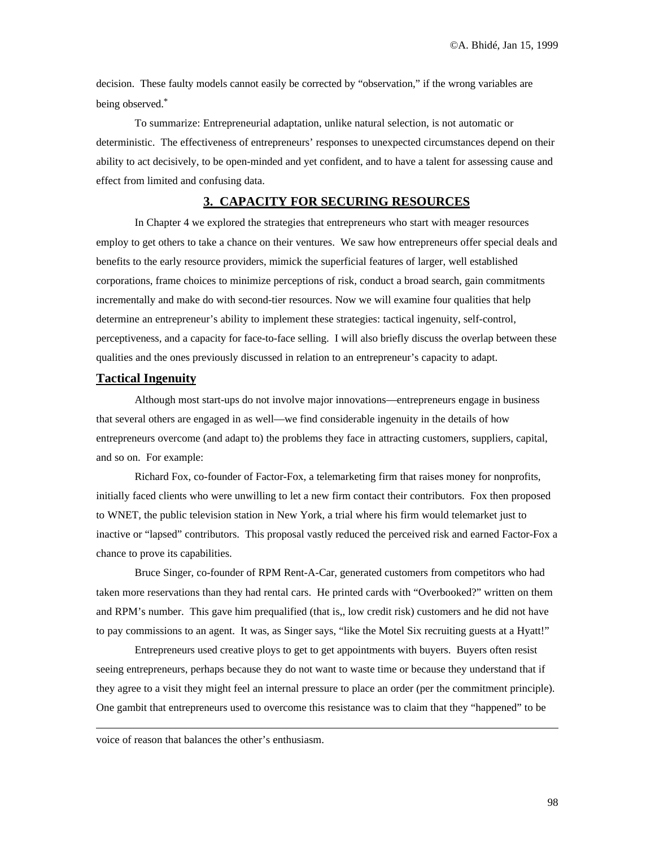decision. These faulty models cannot easily be corrected by "observation," if the wrong variables are being observed.\*

To summarize: Entrepreneurial adaptation, unlike natural selection, is not automatic or deterministic. The effectiveness of entrepreneurs' responses to unexpected circumstances depend on their ability to act decisively, to be open-minded and yet confident, and to have a talent for assessing cause and effect from limited and confusing data.

## **3. CAPACITY FOR SECURING RESOURCES**

In Chapter 4 we explored the strategies that entrepreneurs who start with meager resources employ to get others to take a chance on their ventures. We saw how entrepreneurs offer special deals and benefits to the early resource providers, mimick the superficial features of larger, well established corporations, frame choices to minimize perceptions of risk, conduct a broad search, gain commitments incrementally and make do with second-tier resources. Now we will examine four qualities that help determine an entrepreneur's ability to implement these strategies: tactical ingenuity, self-control, perceptiveness, and a capacity for face-to-face selling. I will also briefly discuss the overlap between these qualities and the ones previously discussed in relation to an entrepreneur's capacity to adapt.

## **Tactical Ingenuity**

Although most start-ups do not involve major innovations—entrepreneurs engage in business that several others are engaged in as well—we find considerable ingenuity in the details of how entrepreneurs overcome (and adapt to) the problems they face in attracting customers, suppliers, capital, and so on. For example:

Richard Fox, co-founder of Factor-Fox, a telemarketing firm that raises money for nonprofits, initially faced clients who were unwilling to let a new firm contact their contributors. Fox then proposed to WNET, the public television station in New York, a trial where his firm would telemarket just to inactive or "lapsed" contributors. This proposal vastly reduced the perceived risk and earned Factor-Fox a chance to prove its capabilities.

Bruce Singer, co-founder of RPM Rent-A-Car, generated customers from competitors who had taken more reservations than they had rental cars. He printed cards with "Overbooked?" written on them and RPM's number. This gave him prequalified (that is,, low credit risk) customers and he did not have to pay commissions to an agent. It was, as Singer says, "like the Motel Six recruiting guests at a Hyatt!"

Entrepreneurs used creative ploys to get to get appointments with buyers. Buyers often resist seeing entrepreneurs, perhaps because they do not want to waste time or because they understand that if they agree to a visit they might feel an internal pressure to place an order (per the commitment principle). One gambit that entrepreneurs used to overcome this resistance was to claim that they "happened" to be

-

voice of reason that balances the other's enthusiasm.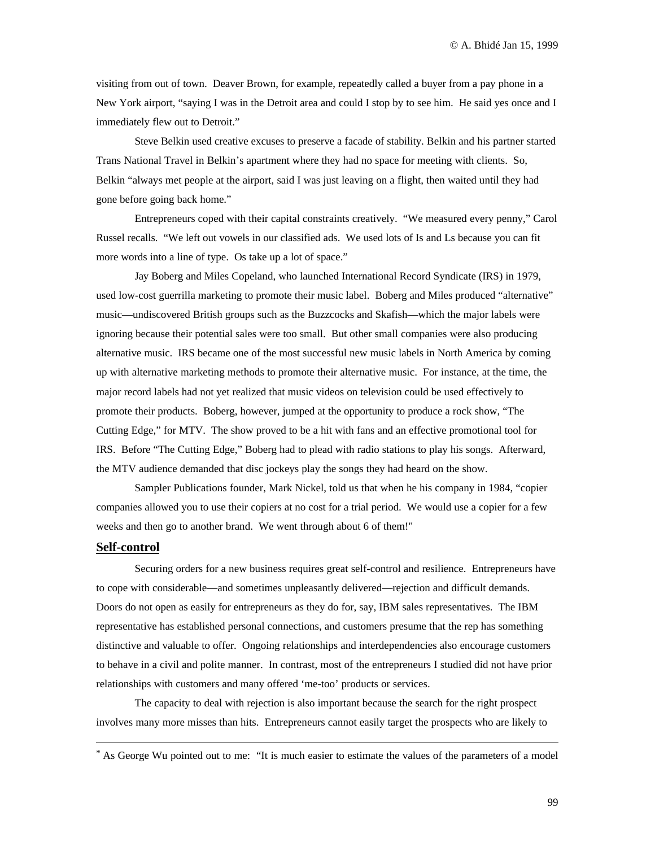visiting from out of town. Deaver Brown, for example, repeatedly called a buyer from a pay phone in a New York airport, "saying I was in the Detroit area and could I stop by to see him. He said yes once and I immediately flew out to Detroit."

Steve Belkin used creative excuses to preserve a facade of stability. Belkin and his partner started Trans National Travel in Belkin's apartment where they had no space for meeting with clients. So, Belkin "always met people at the airport, said I was just leaving on a flight, then waited until they had gone before going back home."

Entrepreneurs coped with their capital constraints creatively. "We measured every penny," Carol Russel recalls. "We left out vowels in our classified ads. We used lots of Is and Ls because you can fit more words into a line of type. Os take up a lot of space."

Jay Boberg and Miles Copeland, who launched International Record Syndicate (IRS) in 1979, used low-cost guerrilla marketing to promote their music label. Boberg and Miles produced "alternative" music—undiscovered British groups such as the Buzzcocks and Skafish—which the major labels were ignoring because their potential sales were too small. But other small companies were also producing alternative music. IRS became one of the most successful new music labels in North America by coming up with alternative marketing methods to promote their alternative music. For instance, at the time, the major record labels had not yet realized that music videos on television could be used effectively to promote their products. Boberg, however, jumped at the opportunity to produce a rock show, "The Cutting Edge," for MTV. The show proved to be a hit with fans and an effective promotional tool for IRS. Before "The Cutting Edge," Boberg had to plead with radio stations to play his songs. Afterward, the MTV audience demanded that disc jockeys play the songs they had heard on the show.

Sampler Publications founder, Mark Nickel, told us that when he his company in 1984, "copier companies allowed you to use their copiers at no cost for a trial period. We would use a copier for a few weeks and then go to another brand. We went through about 6 of them!"

# **Self-control**

 $\overline{a}$ 

Securing orders for a new business requires great self-control and resilience. Entrepreneurs have to cope with considerable—and sometimes unpleasantly delivered—rejection and difficult demands. Doors do not open as easily for entrepreneurs as they do for, say, IBM sales representatives. The IBM representative has established personal connections, and customers presume that the rep has something distinctive and valuable to offer. Ongoing relationships and interdependencies also encourage customers to behave in a civil and polite manner. In contrast, most of the entrepreneurs I studied did not have prior relationships with customers and many offered 'me-too' products or services.

The capacity to deal with rejection is also important because the search for the right prospect involves many more misses than hits. Entrepreneurs cannot easily target the prospects who are likely to

<sup>\*</sup> As George Wu pointed out to me: "It is much easier to estimate the values of the parameters of a model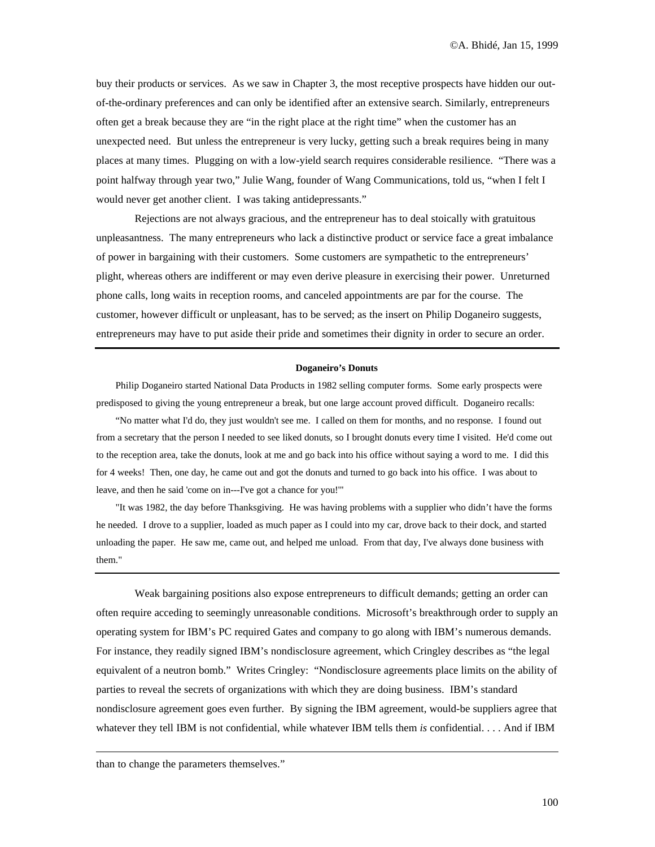buy their products or services. As we saw in Chapter 3, the most receptive prospects have hidden our outof-the-ordinary preferences and can only be identified after an extensive search. Similarly, entrepreneurs often get a break because they are "in the right place at the right time" when the customer has an unexpected need. But unless the entrepreneur is very lucky, getting such a break requires being in many places at many times. Plugging on with a low-yield search requires considerable resilience. "There was a point halfway through year two," Julie Wang, founder of Wang Communications, told us, "when I felt I would never get another client. I was taking antidepressants."

Rejections are not always gracious, and the entrepreneur has to deal stoically with gratuitous unpleasantness. The many entrepreneurs who lack a distinctive product or service face a great imbalance of power in bargaining with their customers. Some customers are sympathetic to the entrepreneurs' plight, whereas others are indifferent or may even derive pleasure in exercising their power. Unreturned phone calls, long waits in reception rooms, and canceled appointments are par for the course. The customer, however difficult or unpleasant, has to be served; as the insert on Philip Doganeiro suggests, entrepreneurs may have to put aside their pride and sometimes their dignity in order to secure an order.

#### **Doganeiro's Donuts**

Philip Doganeiro started National Data Products in 1982 selling computer forms. Some early prospects were predisposed to giving the young entrepreneur a break, but one large account proved difficult. Doganeiro recalls:

"No matter what I'd do, they just wouldn't see me. I called on them for months, and no response. I found out from a secretary that the person I needed to see liked donuts, so I brought donuts every time I visited. He'd come out to the reception area, take the donuts, look at me and go back into his office without saying a word to me. I did this for 4 weeks! Then, one day, he came out and got the donuts and turned to go back into his office. I was about to leave, and then he said 'come on in---I've got a chance for you!'"

"It was 1982, the day before Thanksgiving. He was having problems with a supplier who didn't have the forms he needed. I drove to a supplier, loaded as much paper as I could into my car, drove back to their dock, and started unloading the paper. He saw me, came out, and helped me unload. From that day, I've always done business with them."

Weak bargaining positions also expose entrepreneurs to difficult demands; getting an order can often require acceding to seemingly unreasonable conditions. Microsoft's breakthrough order to supply an operating system for IBM's PC required Gates and company to go along with IBM's numerous demands. For instance, they readily signed IBM's nondisclosure agreement, which Cringley describes as "the legal equivalent of a neutron bomb." Writes Cringley: "Nondisclosure agreements place limits on the ability of parties to reveal the secrets of organizations with which they are doing business. IBM's standard nondisclosure agreement goes even further. By signing the IBM agreement, would-be suppliers agree that whatever they tell IBM is not confidential, while whatever IBM tells them *is* confidential. . . . And if IBM

than to change the parameters themselves."

 $\overline{a}$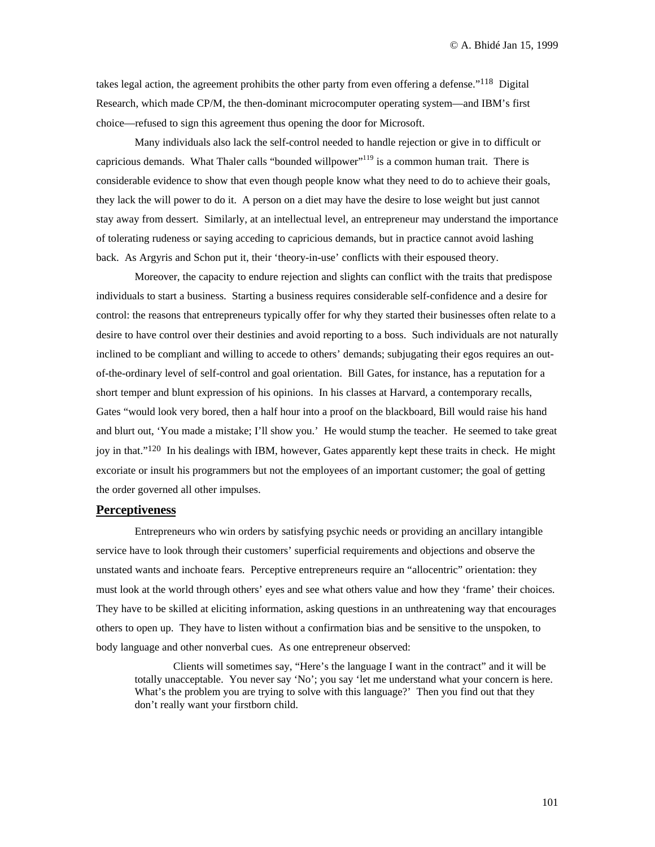takes legal action, the agreement prohibits the other party from even offering a defense."<sup>118</sup> Digital Research, which made CP/M, the then-dominant microcomputer operating system—and IBM's first choice—refused to sign this agreement thus opening the door for Microsoft.

Many individuals also lack the self-control needed to handle rejection or give in to difficult or capricious demands. What Thaler calls "bounded willpower"<sup>119</sup> is a common human trait. There is considerable evidence to show that even though people know what they need to do to achieve their goals, they lack the will power to do it. A person on a diet may have the desire to lose weight but just cannot stay away from dessert. Similarly, at an intellectual level, an entrepreneur may understand the importance of tolerating rudeness or saying acceding to capricious demands, but in practice cannot avoid lashing back. As Argyris and Schon put it, their 'theory-in-use' conflicts with their espoused theory.

Moreover, the capacity to endure rejection and slights can conflict with the traits that predispose individuals to start a business. Starting a business requires considerable self-confidence and a desire for control: the reasons that entrepreneurs typically offer for why they started their businesses often relate to a desire to have control over their destinies and avoid reporting to a boss. Such individuals are not naturally inclined to be compliant and willing to accede to others' demands; subjugating their egos requires an outof-the-ordinary level of self-control and goal orientation. Bill Gates, for instance, has a reputation for a short temper and blunt expression of his opinions. In his classes at Harvard, a contemporary recalls, Gates "would look very bored, then a half hour into a proof on the blackboard, Bill would raise his hand and blurt out, 'You made a mistake; I'll show you.' He would stump the teacher. He seemed to take great joy in that." $120$  In his dealings with IBM, however, Gates apparently kept these traits in check. He might excoriate or insult his programmers but not the employees of an important customer; the goal of getting the order governed all other impulses.

## **Perceptiveness**

Entrepreneurs who win orders by satisfying psychic needs or providing an ancillary intangible service have to look through their customers' superficial requirements and objections and observe the unstated wants and inchoate fears. Perceptive entrepreneurs require an "allocentric" orientation: they must look at the world through others' eyes and see what others value and how they 'frame' their choices. They have to be skilled at eliciting information, asking questions in an unthreatening way that encourages others to open up. They have to listen without a confirmation bias and be sensitive to the unspoken, to body language and other nonverbal cues. As one entrepreneur observed:

Clients will sometimes say, "Here's the language I want in the contract" and it will be totally unacceptable. You never say 'No'; you say 'let me understand what your concern is here. What's the problem you are trying to solve with this language?' Then you find out that they don't really want your firstborn child.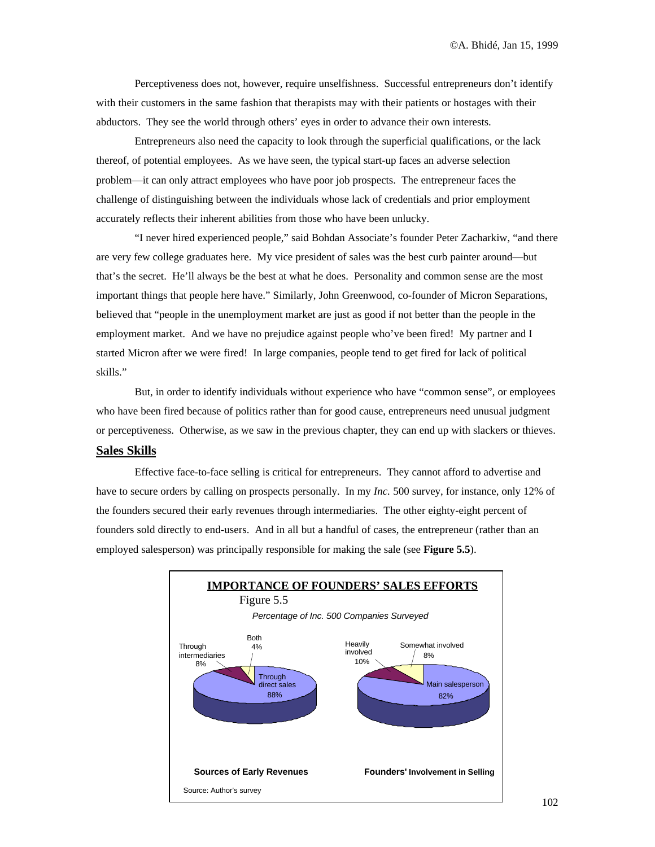Perceptiveness does not, however, require unselfishness. Successful entrepreneurs don't identify with their customers in the same fashion that therapists may with their patients or hostages with their abductors. They see the world through others' eyes in order to advance their own interests.

Entrepreneurs also need the capacity to look through the superficial qualifications, or the lack thereof, of potential employees. As we have seen, the typical start-up faces an adverse selection problem—it can only attract employees who have poor job prospects. The entrepreneur faces the challenge of distinguishing between the individuals whose lack of credentials and prior employment accurately reflects their inherent abilities from those who have been unlucky.

"I never hired experienced people," said Bohdan Associate's founder Peter Zacharkiw, "and there are very few college graduates here. My vice president of sales was the best curb painter around—but that's the secret. He'll always be the best at what he does. Personality and common sense are the most important things that people here have." Similarly, John Greenwood, co-founder of Micron Separations, believed that "people in the unemployment market are just as good if not better than the people in the employment market. And we have no prejudice against people who've been fired! My partner and I started Micron after we were fired! In large companies, people tend to get fired for lack of political skills."

But, in order to identify individuals without experience who have "common sense", or employees who have been fired because of politics rather than for good cause, entrepreneurs need unusual judgment or perceptiveness. Otherwise, as we saw in the previous chapter, they can end up with slackers or thieves. **Sales Skills**

Effective face-to-face selling is critical for entrepreneurs. They cannot afford to advertise and have to secure orders by calling on prospects personally. In my *Inc.* 500 survey, for instance, only 12% of the founders secured their early revenues through intermediaries. The other eighty-eight percent of founders sold directly to end-users. And in all but a handful of cases, the entrepreneur (rather than an employed salesperson) was principally responsible for making the sale (see **Figure 5.5**).

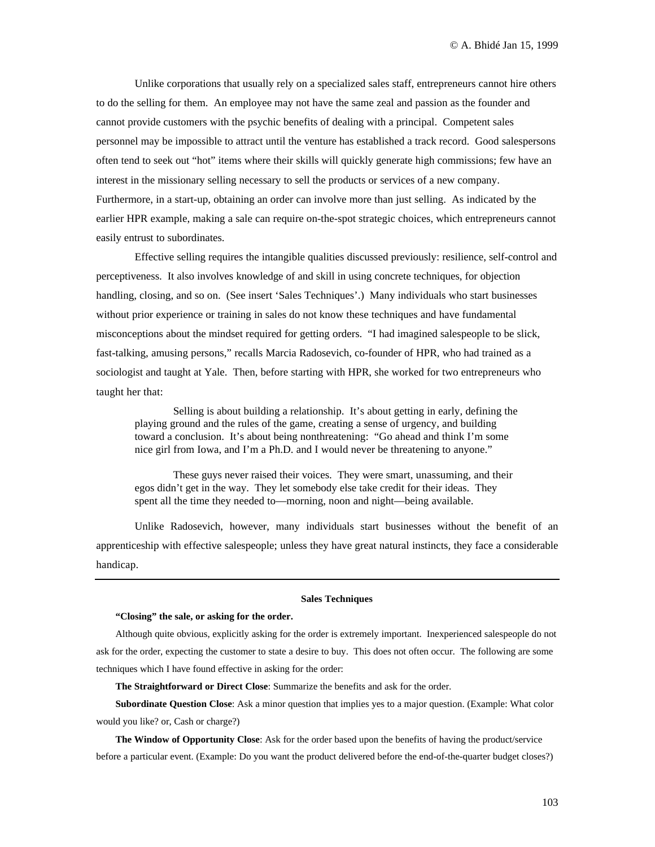Unlike corporations that usually rely on a specialized sales staff, entrepreneurs cannot hire others to do the selling for them. An employee may not have the same zeal and passion as the founder and cannot provide customers with the psychic benefits of dealing with a principal. Competent sales personnel may be impossible to attract until the venture has established a track record. Good salespersons often tend to seek out "hot" items where their skills will quickly generate high commissions; few have an interest in the missionary selling necessary to sell the products or services of a new company. Furthermore, in a start-up, obtaining an order can involve more than just selling. As indicated by the earlier HPR example, making a sale can require on-the-spot strategic choices, which entrepreneurs cannot easily entrust to subordinates.

Effective selling requires the intangible qualities discussed previously: resilience, self-control and perceptiveness. It also involves knowledge of and skill in using concrete techniques, for objection handling, closing, and so on. (See insert 'Sales Techniques'.) Many individuals who start businesses without prior experience or training in sales do not know these techniques and have fundamental misconceptions about the mindset required for getting orders. "I had imagined salespeople to be slick, fast-talking, amusing persons," recalls Marcia Radosevich, co-founder of HPR, who had trained as a sociologist and taught at Yale. Then, before starting with HPR, she worked for two entrepreneurs who taught her that:

Selling is about building a relationship. It's about getting in early, defining the playing ground and the rules of the game, creating a sense of urgency, and building toward a conclusion. It's about being nonthreatening: "Go ahead and think I'm some nice girl from Iowa, and I'm a Ph.D. and I would never be threatening to anyone."

These guys never raised their voices. They were smart, unassuming, and their egos didn't get in the way. They let somebody else take credit for their ideas. They spent all the time they needed to—morning, noon and night—being available.

Unlike Radosevich, however, many individuals start businesses without the benefit of an apprenticeship with effective salespeople; unless they have great natural instincts, they face a considerable handicap.

#### **Sales Techniques**

#### **"Closing" the sale, or asking for the order.**

Although quite obvious, explicitly asking for the order is extremely important. Inexperienced salespeople do not ask for the order, expecting the customer to state a desire to buy. This does not often occur. The following are some techniques which I have found effective in asking for the order:

**The Straightforward or Direct Close**: Summarize the benefits and ask for the order.

**Subordinate Question Close**: Ask a minor question that implies yes to a major question. (Example: What color would you like? or, Cash or charge?)

**The Window of Opportunity Close**: Ask for the order based upon the benefits of having the product/service before a particular event. (Example: Do you want the product delivered before the end-of-the-quarter budget closes?)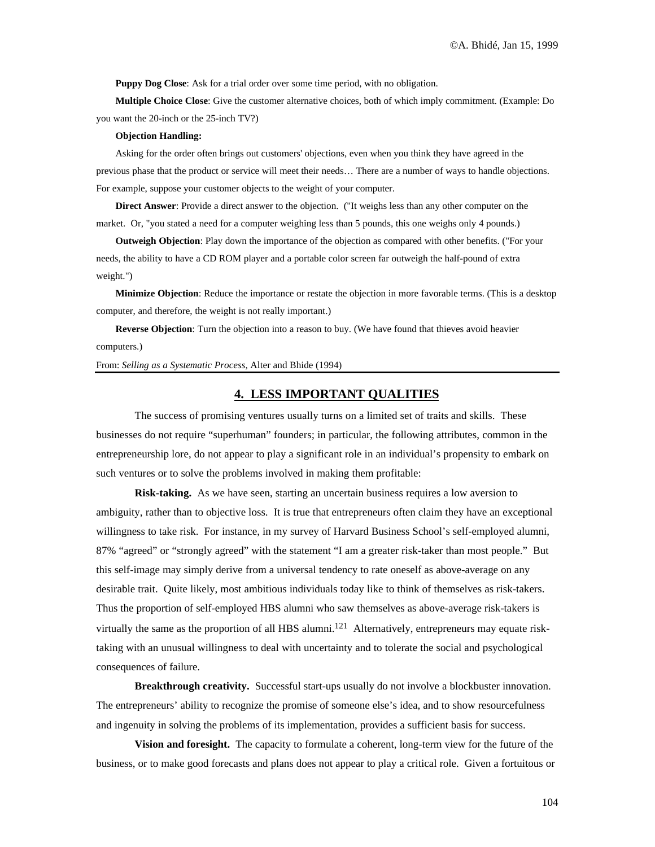**Puppy Dog Close**: Ask for a trial order over some time period, with no obligation.

**Multiple Choice Close**: Give the customer alternative choices, both of which imply commitment. (Example: Do you want the 20-inch or the 25-inch TV?)

#### **Objection Handling:**

Asking for the order often brings out customers' objections, even when you think they have agreed in the previous phase that the product or service will meet their needs… There are a number of ways to handle objections. For example, suppose your customer objects to the weight of your computer.

**Direct Answer**: Provide a direct answer to the objection. ("It weighs less than any other computer on the market. Or, "you stated a need for a computer weighing less than 5 pounds, this one weighs only 4 pounds.)

**Outweigh Objection**: Play down the importance of the objection as compared with other benefits. ("For your needs, the ability to have a CD ROM player and a portable color screen far outweigh the half-pound of extra weight.")

**Minimize Objection**: Reduce the importance or restate the objection in more favorable terms. (This is a desktop computer, and therefore, the weight is not really important.)

**Reverse Objection**: Turn the objection into a reason to buy. (We have found that thieves avoid heavier computers.)

From: *Selling as a Systematic Process*, Alter and Bhide (1994)

## **4. LESS IMPORTANT QUALITIES**

The success of promising ventures usually turns on a limited set of traits and skills. These businesses do not require "superhuman" founders; in particular, the following attributes, common in the entrepreneurship lore, do not appear to play a significant role in an individual's propensity to embark on such ventures or to solve the problems involved in making them profitable:

**Risk-taking.** As we have seen, starting an uncertain business requires a low aversion to ambiguity, rather than to objective loss. It is true that entrepreneurs often claim they have an exceptional willingness to take risk. For instance, in my survey of Harvard Business School's self-employed alumni, 87% "agreed" or "strongly agreed" with the statement "I am a greater risk-taker than most people." But this self-image may simply derive from a universal tendency to rate oneself as above-average on any desirable trait. Quite likely, most ambitious individuals today like to think of themselves as risk-takers. Thus the proportion of self-employed HBS alumni who saw themselves as above-average risk-takers is virtually the same as the proportion of all HBS alumni.<sup>121</sup> Alternatively, entrepreneurs may equate risktaking with an unusual willingness to deal with uncertainty and to tolerate the social and psychological consequences of failure.

**Breakthrough creativity.** Successful start-ups usually do not involve a blockbuster innovation. The entrepreneurs' ability to recognize the promise of someone else's idea, and to show resourcefulness and ingenuity in solving the problems of its implementation, provides a sufficient basis for success.

**Vision and foresight.** The capacity to formulate a coherent, long-term view for the future of the business, or to make good forecasts and plans does not appear to play a critical role. Given a fortuitous or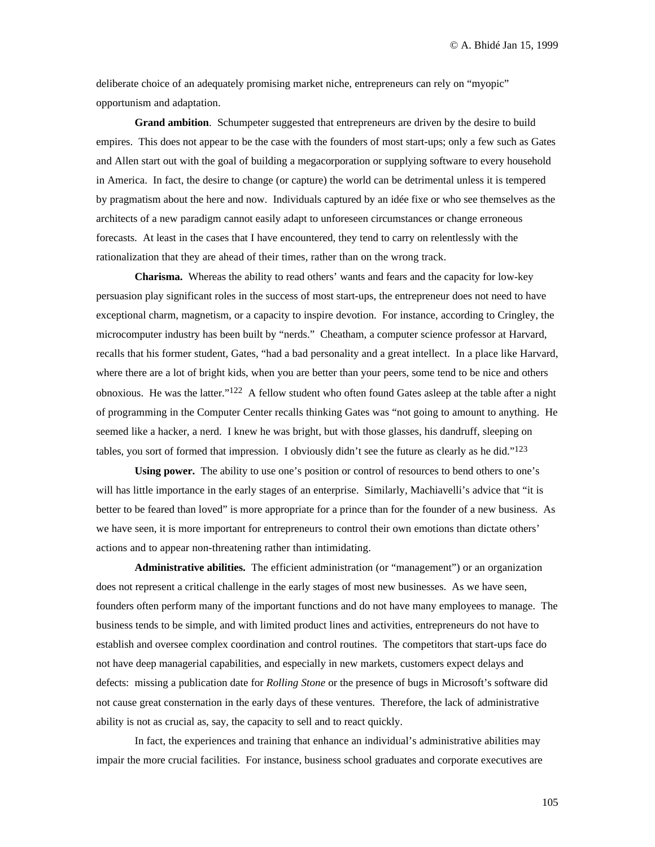deliberate choice of an adequately promising market niche, entrepreneurs can rely on "myopic" opportunism and adaptation.

**Grand ambition**. Schumpeter suggested that entrepreneurs are driven by the desire to build empires. This does not appear to be the case with the founders of most start-ups; only a few such as Gates and Allen start out with the goal of building a megacorporation or supplying software to every household in America. In fact, the desire to change (or capture) the world can be detrimental unless it is tempered by pragmatism about the here and now. Individuals captured by an idée fixe or who see themselves as the architects of a new paradigm cannot easily adapt to unforeseen circumstances or change erroneous forecasts. At least in the cases that I have encountered, they tend to carry on relentlessly with the rationalization that they are ahead of their times, rather than on the wrong track.

**Charisma.** Whereas the ability to read others' wants and fears and the capacity for low-key persuasion play significant roles in the success of most start-ups, the entrepreneur does not need to have exceptional charm, magnetism, or a capacity to inspire devotion. For instance, according to Cringley, the microcomputer industry has been built by "nerds." Cheatham, a computer science professor at Harvard, recalls that his former student, Gates, "had a bad personality and a great intellect. In a place like Harvard, where there are a lot of bright kids, when you are better than your peers, some tend to be nice and others obnoxious. He was the latter." $122$  A fellow student who often found Gates asleep at the table after a night of programming in the Computer Center recalls thinking Gates was "not going to amount to anything. He seemed like a hacker, a nerd. I knew he was bright, but with those glasses, his dandruff, sleeping on tables, you sort of formed that impression. I obviously didn't see the future as clearly as he did." $123$ 

**Using power.** The ability to use one's position or control of resources to bend others to one's will has little importance in the early stages of an enterprise. Similarly, Machiavelli's advice that "it is better to be feared than loved" is more appropriate for a prince than for the founder of a new business. As we have seen, it is more important for entrepreneurs to control their own emotions than dictate others' actions and to appear non-threatening rather than intimidating.

**Administrative abilities.** The efficient administration (or "management") or an organization does not represent a critical challenge in the early stages of most new businesses. As we have seen, founders often perform many of the important functions and do not have many employees to manage. The business tends to be simple, and with limited product lines and activities, entrepreneurs do not have to establish and oversee complex coordination and control routines. The competitors that start-ups face do not have deep managerial capabilities, and especially in new markets, customers expect delays and defects: missing a publication date for *Rolling Stone* or the presence of bugs in Microsoft's software did not cause great consternation in the early days of these ventures. Therefore, the lack of administrative ability is not as crucial as, say, the capacity to sell and to react quickly.

In fact, the experiences and training that enhance an individual's administrative abilities may impair the more crucial facilities. For instance, business school graduates and corporate executives are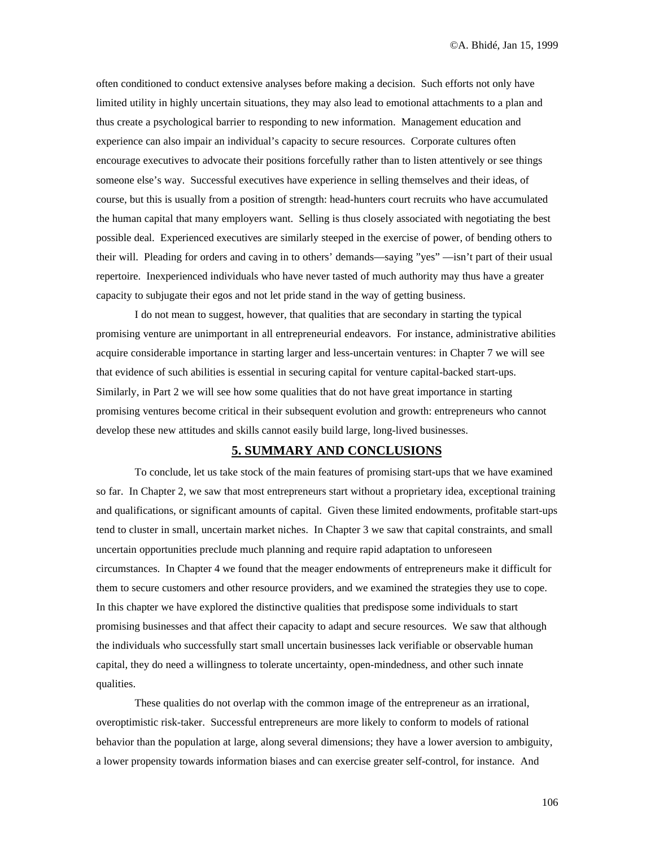often conditioned to conduct extensive analyses before making a decision. Such efforts not only have limited utility in highly uncertain situations, they may also lead to emotional attachments to a plan and thus create a psychological barrier to responding to new information. Management education and experience can also impair an individual's capacity to secure resources. Corporate cultures often encourage executives to advocate their positions forcefully rather than to listen attentively or see things someone else's way. Successful executives have experience in selling themselves and their ideas, of course, but this is usually from a position of strength: head-hunters court recruits who have accumulated the human capital that many employers want. Selling is thus closely associated with negotiating the best possible deal. Experienced executives are similarly steeped in the exercise of power, of bending others to their will. Pleading for orders and caving in to others' demands—saying "yes" —isn't part of their usual repertoire. Inexperienced individuals who have never tasted of much authority may thus have a greater capacity to subjugate their egos and not let pride stand in the way of getting business.

I do not mean to suggest, however, that qualities that are secondary in starting the typical promising venture are unimportant in all entrepreneurial endeavors. For instance, administrative abilities acquire considerable importance in starting larger and less-uncertain ventures: in Chapter 7 we will see that evidence of such abilities is essential in securing capital for venture capital-backed start-ups. Similarly, in Part 2 we will see how some qualities that do not have great importance in starting promising ventures become critical in their subsequent evolution and growth: entrepreneurs who cannot develop these new attitudes and skills cannot easily build large, long-lived businesses.

## **5. SUMMARY AND CONCLUSIONS**

To conclude, let us take stock of the main features of promising start-ups that we have examined so far. In Chapter 2, we saw that most entrepreneurs start without a proprietary idea, exceptional training and qualifications, or significant amounts of capital. Given these limited endowments, profitable start-ups tend to cluster in small, uncertain market niches. In Chapter 3 we saw that capital constraints, and small uncertain opportunities preclude much planning and require rapid adaptation to unforeseen circumstances. In Chapter 4 we found that the meager endowments of entrepreneurs make it difficult for them to secure customers and other resource providers, and we examined the strategies they use to cope. In this chapter we have explored the distinctive qualities that predispose some individuals to start promising businesses and that affect their capacity to adapt and secure resources. We saw that although the individuals who successfully start small uncertain businesses lack verifiable or observable human capital, they do need a willingness to tolerate uncertainty, open-mindedness, and other such innate qualities.

These qualities do not overlap with the common image of the entrepreneur as an irrational, overoptimistic risk-taker. Successful entrepreneurs are more likely to conform to models of rational behavior than the population at large, along several dimensions; they have a lower aversion to ambiguity, a lower propensity towards information biases and can exercise greater self-control, for instance. And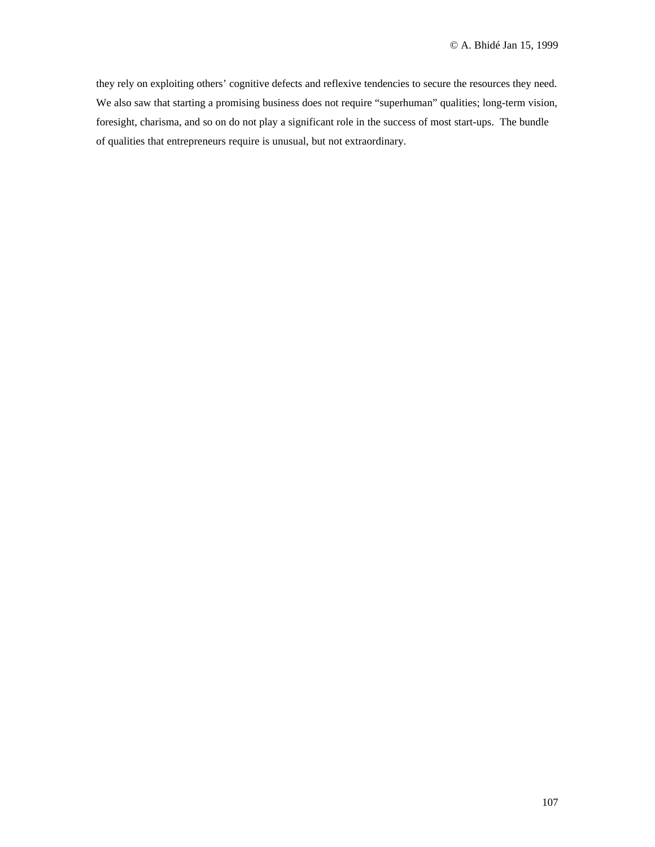they rely on exploiting others' cognitive defects and reflexive tendencies to secure the resources they need. We also saw that starting a promising business does not require "superhuman" qualities; long-term vision, foresight, charisma, and so on do not play a significant role in the success of most start-ups. The bundle of qualities that entrepreneurs require is unusual, but not extraordinary.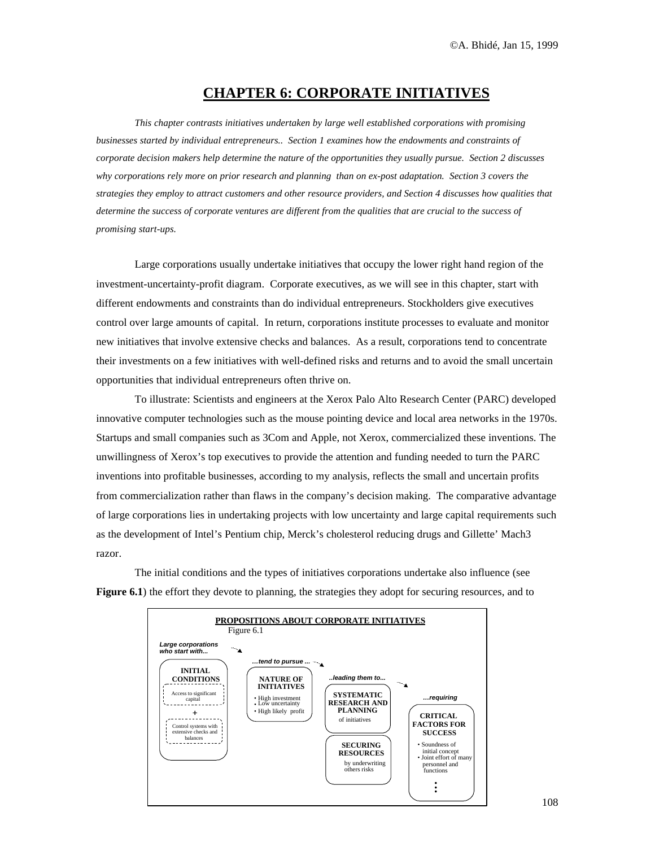## **CHAPTER 6: CORPORATE INITIATIVES**

*This chapter contrasts initiatives undertaken by large well established corporations with promising businesses started by individual entrepreneurs.. Section 1 examines how the endowments and constraints of corporate decision makers help determine the nature of the opportunities they usually pursue. Section 2 discusses why corporations rely more on prior research and planning than on ex-post adaptation. Section 3 covers the strategies they employ to attract customers and other resource providers, and Section 4 discusses how qualities that determine the success of corporate ventures are different from the qualities that are crucial to the success of promising start-ups.*

Large corporations usually undertake initiatives that occupy the lower right hand region of the investment-uncertainty-profit diagram. Corporate executives, as we will see in this chapter, start with different endowments and constraints than do individual entrepreneurs. Stockholders give executives control over large amounts of capital. In return, corporations institute processes to evaluate and monitor new initiatives that involve extensive checks and balances. As a result, corporations tend to concentrate their investments on a few initiatives with well-defined risks and returns and to avoid the small uncertain opportunities that individual entrepreneurs often thrive on.

To illustrate: Scientists and engineers at the Xerox Palo Alto Research Center (PARC) developed innovative computer technologies such as the mouse pointing device and local area networks in the 1970s. Startups and small companies such as 3Com and Apple, not Xerox, commercialized these inventions. The unwillingness of Xerox's top executives to provide the attention and funding needed to turn the PARC inventions into profitable businesses, according to my analysis, reflects the small and uncertain profits from commercialization rather than flaws in the company's decision making. The comparative advantage of large corporations lies in undertaking projects with low uncertainty and large capital requirements such as the development of Intel's Pentium chip, Merck's cholesterol reducing drugs and Gillette' Mach3 razor.

The initial conditions and the types of initiatives corporations undertake also influence (see **Figure 6.1**) the effort they devote to planning, the strategies they adopt for securing resources, and to

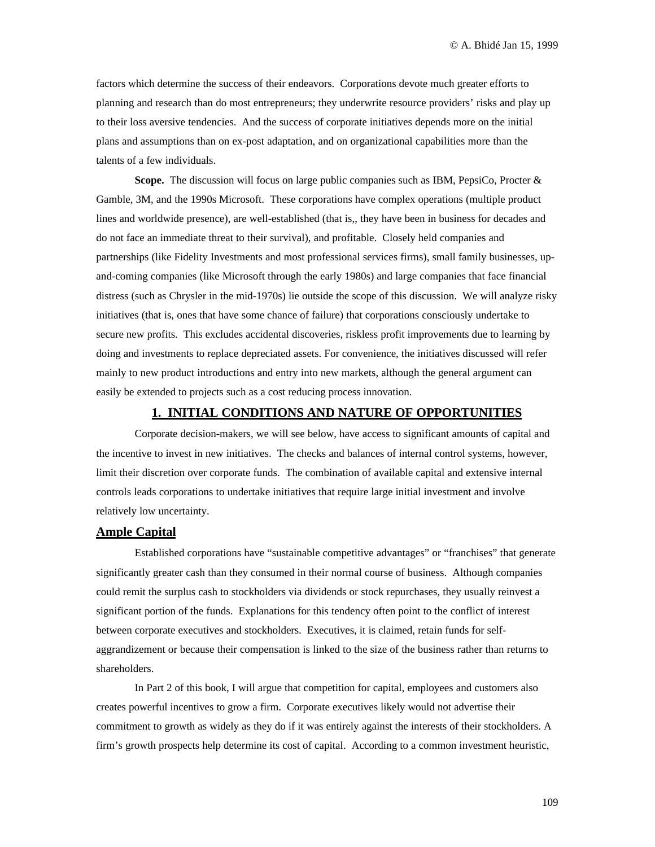factors which determine the success of their endeavors. Corporations devote much greater efforts to planning and research than do most entrepreneurs; they underwrite resource providers' risks and play up to their loss aversive tendencies. And the success of corporate initiatives depends more on the initial plans and assumptions than on ex-post adaptation, and on organizational capabilities more than the talents of a few individuals.

**Scope.** The discussion will focus on large public companies such as IBM, PepsiCo, Procter & Gamble, 3M, and the 1990s Microsoft. These corporations have complex operations (multiple product lines and worldwide presence), are well-established (that is,, they have been in business for decades and do not face an immediate threat to their survival), and profitable. Closely held companies and partnerships (like Fidelity Investments and most professional services firms), small family businesses, upand-coming companies (like Microsoft through the early 1980s) and large companies that face financial distress (such as Chrysler in the mid-1970s) lie outside the scope of this discussion. We will analyze risky initiatives (that is, ones that have some chance of failure) that corporations consciously undertake to secure new profits. This excludes accidental discoveries, riskless profit improvements due to learning by doing and investments to replace depreciated assets. For convenience, the initiatives discussed will refer mainly to new product introductions and entry into new markets, although the general argument can easily be extended to projects such as a cost reducing process innovation.

## **1. INITIAL CONDITIONS AND NATURE OF OPPORTUNITIES**

Corporate decision-makers, we will see below, have access to significant amounts of capital and the incentive to invest in new initiatives. The checks and balances of internal control systems, however, limit their discretion over corporate funds. The combination of available capital and extensive internal controls leads corporations to undertake initiatives that require large initial investment and involve relatively low uncertainty.

## **Ample Capital**

Established corporations have "sustainable competitive advantages" or "franchises" that generate significantly greater cash than they consumed in their normal course of business. Although companies could remit the surplus cash to stockholders via dividends or stock repurchases, they usually reinvest a significant portion of the funds. Explanations for this tendency often point to the conflict of interest between corporate executives and stockholders. Executives, it is claimed, retain funds for selfaggrandizement or because their compensation is linked to the size of the business rather than returns to shareholders.

In Part 2 of this book, I will argue that competition for capital, employees and customers also creates powerful incentives to grow a firm. Corporate executives likely would not advertise their commitment to growth as widely as they do if it was entirely against the interests of their stockholders. A firm's growth prospects help determine its cost of capital. According to a common investment heuristic,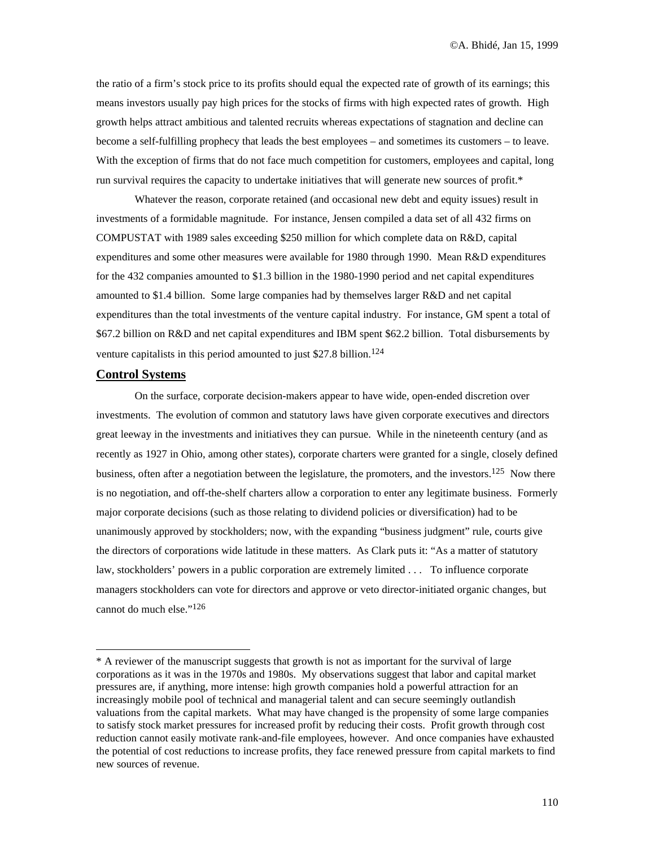the ratio of a firm's stock price to its profits should equal the expected rate of growth of its earnings; this means investors usually pay high prices for the stocks of firms with high expected rates of growth. High growth helps attract ambitious and talented recruits whereas expectations of stagnation and decline can become a self-fulfilling prophecy that leads the best employees – and sometimes its customers – to leave. With the exception of firms that do not face much competition for customers, employees and capital, long run survival requires the capacity to undertake initiatives that will generate new sources of profit.\*

Whatever the reason, corporate retained (and occasional new debt and equity issues) result in investments of a formidable magnitude. For instance, Jensen compiled a data set of all 432 firms on COMPUSTAT with 1989 sales exceeding \$250 million for which complete data on R&D, capital expenditures and some other measures were available for 1980 through 1990. Mean R&D expenditures for the 432 companies amounted to \$1.3 billion in the 1980-1990 period and net capital expenditures amounted to \$1.4 billion. Some large companies had by themselves larger R&D and net capital expenditures than the total investments of the venture capital industry. For instance, GM spent a total of \$67.2 billion on R&D and net capital expenditures and IBM spent \$62.2 billion. Total disbursements by venture capitalists in this period amounted to just \$27.8 billion.<sup>124</sup>

#### **Control Systems**

 $\overline{a}$ 

On the surface, corporate decision-makers appear to have wide, open-ended discretion over investments. The evolution of common and statutory laws have given corporate executives and directors great leeway in the investments and initiatives they can pursue. While in the nineteenth century (and as recently as 1927 in Ohio, among other states), corporate charters were granted for a single, closely defined business, often after a negotiation between the legislature, the promoters, and the investors.<sup>125</sup> Now there is no negotiation, and off-the-shelf charters allow a corporation to enter any legitimate business. Formerly major corporate decisions (such as those relating to dividend policies or diversification) had to be unanimously approved by stockholders; now, with the expanding "business judgment" rule, courts give the directors of corporations wide latitude in these matters. As Clark puts it: "As a matter of statutory law, stockholders' powers in a public corporation are extremely limited . . . To influence corporate managers stockholders can vote for directors and approve or veto director-initiated organic changes, but cannot do much else."<sup>126</sup>

<sup>\*</sup> A reviewer of the manuscript suggests that growth is not as important for the survival of large corporations as it was in the 1970s and 1980s. My observations suggest that labor and capital market pressures are, if anything, more intense: high growth companies hold a powerful attraction for an increasingly mobile pool of technical and managerial talent and can secure seemingly outlandish valuations from the capital markets. What may have changed is the propensity of some large companies to satisfy stock market pressures for increased profit by reducing their costs. Profit growth through cost reduction cannot easily motivate rank-and-file employees, however. And once companies have exhausted the potential of cost reductions to increase profits, they face renewed pressure from capital markets to find new sources of revenue.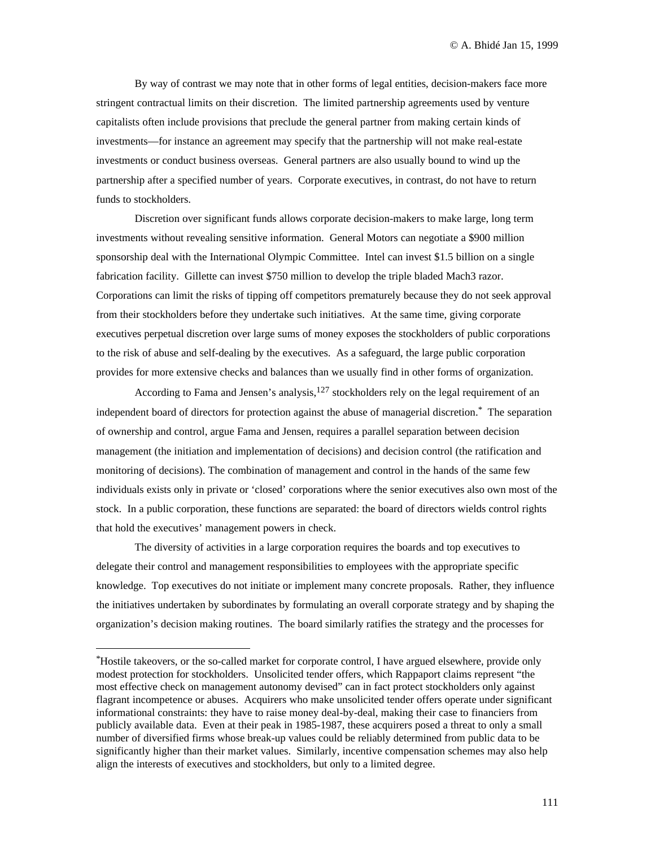By way of contrast we may note that in other forms of legal entities, decision-makers face more stringent contractual limits on their discretion. The limited partnership agreements used by venture capitalists often include provisions that preclude the general partner from making certain kinds of investments—for instance an agreement may specify that the partnership will not make real-estate investments or conduct business overseas. General partners are also usually bound to wind up the partnership after a specified number of years. Corporate executives, in contrast, do not have to return funds to stockholders.

Discretion over significant funds allows corporate decision-makers to make large, long term investments without revealing sensitive information. General Motors can negotiate a \$900 million sponsorship deal with the International Olympic Committee. Intel can invest \$1.5 billion on a single fabrication facility. Gillette can invest \$750 million to develop the triple bladed Mach3 razor. Corporations can limit the risks of tipping off competitors prematurely because they do not seek approval from their stockholders before they undertake such initiatives. At the same time, giving corporate executives perpetual discretion over large sums of money exposes the stockholders of public corporations to the risk of abuse and self-dealing by the executives. As a safeguard, the large public corporation provides for more extensive checks and balances than we usually find in other forms of organization.

According to Fama and Jensen's analysis, $127$  stockholders rely on the legal requirement of an independent board of directors for protection against the abuse of managerial discretion.\* The separation of ownership and control, argue Fama and Jensen, requires a parallel separation between decision management (the initiation and implementation of decisions) and decision control (the ratification and monitoring of decisions). The combination of management and control in the hands of the same few individuals exists only in private or 'closed' corporations where the senior executives also own most of the stock. In a public corporation, these functions are separated: the board of directors wields control rights that hold the executives' management powers in check.

The diversity of activities in a large corporation requires the boards and top executives to delegate their control and management responsibilities to employees with the appropriate specific knowledge. Top executives do not initiate or implement many concrete proposals. Rather, they influence the initiatives undertaken by subordinates by formulating an overall corporate strategy and by shaping the organization's decision making routines. The board similarly ratifies the strategy and the processes for

<sup>\*</sup>Hostile takeovers, or the so-called market for corporate control, I have argued elsewhere, provide only modest protection for stockholders. Unsolicited tender offers, which Rappaport claims represent "the most effective check on management autonomy devised" can in fact protect stockholders only against flagrant incompetence or abuses. Acquirers who make unsolicited tender offers operate under significant informational constraints: they have to raise money deal-by-deal, making their case to financiers from publicly available data. Even at their peak in 1985-1987, these acquirers posed a threat to only a small number of diversified firms whose break-up values could be reliably determined from public data to be significantly higher than their market values. Similarly, incentive compensation schemes may also help align the interests of executives and stockholders, but only to a limited degree.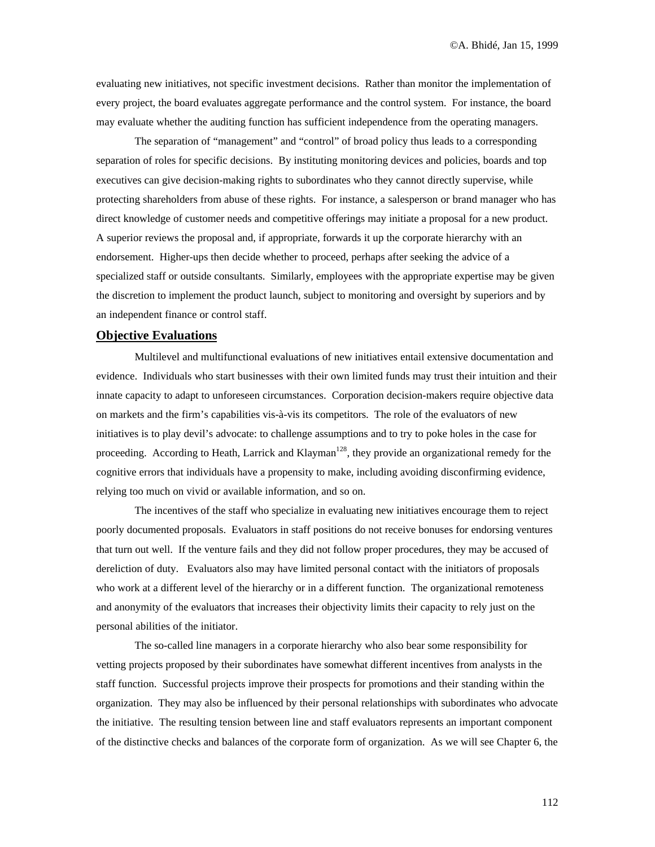evaluating new initiatives, not specific investment decisions. Rather than monitor the implementation of every project, the board evaluates aggregate performance and the control system. For instance, the board may evaluate whether the auditing function has sufficient independence from the operating managers.

The separation of "management" and "control" of broad policy thus leads to a corresponding separation of roles for specific decisions. By instituting monitoring devices and policies, boards and top executives can give decision-making rights to subordinates who they cannot directly supervise, while protecting shareholders from abuse of these rights. For instance, a salesperson or brand manager who has direct knowledge of customer needs and competitive offerings may initiate a proposal for a new product. A superior reviews the proposal and, if appropriate, forwards it up the corporate hierarchy with an endorsement. Higher-ups then decide whether to proceed, perhaps after seeking the advice of a specialized staff or outside consultants. Similarly, employees with the appropriate expertise may be given the discretion to implement the product launch, subject to monitoring and oversight by superiors and by an independent finance or control staff.

## **Objective Evaluations**

Multilevel and multifunctional evaluations of new initiatives entail extensive documentation and evidence. Individuals who start businesses with their own limited funds may trust their intuition and their innate capacity to adapt to unforeseen circumstances. Corporation decision-makers require objective data on markets and the firm's capabilities vis-à-vis its competitors. The role of the evaluators of new initiatives is to play devil's advocate: to challenge assumptions and to try to poke holes in the case for proceeding. According to Heath, Larrick and Klayman<sup>128</sup>, they provide an organizational remedy for the cognitive errors that individuals have a propensity to make, including avoiding disconfirming evidence, relying too much on vivid or available information, and so on.

The incentives of the staff who specialize in evaluating new initiatives encourage them to reject poorly documented proposals. Evaluators in staff positions do not receive bonuses for endorsing ventures that turn out well. If the venture fails and they did not follow proper procedures, they may be accused of dereliction of duty. Evaluators also may have limited personal contact with the initiators of proposals who work at a different level of the hierarchy or in a different function. The organizational remoteness and anonymity of the evaluators that increases their objectivity limits their capacity to rely just on the personal abilities of the initiator.

The so-called line managers in a corporate hierarchy who also bear some responsibility for vetting projects proposed by their subordinates have somewhat different incentives from analysts in the staff function. Successful projects improve their prospects for promotions and their standing within the organization. They may also be influenced by their personal relationships with subordinates who advocate the initiative. The resulting tension between line and staff evaluators represents an important component of the distinctive checks and balances of the corporate form of organization. As we will see Chapter 6, the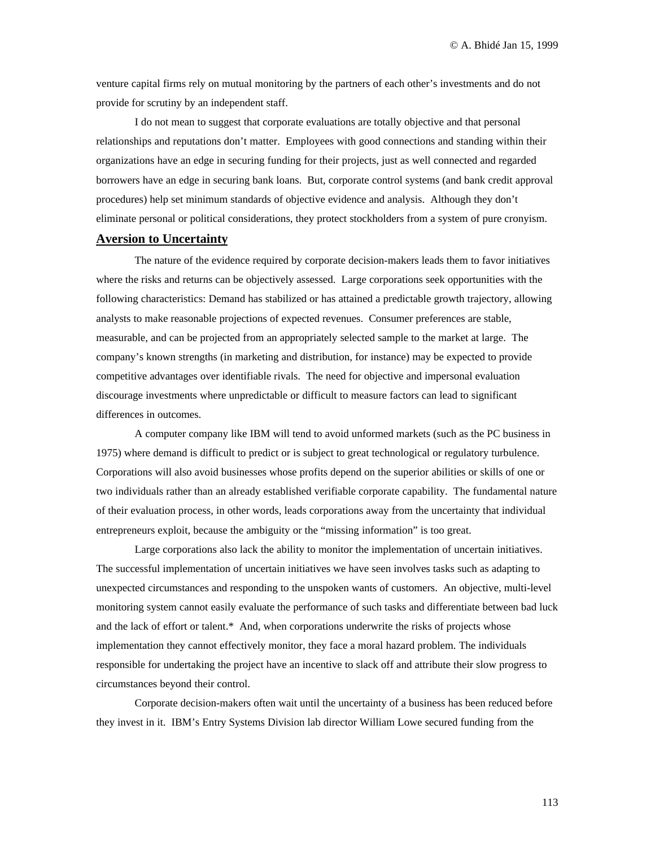venture capital firms rely on mutual monitoring by the partners of each other's investments and do not provide for scrutiny by an independent staff.

I do not mean to suggest that corporate evaluations are totally objective and that personal relationships and reputations don't matter. Employees with good connections and standing within their organizations have an edge in securing funding for their projects, just as well connected and regarded borrowers have an edge in securing bank loans. But, corporate control systems (and bank credit approval procedures) help set minimum standards of objective evidence and analysis. Although they don't eliminate personal or political considerations, they protect stockholders from a system of pure cronyism.

### **Aversion to Uncertainty**

The nature of the evidence required by corporate decision-makers leads them to favor initiatives where the risks and returns can be objectively assessed. Large corporations seek opportunities with the following characteristics: Demand has stabilized or has attained a predictable growth trajectory, allowing analysts to make reasonable projections of expected revenues. Consumer preferences are stable, measurable, and can be projected from an appropriately selected sample to the market at large. The company's known strengths (in marketing and distribution, for instance) may be expected to provide competitive advantages over identifiable rivals. The need for objective and impersonal evaluation discourage investments where unpredictable or difficult to measure factors can lead to significant differences in outcomes.

A computer company like IBM will tend to avoid unformed markets (such as the PC business in 1975) where demand is difficult to predict or is subject to great technological or regulatory turbulence. Corporations will also avoid businesses whose profits depend on the superior abilities or skills of one or two individuals rather than an already established verifiable corporate capability. The fundamental nature of their evaluation process, in other words, leads corporations away from the uncertainty that individual entrepreneurs exploit, because the ambiguity or the "missing information" is too great.

Large corporations also lack the ability to monitor the implementation of uncertain initiatives. The successful implementation of uncertain initiatives we have seen involves tasks such as adapting to unexpected circumstances and responding to the unspoken wants of customers. An objective, multi-level monitoring system cannot easily evaluate the performance of such tasks and differentiate between bad luck and the lack of effort or talent.\* And, when corporations underwrite the risks of projects whose implementation they cannot effectively monitor, they face a moral hazard problem. The individuals responsible for undertaking the project have an incentive to slack off and attribute their slow progress to circumstances beyond their control.

Corporate decision-makers often wait until the uncertainty of a business has been reduced before they invest in it. IBM's Entry Systems Division lab director William Lowe secured funding from the

113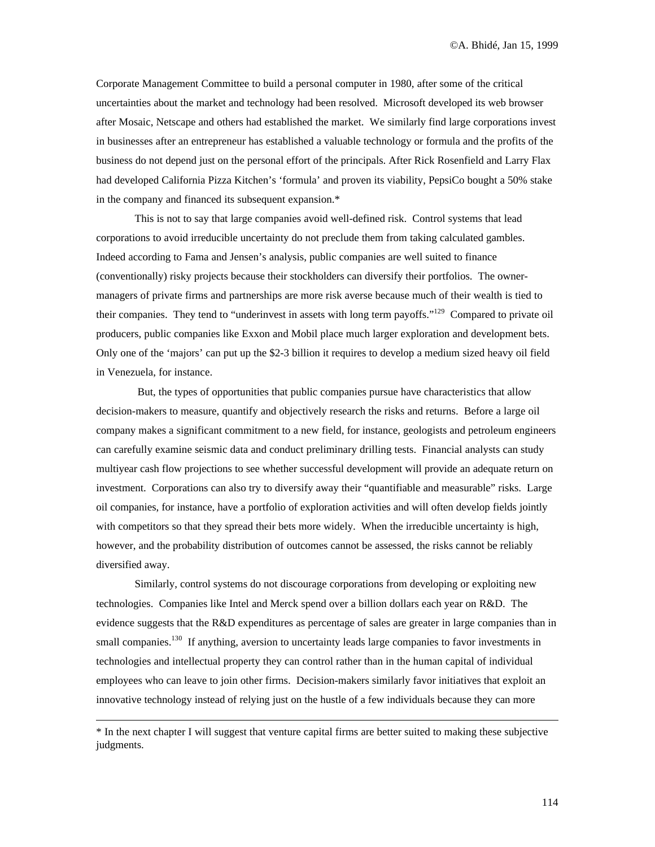Corporate Management Committee to build a personal computer in 1980, after some of the critical uncertainties about the market and technology had been resolved. Microsoft developed its web browser after Mosaic, Netscape and others had established the market. We similarly find large corporations invest in businesses after an entrepreneur has established a valuable technology or formula and the profits of the business do not depend just on the personal effort of the principals. After Rick Rosenfield and Larry Flax had developed California Pizza Kitchen's 'formula' and proven its viability, PepsiCo bought a 50% stake in the company and financed its subsequent expansion.\*

This is not to say that large companies avoid well-defined risk. Control systems that lead corporations to avoid irreducible uncertainty do not preclude them from taking calculated gambles. Indeed according to Fama and Jensen's analysis, public companies are well suited to finance (conventionally) risky projects because their stockholders can diversify their portfolios. The ownermanagers of private firms and partnerships are more risk averse because much of their wealth is tied to their companies. They tend to "underinvest in assets with long term payoffs."<sup>129</sup> Compared to private oil producers, public companies like Exxon and Mobil place much larger exploration and development bets. Only one of the 'majors' can put up the \$2-3 billion it requires to develop a medium sized heavy oil field in Venezuela, for instance.

 But, the types of opportunities that public companies pursue have characteristics that allow decision-makers to measure, quantify and objectively research the risks and returns. Before a large oil company makes a significant commitment to a new field, for instance, geologists and petroleum engineers can carefully examine seismic data and conduct preliminary drilling tests. Financial analysts can study multiyear cash flow projections to see whether successful development will provide an adequate return on investment. Corporations can also try to diversify away their "quantifiable and measurable" risks. Large oil companies, for instance, have a portfolio of exploration activities and will often develop fields jointly with competitors so that they spread their bets more widely. When the irreducible uncertainty is high, however, and the probability distribution of outcomes cannot be assessed, the risks cannot be reliably diversified away.

Similarly, control systems do not discourage corporations from developing or exploiting new technologies. Companies like Intel and Merck spend over a billion dollars each year on R&D. The evidence suggests that the R&D expenditures as percentage of sales are greater in large companies than in small companies.<sup>130</sup> If anything, aversion to uncertainty leads large companies to favor investments in technologies and intellectual property they can control rather than in the human capital of individual employees who can leave to join other firms. Decision-makers similarly favor initiatives that exploit an innovative technology instead of relying just on the hustle of a few individuals because they can more

<sup>\*</sup> In the next chapter I will suggest that venture capital firms are better suited to making these subjective judgments.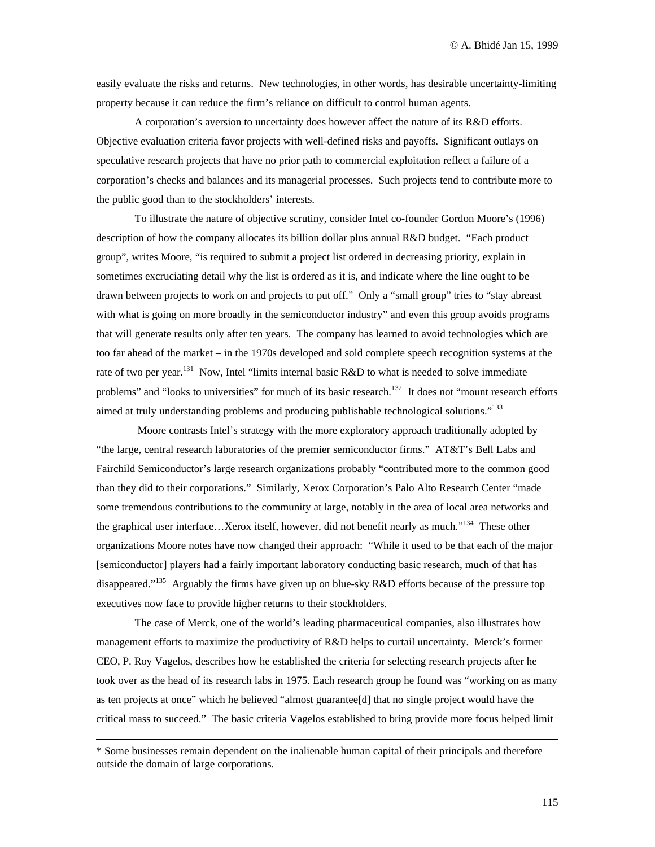easily evaluate the risks and returns. New technologies, in other words, has desirable uncertainty-limiting property because it can reduce the firm's reliance on difficult to control human agents.

A corporation's aversion to uncertainty does however affect the nature of its R&D efforts. Objective evaluation criteria favor projects with well-defined risks and payoffs. Significant outlays on speculative research projects that have no prior path to commercial exploitation reflect a failure of a corporation's checks and balances and its managerial processes. Such projects tend to contribute more to the public good than to the stockholders' interests.

To illustrate the nature of objective scrutiny, consider Intel co-founder Gordon Moore's (1996) description of how the company allocates its billion dollar plus annual R&D budget. "Each product group", writes Moore, "is required to submit a project list ordered in decreasing priority, explain in sometimes excruciating detail why the list is ordered as it is, and indicate where the line ought to be drawn between projects to work on and projects to put off." Only a "small group" tries to "stay abreast with what is going on more broadly in the semiconductor industry" and even this group avoids programs that will generate results only after ten years. The company has learned to avoid technologies which are too far ahead of the market – in the 1970s developed and sold complete speech recognition systems at the rate of two per year.<sup>131</sup> Now, Intel "limits internal basic R&D to what is needed to solve immediate problems" and "looks to universities" for much of its basic research.<sup>132</sup> It does not "mount research efforts aimed at truly understanding problems and producing publishable technological solutions."<sup>133</sup>

 Moore contrasts Intel's strategy with the more exploratory approach traditionally adopted by "the large, central research laboratories of the premier semiconductor firms." AT&T's Bell Labs and Fairchild Semiconductor's large research organizations probably "contributed more to the common good than they did to their corporations." Similarly, Xerox Corporation's Palo Alto Research Center "made some tremendous contributions to the community at large, notably in the area of local area networks and the graphical user interface...Xerox itself, however, did not benefit nearly as much."<sup>134</sup> These other organizations Moore notes have now changed their approach: "While it used to be that each of the major [semiconductor] players had a fairly important laboratory conducting basic research, much of that has disappeared."<sup>135</sup> Arguably the firms have given up on blue-sky R&D efforts because of the pressure top executives now face to provide higher returns to their stockholders.

The case of Merck, one of the world's leading pharmaceutical companies, also illustrates how management efforts to maximize the productivity of R&D helps to curtail uncertainty. Merck's former CEO, P. Roy Vagelos, describes how he established the criteria for selecting research projects after he took over as the head of its research labs in 1975. Each research group he found was "working on as many as ten projects at once" which he believed "almost guarantee[d] that no single project would have the critical mass to succeed." The basic criteria Vagelos established to bring provide more focus helped limit

<sup>\*</sup> Some businesses remain dependent on the inalienable human capital of their principals and therefore outside the domain of large corporations.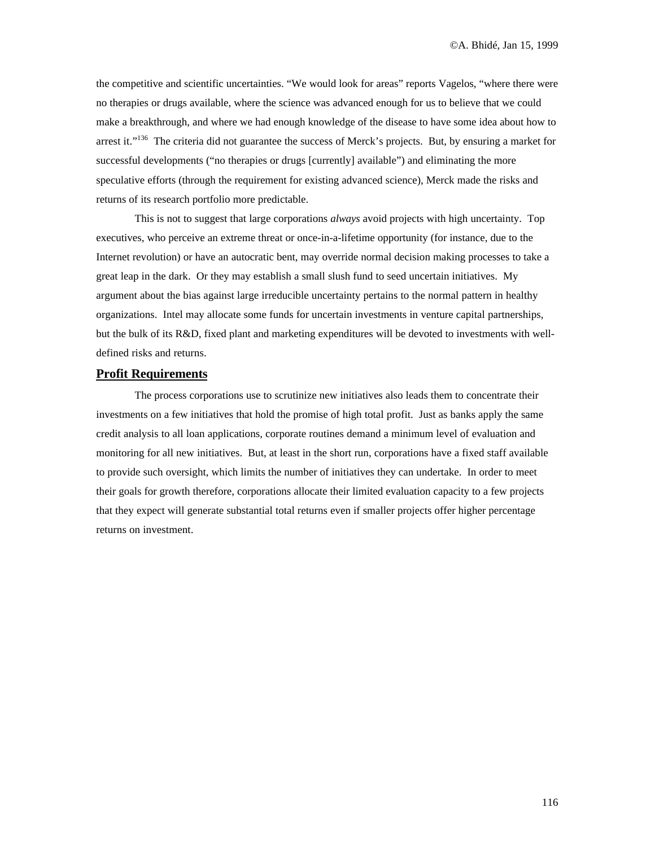the competitive and scientific uncertainties. "We would look for areas" reports Vagelos, "where there were no therapies or drugs available, where the science was advanced enough for us to believe that we could make a breakthrough, and where we had enough knowledge of the disease to have some idea about how to arrest it."<sup>136</sup> The criteria did not guarantee the success of Merck's projects. But, by ensuring a market for successful developments ("no therapies or drugs [currently] available") and eliminating the more speculative efforts (through the requirement for existing advanced science), Merck made the risks and returns of its research portfolio more predictable.

This is not to suggest that large corporations *always* avoid projects with high uncertainty. Top executives, who perceive an extreme threat or once-in-a-lifetime opportunity (for instance, due to the Internet revolution) or have an autocratic bent, may override normal decision making processes to take a great leap in the dark. Or they may establish a small slush fund to seed uncertain initiatives. My argument about the bias against large irreducible uncertainty pertains to the normal pattern in healthy organizations. Intel may allocate some funds for uncertain investments in venture capital partnerships, but the bulk of its R&D, fixed plant and marketing expenditures will be devoted to investments with welldefined risks and returns.

## **Profit Requirements**

The process corporations use to scrutinize new initiatives also leads them to concentrate their investments on a few initiatives that hold the promise of high total profit. Just as banks apply the same credit analysis to all loan applications, corporate routines demand a minimum level of evaluation and monitoring for all new initiatives. But, at least in the short run, corporations have a fixed staff available to provide such oversight, which limits the number of initiatives they can undertake. In order to meet their goals for growth therefore, corporations allocate their limited evaluation capacity to a few projects that they expect will generate substantial total returns even if smaller projects offer higher percentage returns on investment.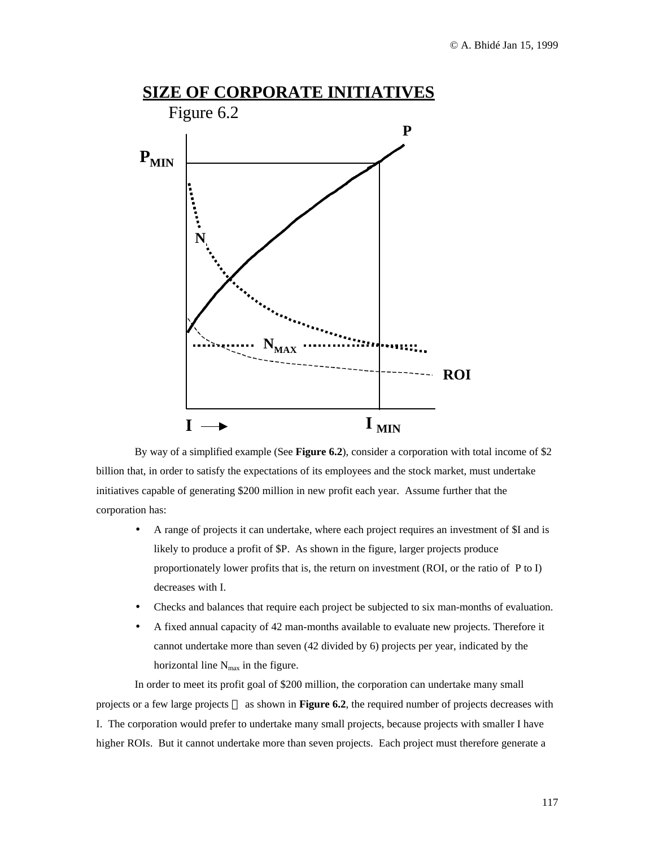

By way of a simplified example (See **Figure 6.2**), consider a corporation with total income of \$2 billion that, in order to satisfy the expectations of its employees and the stock market, must undertake initiatives capable of generating \$200 million in new profit each year. Assume further that the corporation has:

- A range of projects it can undertake, where each project requires an investment of \$I and is likely to produce a profit of \$P. As shown in the figure, larger projects produce proportionately lower profits that is, the return on investment (ROI, or the ratio of P to I) decreases with I.
- Checks and balances that require each project be subjected to six man-months of evaluation.
- A fixed annual capacity of 42 man-months available to evaluate new projects. Therefore it cannot undertake more than seven (42 divided by 6) projects per year, indicated by the horizontal line  $N_{\text{max}}$  in the figure.

In order to meet its profit goal of \$200 million, the corporation can undertake many small projects or a few large projects — as shown in **Figure 6.2**, the required number of projects decreases with I. The corporation would prefer to undertake many small projects, because projects with smaller I have higher ROIs. But it cannot undertake more than seven projects. Each project must therefore generate a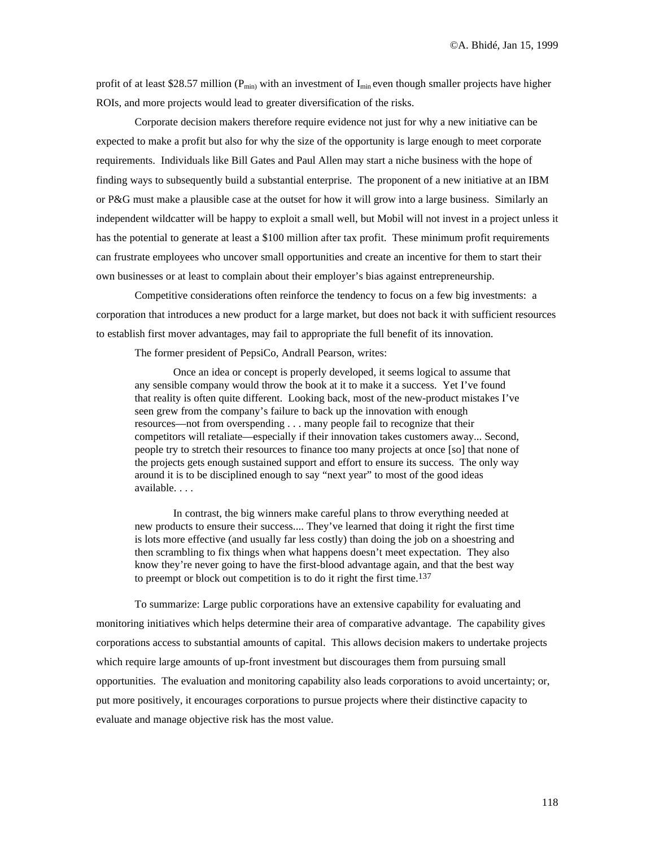profit of at least \$28.57 million ( $P_{min}$ ) with an investment of  $I_{min}$  even though smaller projects have higher ROIs, and more projects would lead to greater diversification of the risks.

Corporate decision makers therefore require evidence not just for why a new initiative can be expected to make a profit but also for why the size of the opportunity is large enough to meet corporate requirements. Individuals like Bill Gates and Paul Allen may start a niche business with the hope of finding ways to subsequently build a substantial enterprise. The proponent of a new initiative at an IBM or P&G must make a plausible case at the outset for how it will grow into a large business. Similarly an independent wildcatter will be happy to exploit a small well, but Mobil will not invest in a project unless it has the potential to generate at least a \$100 million after tax profit. These minimum profit requirements can frustrate employees who uncover small opportunities and create an incentive for them to start their own businesses or at least to complain about their employer's bias against entrepreneurship.

Competitive considerations often reinforce the tendency to focus on a few big investments: a corporation that introduces a new product for a large market, but does not back it with sufficient resources to establish first mover advantages, may fail to appropriate the full benefit of its innovation.

The former president of PepsiCo, Andrall Pearson, writes:

Once an idea or concept is properly developed, it seems logical to assume that any sensible company would throw the book at it to make it a success. Yet I've found that reality is often quite different. Looking back, most of the new-product mistakes I've seen grew from the company's failure to back up the innovation with enough resources—not from overspending . . . many people fail to recognize that their competitors will retaliate—especially if their innovation takes customers away... Second, people try to stretch their resources to finance too many projects at once [so] that none of the projects gets enough sustained support and effort to ensure its success. The only way around it is to be disciplined enough to say "next year" to most of the good ideas available. . . .

In contrast, the big winners make careful plans to throw everything needed at new products to ensure their success.... They've learned that doing it right the first time is lots more effective (and usually far less costly) than doing the job on a shoestring and then scrambling to fix things when what happens doesn't meet expectation. They also know they're never going to have the first-blood advantage again, and that the best way to preempt or block out competition is to do it right the first time.<sup>137</sup>

To summarize: Large public corporations have an extensive capability for evaluating and monitoring initiatives which helps determine their area of comparative advantage. The capability gives corporations access to substantial amounts of capital. This allows decision makers to undertake projects which require large amounts of up-front investment but discourages them from pursuing small opportunities. The evaluation and monitoring capability also leads corporations to avoid uncertainty; or, put more positively, it encourages corporations to pursue projects where their distinctive capacity to evaluate and manage objective risk has the most value.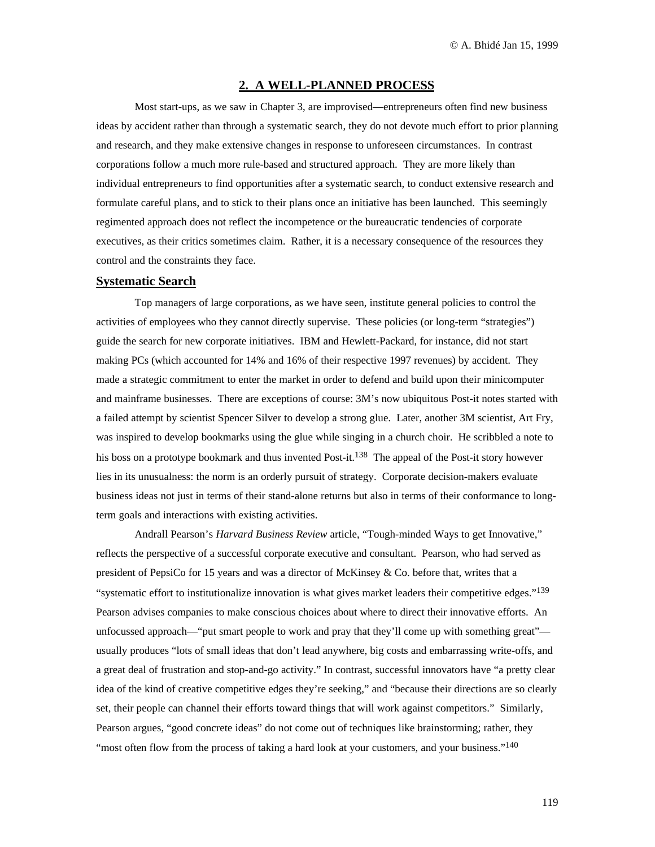## **2. A WELL-PLANNED PROCESS**

Most start-ups, as we saw in Chapter 3, are improvised—entrepreneurs often find new business ideas by accident rather than through a systematic search, they do not devote much effort to prior planning and research, and they make extensive changes in response to unforeseen circumstances. In contrast corporations follow a much more rule-based and structured approach. They are more likely than individual entrepreneurs to find opportunities after a systematic search, to conduct extensive research and formulate careful plans, and to stick to their plans once an initiative has been launched. This seemingly regimented approach does not reflect the incompetence or the bureaucratic tendencies of corporate executives, as their critics sometimes claim. Rather, it is a necessary consequence of the resources they control and the constraints they face.

## **Systematic Search**

Top managers of large corporations, as we have seen, institute general policies to control the activities of employees who they cannot directly supervise. These policies (or long-term "strategies") guide the search for new corporate initiatives. IBM and Hewlett-Packard, for instance, did not start making PCs (which accounted for 14% and 16% of their respective 1997 revenues) by accident. They made a strategic commitment to enter the market in order to defend and build upon their minicomputer and mainframe businesses. There are exceptions of course: 3M's now ubiquitous Post-it notes started with a failed attempt by scientist Spencer Silver to develop a strong glue. Later, another 3M scientist, Art Fry, was inspired to develop bookmarks using the glue while singing in a church choir. He scribbled a note to his boss on a prototype bookmark and thus invented Post-it.<sup>138</sup> The appeal of the Post-it story however lies in its unusualness: the norm is an orderly pursuit of strategy. Corporate decision-makers evaluate business ideas not just in terms of their stand-alone returns but also in terms of their conformance to longterm goals and interactions with existing activities.

Andrall Pearson's *Harvard Business Review* article, "Tough-minded Ways to get Innovative," reflects the perspective of a successful corporate executive and consultant. Pearson, who had served as president of PepsiCo for 15 years and was a director of McKinsey & Co. before that, writes that a "systematic effort to institutionalize innovation is what gives market leaders their competitive edges."<sup>139</sup> Pearson advises companies to make conscious choices about where to direct their innovative efforts. An unfocussed approach—"put smart people to work and pray that they'll come up with something great" usually produces "lots of small ideas that don't lead anywhere, big costs and embarrassing write-offs, and a great deal of frustration and stop-and-go activity." In contrast, successful innovators have "a pretty clear idea of the kind of creative competitive edges they're seeking," and "because their directions are so clearly set, their people can channel their efforts toward things that will work against competitors." Similarly, Pearson argues, "good concrete ideas" do not come out of techniques like brainstorming; rather, they "most often flow from the process of taking a hard look at your customers, and your business."<sup>140</sup>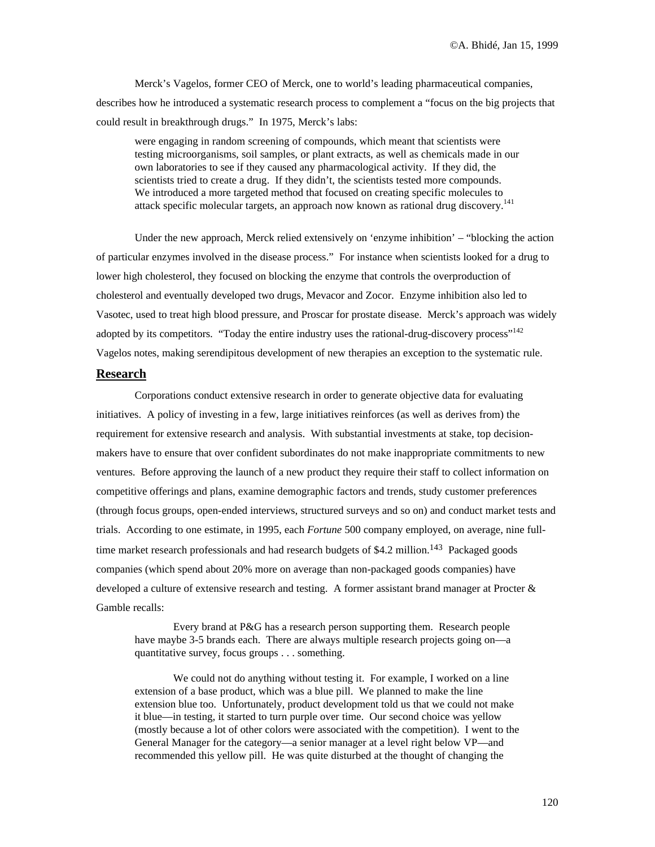Merck's Vagelos, former CEO of Merck, one to world's leading pharmaceutical companies, describes how he introduced a systematic research process to complement a "focus on the big projects that could result in breakthrough drugs." In 1975, Merck's labs:

were engaging in random screening of compounds, which meant that scientists were testing microorganisms, soil samples, or plant extracts, as well as chemicals made in our own laboratories to see if they caused any pharmacological activity. If they did, the scientists tried to create a drug. If they didn't, the scientists tested more compounds. We introduced a more targeted method that focused on creating specific molecules to attack specific molecular targets, an approach now known as rational drug discovery.<sup>141</sup>

Under the new approach, Merck relied extensively on 'enzyme inhibition' – "blocking the action of particular enzymes involved in the disease process." For instance when scientists looked for a drug to lower high cholesterol, they focused on blocking the enzyme that controls the overproduction of cholesterol and eventually developed two drugs, Mevacor and Zocor. Enzyme inhibition also led to Vasotec, used to treat high blood pressure, and Proscar for prostate disease. Merck's approach was widely adopted by its competitors. "Today the entire industry uses the rational-drug-discovery process"<sup>142</sup> Vagelos notes, making serendipitous development of new therapies an exception to the systematic rule.

## **Research**

Corporations conduct extensive research in order to generate objective data for evaluating initiatives. A policy of investing in a few, large initiatives reinforces (as well as derives from) the requirement for extensive research and analysis. With substantial investments at stake, top decisionmakers have to ensure that over confident subordinates do not make inappropriate commitments to new ventures. Before approving the launch of a new product they require their staff to collect information on competitive offerings and plans, examine demographic factors and trends, study customer preferences (through focus groups, open-ended interviews, structured surveys and so on) and conduct market tests and trials. According to one estimate, in 1995, each *Fortune* 500 company employed, on average, nine fulltime market research professionals and had research budgets of \$4.2 million.<sup>143</sup> Packaged goods companies (which spend about 20% more on average than non-packaged goods companies) have developed a culture of extensive research and testing. A former assistant brand manager at Procter & Gamble recalls:

Every brand at P&G has a research person supporting them. Research people have maybe 3-5 brands each. There are always multiple research projects going on—a quantitative survey, focus groups . . . something.

We could not do anything without testing it. For example, I worked on a line extension of a base product, which was a blue pill. We planned to make the line extension blue too. Unfortunately, product development told us that we could not make it blue—in testing, it started to turn purple over time. Our second choice was yellow (mostly because a lot of other colors were associated with the competition). I went to the General Manager for the category—a senior manager at a level right below VP—and recommended this yellow pill. He was quite disturbed at the thought of changing the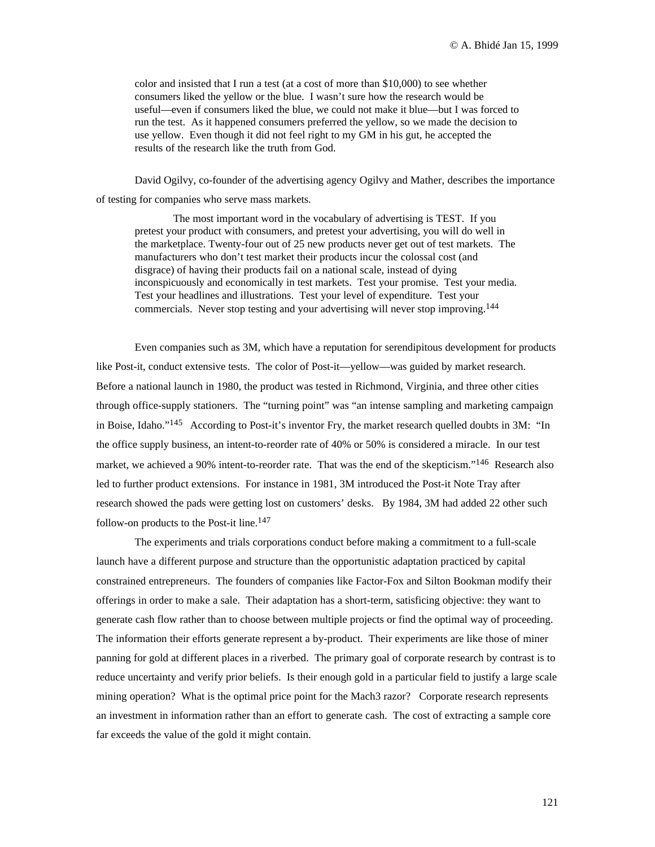color and insisted that I run a test (at a cost of more than \$10,000) to see whether consumers liked the yellow or the blue. I wasn't sure how the research would be useful—even if consumers liked the blue, we could not make it blue—but I was forced to run the test. As it happened consumers preferred the yellow, so we made the decision to use yellow. Even though it did not feel right to my GM in his gut, he accepted the results of the research like the truth from God.

David Ogilvy, co-founder of the advertising agency Ogilvy and Mather, describes the importance of testing for companies who serve mass markets.

The most important word in the vocabulary of advertising is TEST. If you pretest your product with consumers, and pretest your advertising, you will do well in the marketplace. Twenty-four out of 25 new products never get out of test markets. The manufacturers who don't test market their products incur the colossal cost (and disgrace) of having their products fail on a national scale, instead of dying inconspicuously and economically in test markets. Test your promise. Test your media. Test your headlines and illustrations. Test your level of expenditure. Test your commercials. Never stop testing and your advertising will never stop improving.<sup>144</sup>

Even companies such as 3M, which have a reputation for serendipitous development for products like Post-it, conduct extensive tests. The color of Post-it—yellow—was guided by market research. Before a national launch in 1980, the product was tested in Richmond, Virginia, and three other cities through office-supply stationers. The "turning point" was "an intense sampling and marketing campaign in Boise, Idaho."145 According to Post-it's inventor Fry, the market research quelled doubts in 3M: "In the office supply business, an intent-to-reorder rate of 40% or 50% is considered a miracle. In our test market, we achieved a 90% intent-to-reorder rate. That was the end of the skepticism."146 Research also led to further product extensions. For instance in 1981, 3M introduced the Post-it Note Tray after research showed the pads were getting lost on customers' desks. By 1984, 3M had added 22 other such follow-on products to the Post-it line. $147$ 

The experiments and trials corporations conduct before making a commitment to a full-scale launch have a different purpose and structure than the opportunistic adaptation practiced by capital constrained entrepreneurs. The founders of companies like Factor-Fox and Silton Bookman modify their offerings in order to make a sale. Their adaptation has a short-term, satisficing objective: they want to generate cash flow rather than to choose between multiple projects or find the optimal way of proceeding. The information their efforts generate represent a by-product. Their experiments are like those of miner panning for gold at different places in a riverbed. The primary goal of corporate research by contrast is to reduce uncertainty and verify prior beliefs. Is their enough gold in a particular field to justify a large scale mining operation? What is the optimal price point for the Mach3 razor? Corporate research represents an investment in information rather than an effort to generate cash. The cost of extracting a sample core far exceeds the value of the gold it might contain.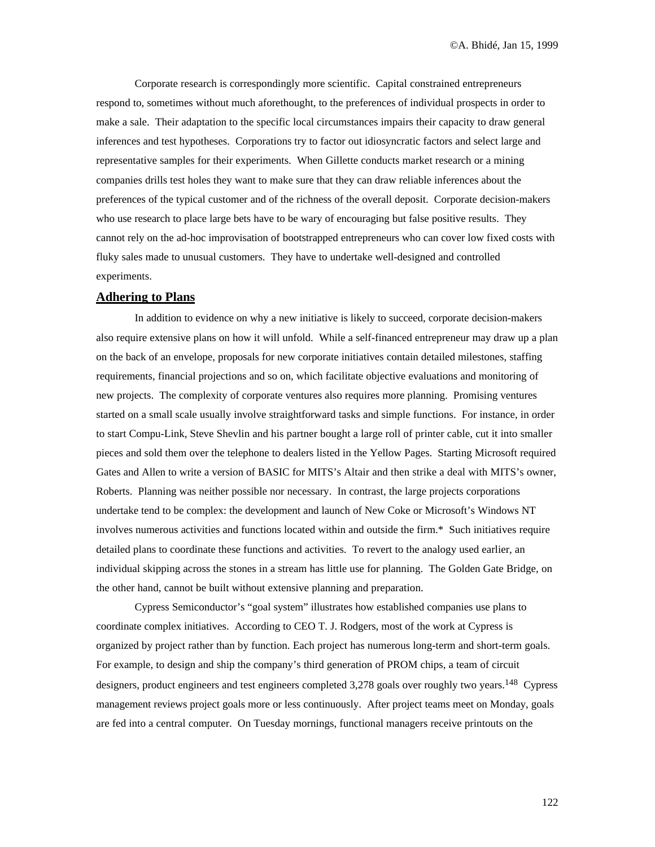Corporate research is correspondingly more scientific. Capital constrained entrepreneurs respond to, sometimes without much aforethought, to the preferences of individual prospects in order to make a sale. Their adaptation to the specific local circumstances impairs their capacity to draw general inferences and test hypotheses. Corporations try to factor out idiosyncratic factors and select large and representative samples for their experiments. When Gillette conducts market research or a mining companies drills test holes they want to make sure that they can draw reliable inferences about the preferences of the typical customer and of the richness of the overall deposit. Corporate decision-makers who use research to place large bets have to be wary of encouraging but false positive results. They cannot rely on the ad-hoc improvisation of bootstrapped entrepreneurs who can cover low fixed costs with fluky sales made to unusual customers. They have to undertake well-designed and controlled experiments.

## **Adhering to Plans**

In addition to evidence on why a new initiative is likely to succeed, corporate decision-makers also require extensive plans on how it will unfold. While a self-financed entrepreneur may draw up a plan on the back of an envelope, proposals for new corporate initiatives contain detailed milestones, staffing requirements, financial projections and so on, which facilitate objective evaluations and monitoring of new projects. The complexity of corporate ventures also requires more planning. Promising ventures started on a small scale usually involve straightforward tasks and simple functions. For instance, in order to start Compu-Link, Steve Shevlin and his partner bought a large roll of printer cable, cut it into smaller pieces and sold them over the telephone to dealers listed in the Yellow Pages. Starting Microsoft required Gates and Allen to write a version of BASIC for MITS's Altair and then strike a deal with MITS's owner, Roberts. Planning was neither possible nor necessary. In contrast, the large projects corporations undertake tend to be complex: the development and launch of New Coke or Microsoft's Windows NT involves numerous activities and functions located within and outside the firm.\* Such initiatives require detailed plans to coordinate these functions and activities. To revert to the analogy used earlier, an individual skipping across the stones in a stream has little use for planning. The Golden Gate Bridge, on the other hand, cannot be built without extensive planning and preparation.

Cypress Semiconductor's "goal system" illustrates how established companies use plans to coordinate complex initiatives. According to CEO T. J. Rodgers, most of the work at Cypress is organized by project rather than by function. Each project has numerous long-term and short-term goals. For example, to design and ship the company's third generation of PROM chips, a team of circuit designers, product engineers and test engineers completed 3,278 goals over roughly two years.<sup>148</sup> Cypress management reviews project goals more or less continuously. After project teams meet on Monday, goals are fed into a central computer. On Tuesday mornings, functional managers receive printouts on the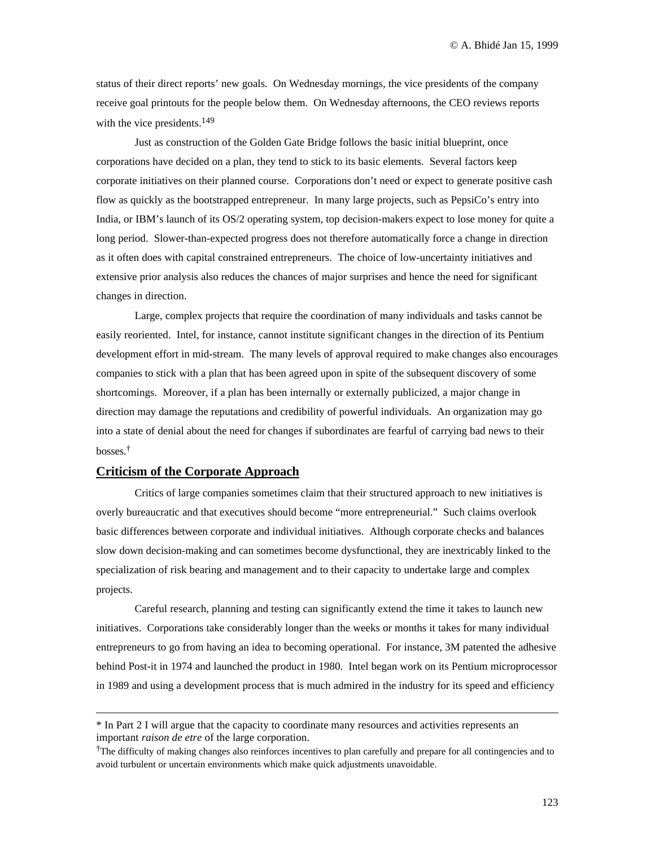status of their direct reports' new goals. On Wednesday mornings, the vice presidents of the company receive goal printouts for the people below them. On Wednesday afternoons, the CEO reviews reports with the vice presidents.<sup>149</sup>

Just as construction of the Golden Gate Bridge follows the basic initial blueprint, once corporations have decided on a plan, they tend to stick to its basic elements. Several factors keep corporate initiatives on their planned course. Corporations don't need or expect to generate positive cash flow as quickly as the bootstrapped entrepreneur. In many large projects, such as PepsiCo's entry into India, or IBM's launch of its OS/2 operating system, top decision-makers expect to lose money for quite a long period. Slower-than-expected progress does not therefore automatically force a change in direction as it often does with capital constrained entrepreneurs. The choice of low-uncertainty initiatives and extensive prior analysis also reduces the chances of major surprises and hence the need for significant changes in direction.

Large, complex projects that require the coordination of many individuals and tasks cannot be easily reoriented. Intel, for instance, cannot institute significant changes in the direction of its Pentium development effort in mid-stream. The many levels of approval required to make changes also encourages companies to stick with a plan that has been agreed upon in spite of the subsequent discovery of some shortcomings. Moreover, if a plan has been internally or externally publicized, a major change in direction may damage the reputations and credibility of powerful individuals. An organization may go into a state of denial about the need for changes if subordinates are fearful of carrying bad news to their bosses.†

## **Criticism of the Corporate Approach**

 $\overline{a}$ 

Critics of large companies sometimes claim that their structured approach to new initiatives is overly bureaucratic and that executives should become "more entrepreneurial." Such claims overlook basic differences between corporate and individual initiatives. Although corporate checks and balances slow down decision-making and can sometimes become dysfunctional, they are inextricably linked to the specialization of risk bearing and management and to their capacity to undertake large and complex projects.

Careful research, planning and testing can significantly extend the time it takes to launch new initiatives. Corporations take considerably longer than the weeks or months it takes for many individual entrepreneurs to go from having an idea to becoming operational. For instance, 3M patented the adhesive behind Post-it in 1974 and launched the product in 1980. Intel began work on its Pentium microprocessor in 1989 and using a development process that is much admired in the industry for its speed and efficiency

<sup>\*</sup> In Part 2 I will argue that the capacity to coordinate many resources and activities represents an important *raison de etre* of the large corporation.

<sup>†</sup>The difficulty of making changes also reinforces incentives to plan carefully and prepare for all contingencies and to avoid turbulent or uncertain environments which make quick adjustments unavoidable.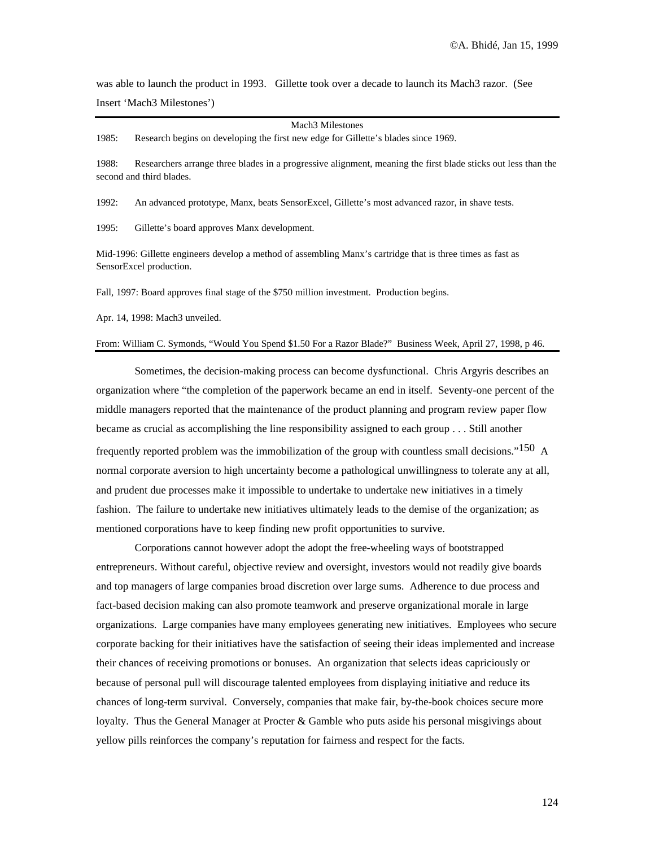was able to launch the product in 1993. Gillette took over a decade to launch its Mach3 razor. (See Insert 'Mach3 Milestones')

### Mach3 Milestones

1985: Research begins on developing the first new edge for Gillette's blades since 1969.

1988: Researchers arrange three blades in a progressive alignment, meaning the first blade sticks out less than the second and third blades.

1992: An advanced prototype, Manx, beats SensorExcel, Gillette's most advanced razor, in shave tests.

1995: Gillette's board approves Manx development.

Mid-1996: Gillette engineers develop a method of assembling Manx's cartridge that is three times as fast as SensorExcel production.

Fall, 1997: Board approves final stage of the \$750 million investment. Production begins.

Apr. 14, 1998: Mach3 unveiled.

#### From: William C. Symonds, "Would You Spend \$1.50 For a Razor Blade?" Business Week, April 27, 1998, p 46.

Sometimes, the decision-making process can become dysfunctional. Chris Argyris describes an organization where "the completion of the paperwork became an end in itself. Seventy-one percent of the middle managers reported that the maintenance of the product planning and program review paper flow became as crucial as accomplishing the line responsibility assigned to each group . . . Still another frequently reported problem was the immobilization of the group with countless small decisions."<sup>150</sup> A normal corporate aversion to high uncertainty become a pathological unwillingness to tolerate any at all, and prudent due processes make it impossible to undertake to undertake new initiatives in a timely fashion. The failure to undertake new initiatives ultimately leads to the demise of the organization; as mentioned corporations have to keep finding new profit opportunities to survive.

Corporations cannot however adopt the adopt the free-wheeling ways of bootstrapped entrepreneurs. Without careful, objective review and oversight, investors would not readily give boards and top managers of large companies broad discretion over large sums. Adherence to due process and fact-based decision making can also promote teamwork and preserve organizational morale in large organizations. Large companies have many employees generating new initiatives. Employees who secure corporate backing for their initiatives have the satisfaction of seeing their ideas implemented and increase their chances of receiving promotions or bonuses. An organization that selects ideas capriciously or because of personal pull will discourage talented employees from displaying initiative and reduce its chances of long-term survival. Conversely, companies that make fair, by-the-book choices secure more loyalty. Thus the General Manager at Procter & Gamble who puts aside his personal misgivings about yellow pills reinforces the company's reputation for fairness and respect for the facts.

124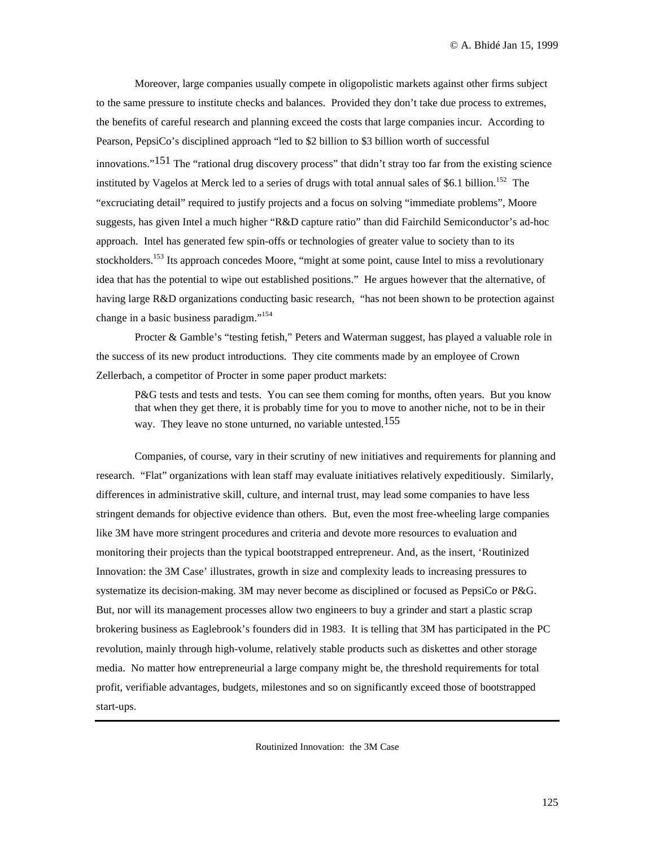Moreover, large companies usually compete in oligopolistic markets against other firms subject to the same pressure to institute checks and balances. Provided they don't take due process to extremes, the benefits of careful research and planning exceed the costs that large companies incur. According to Pearson, PepsiCo's disciplined approach "led to \$2 billion to \$3 billion worth of successful innovations."<sup>151</sup> The "rational drug discovery process" that didn't stray too far from the existing science instituted by Vagelos at Merck led to a series of drugs with total annual sales of \$6.1 billion.<sup>152</sup> The "excruciating detail" required to justify projects and a focus on solving "immediate problems", Moore suggests, has given Intel a much higher "R&D capture ratio" than did Fairchild Semiconductor's ad-hoc approach. Intel has generated few spin-offs or technologies of greater value to society than to its stockholders.<sup>153</sup> Its approach concedes Moore, "might at some point, cause Intel to miss a revolutionary idea that has the potential to wipe out established positions." He argues however that the alternative, of having large R&D organizations conducting basic research, "has not been shown to be protection against change in a basic business paradigm."<sup>154</sup>

Procter & Gamble's "testing fetish," Peters and Waterman suggest, has played a valuable role in the success of its new product introductions. They cite comments made by an employee of Crown Zellerbach, a competitor of Procter in some paper product markets:

P&G tests and tests and tests. You can see them coming for months, often years. But you know that when they get there, it is probably time for you to move to another niche, not to be in their way. They leave no stone unturned, no variable untested.<sup>155</sup>

Companies, of course, vary in their scrutiny of new initiatives and requirements for planning and research. "Flat" organizations with lean staff may evaluate initiatives relatively expeditiously. Similarly, differences in administrative skill, culture, and internal trust, may lead some companies to have less stringent demands for objective evidence than others. But, even the most free-wheeling large companies like 3M have more stringent procedures and criteria and devote more resources to evaluation and monitoring their projects than the typical bootstrapped entrepreneur. And, as the insert, 'Routinized Innovation: the 3M Case' illustrates, growth in size and complexity leads to increasing pressures to systematize its decision-making. 3M may never become as disciplined or focused as PepsiCo or P&G. But, nor will its management processes allow two engineers to buy a grinder and start a plastic scrap brokering business as Eaglebrook's founders did in 1983. It is telling that 3M has participated in the PC revolution, mainly through high-volume, relatively stable products such as diskettes and other storage media. No matter how entrepreneurial a large company might be, the threshold requirements for total profit, verifiable advantages, budgets, milestones and so on significantly exceed those of bootstrapped start-ups.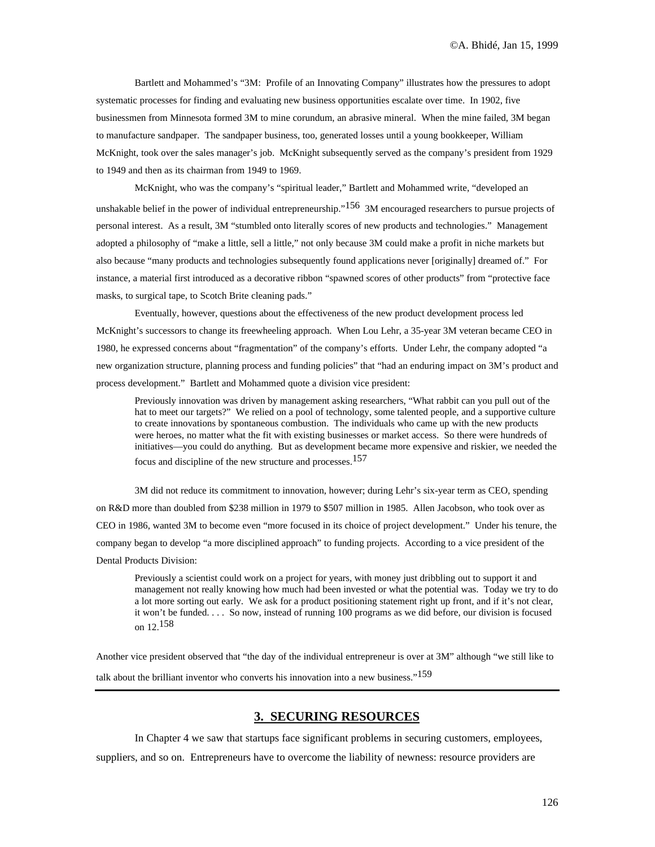Bartlett and Mohammed's "3M: Profile of an Innovating Company" illustrates how the pressures to adopt systematic processes for finding and evaluating new business opportunities escalate over time. In 1902, five businessmen from Minnesota formed 3M to mine corundum, an abrasive mineral. When the mine failed, 3M began to manufacture sandpaper. The sandpaper business, too, generated losses until a young bookkeeper, William McKnight, took over the sales manager's job. McKnight subsequently served as the company's president from 1929 to 1949 and then as its chairman from 1949 to 1969.

McKnight, who was the company's "spiritual leader," Bartlett and Mohammed write, "developed an unshakable belief in the power of individual entrepreneurship."<sup>156</sup> 3M encouraged researchers to pursue projects of personal interest. As a result, 3M "stumbled onto literally scores of new products and technologies." Management adopted a philosophy of "make a little, sell a little," not only because 3M could make a profit in niche markets but also because "many products and technologies subsequently found applications never [originally] dreamed of." For instance, a material first introduced as a decorative ribbon "spawned scores of other products" from "protective face masks, to surgical tape, to Scotch Brite cleaning pads."

Eventually, however, questions about the effectiveness of the new product development process led McKnight's successors to change its freewheeling approach. When Lou Lehr, a 35-year 3M veteran became CEO in 1980, he expressed concerns about "fragmentation" of the company's efforts. Under Lehr, the company adopted "a new organization structure, planning process and funding policies" that "had an enduring impact on 3M's product and process development." Bartlett and Mohammed quote a division vice president:

Previously innovation was driven by management asking researchers, "What rabbit can you pull out of the hat to meet our targets?" We relied on a pool of technology, some talented people, and a supportive culture to create innovations by spontaneous combustion. The individuals who came up with the new products were heroes, no matter what the fit with existing businesses or market access. So there were hundreds of initiatives—you could do anything. But as development became more expensive and riskier, we needed the focus and discipline of the new structure and processes.157

3M did not reduce its commitment to innovation, however; during Lehr's six-year term as CEO, spending on R&D more than doubled from \$238 million in 1979 to \$507 million in 1985. Allen Jacobson, who took over as CEO in 1986, wanted 3M to become even "more focused in its choice of project development." Under his tenure, the company began to develop "a more disciplined approach" to funding projects. According to a vice president of the Dental Products Division:

Previously a scientist could work on a project for years, with money just dribbling out to support it and management not really knowing how much had been invested or what the potential was. Today we try to do a lot more sorting out early. We ask for a product positioning statement right up front, and if it's not clear, it won't be funded. . . . So now, instead of running 100 programs as we did before, our division is focused on 12.158

Another vice president observed that "the day of the individual entrepreneur is over at 3M" although "we still like to talk about the brilliant inventor who converts his innovation into a new business."<sup>159</sup>

## **3. SECURING RESOURCES**

In Chapter 4 we saw that startups face significant problems in securing customers, employees, suppliers, and so on. Entrepreneurs have to overcome the liability of newness: resource providers are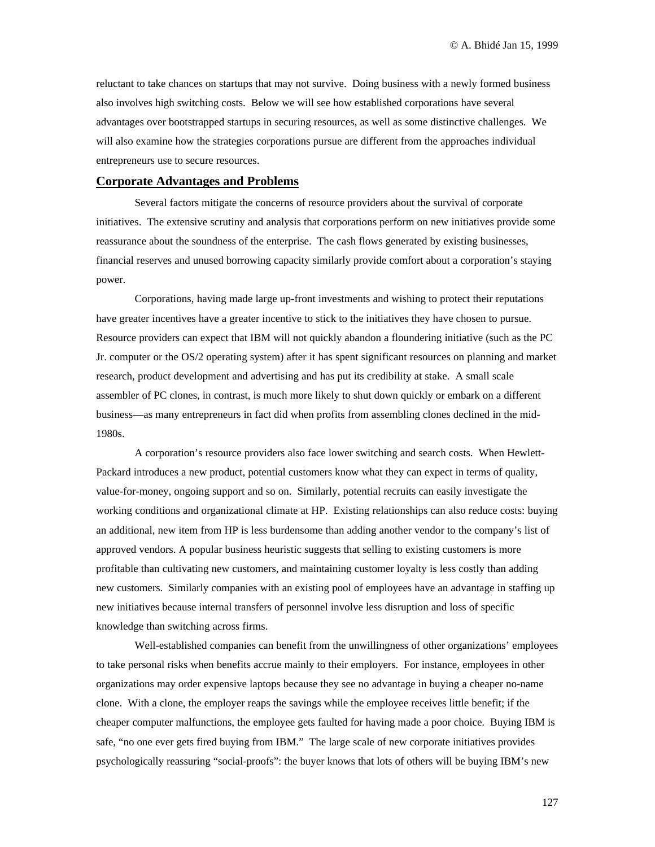reluctant to take chances on startups that may not survive. Doing business with a newly formed business also involves high switching costs. Below we will see how established corporations have several advantages over bootstrapped startups in securing resources, as well as some distinctive challenges. We will also examine how the strategies corporations pursue are different from the approaches individual entrepreneurs use to secure resources.

## **Corporate Advantages and Problems**

Several factors mitigate the concerns of resource providers about the survival of corporate initiatives. The extensive scrutiny and analysis that corporations perform on new initiatives provide some reassurance about the soundness of the enterprise. The cash flows generated by existing businesses, financial reserves and unused borrowing capacity similarly provide comfort about a corporation's staying power.

Corporations, having made large up-front investments and wishing to protect their reputations have greater incentives have a greater incentive to stick to the initiatives they have chosen to pursue. Resource providers can expect that IBM will not quickly abandon a floundering initiative (such as the PC Jr. computer or the OS/2 operating system) after it has spent significant resources on planning and market research, product development and advertising and has put its credibility at stake. A small scale assembler of PC clones, in contrast, is much more likely to shut down quickly or embark on a different business—as many entrepreneurs in fact did when profits from assembling clones declined in the mid-1980s.

A corporation's resource providers also face lower switching and search costs. When Hewlett-Packard introduces a new product, potential customers know what they can expect in terms of quality, value-for-money, ongoing support and so on. Similarly, potential recruits can easily investigate the working conditions and organizational climate at HP. Existing relationships can also reduce costs: buying an additional, new item from HP is less burdensome than adding another vendor to the company's list of approved vendors. A popular business heuristic suggests that selling to existing customers is more profitable than cultivating new customers, and maintaining customer loyalty is less costly than adding new customers. Similarly companies with an existing pool of employees have an advantage in staffing up new initiatives because internal transfers of personnel involve less disruption and loss of specific knowledge than switching across firms.

Well-established companies can benefit from the unwillingness of other organizations' employees to take personal risks when benefits accrue mainly to their employers. For instance, employees in other organizations may order expensive laptops because they see no advantage in buying a cheaper no-name clone. With a clone, the employer reaps the savings while the employee receives little benefit; if the cheaper computer malfunctions, the employee gets faulted for having made a poor choice. Buying IBM is safe, "no one ever gets fired buying from IBM." The large scale of new corporate initiatives provides psychologically reassuring "social-proofs": the buyer knows that lots of others will be buying IBM's new

127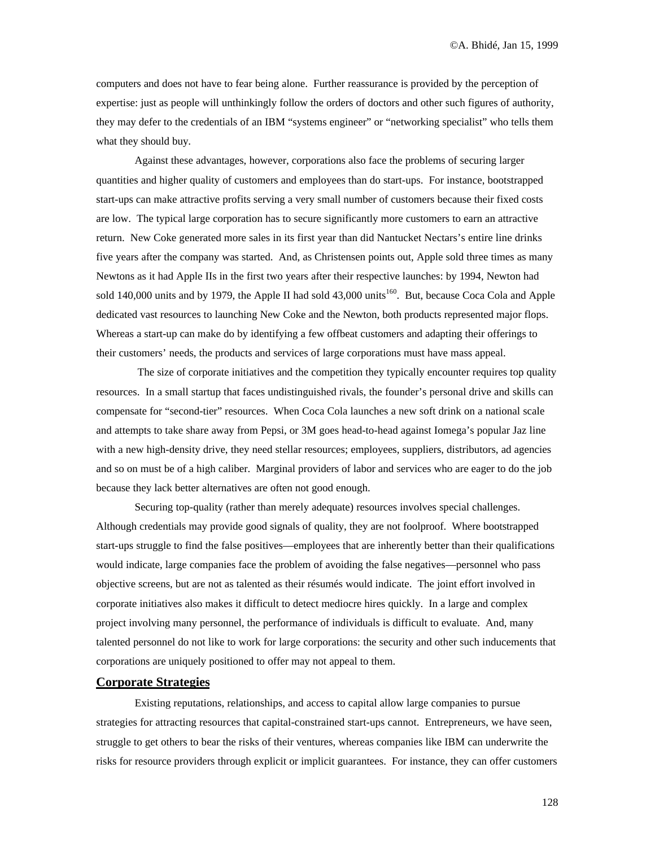computers and does not have to fear being alone. Further reassurance is provided by the perception of expertise: just as people will unthinkingly follow the orders of doctors and other such figures of authority, they may defer to the credentials of an IBM "systems engineer" or "networking specialist" who tells them what they should buy.

Against these advantages, however, corporations also face the problems of securing larger quantities and higher quality of customers and employees than do start-ups. For instance, bootstrapped start-ups can make attractive profits serving a very small number of customers because their fixed costs are low. The typical large corporation has to secure significantly more customers to earn an attractive return. New Coke generated more sales in its first year than did Nantucket Nectars's entire line drinks five years after the company was started. And, as Christensen points out, Apple sold three times as many Newtons as it had Apple IIs in the first two years after their respective launches: by 1994, Newton had sold 140,000 units and by 1979, the Apple II had sold  $43,000$  units<sup>160</sup>. But, because Coca Cola and Apple dedicated vast resources to launching New Coke and the Newton, both products represented major flops. Whereas a start-up can make do by identifying a few offbeat customers and adapting their offerings to their customers' needs, the products and services of large corporations must have mass appeal.

 The size of corporate initiatives and the competition they typically encounter requires top quality resources. In a small startup that faces undistinguished rivals, the founder's personal drive and skills can compensate for "second-tier" resources. When Coca Cola launches a new soft drink on a national scale and attempts to take share away from Pepsi, or 3M goes head-to-head against Iomega's popular Jaz line with a new high-density drive, they need stellar resources; employees, suppliers, distributors, ad agencies and so on must be of a high caliber. Marginal providers of labor and services who are eager to do the job because they lack better alternatives are often not good enough.

Securing top-quality (rather than merely adequate) resources involves special challenges. Although credentials may provide good signals of quality, they are not foolproof. Where bootstrapped start-ups struggle to find the false positives—employees that are inherently better than their qualifications would indicate, large companies face the problem of avoiding the false negatives—personnel who pass objective screens, but are not as talented as their résumés would indicate. The joint effort involved in corporate initiatives also makes it difficult to detect mediocre hires quickly. In a large and complex project involving many personnel, the performance of individuals is difficult to evaluate. And, many talented personnel do not like to work for large corporations: the security and other such inducements that corporations are uniquely positioned to offer may not appeal to them.

## **Corporate Strategies**

Existing reputations, relationships, and access to capital allow large companies to pursue strategies for attracting resources that capital-constrained start-ups cannot. Entrepreneurs, we have seen, struggle to get others to bear the risks of their ventures, whereas companies like IBM can underwrite the risks for resource providers through explicit or implicit guarantees. For instance, they can offer customers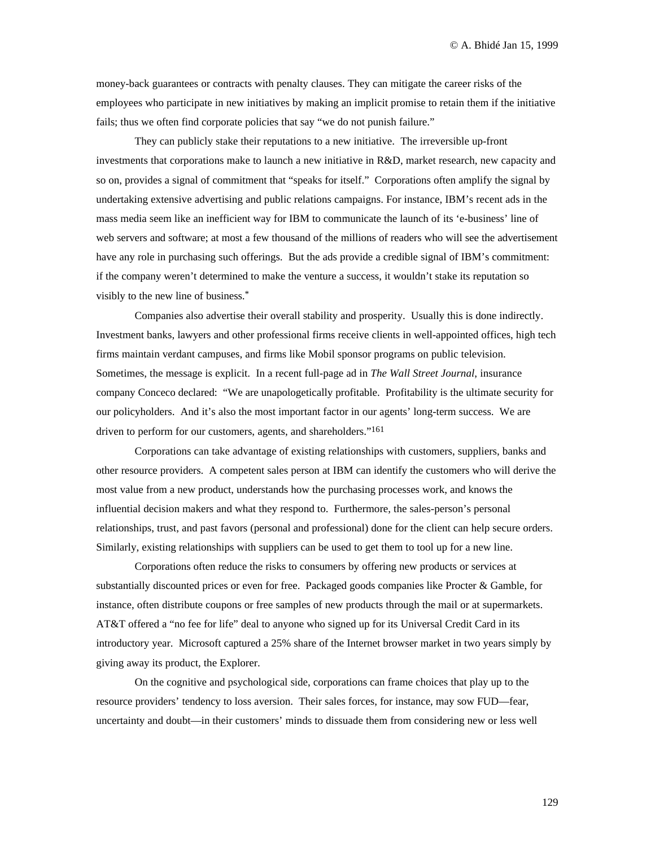money-back guarantees or contracts with penalty clauses. They can mitigate the career risks of the employees who participate in new initiatives by making an implicit promise to retain them if the initiative fails; thus we often find corporate policies that say "we do not punish failure."

They can publicly stake their reputations to a new initiative. The irreversible up-front investments that corporations make to launch a new initiative in R&D, market research, new capacity and so on, provides a signal of commitment that "speaks for itself." Corporations often amplify the signal by undertaking extensive advertising and public relations campaigns. For instance, IBM's recent ads in the mass media seem like an inefficient way for IBM to communicate the launch of its 'e-business' line of web servers and software; at most a few thousand of the millions of readers who will see the advertisement have any role in purchasing such offerings. But the ads provide a credible signal of IBM's commitment: if the company weren't determined to make the venture a success, it wouldn't stake its reputation so visibly to the new line of business.\*

Companies also advertise their overall stability and prosperity. Usually this is done indirectly. Investment banks, lawyers and other professional firms receive clients in well-appointed offices, high tech firms maintain verdant campuses, and firms like Mobil sponsor programs on public television. Sometimes, the message is explicit. In a recent full-page ad in *The Wall Street Journal*, insurance company Conceco declared: "We are unapologetically profitable. Profitability is the ultimate security for our policyholders. And it's also the most important factor in our agents' long-term success. We are driven to perform for our customers, agents, and shareholders."<sup>161</sup>

Corporations can take advantage of existing relationships with customers, suppliers, banks and other resource providers. A competent sales person at IBM can identify the customers who will derive the most value from a new product, understands how the purchasing processes work, and knows the influential decision makers and what they respond to. Furthermore, the sales-person's personal relationships, trust, and past favors (personal and professional) done for the client can help secure orders. Similarly, existing relationships with suppliers can be used to get them to tool up for a new line.

Corporations often reduce the risks to consumers by offering new products or services at substantially discounted prices or even for free. Packaged goods companies like Procter & Gamble, for instance, often distribute coupons or free samples of new products through the mail or at supermarkets. AT&T offered a "no fee for life" deal to anyone who signed up for its Universal Credit Card in its introductory year. Microsoft captured a 25% share of the Internet browser market in two years simply by giving away its product, the Explorer.

On the cognitive and psychological side, corporations can frame choices that play up to the resource providers' tendency to loss aversion. Their sales forces, for instance, may sow FUD—fear, uncertainty and doubt—in their customers' minds to dissuade them from considering new or less well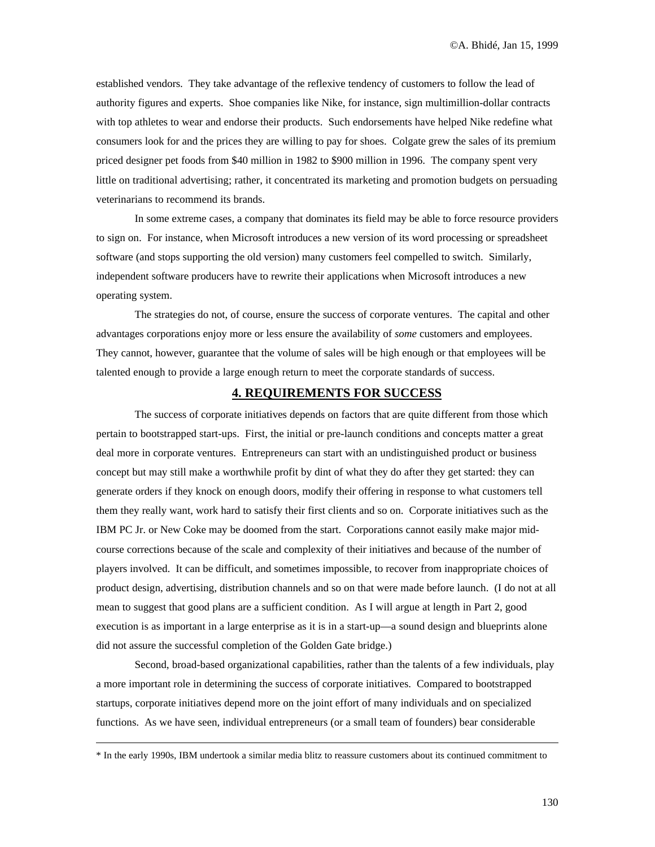established vendors. They take advantage of the reflexive tendency of customers to follow the lead of authority figures and experts. Shoe companies like Nike, for instance, sign multimillion-dollar contracts with top athletes to wear and endorse their products. Such endorsements have helped Nike redefine what consumers look for and the prices they are willing to pay for shoes. Colgate grew the sales of its premium priced designer pet foods from \$40 million in 1982 to \$900 million in 1996. The company spent very little on traditional advertising; rather, it concentrated its marketing and promotion budgets on persuading veterinarians to recommend its brands.

In some extreme cases, a company that dominates its field may be able to force resource providers to sign on. For instance, when Microsoft introduces a new version of its word processing or spreadsheet software (and stops supporting the old version) many customers feel compelled to switch. Similarly, independent software producers have to rewrite their applications when Microsoft introduces a new operating system.

The strategies do not, of course, ensure the success of corporate ventures. The capital and other advantages corporations enjoy more or less ensure the availability of *some* customers and employees. They cannot, however, guarantee that the volume of sales will be high enough or that employees will be talented enough to provide a large enough return to meet the corporate standards of success.

## **4. REQUIREMENTS FOR SUCCESS**

The success of corporate initiatives depends on factors that are quite different from those which pertain to bootstrapped start-ups. First, the initial or pre-launch conditions and concepts matter a great deal more in corporate ventures. Entrepreneurs can start with an undistinguished product or business concept but may still make a worthwhile profit by dint of what they do after they get started: they can generate orders if they knock on enough doors, modify their offering in response to what customers tell them they really want, work hard to satisfy their first clients and so on. Corporate initiatives such as the IBM PC Jr. or New Coke may be doomed from the start. Corporations cannot easily make major midcourse corrections because of the scale and complexity of their initiatives and because of the number of players involved. It can be difficult, and sometimes impossible, to recover from inappropriate choices of product design, advertising, distribution channels and so on that were made before launch. (I do not at all mean to suggest that good plans are a sufficient condition. As I will argue at length in Part 2, good execution is as important in a large enterprise as it is in a start-up—a sound design and blueprints alone did not assure the successful completion of the Golden Gate bridge.)

Second, broad-based organizational capabilities, rather than the talents of a few individuals, play a more important role in determining the success of corporate initiatives. Compared to bootstrapped startups, corporate initiatives depend more on the joint effort of many individuals and on specialized functions. As we have seen, individual entrepreneurs (or a small team of founders) bear considerable

<sup>\*</sup> In the early 1990s, IBM undertook a similar media blitz to reassure customers about its continued commitment to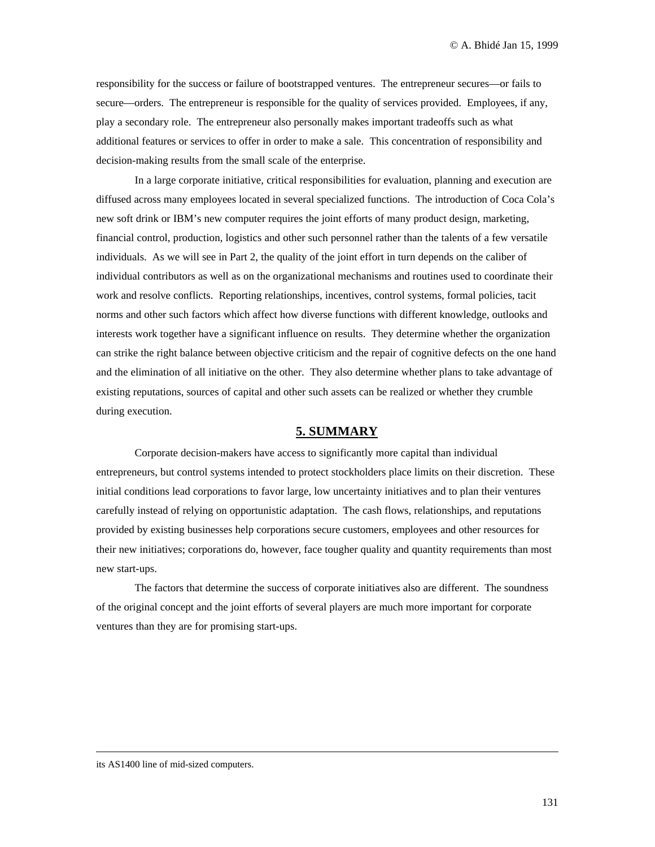responsibility for the success or failure of bootstrapped ventures. The entrepreneur secures—or fails to secure—orders. The entrepreneur is responsible for the quality of services provided. Employees, if any, play a secondary role. The entrepreneur also personally makes important tradeoffs such as what additional features or services to offer in order to make a sale. This concentration of responsibility and decision-making results from the small scale of the enterprise.

In a large corporate initiative, critical responsibilities for evaluation, planning and execution are diffused across many employees located in several specialized functions. The introduction of Coca Cola's new soft drink or IBM's new computer requires the joint efforts of many product design, marketing, financial control, production, logistics and other such personnel rather than the talents of a few versatile individuals. As we will see in Part 2, the quality of the joint effort in turn depends on the caliber of individual contributors as well as on the organizational mechanisms and routines used to coordinate their work and resolve conflicts. Reporting relationships, incentives, control systems, formal policies, tacit norms and other such factors which affect how diverse functions with different knowledge, outlooks and interests work together have a significant influence on results. They determine whether the organization can strike the right balance between objective criticism and the repair of cognitive defects on the one hand and the elimination of all initiative on the other. They also determine whether plans to take advantage of existing reputations, sources of capital and other such assets can be realized or whether they crumble during execution.

## **5. SUMMARY**

Corporate decision-makers have access to significantly more capital than individual entrepreneurs, but control systems intended to protect stockholders place limits on their discretion. These initial conditions lead corporations to favor large, low uncertainty initiatives and to plan their ventures carefully instead of relying on opportunistic adaptation. The cash flows, relationships, and reputations provided by existing businesses help corporations secure customers, employees and other resources for their new initiatives; corporations do, however, face tougher quality and quantity requirements than most new start-ups.

The factors that determine the success of corporate initiatives also are different. The soundness of the original concept and the joint efforts of several players are much more important for corporate ventures than they are for promising start-ups.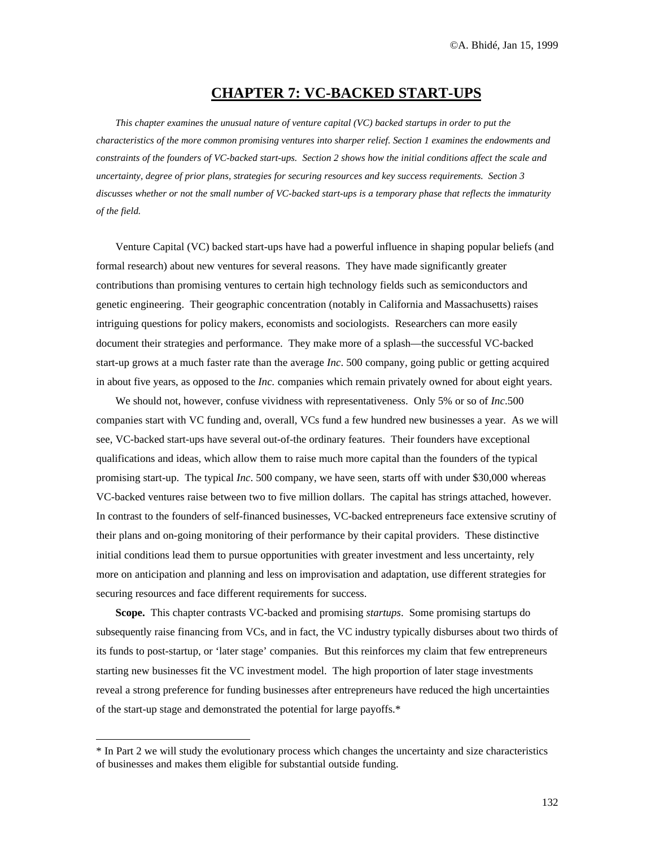## **CHAPTER 7: VC-BACKED START-UPS**

*This chapter examines the unusual nature of venture capital (VC) backed startups in order to put the characteristics of the more common promising ventures into sharper relief. Section 1 examines the endowments and constraints of the founders of VC-backed start-ups. Section 2 shows how the initial conditions affect the scale and uncertainty, degree of prior plans, strategies for securing resources and key success requirements. Section 3 discusses whether or not the small number of VC-backed start-ups is a temporary phase that reflects the immaturity of the field.*

Venture Capital (VC) backed start-ups have had a powerful influence in shaping popular beliefs (and formal research) about new ventures for several reasons. They have made significantly greater contributions than promising ventures to certain high technology fields such as semiconductors and genetic engineering. Their geographic concentration (notably in California and Massachusetts) raises intriguing questions for policy makers, economists and sociologists. Researchers can more easily document their strategies and performance. They make more of a splash—the successful VC-backed start-up grows at a much faster rate than the average *Inc*. 500 company, going public or getting acquired in about five years, as opposed to the *Inc.* companies which remain privately owned for about eight years.

We should not, however, confuse vividness with representativeness. Only 5% or so of *Inc*.500 companies start with VC funding and, overall, VCs fund a few hundred new businesses a year. As we will see, VC-backed start-ups have several out-of-the ordinary features. Their founders have exceptional qualifications and ideas, which allow them to raise much more capital than the founders of the typical promising start-up. The typical *Inc*. 500 company, we have seen, starts off with under \$30,000 whereas VC-backed ventures raise between two to five million dollars. The capital has strings attached, however. In contrast to the founders of self-financed businesses, VC-backed entrepreneurs face extensive scrutiny of their plans and on-going monitoring of their performance by their capital providers. These distinctive initial conditions lead them to pursue opportunities with greater investment and less uncertainty, rely more on anticipation and planning and less on improvisation and adaptation, use different strategies for securing resources and face different requirements for success.

**Scope.** This chapter contrasts VC-backed and promising *startups*. Some promising startups do subsequently raise financing from VCs, and in fact, the VC industry typically disburses about two thirds of its funds to post-startup, or 'later stage' companies. But this reinforces my claim that few entrepreneurs starting new businesses fit the VC investment model. The high proportion of later stage investments reveal a strong preference for funding businesses after entrepreneurs have reduced the high uncertainties of the start-up stage and demonstrated the potential for large payoffs.\*

<sup>\*</sup> In Part 2 we will study the evolutionary process which changes the uncertainty and size characteristics of businesses and makes them eligible for substantial outside funding.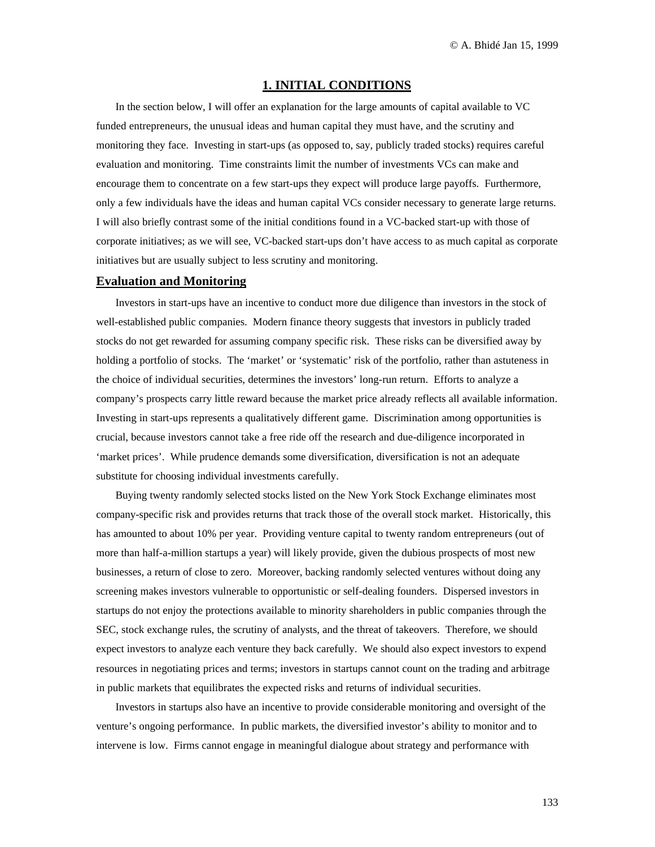## **1. INITIAL CONDITIONS**

In the section below, I will offer an explanation for the large amounts of capital available to VC funded entrepreneurs, the unusual ideas and human capital they must have, and the scrutiny and monitoring they face. Investing in start-ups (as opposed to, say, publicly traded stocks) requires careful evaluation and monitoring. Time constraints limit the number of investments VCs can make and encourage them to concentrate on a few start-ups they expect will produce large payoffs. Furthermore, only a few individuals have the ideas and human capital VCs consider necessary to generate large returns. I will also briefly contrast some of the initial conditions found in a VC-backed start-up with those of corporate initiatives; as we will see, VC-backed start-ups don't have access to as much capital as corporate initiatives but are usually subject to less scrutiny and monitoring.

## **Evaluation and Monitoring**

Investors in start-ups have an incentive to conduct more due diligence than investors in the stock of well-established public companies. Modern finance theory suggests that investors in publicly traded stocks do not get rewarded for assuming company specific risk. These risks can be diversified away by holding a portfolio of stocks. The 'market' or 'systematic' risk of the portfolio, rather than astuteness in the choice of individual securities, determines the investors' long-run return. Efforts to analyze a company's prospects carry little reward because the market price already reflects all available information. Investing in start-ups represents a qualitatively different game. Discrimination among opportunities is crucial, because investors cannot take a free ride off the research and due-diligence incorporated in 'market prices'. While prudence demands some diversification, diversification is not an adequate substitute for choosing individual investments carefully.

Buying twenty randomly selected stocks listed on the New York Stock Exchange eliminates most company-specific risk and provides returns that track those of the overall stock market. Historically, this has amounted to about 10% per year. Providing venture capital to twenty random entrepreneurs (out of more than half-a-million startups a year) will likely provide, given the dubious prospects of most new businesses, a return of close to zero. Moreover, backing randomly selected ventures without doing any screening makes investors vulnerable to opportunistic or self-dealing founders. Dispersed investors in startups do not enjoy the protections available to minority shareholders in public companies through the SEC, stock exchange rules, the scrutiny of analysts, and the threat of takeovers. Therefore, we should expect investors to analyze each venture they back carefully. We should also expect investors to expend resources in negotiating prices and terms; investors in startups cannot count on the trading and arbitrage in public markets that equilibrates the expected risks and returns of individual securities.

Investors in startups also have an incentive to provide considerable monitoring and oversight of the venture's ongoing performance. In public markets, the diversified investor's ability to monitor and to intervene is low. Firms cannot engage in meaningful dialogue about strategy and performance with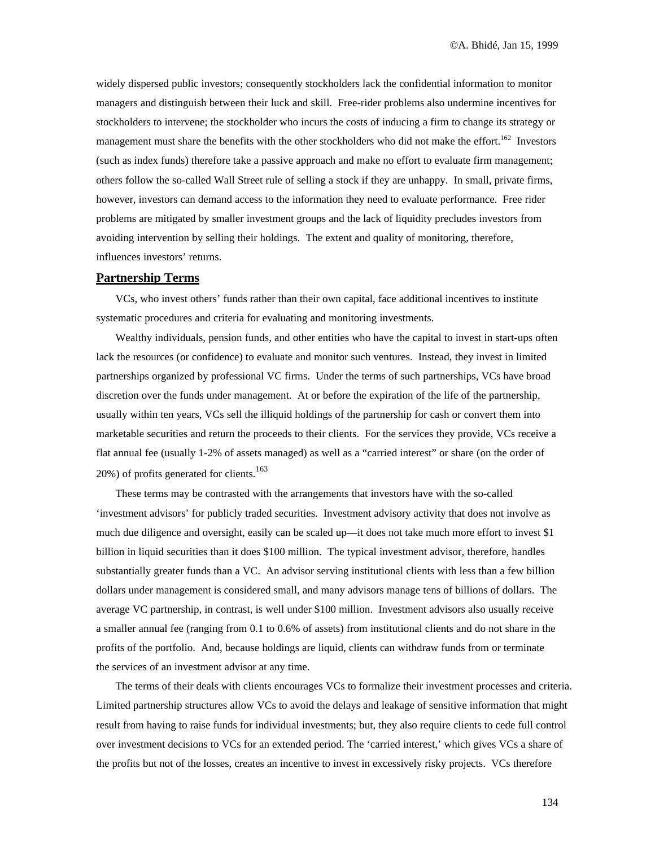widely dispersed public investors; consequently stockholders lack the confidential information to monitor managers and distinguish between their luck and skill. Free-rider problems also undermine incentives for stockholders to intervene; the stockholder who incurs the costs of inducing a firm to change its strategy or management must share the benefits with the other stockholders who did not make the effort.<sup>162</sup> Investors (such as index funds) therefore take a passive approach and make no effort to evaluate firm management; others follow the so-called Wall Street rule of selling a stock if they are unhappy. In small, private firms, however, investors can demand access to the information they need to evaluate performance. Free rider problems are mitigated by smaller investment groups and the lack of liquidity precludes investors from avoiding intervention by selling their holdings. The extent and quality of monitoring, therefore, influences investors' returns.

### **Partnership Terms**

VCs, who invest others' funds rather than their own capital, face additional incentives to institute systematic procedures and criteria for evaluating and monitoring investments.

Wealthy individuals, pension funds, and other entities who have the capital to invest in start-ups often lack the resources (or confidence) to evaluate and monitor such ventures. Instead, they invest in limited partnerships organized by professional VC firms. Under the terms of such partnerships, VCs have broad discretion over the funds under management. At or before the expiration of the life of the partnership, usually within ten years, VCs sell the illiquid holdings of the partnership for cash or convert them into marketable securities and return the proceeds to their clients. For the services they provide, VCs receive a flat annual fee (usually 1-2% of assets managed) as well as a "carried interest" or share (on the order of  $20\%$ ) of profits generated for clients.<sup>163</sup>

These terms may be contrasted with the arrangements that investors have with the so-called 'investment advisors' for publicly traded securities. Investment advisory activity that does not involve as much due diligence and oversight, easily can be scaled up—it does not take much more effort to invest \$1 billion in liquid securities than it does \$100 million. The typical investment advisor, therefore, handles substantially greater funds than a VC. An advisor serving institutional clients with less than a few billion dollars under management is considered small, and many advisors manage tens of billions of dollars. The average VC partnership, in contrast, is well under \$100 million. Investment advisors also usually receive a smaller annual fee (ranging from 0.1 to 0.6% of assets) from institutional clients and do not share in the profits of the portfolio. And, because holdings are liquid, clients can withdraw funds from or terminate the services of an investment advisor at any time.

The terms of their deals with clients encourages VCs to formalize their investment processes and criteria. Limited partnership structures allow VCs to avoid the delays and leakage of sensitive information that might result from having to raise funds for individual investments; but, they also require clients to cede full control over investment decisions to VCs for an extended period. The 'carried interest,' which gives VCs a share of the profits but not of the losses, creates an incentive to invest in excessively risky projects. VCs therefore

134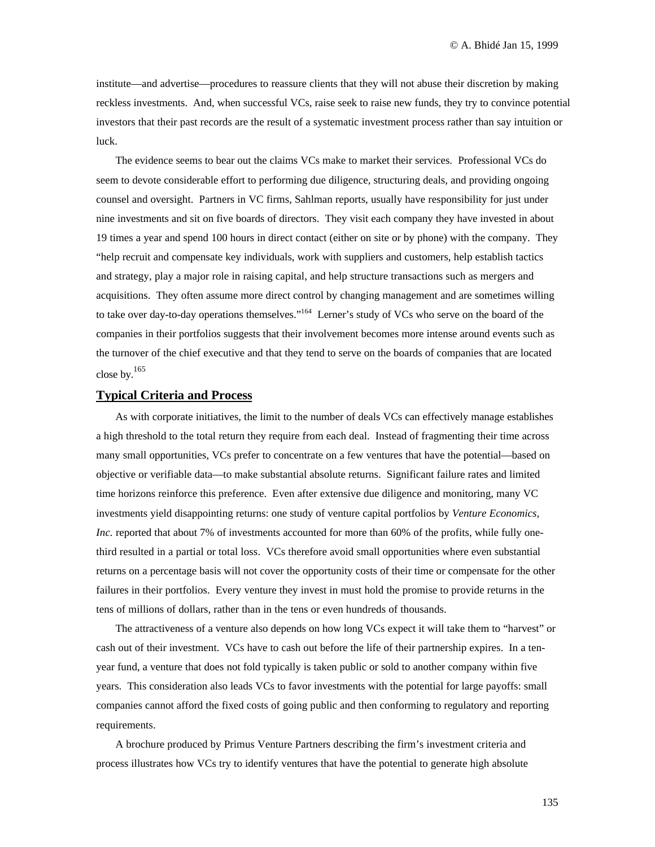institute—and advertise—procedures to reassure clients that they will not abuse their discretion by making reckless investments. And, when successful VCs, raise seek to raise new funds, they try to convince potential investors that their past records are the result of a systematic investment process rather than say intuition or luck.

The evidence seems to bear out the claims VCs make to market their services. Professional VCs do seem to devote considerable effort to performing due diligence, structuring deals, and providing ongoing counsel and oversight. Partners in VC firms, Sahlman reports, usually have responsibility for just under nine investments and sit on five boards of directors. They visit each company they have invested in about 19 times a year and spend 100 hours in direct contact (either on site or by phone) with the company. They "help recruit and compensate key individuals, work with suppliers and customers, help establish tactics and strategy, play a major role in raising capital, and help structure transactions such as mergers and acquisitions. They often assume more direct control by changing management and are sometimes willing to take over day-to-day operations themselves."<sup>164</sup> Lerner's study of VCs who serve on the board of the companies in their portfolios suggests that their involvement becomes more intense around events such as the turnover of the chief executive and that they tend to serve on the boards of companies that are located close by. $165$ 

### **Typical Criteria and Process**

As with corporate initiatives, the limit to the number of deals VCs can effectively manage establishes a high threshold to the total return they require from each deal. Instead of fragmenting their time across many small opportunities, VCs prefer to concentrate on a few ventures that have the potential—based on objective or verifiable data—to make substantial absolute returns. Significant failure rates and limited time horizons reinforce this preference. Even after extensive due diligence and monitoring, many VC investments yield disappointing returns: one study of venture capital portfolios by *Venture Economics, Inc.* reported that about 7% of investments accounted for more than 60% of the profits, while fully onethird resulted in a partial or total loss. VCs therefore avoid small opportunities where even substantial returns on a percentage basis will not cover the opportunity costs of their time or compensate for the other failures in their portfolios. Every venture they invest in must hold the promise to provide returns in the tens of millions of dollars, rather than in the tens or even hundreds of thousands.

The attractiveness of a venture also depends on how long VCs expect it will take them to "harvest" or cash out of their investment. VCs have to cash out before the life of their partnership expires. In a tenyear fund, a venture that does not fold typically is taken public or sold to another company within five years. This consideration also leads VCs to favor investments with the potential for large payoffs: small companies cannot afford the fixed costs of going public and then conforming to regulatory and reporting requirements.

A brochure produced by Primus Venture Partners describing the firm's investment criteria and process illustrates how VCs try to identify ventures that have the potential to generate high absolute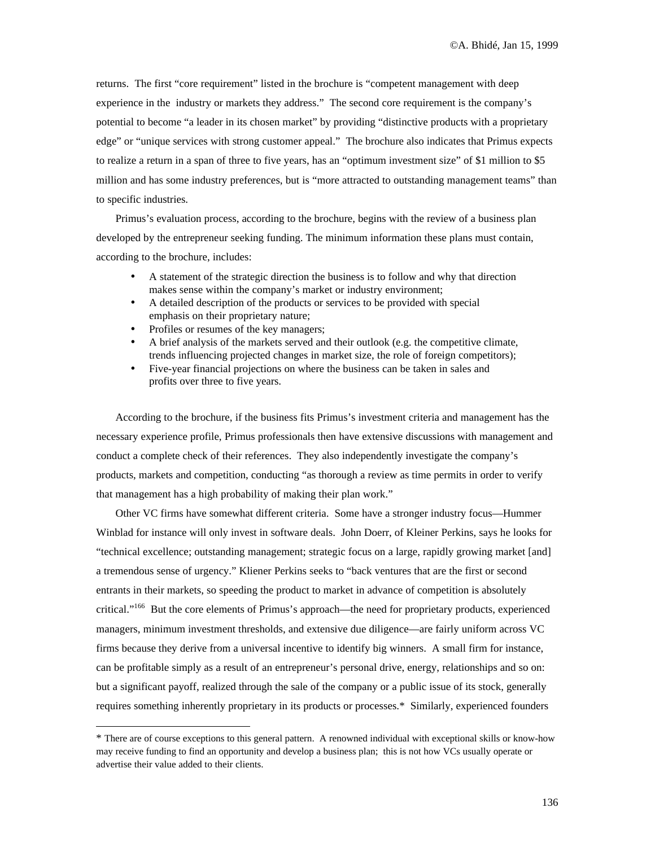returns. The first "core requirement" listed in the brochure is "competent management with deep experience in the industry or markets they address." The second core requirement is the company's potential to become "a leader in its chosen market" by providing "distinctive products with a proprietary edge" or "unique services with strong customer appeal." The brochure also indicates that Primus expects to realize a return in a span of three to five years, has an "optimum investment size" of \$1 million to \$5 million and has some industry preferences, but is "more attracted to outstanding management teams" than to specific industries.

Primus's evaluation process, according to the brochure, begins with the review of a business plan developed by the entrepreneur seeking funding. The minimum information these plans must contain, according to the brochure, includes:

- A statement of the strategic direction the business is to follow and why that direction makes sense within the company's market or industry environment;
- A detailed description of the products or services to be provided with special emphasis on their proprietary nature;
- Profiles or resumes of the key managers;

 $\overline{a}$ 

- A brief analysis of the markets served and their outlook (e.g. the competitive climate, trends influencing projected changes in market size, the role of foreign competitors);
- Five-year financial projections on where the business can be taken in sales and profits over three to five years.

According to the brochure, if the business fits Primus's investment criteria and management has the necessary experience profile, Primus professionals then have extensive discussions with management and conduct a complete check of their references. They also independently investigate the company's products, markets and competition, conducting "as thorough a review as time permits in order to verify that management has a high probability of making their plan work."

Other VC firms have somewhat different criteria. Some have a stronger industry focus—Hummer Winblad for instance will only invest in software deals. John Doerr, of Kleiner Perkins, says he looks for "technical excellence; outstanding management; strategic focus on a large, rapidly growing market [and] a tremendous sense of urgency." Kliener Perkins seeks to "back ventures that are the first or second entrants in their markets, so speeding the product to market in advance of competition is absolutely critical."<sup>166</sup> But the core elements of Primus's approach—the need for proprietary products, experienced managers, minimum investment thresholds, and extensive due diligence—are fairly uniform across VC firms because they derive from a universal incentive to identify big winners. A small firm for instance, can be profitable simply as a result of an entrepreneur's personal drive, energy, relationships and so on: but a significant payoff, realized through the sale of the company or a public issue of its stock, generally requires something inherently proprietary in its products or processes.\* Similarly, experienced founders

<sup>\*</sup> There are of course exceptions to this general pattern. A renowned individual with exceptional skills or know-how may receive funding to find an opportunity and develop a business plan; this is not how VCs usually operate or advertise their value added to their clients.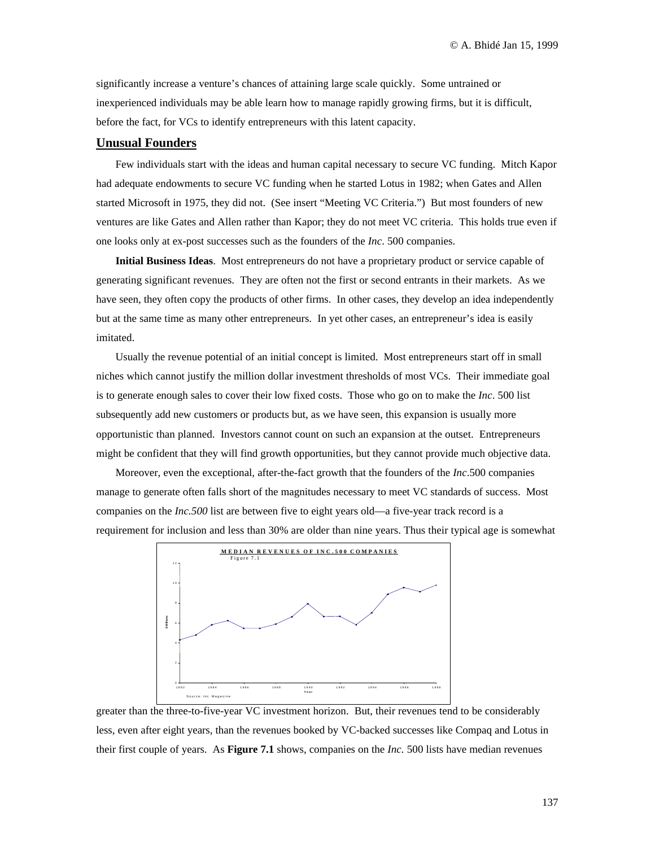significantly increase a venture's chances of attaining large scale quickly. Some untrained or inexperienced individuals may be able learn how to manage rapidly growing firms, but it is difficult, before the fact, for VCs to identify entrepreneurs with this latent capacity.

### **Unusual Founders**

Few individuals start with the ideas and human capital necessary to secure VC funding. Mitch Kapor had adequate endowments to secure VC funding when he started Lotus in 1982; when Gates and Allen started Microsoft in 1975, they did not. (See insert "Meeting VC Criteria.") But most founders of new ventures are like Gates and Allen rather than Kapor; they do not meet VC criteria. This holds true even if one looks only at ex-post successes such as the founders of the *Inc*. 500 companies.

**Initial Business Ideas**. Most entrepreneurs do not have a proprietary product or service capable of generating significant revenues. They are often not the first or second entrants in their markets. As we have seen, they often copy the products of other firms. In other cases, they develop an idea independently but at the same time as many other entrepreneurs. In yet other cases, an entrepreneur's idea is easily imitated.

Usually the revenue potential of an initial concept is limited. Most entrepreneurs start off in small niches which cannot justify the million dollar investment thresholds of most VCs. Their immediate goal is to generate enough sales to cover their low fixed costs. Those who go on to make the *Inc*. 500 list subsequently add new customers or products but, as we have seen, this expansion is usually more opportunistic than planned. Investors cannot count on such an expansion at the outset. Entrepreneurs might be confident that they will find growth opportunities, but they cannot provide much objective data.

Moreover, even the exceptional, after-the-fact growth that the founders of the *Inc*.500 companies manage to generate often falls short of the magnitudes necessary to meet VC standards of success. Most companies on the *Inc.500* list are between five to eight years old—a five-year track record is a requirement for inclusion and less than 30% are older than nine years. Thus their typical age is somewhat



greater than the three-to-five-year VC investment horizon. But, their revenues tend to be considerably less, even after eight years, than the revenues booked by VC-backed successes like Compaq and Lotus in their first couple of years. As **Figure 7.1** shows, companies on the *Inc.* 500 lists have median revenues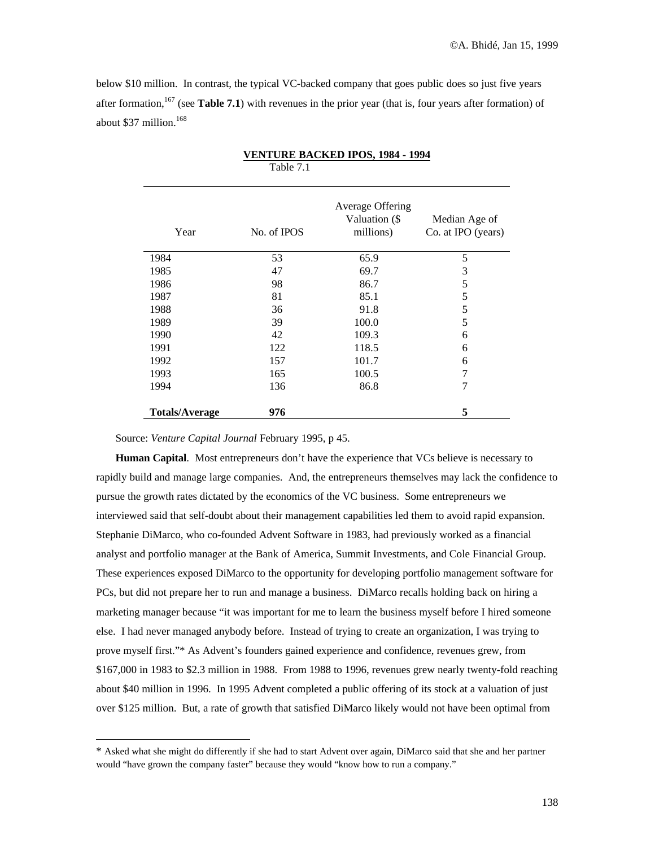below \$10 million. In contrast, the typical VC-backed company that goes public does so just five years after formation,<sup>167</sup> (see **Table 7.1**) with revenues in the prior year (that is, four years after formation) of about  $$37$  million.<sup>168</sup>

|                       | .           |                                                |                                     |
|-----------------------|-------------|------------------------------------------------|-------------------------------------|
| Year                  | No. of IPOS | Average Offering<br>Valuation (\$<br>millions) | Median Age of<br>Co. at IPO (years) |
| 1984                  | 53          | 65.9                                           | 5                                   |
| 1985                  | 47          | 69.7                                           | 3                                   |
| 1986                  | 98          | 86.7                                           | 5                                   |
| 1987                  | 81          | 85.1                                           | 5                                   |
| 1988                  | 36          | 91.8                                           | 5                                   |
| 1989                  | 39          | 100.0                                          | 5                                   |
| 1990                  | 42          | 109.3                                          | 6                                   |
| 1991                  | 122         | 118.5                                          | 6                                   |
| 1992                  | 157         | 101.7                                          | 6                                   |
| 1993                  | 165         | 100.5                                          | 7                                   |
| 1994                  | 136         | 86.8                                           | 7                                   |
| <b>Totals/Average</b> | 976         |                                                | 5                                   |

# **VENTURE BACKED IPOS, 1984 - 1994**

Source: *Venture Capital Journal* February 1995, p 45.

 $\overline{a}$ 

**Human Capital**. Most entrepreneurs don't have the experience that VCs believe is necessary to rapidly build and manage large companies. And, the entrepreneurs themselves may lack the confidence to pursue the growth rates dictated by the economics of the VC business. Some entrepreneurs we interviewed said that self-doubt about their management capabilities led them to avoid rapid expansion. Stephanie DiMarco, who co-founded Advent Software in 1983, had previously worked as a financial analyst and portfolio manager at the Bank of America, Summit Investments, and Cole Financial Group. These experiences exposed DiMarco to the opportunity for developing portfolio management software for PCs, but did not prepare her to run and manage a business. DiMarco recalls holding back on hiring a marketing manager because "it was important for me to learn the business myself before I hired someone else. I had never managed anybody before. Instead of trying to create an organization, I was trying to prove myself first."\* As Advent's founders gained experience and confidence, revenues grew, from \$167,000 in 1983 to \$2.3 million in 1988. From 1988 to 1996, revenues grew nearly twenty-fold reaching about \$40 million in 1996. In 1995 Advent completed a public offering of its stock at a valuation of just over \$125 million. But, a rate of growth that satisfied DiMarco likely would not have been optimal from

Table 7.1

<sup>\*</sup> Asked what she might do differently if she had to start Advent over again, DiMarco said that she and her partner would "have grown the company faster" because they would "know how to run a company."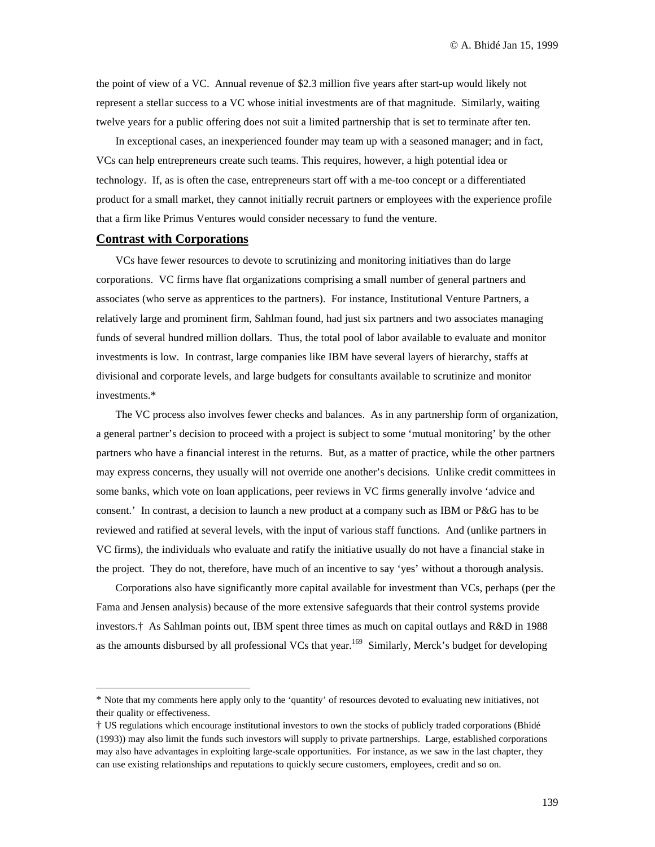the point of view of a VC. Annual revenue of \$2.3 million five years after start-up would likely not represent a stellar success to a VC whose initial investments are of that magnitude. Similarly, waiting twelve years for a public offering does not suit a limited partnership that is set to terminate after ten.

In exceptional cases, an inexperienced founder may team up with a seasoned manager; and in fact, VCs can help entrepreneurs create such teams. This requires, however, a high potential idea or technology. If, as is often the case, entrepreneurs start off with a me-too concept or a differentiated product for a small market, they cannot initially recruit partners or employees with the experience profile that a firm like Primus Ventures would consider necessary to fund the venture.

#### **Contrast with Corporations**

-

VCs have fewer resources to devote to scrutinizing and monitoring initiatives than do large corporations. VC firms have flat organizations comprising a small number of general partners and associates (who serve as apprentices to the partners). For instance, Institutional Venture Partners, a relatively large and prominent firm, Sahlman found, had just six partners and two associates managing funds of several hundred million dollars. Thus, the total pool of labor available to evaluate and monitor investments is low. In contrast, large companies like IBM have several layers of hierarchy, staffs at divisional and corporate levels, and large budgets for consultants available to scrutinize and monitor investments.\*

The VC process also involves fewer checks and balances. As in any partnership form of organization, a general partner's decision to proceed with a project is subject to some 'mutual monitoring' by the other partners who have a financial interest in the returns. But, as a matter of practice, while the other partners may express concerns, they usually will not override one another's decisions. Unlike credit committees in some banks, which vote on loan applications, peer reviews in VC firms generally involve 'advice and consent.' In contrast, a decision to launch a new product at a company such as IBM or P&G has to be reviewed and ratified at several levels, with the input of various staff functions. And (unlike partners in VC firms), the individuals who evaluate and ratify the initiative usually do not have a financial stake in the project. They do not, therefore, have much of an incentive to say 'yes' without a thorough analysis.

Corporations also have significantly more capital available for investment than VCs, perhaps (per the Fama and Jensen analysis) because of the more extensive safeguards that their control systems provide investors.† As Sahlman points out, IBM spent three times as much on capital outlays and R&D in 1988 as the amounts disbursed by all professional VCs that year.<sup>169</sup> Similarly, Merck's budget for developing

<sup>\*</sup> Note that my comments here apply only to the 'quantity' of resources devoted to evaluating new initiatives, not their quality or effectiveness.

<sup>†</sup> US regulations which encourage institutional investors to own the stocks of publicly traded corporations (Bhidé (1993)) may also limit the funds such investors will supply to private partnerships. Large, established corporations may also have advantages in exploiting large-scale opportunities. For instance, as we saw in the last chapter, they can use existing relationships and reputations to quickly secure customers, employees, credit and so on.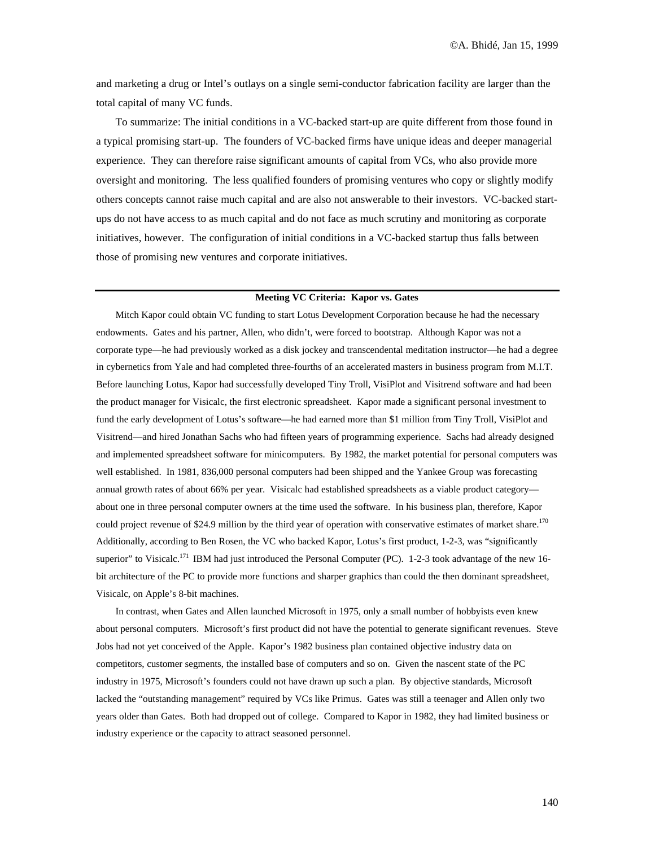and marketing a drug or Intel's outlays on a single semi-conductor fabrication facility are larger than the total capital of many VC funds.

To summarize: The initial conditions in a VC-backed start-up are quite different from those found in a typical promising start-up. The founders of VC-backed firms have unique ideas and deeper managerial experience. They can therefore raise significant amounts of capital from VCs, who also provide more oversight and monitoring. The less qualified founders of promising ventures who copy or slightly modify others concepts cannot raise much capital and are also not answerable to their investors. VC-backed startups do not have access to as much capital and do not face as much scrutiny and monitoring as corporate initiatives, however. The configuration of initial conditions in a VC-backed startup thus falls between those of promising new ventures and corporate initiatives.

#### **Meeting VC Criteria: Kapor vs. Gates**

Mitch Kapor could obtain VC funding to start Lotus Development Corporation because he had the necessary endowments. Gates and his partner, Allen, who didn't, were forced to bootstrap. Although Kapor was not a corporate type—he had previously worked as a disk jockey and transcendental meditation instructor—he had a degree in cybernetics from Yale and had completed three-fourths of an accelerated masters in business program from M.I.T. Before launching Lotus, Kapor had successfully developed Tiny Troll, VisiPlot and Visitrend software and had been the product manager for Visicalc, the first electronic spreadsheet. Kapor made a significant personal investment to fund the early development of Lotus's software—he had earned more than \$1 million from Tiny Troll, VisiPlot and Visitrend—and hired Jonathan Sachs who had fifteen years of programming experience. Sachs had already designed and implemented spreadsheet software for minicomputers. By 1982, the market potential for personal computers was well established. In 1981, 836,000 personal computers had been shipped and the Yankee Group was forecasting annual growth rates of about 66% per year. Visicalc had established spreadsheets as a viable product category about one in three personal computer owners at the time used the software. In his business plan, therefore, Kapor could project revenue of \$24.9 million by the third year of operation with conservative estimates of market share.<sup>170</sup> Additionally, according to Ben Rosen, the VC who backed Kapor, Lotus's first product, 1-2-3, was "significantly superior" to Visicalc.<sup>171</sup> IBM had just introduced the Personal Computer (PC). 1-2-3 took advantage of the new 16bit architecture of the PC to provide more functions and sharper graphics than could the then dominant spreadsheet, Visicalc, on Apple's 8-bit machines.

In contrast, when Gates and Allen launched Microsoft in 1975, only a small number of hobbyists even knew about personal computers. Microsoft's first product did not have the potential to generate significant revenues. Steve Jobs had not yet conceived of the Apple. Kapor's 1982 business plan contained objective industry data on competitors, customer segments, the installed base of computers and so on. Given the nascent state of the PC industry in 1975, Microsoft's founders could not have drawn up such a plan. By objective standards, Microsoft lacked the "outstanding management" required by VCs like Primus. Gates was still a teenager and Allen only two years older than Gates. Both had dropped out of college. Compared to Kapor in 1982, they had limited business or industry experience or the capacity to attract seasoned personnel.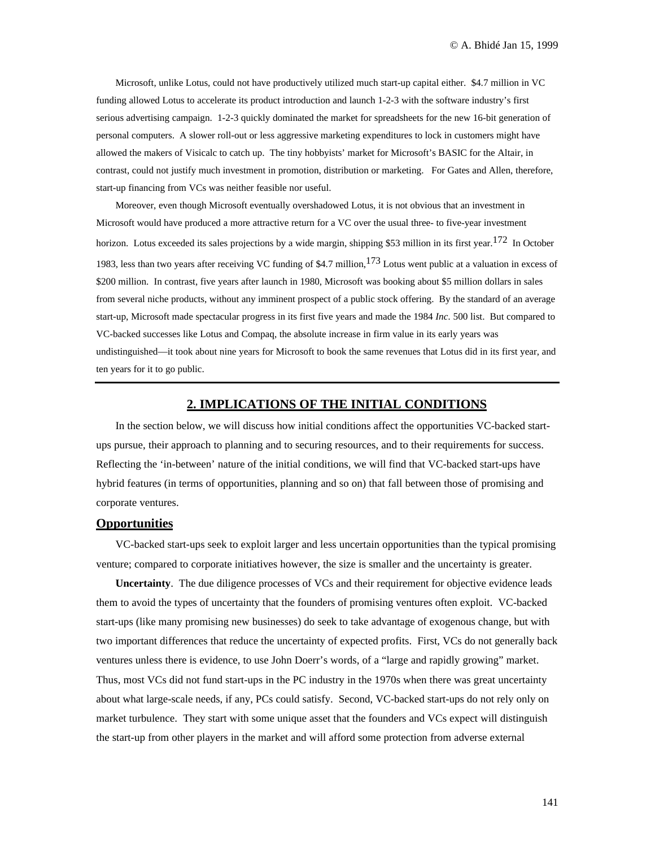Microsoft, unlike Lotus, could not have productively utilized much start-up capital either. \$4.7 million in VC funding allowed Lotus to accelerate its product introduction and launch 1-2-3 with the software industry's first serious advertising campaign. 1-2-3 quickly dominated the market for spreadsheets for the new 16-bit generation of personal computers. A slower roll-out or less aggressive marketing expenditures to lock in customers might have allowed the makers of Visicalc to catch up. The tiny hobbyists' market for Microsoft's BASIC for the Altair, in contrast, could not justify much investment in promotion, distribution or marketing. For Gates and Allen, therefore, start-up financing from VCs was neither feasible nor useful.

Moreover, even though Microsoft eventually overshadowed Lotus, it is not obvious that an investment in Microsoft would have produced a more attractive return for a VC over the usual three- to five-year investment horizon. Lotus exceeded its sales projections by a wide margin, shipping \$53 million in its first year.<sup>172</sup> In October 1983, less than two years after receiving VC funding of \$4.7 million,  $173$  Lotus went public at a valuation in excess of \$200 million. In contrast, five years after launch in 1980, Microsoft was booking about \$5 million dollars in sales from several niche products, without any imminent prospect of a public stock offering. By the standard of an average start-up, Microsoft made spectacular progress in its first five years and made the 1984 *Inc.* 500 list. But compared to VC-backed successes like Lotus and Compaq, the absolute increase in firm value in its early years was undistinguished—it took about nine years for Microsoft to book the same revenues that Lotus did in its first year, and ten years for it to go public.

### **2. IMPLICATIONS OF THE INITIAL CONDITIONS**

In the section below, we will discuss how initial conditions affect the opportunities VC-backed startups pursue, their approach to planning and to securing resources, and to their requirements for success. Reflecting the 'in-between' nature of the initial conditions, we will find that VC-backed start-ups have hybrid features (in terms of opportunities, planning and so on) that fall between those of promising and corporate ventures.

## **Opportunities**

VC-backed start-ups seek to exploit larger and less uncertain opportunities than the typical promising venture; compared to corporate initiatives however, the size is smaller and the uncertainty is greater.

**Uncertainty**. The due diligence processes of VCs and their requirement for objective evidence leads them to avoid the types of uncertainty that the founders of promising ventures often exploit. VC-backed start-ups (like many promising new businesses) do seek to take advantage of exogenous change, but with two important differences that reduce the uncertainty of expected profits. First, VCs do not generally back ventures unless there is evidence, to use John Doerr's words, of a "large and rapidly growing" market. Thus, most VCs did not fund start-ups in the PC industry in the 1970s when there was great uncertainty about what large-scale needs, if any, PCs could satisfy. Second, VC-backed start-ups do not rely only on market turbulence. They start with some unique asset that the founders and VCs expect will distinguish the start-up from other players in the market and will afford some protection from adverse external

141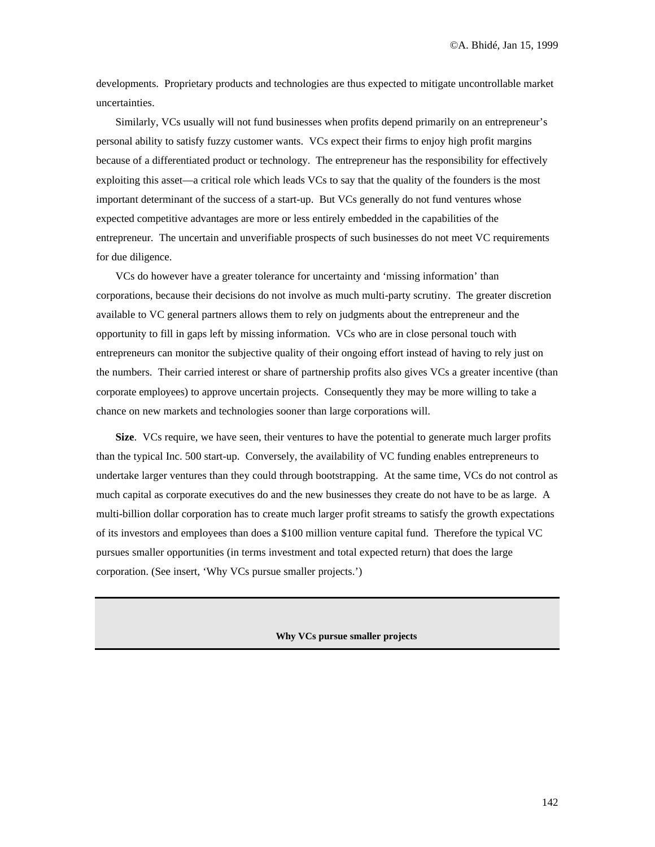developments. Proprietary products and technologies are thus expected to mitigate uncontrollable market uncertainties.

Similarly, VCs usually will not fund businesses when profits depend primarily on an entrepreneur's personal ability to satisfy fuzzy customer wants. VCs expect their firms to enjoy high profit margins because of a differentiated product or technology. The entrepreneur has the responsibility for effectively exploiting this asset—a critical role which leads VCs to say that the quality of the founders is the most important determinant of the success of a start-up. But VCs generally do not fund ventures whose expected competitive advantages are more or less entirely embedded in the capabilities of the entrepreneur. The uncertain and unverifiable prospects of such businesses do not meet VC requirements for due diligence.

VCs do however have a greater tolerance for uncertainty and 'missing information' than corporations, because their decisions do not involve as much multi-party scrutiny. The greater discretion available to VC general partners allows them to rely on judgments about the entrepreneur and the opportunity to fill in gaps left by missing information. VCs who are in close personal touch with entrepreneurs can monitor the subjective quality of their ongoing effort instead of having to rely just on the numbers. Their carried interest or share of partnership profits also gives VCs a greater incentive (than corporate employees) to approve uncertain projects. Consequently they may be more willing to take a chance on new markets and technologies sooner than large corporations will.

**Size.** VCs require, we have seen, their ventures to have the potential to generate much larger profits than the typical Inc. 500 start-up. Conversely, the availability of VC funding enables entrepreneurs to undertake larger ventures than they could through bootstrapping. At the same time, VCs do not control as much capital as corporate executives do and the new businesses they create do not have to be as large. A multi-billion dollar corporation has to create much larger profit streams to satisfy the growth expectations of its investors and employees than does a \$100 million venture capital fund. Therefore the typical VC pursues smaller opportunities (in terms investment and total expected return) that does the large corporation. (See insert, 'Why VCs pursue smaller projects.')

#### **Why VCs pursue smaller projects**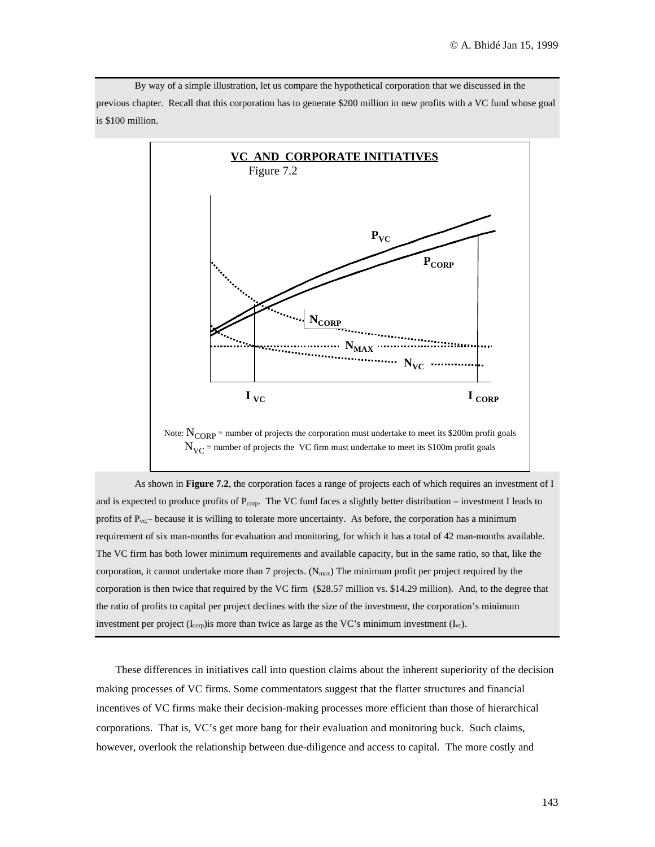By way of a simple illustration, let us compare the hypothetical corporation that we discussed in the previous chapter. Recall that this corporation has to generate \$200 million in new profits with a VC fund whose goal is \$100 million.



As shown in **Figure 7.2**, the corporation faces a range of projects each of which requires an investment of I and is expected to produce profits of  $P_{\text{cop}}$ . The VC fund faces a slightly better distribution – investment I leads to profits of  $P_{\text{vc}}$  because it is willing to tolerate more uncertainty. As before, the corporation has a minimum requirement of six man-months for evaluation and monitoring, for which it has a total of 42 man-months available. The VC firm has both lower minimum requirements and available capacity, but in the same ratio, so that, like the corporation, it cannot undertake more than 7 projects.  $(N_{\text{max}})$  The minimum profit per project required by the corporation is then twice that required by the VC firm (\$28.57 million vs. \$14.29 million). And, to the degree that the ratio of profits to capital per project declines with the size of the investment, the corporation's minimum investment per project  $(I_{\text{corp}})$ is more than twice as large as the VC's minimum investment  $(I_{\text{vc}})$ .

These differences in initiatives call into question claims about the inherent superiority of the decision making processes of VC firms. Some commentators suggest that the flatter structures and financial incentives of VC firms make their decision-making processes more efficient than those of hierarchical corporations. That is, VC's get more bang for their evaluation and monitoring buck. Such claims, however, overlook the relationship between due-diligence and access to capital. The more costly and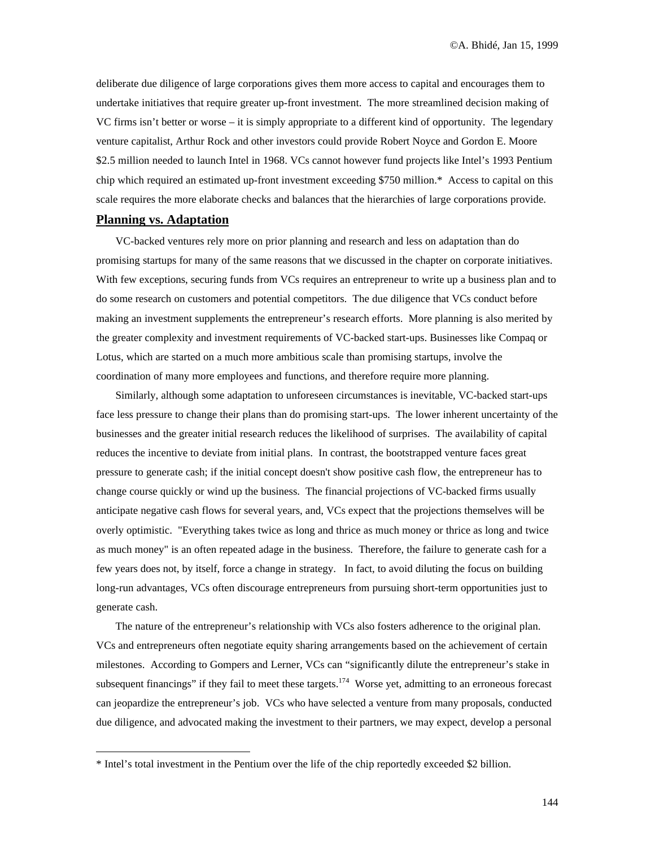deliberate due diligence of large corporations gives them more access to capital and encourages them to undertake initiatives that require greater up-front investment. The more streamlined decision making of VC firms isn't better or worse – it is simply appropriate to a different kind of opportunity. The legendary venture capitalist, Arthur Rock and other investors could provide Robert Noyce and Gordon E. Moore \$2.5 million needed to launch Intel in 1968. VCs cannot however fund projects like Intel's 1993 Pentium chip which required an estimated up-front investment exceeding \$750 million.\* Access to capital on this scale requires the more elaborate checks and balances that the hierarchies of large corporations provide.

### **Planning vs. Adaptation**

-

VC-backed ventures rely more on prior planning and research and less on adaptation than do promising startups for many of the same reasons that we discussed in the chapter on corporate initiatives. With few exceptions, securing funds from VCs requires an entrepreneur to write up a business plan and to do some research on customers and potential competitors. The due diligence that VCs conduct before making an investment supplements the entrepreneur's research efforts. More planning is also merited by the greater complexity and investment requirements of VC-backed start-ups. Businesses like Compaq or Lotus, which are started on a much more ambitious scale than promising startups, involve the coordination of many more employees and functions, and therefore require more planning.

Similarly, although some adaptation to unforeseen circumstances is inevitable, VC-backed start-ups face less pressure to change their plans than do promising start-ups. The lower inherent uncertainty of the businesses and the greater initial research reduces the likelihood of surprises. The availability of capital reduces the incentive to deviate from initial plans. In contrast, the bootstrapped venture faces great pressure to generate cash; if the initial concept doesn't show positive cash flow, the entrepreneur has to change course quickly or wind up the business. The financial projections of VC-backed firms usually anticipate negative cash flows for several years, and, VCs expect that the projections themselves will be overly optimistic. "Everything takes twice as long and thrice as much money or thrice as long and twice as much money" is an often repeated adage in the business. Therefore, the failure to generate cash for a few years does not, by itself, force a change in strategy. In fact, to avoid diluting the focus on building long-run advantages, VCs often discourage entrepreneurs from pursuing short-term opportunities just to generate cash.

The nature of the entrepreneur's relationship with VCs also fosters adherence to the original plan. VCs and entrepreneurs often negotiate equity sharing arrangements based on the achievement of certain milestones. According to Gompers and Lerner, VCs can "significantly dilute the entrepreneur's stake in subsequent financings" if they fail to meet these targets.<sup>174</sup> Worse yet, admitting to an erroneous forecast can jeopardize the entrepreneur's job. VCs who have selected a venture from many proposals, conducted due diligence, and advocated making the investment to their partners, we may expect, develop a personal

<sup>\*</sup> Intel's total investment in the Pentium over the life of the chip reportedly exceeded \$2 billion.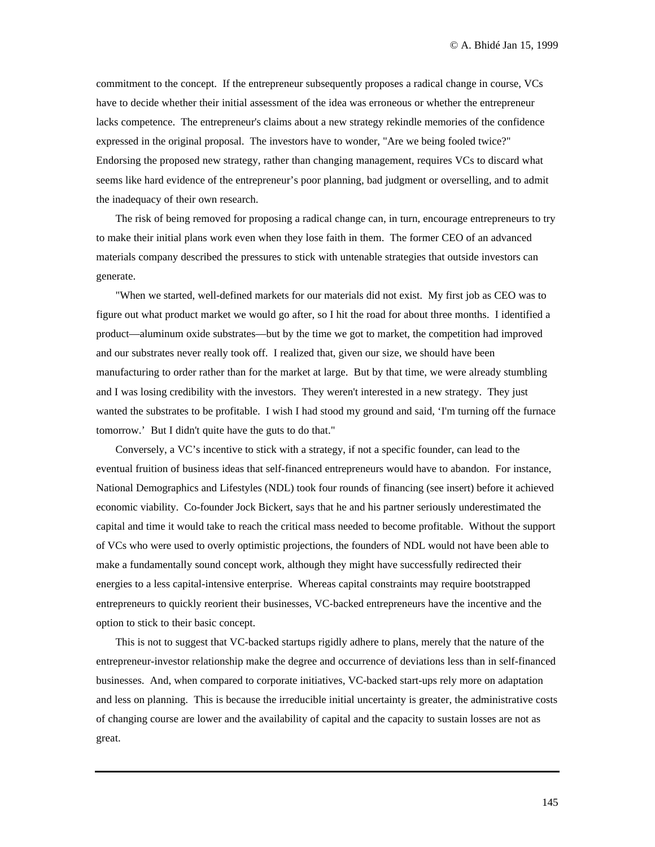commitment to the concept. If the entrepreneur subsequently proposes a radical change in course, VCs have to decide whether their initial assessment of the idea was erroneous or whether the entrepreneur lacks competence. The entrepreneur's claims about a new strategy rekindle memories of the confidence expressed in the original proposal. The investors have to wonder, "Are we being fooled twice?" Endorsing the proposed new strategy, rather than changing management, requires VCs to discard what seems like hard evidence of the entrepreneur's poor planning, bad judgment or overselling, and to admit the inadequacy of their own research.

The risk of being removed for proposing a radical change can, in turn, encourage entrepreneurs to try to make their initial plans work even when they lose faith in them. The former CEO of an advanced materials company described the pressures to stick with untenable strategies that outside investors can generate.

"When we started, well-defined markets for our materials did not exist. My first job as CEO was to figure out what product market we would go after, so I hit the road for about three months. I identified a product—aluminum oxide substrates—but by the time we got to market, the competition had improved and our substrates never really took off. I realized that, given our size, we should have been manufacturing to order rather than for the market at large. But by that time, we were already stumbling and I was losing credibility with the investors. They weren't interested in a new strategy. They just wanted the substrates to be profitable. I wish I had stood my ground and said, 'I'm turning off the furnace tomorrow.' But I didn't quite have the guts to do that."

Conversely, a VC's incentive to stick with a strategy, if not a specific founder, can lead to the eventual fruition of business ideas that self-financed entrepreneurs would have to abandon. For instance, National Demographics and Lifestyles (NDL) took four rounds of financing (see insert) before it achieved economic viability. Co-founder Jock Bickert, says that he and his partner seriously underestimated the capital and time it would take to reach the critical mass needed to become profitable. Without the support of VCs who were used to overly optimistic projections, the founders of NDL would not have been able to make a fundamentally sound concept work, although they might have successfully redirected their energies to a less capital-intensive enterprise. Whereas capital constraints may require bootstrapped entrepreneurs to quickly reorient their businesses, VC-backed entrepreneurs have the incentive and the option to stick to their basic concept.

This is not to suggest that VC-backed startups rigidly adhere to plans, merely that the nature of the entrepreneur-investor relationship make the degree and occurrence of deviations less than in self-financed businesses. And, when compared to corporate initiatives, VC-backed start-ups rely more on adaptation and less on planning. This is because the irreducible initial uncertainty is greater, the administrative costs of changing course are lower and the availability of capital and the capacity to sustain losses are not as great.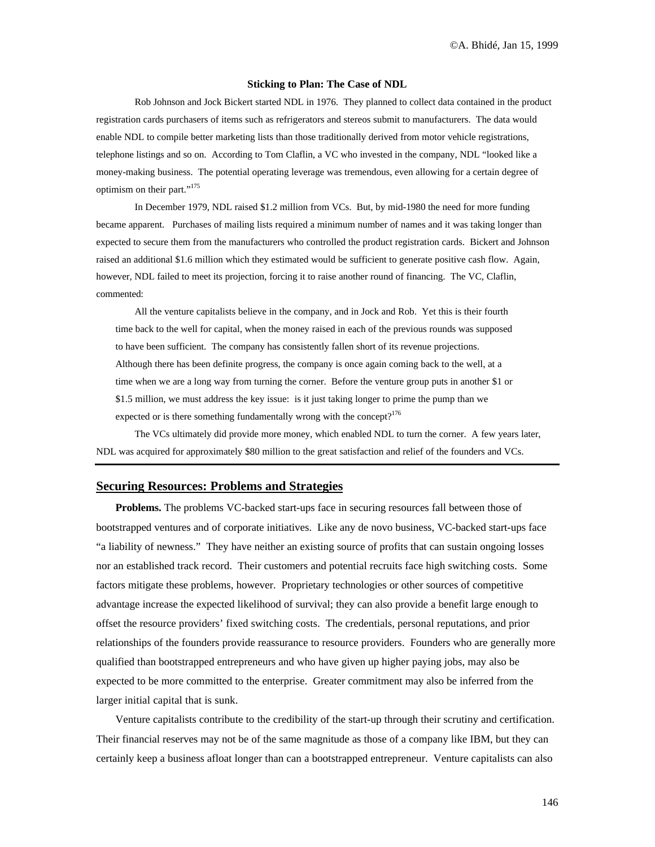#### **Sticking to Plan: The Case of NDL**

Rob Johnson and Jock Bickert started NDL in 1976. They planned to collect data contained in the product registration cards purchasers of items such as refrigerators and stereos submit to manufacturers. The data would enable NDL to compile better marketing lists than those traditionally derived from motor vehicle registrations, telephone listings and so on. According to Tom Claflin, a VC who invested in the company, NDL "looked like a money-making business. The potential operating leverage was tremendous, even allowing for a certain degree of optimism on their part."<sup>175</sup>

In December 1979, NDL raised \$1.2 million from VCs. But, by mid-1980 the need for more funding became apparent. Purchases of mailing lists required a minimum number of names and it was taking longer than expected to secure them from the manufacturers who controlled the product registration cards. Bickert and Johnson raised an additional \$1.6 million which they estimated would be sufficient to generate positive cash flow. Again, however, NDL failed to meet its projection, forcing it to raise another round of financing. The VC, Claflin, commented:

All the venture capitalists believe in the company, and in Jock and Rob. Yet this is their fourth time back to the well for capital, when the money raised in each of the previous rounds was supposed to have been sufficient. The company has consistently fallen short of its revenue projections. Although there has been definite progress, the company is once again coming back to the well, at a time when we are a long way from turning the corner. Before the venture group puts in another \$1 or \$1.5 million, we must address the key issue: is it just taking longer to prime the pump than we expected or is there something fundamentally wrong with the concept?<sup>176</sup>

The VCs ultimately did provide more money, which enabled NDL to turn the corner. A few years later, NDL was acquired for approximately \$80 million to the great satisfaction and relief of the founders and VCs.

#### **Securing Resources: Problems and Strategies**

**Problems.** The problems VC-backed start-ups face in securing resources fall between those of bootstrapped ventures and of corporate initiatives. Like any de novo business, VC-backed start-ups face "a liability of newness." They have neither an existing source of profits that can sustain ongoing losses nor an established track record. Their customers and potential recruits face high switching costs. Some factors mitigate these problems, however. Proprietary technologies or other sources of competitive advantage increase the expected likelihood of survival; they can also provide a benefit large enough to offset the resource providers' fixed switching costs. The credentials, personal reputations, and prior relationships of the founders provide reassurance to resource providers. Founders who are generally more qualified than bootstrapped entrepreneurs and who have given up higher paying jobs, may also be expected to be more committed to the enterprise. Greater commitment may also be inferred from the larger initial capital that is sunk.

Venture capitalists contribute to the credibility of the start-up through their scrutiny and certification. Their financial reserves may not be of the same magnitude as those of a company like IBM, but they can certainly keep a business afloat longer than can a bootstrapped entrepreneur. Venture capitalists can also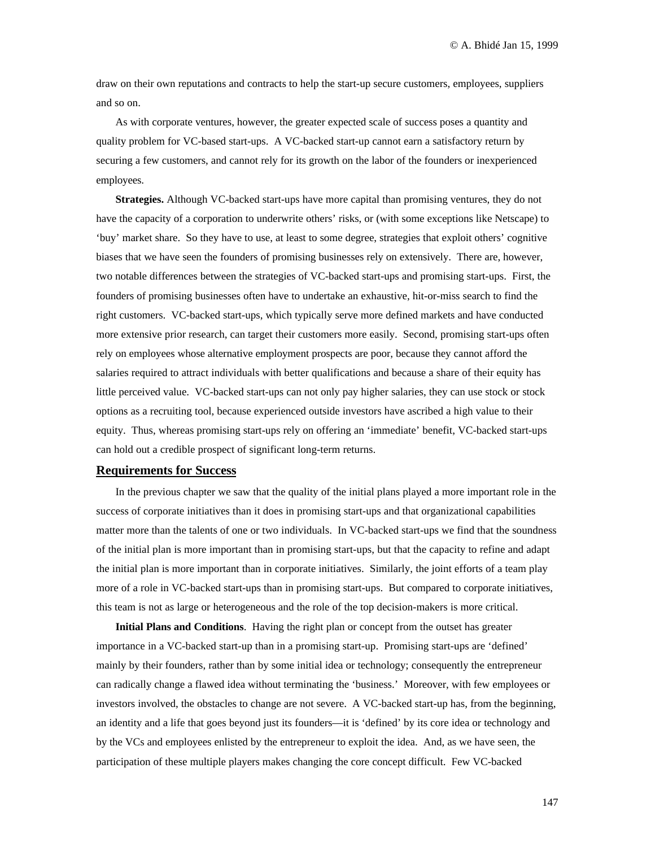draw on their own reputations and contracts to help the start-up secure customers, employees, suppliers and so on.

As with corporate ventures, however, the greater expected scale of success poses a quantity and quality problem for VC-based start-ups. A VC-backed start-up cannot earn a satisfactory return by securing a few customers, and cannot rely for its growth on the labor of the founders or inexperienced employees.

**Strategies.** Although VC-backed start-ups have more capital than promising ventures, they do not have the capacity of a corporation to underwrite others' risks, or (with some exceptions like Netscape) to 'buy' market share. So they have to use, at least to some degree, strategies that exploit others' cognitive biases that we have seen the founders of promising businesses rely on extensively. There are, however, two notable differences between the strategies of VC-backed start-ups and promising start-ups. First, the founders of promising businesses often have to undertake an exhaustive, hit-or-miss search to find the right customers. VC-backed start-ups, which typically serve more defined markets and have conducted more extensive prior research, can target their customers more easily. Second, promising start-ups often rely on employees whose alternative employment prospects are poor, because they cannot afford the salaries required to attract individuals with better qualifications and because a share of their equity has little perceived value. VC-backed start-ups can not only pay higher salaries, they can use stock or stock options as a recruiting tool, because experienced outside investors have ascribed a high value to their equity. Thus, whereas promising start-ups rely on offering an 'immediate' benefit, VC-backed start-ups can hold out a credible prospect of significant long-term returns.

## **Requirements for Success**

In the previous chapter we saw that the quality of the initial plans played a more important role in the success of corporate initiatives than it does in promising start-ups and that organizational capabilities matter more than the talents of one or two individuals. In VC-backed start-ups we find that the soundness of the initial plan is more important than in promising start-ups, but that the capacity to refine and adapt the initial plan is more important than in corporate initiatives. Similarly, the joint efforts of a team play more of a role in VC-backed start-ups than in promising start-ups. But compared to corporate initiatives, this team is not as large or heterogeneous and the role of the top decision-makers is more critical.

**Initial Plans and Conditions**. Having the right plan or concept from the outset has greater importance in a VC-backed start-up than in a promising start-up. Promising start-ups are 'defined' mainly by their founders, rather than by some initial idea or technology; consequently the entrepreneur can radically change a flawed idea without terminating the 'business.' Moreover, with few employees or investors involved, the obstacles to change are not severe. A VC-backed start-up has, from the beginning, an identity and a life that goes beyond just its founders—it is 'defined' by its core idea or technology and by the VCs and employees enlisted by the entrepreneur to exploit the idea. And, as we have seen, the participation of these multiple players makes changing the core concept difficult. Few VC-backed

147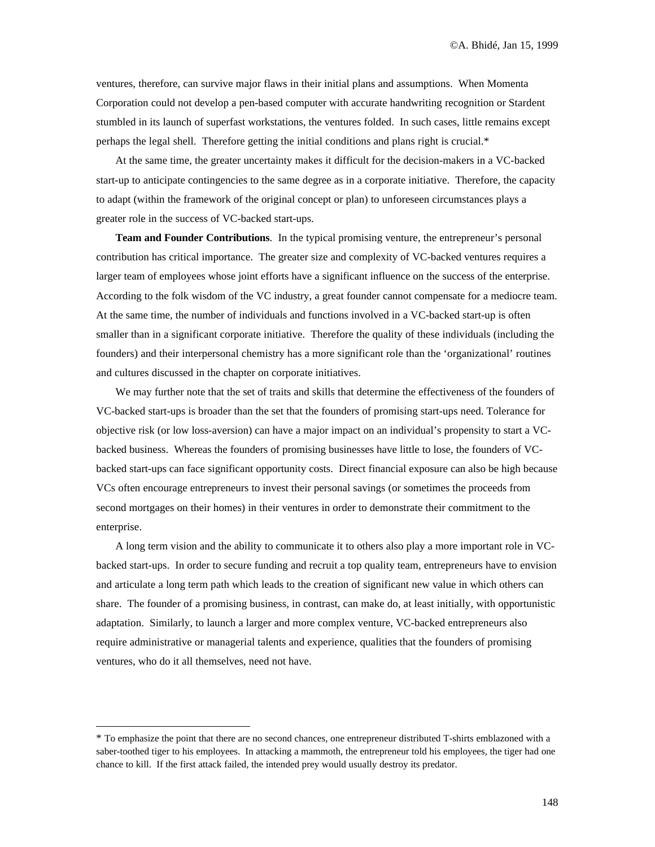ventures, therefore, can survive major flaws in their initial plans and assumptions. When Momenta Corporation could not develop a pen-based computer with accurate handwriting recognition or Stardent stumbled in its launch of superfast workstations, the ventures folded. In such cases, little remains except perhaps the legal shell. Therefore getting the initial conditions and plans right is crucial.\*

At the same time, the greater uncertainty makes it difficult for the decision-makers in a VC-backed start-up to anticipate contingencies to the same degree as in a corporate initiative. Therefore, the capacity to adapt (within the framework of the original concept or plan) to unforeseen circumstances plays a greater role in the success of VC-backed start-ups.

**Team and Founder Contributions**. In the typical promising venture, the entrepreneur's personal contribution has critical importance. The greater size and complexity of VC-backed ventures requires a larger team of employees whose joint efforts have a significant influence on the success of the enterprise. According to the folk wisdom of the VC industry, a great founder cannot compensate for a mediocre team. At the same time, the number of individuals and functions involved in a VC-backed start-up is often smaller than in a significant corporate initiative. Therefore the quality of these individuals (including the founders) and their interpersonal chemistry has a more significant role than the 'organizational' routines and cultures discussed in the chapter on corporate initiatives.

We may further note that the set of traits and skills that determine the effectiveness of the founders of VC-backed start-ups is broader than the set that the founders of promising start-ups need. Tolerance for objective risk (or low loss-aversion) can have a major impact on an individual's propensity to start a VCbacked business. Whereas the founders of promising businesses have little to lose, the founders of VCbacked start-ups can face significant opportunity costs. Direct financial exposure can also be high because VCs often encourage entrepreneurs to invest their personal savings (or sometimes the proceeds from second mortgages on their homes) in their ventures in order to demonstrate their commitment to the enterprise.

A long term vision and the ability to communicate it to others also play a more important role in VCbacked start-ups. In order to secure funding and recruit a top quality team, entrepreneurs have to envision and articulate a long term path which leads to the creation of significant new value in which others can share. The founder of a promising business, in contrast, can make do, at least initially, with opportunistic adaptation. Similarly, to launch a larger and more complex venture, VC-backed entrepreneurs also require administrative or managerial talents and experience, qualities that the founders of promising ventures, who do it all themselves, need not have.

<sup>\*</sup> To emphasize the point that there are no second chances, one entrepreneur distributed T-shirts emblazoned with a saber-toothed tiger to his employees. In attacking a mammoth, the entrepreneur told his employees, the tiger had one chance to kill. If the first attack failed, the intended prey would usually destroy its predator.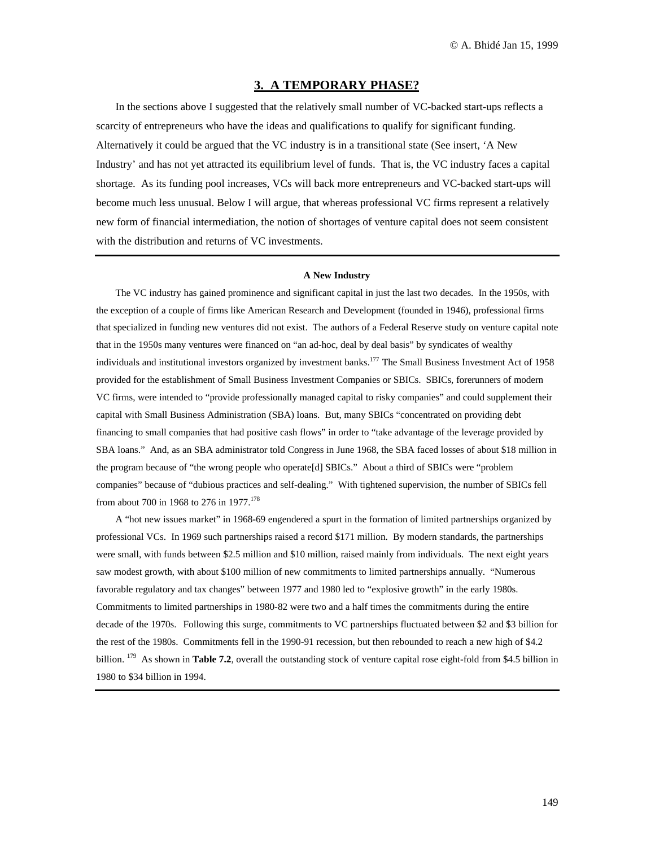## **3. A TEMPORARY PHASE?**

In the sections above I suggested that the relatively small number of VC-backed start-ups reflects a scarcity of entrepreneurs who have the ideas and qualifications to qualify for significant funding. Alternatively it could be argued that the VC industry is in a transitional state (See insert, 'A New Industry' and has not yet attracted its equilibrium level of funds. That is, the VC industry faces a capital shortage. As its funding pool increases, VCs will back more entrepreneurs and VC-backed start-ups will become much less unusual. Below I will argue, that whereas professional VC firms represent a relatively new form of financial intermediation, the notion of shortages of venture capital does not seem consistent with the distribution and returns of VC investments.

#### **A New Industry**

The VC industry has gained prominence and significant capital in just the last two decades. In the 1950s, with the exception of a couple of firms like American Research and Development (founded in 1946), professional firms that specialized in funding new ventures did not exist. The authors of a Federal Reserve study on venture capital note that in the 1950s many ventures were financed on "an ad-hoc, deal by deal basis" by syndicates of wealthy individuals and institutional investors organized by investment banks.<sup>177</sup> The Small Business Investment Act of 1958 provided for the establishment of Small Business Investment Companies or SBICs. SBICs, forerunners of modern VC firms, were intended to "provide professionally managed capital to risky companies" and could supplement their capital with Small Business Administration (SBA) loans. But, many SBICs "concentrated on providing debt financing to small companies that had positive cash flows" in order to "take advantage of the leverage provided by SBA loans." And, as an SBA administrator told Congress in June 1968, the SBA faced losses of about \$18 million in the program because of "the wrong people who operate[d] SBICs." About a third of SBICs were "problem companies" because of "dubious practices and self-dealing." With tightened supervision, the number of SBICs fell from about 700 in 1968 to 276 in 1977.<sup>178</sup>

A "hot new issues market" in 1968-69 engendered a spurt in the formation of limited partnerships organized by professional VCs. In 1969 such partnerships raised a record \$171 million. By modern standards, the partnerships were small, with funds between \$2.5 million and \$10 million, raised mainly from individuals. The next eight years saw modest growth, with about \$100 million of new commitments to limited partnerships annually. "Numerous favorable regulatory and tax changes" between 1977 and 1980 led to "explosive growth" in the early 1980s. Commitments to limited partnerships in 1980-82 were two and a half times the commitments during the entire decade of the 1970s. Following this surge, commitments to VC partnerships fluctuated between \$2 and \$3 billion for the rest of the 1980s. Commitments fell in the 1990-91 recession, but then rebounded to reach a new high of \$4.2 billion. <sup>179</sup> As shown in **Table 7.2**, overall the outstanding stock of venture capital rose eight-fold from \$4.5 billion in 1980 to \$34 billion in 1994.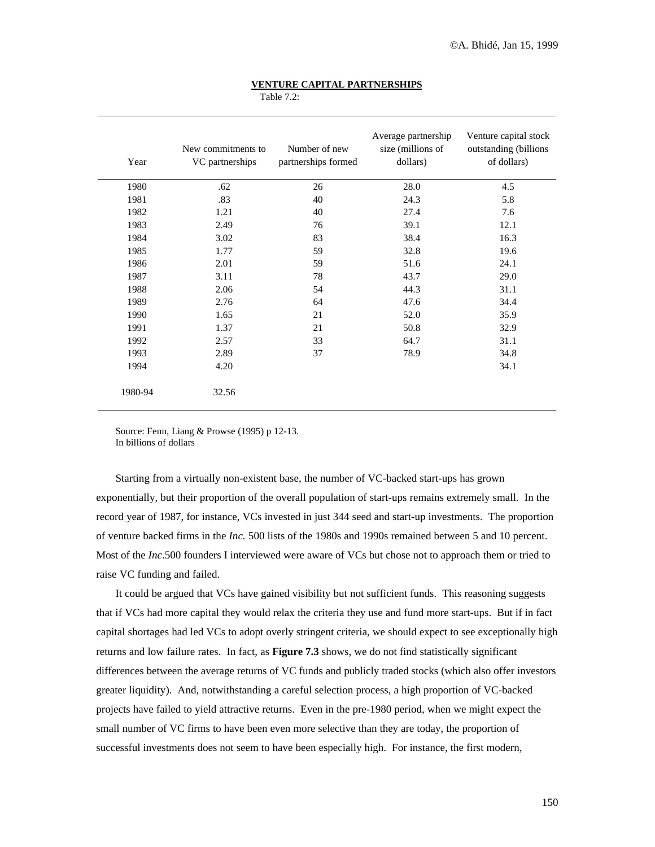#### **VENTURE CAPITAL PARTNERSHIPS**

Table 7.2:

| Year    | New commitments to<br>VC partnerships | Number of new<br>partnerships formed | Average partnership<br>size (millions of<br>dollars) | Venture capital stock<br>outstanding (billions<br>of dollars) |
|---------|---------------------------------------|--------------------------------------|------------------------------------------------------|---------------------------------------------------------------|
| 1980    | .62                                   | 26                                   | 28.0                                                 | 4.5                                                           |
| 1981    | .83                                   | 40                                   | 24.3                                                 | 5.8                                                           |
| 1982    | 1.21                                  | 40                                   | 27.4                                                 | 7.6                                                           |
| 1983    | 2.49                                  | 76                                   | 39.1                                                 | 12.1                                                          |
| 1984    | 3.02                                  | 83                                   | 38.4                                                 | 16.3                                                          |
| 1985    | 1.77                                  | 59                                   | 32.8                                                 | 19.6                                                          |
| 1986    | 2.01                                  | 59                                   | 51.6                                                 | 24.1                                                          |
| 1987    | 3.11                                  | 78                                   | 43.7                                                 | 29.0                                                          |
| 1988    | 2.06                                  | 54                                   | 44.3                                                 | 31.1                                                          |
| 1989    | 2.76                                  | 64                                   | 47.6                                                 | 34.4                                                          |
| 1990    | 1.65                                  | 21                                   | 52.0                                                 | 35.9                                                          |
| 1991    | 1.37                                  | 21                                   | 50.8                                                 | 32.9                                                          |
| 1992    | 2.57                                  | 33                                   | 64.7                                                 | 31.1                                                          |
| 1993    | 2.89                                  | 37                                   | 78.9                                                 | 34.8                                                          |
| 1994    | 4.20                                  |                                      |                                                      | 34.1                                                          |
| 1980-94 | 32.56                                 |                                      |                                                      |                                                               |

Source: Fenn, Liang & Prowse (1995) p 12-13. In billions of dollars

Starting from a virtually non-existent base, the number of VC-backed start-ups has grown exponentially, but their proportion of the overall population of start-ups remains extremely small. In the record year of 1987, for instance, VCs invested in just 344 seed and start-up investments. The proportion of venture backed firms in the *Inc.* 500 lists of the 1980s and 1990s remained between 5 and 10 percent. Most of the *Inc*.500 founders I interviewed were aware of VCs but chose not to approach them or tried to raise VC funding and failed.

It could be argued that VCs have gained visibility but not sufficient funds. This reasoning suggests that if VCs had more capital they would relax the criteria they use and fund more start-ups. But if in fact capital shortages had led VCs to adopt overly stringent criteria, we should expect to see exceptionally high returns and low failure rates. In fact, as **Figure 7.3** shows, we do not find statistically significant differences between the average returns of VC funds and publicly traded stocks (which also offer investors greater liquidity). And, notwithstanding a careful selection process, a high proportion of VC-backed projects have failed to yield attractive returns. Even in the pre-1980 period, when we might expect the small number of VC firms to have been even more selective than they are today, the proportion of successful investments does not seem to have been especially high. For instance, the first modern,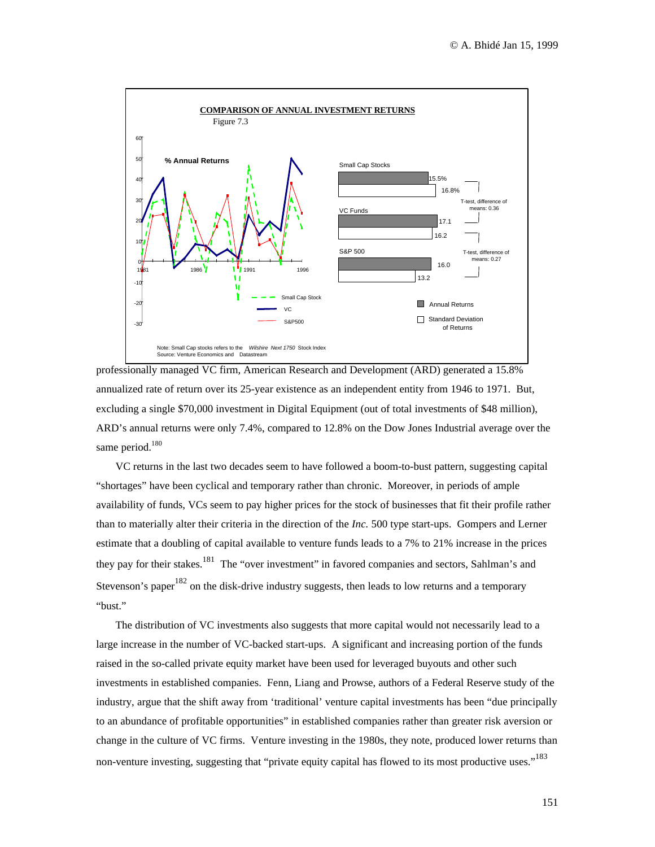

professionally managed VC firm, American Research and Development (ARD) generated a 15.8% annualized rate of return over its 25-year existence as an independent entity from 1946 to 1971. But, excluding a single \$70,000 investment in Digital Equipment (out of total investments of \$48 million), ARD's annual returns were only 7.4%, compared to 12.8% on the Dow Jones Industrial average over the same period.<sup>180</sup>

VC returns in the last two decades seem to have followed a boom-to-bust pattern, suggesting capital "shortages" have been cyclical and temporary rather than chronic. Moreover, in periods of ample availability of funds, VCs seem to pay higher prices for the stock of businesses that fit their profile rather than to materially alter their criteria in the direction of the *Inc.* 500 type start-ups. Gompers and Lerner estimate that a doubling of capital available to venture funds leads to a 7% to 21% increase in the prices they pay for their stakes.<sup>181</sup> The "over investment" in favored companies and sectors, Sahlman's and Stevenson's paper<sup>182</sup> on the disk-drive industry suggests, then leads to low returns and a temporary "bust."

The distribution of VC investments also suggests that more capital would not necessarily lead to a large increase in the number of VC-backed start-ups. A significant and increasing portion of the funds raised in the so-called private equity market have been used for leveraged buyouts and other such investments in established companies. Fenn, Liang and Prowse, authors of a Federal Reserve study of the industry, argue that the shift away from 'traditional' venture capital investments has been "due principally to an abundance of profitable opportunities" in established companies rather than greater risk aversion or change in the culture of VC firms. Venture investing in the 1980s, they note, produced lower returns than non-venture investing, suggesting that "private equity capital has flowed to its most productive uses."<sup>183</sup>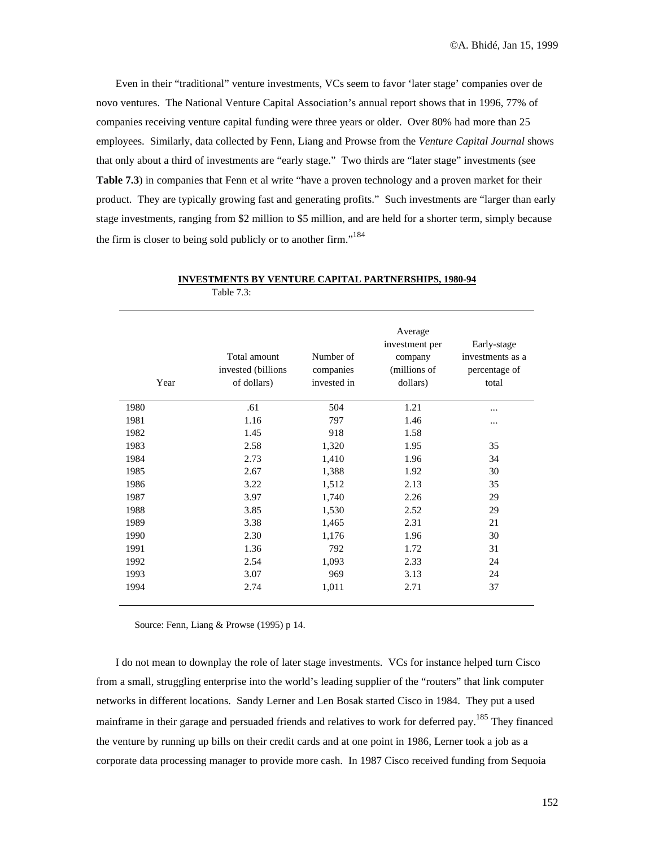Even in their "traditional" venture investments, VCs seem to favor 'later stage' companies over de novo ventures. The National Venture Capital Association's annual report shows that in 1996, 77% of companies receiving venture capital funding were three years or older. Over 80% had more than 25 employees. Similarly, data collected by Fenn, Liang and Prowse from the *Venture Capital Journal* shows that only about a third of investments are "early stage." Two thirds are "later stage" investments (see **Table 7.3**) in companies that Fenn et al write "have a proven technology and a proven market for their product. They are typically growing fast and generating profits." Such investments are "larger than early stage investments, ranging from \$2 million to \$5 million, and are held for a shorter term, simply because the firm is closer to being sold publicly or to another firm."<sup>184</sup>

| Year | Total amount<br>invested (billions<br>of dollars) | Number of<br>companies<br>invested in | Average<br>investment per<br>company<br>(millions of<br>dollars) | Early-stage<br>investments as a<br>percentage of<br>total |
|------|---------------------------------------------------|---------------------------------------|------------------------------------------------------------------|-----------------------------------------------------------|
| 1980 | .61                                               | 504                                   | 1.21                                                             |                                                           |
| 1981 | 1.16                                              | 797                                   | 1.46                                                             |                                                           |
| 1982 | 1.45                                              | 918                                   | 1.58                                                             |                                                           |
| 1983 | 2.58                                              | 1,320                                 | 1.95                                                             | 35                                                        |
| 1984 | 2.73                                              | 1,410                                 | 1.96                                                             | 34                                                        |
| 1985 | 2.67                                              | 1,388                                 | 1.92                                                             | 30                                                        |
| 1986 | 3.22                                              | 1,512                                 | 2.13                                                             | 35                                                        |
| 1987 | 3.97                                              | 1,740                                 | 2.26                                                             | 29                                                        |
| 1988 | 3.85                                              | 1,530                                 | 2.52                                                             | 29                                                        |
| 1989 | 3.38                                              | 1,465                                 | 2.31                                                             | 21                                                        |
| 1990 | 2.30                                              | 1,176                                 | 1.96                                                             | 30                                                        |
| 1991 | 1.36                                              | 792                                   | 1.72                                                             | 31                                                        |
| 1992 | 2.54                                              | 1,093                                 | 2.33                                                             | 24                                                        |
| 1993 | 3.07                                              | 969                                   | 3.13                                                             | 24                                                        |
| 1994 | 2.74                                              | 1,011                                 | 2.71                                                             | 37                                                        |

**INVESTMENTS BY VENTURE CAPITAL PARTNERSHIPS, 1980-94**

Source: Fenn, Liang & Prowse (1995) p 14.

Table 7.3:

I do not mean to downplay the role of later stage investments. VCs for instance helped turn Cisco from a small, struggling enterprise into the world's leading supplier of the "routers" that link computer networks in different locations. Sandy Lerner and Len Bosak started Cisco in 1984. They put a used mainframe in their garage and persuaded friends and relatives to work for deferred pay.<sup>185</sup> They financed the venture by running up bills on their credit cards and at one point in 1986, Lerner took a job as a corporate data processing manager to provide more cash. In 1987 Cisco received funding from Sequoia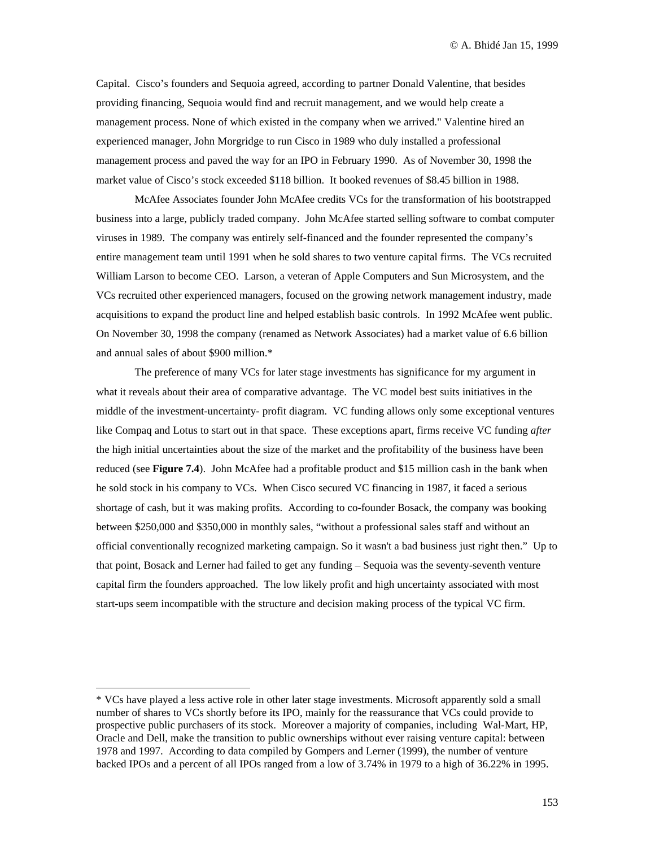Capital. Cisco's founders and Sequoia agreed, according to partner Donald Valentine, that besides providing financing, Sequoia would find and recruit management, and we would help create a management process. None of which existed in the company when we arrived." Valentine hired an experienced manager, John Morgridge to run Cisco in 1989 who duly installed a professional management process and paved the way for an IPO in February 1990. As of November 30, 1998 the market value of Cisco's stock exceeded \$118 billion. It booked revenues of \$8.45 billion in 1988.

McAfee Associates founder John McAfee credits VCs for the transformation of his bootstrapped business into a large, publicly traded company. John McAfee started selling software to combat computer viruses in 1989. The company was entirely self-financed and the founder represented the company's entire management team until 1991 when he sold shares to two venture capital firms. The VCs recruited William Larson to become CEO. Larson, a veteran of Apple Computers and Sun Microsystem, and the VCs recruited other experienced managers, focused on the growing network management industry, made acquisitions to expand the product line and helped establish basic controls. In 1992 McAfee went public. On November 30, 1998 the company (renamed as Network Associates) had a market value of 6.6 billion and annual sales of about \$900 million.\*

The preference of many VCs for later stage investments has significance for my argument in what it reveals about their area of comparative advantage. The VC model best suits initiatives in the middle of the investment-uncertainty- profit diagram. VC funding allows only some exceptional ventures like Compaq and Lotus to start out in that space. These exceptions apart, firms receive VC funding *after* the high initial uncertainties about the size of the market and the profitability of the business have been reduced (see **Figure 7.4**). John McAfee had a profitable product and \$15 million cash in the bank when he sold stock in his company to VCs. When Cisco secured VC financing in 1987, it faced a serious shortage of cash, but it was making profits. According to co-founder Bosack, the company was booking between \$250,000 and \$350,000 in monthly sales, "without a professional sales staff and without an official conventionally recognized marketing campaign. So it wasn't a bad business just right then." Up to that point, Bosack and Lerner had failed to get any funding – Sequoia was the seventy-seventh venture capital firm the founders approached. The low likely profit and high uncertainty associated with most start-ups seem incompatible with the structure and decision making process of the typical VC firm.

<sup>\*</sup> VCs have played a less active role in other later stage investments. Microsoft apparently sold a small number of shares to VCs shortly before its IPO, mainly for the reassurance that VCs could provide to prospective public purchasers of its stock. Moreover a majority of companies, including Wal-Mart, HP, Oracle and Dell, make the transition to public ownerships without ever raising venture capital: between 1978 and 1997. According to data compiled by Gompers and Lerner (1999), the number of venture backed IPOs and a percent of all IPOs ranged from a low of 3.74% in 1979 to a high of 36.22% in 1995.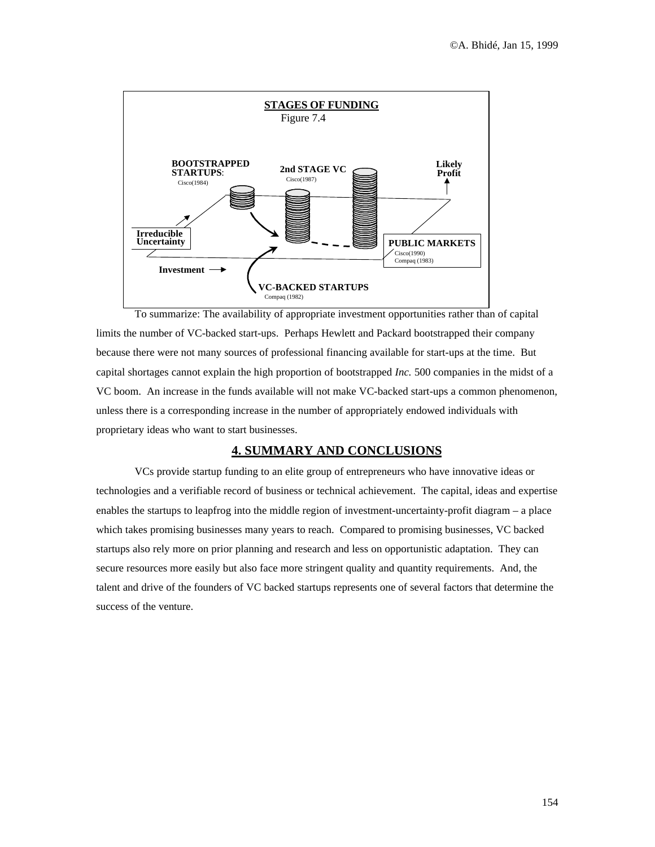

To summarize: The availability of appropriate investment opportunities rather than of capital limits the number of VC-backed start-ups. Perhaps Hewlett and Packard bootstrapped their company because there were not many sources of professional financing available for start-ups at the time. But capital shortages cannot explain the high proportion of bootstrapped *Inc.* 500 companies in the midst of a VC boom. An increase in the funds available will not make VC-backed start-ups a common phenomenon, unless there is a corresponding increase in the number of appropriately endowed individuals with proprietary ideas who want to start businesses.

### **4. SUMMARY AND CONCLUSIONS**

VCs provide startup funding to an elite group of entrepreneurs who have innovative ideas or technologies and a verifiable record of business or technical achievement. The capital, ideas and expertise enables the startups to leapfrog into the middle region of investment-uncertainty-profit diagram – a place which takes promising businesses many years to reach. Compared to promising businesses, VC backed startups also rely more on prior planning and research and less on opportunistic adaptation. They can secure resources more easily but also face more stringent quality and quantity requirements. And, the talent and drive of the founders of VC backed startups represents one of several factors that determine the success of the venture.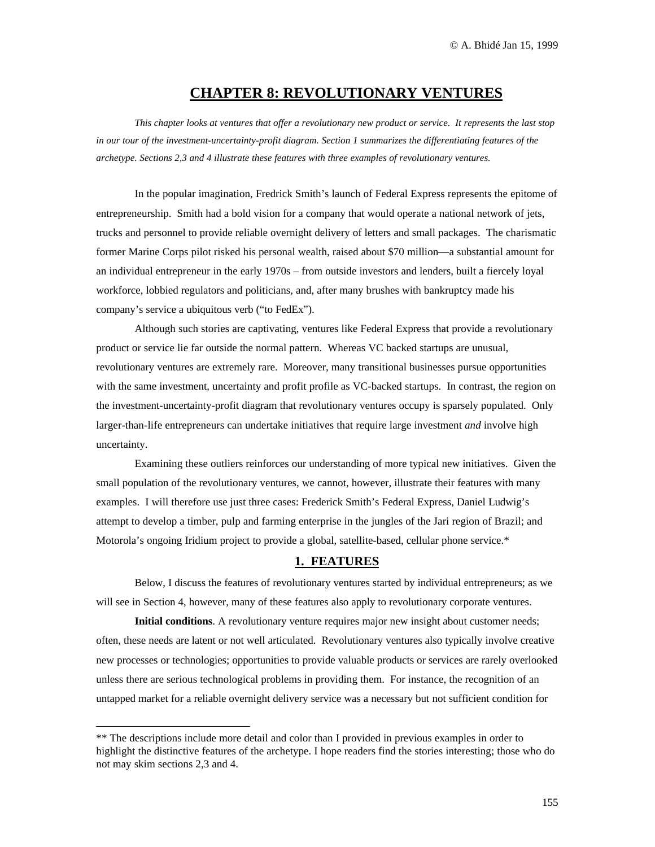# **CHAPTER 8: REVOLUTIONARY VENTURES**

*This chapter looks at ventures that offer a revolutionary new product or service. It represents the last stop in our tour of the investment-uncertainty-profit diagram. Section 1 summarizes the differentiating features of the archetype. Sections 2,3 and 4 illustrate these features with three examples of revolutionary ventures.*

In the popular imagination, Fredrick Smith's launch of Federal Express represents the epitome of entrepreneurship. Smith had a bold vision for a company that would operate a national network of jets, trucks and personnel to provide reliable overnight delivery of letters and small packages. The charismatic former Marine Corps pilot risked his personal wealth, raised about \$70 million—a substantial amount for an individual entrepreneur in the early 1970s – from outside investors and lenders, built a fiercely loyal workforce, lobbied regulators and politicians, and, after many brushes with bankruptcy made his company's service a ubiquitous verb ("to FedEx").

Although such stories are captivating, ventures like Federal Express that provide a revolutionary product or service lie far outside the normal pattern. Whereas VC backed startups are unusual, revolutionary ventures are extremely rare. Moreover, many transitional businesses pursue opportunities with the same investment, uncertainty and profit profile as VC-backed startups. In contrast, the region on the investment-uncertainty-profit diagram that revolutionary ventures occupy is sparsely populated. Only larger-than-life entrepreneurs can undertake initiatives that require large investment *and* involve high uncertainty.

Examining these outliers reinforces our understanding of more typical new initiatives. Given the small population of the revolutionary ventures, we cannot, however, illustrate their features with many examples. I will therefore use just three cases: Frederick Smith's Federal Express, Daniel Ludwig's attempt to develop a timber, pulp and farming enterprise in the jungles of the Jari region of Brazil; and Motorola's ongoing Iridium project to provide a global, satellite-based, cellular phone service.\*

## **1. FEATURES**

Below, I discuss the features of revolutionary ventures started by individual entrepreneurs; as we will see in Section 4, however, many of these features also apply to revolutionary corporate ventures.

**Initial conditions**. A revolutionary venture requires major new insight about customer needs; often, these needs are latent or not well articulated. Revolutionary ventures also typically involve creative new processes or technologies; opportunities to provide valuable products or services are rarely overlooked unless there are serious technological problems in providing them. For instance, the recognition of an untapped market for a reliable overnight delivery service was a necessary but not sufficient condition for

<sup>\*\*</sup> The descriptions include more detail and color than I provided in previous examples in order to highlight the distinctive features of the archetype. I hope readers find the stories interesting; those who do not may skim sections 2,3 and 4.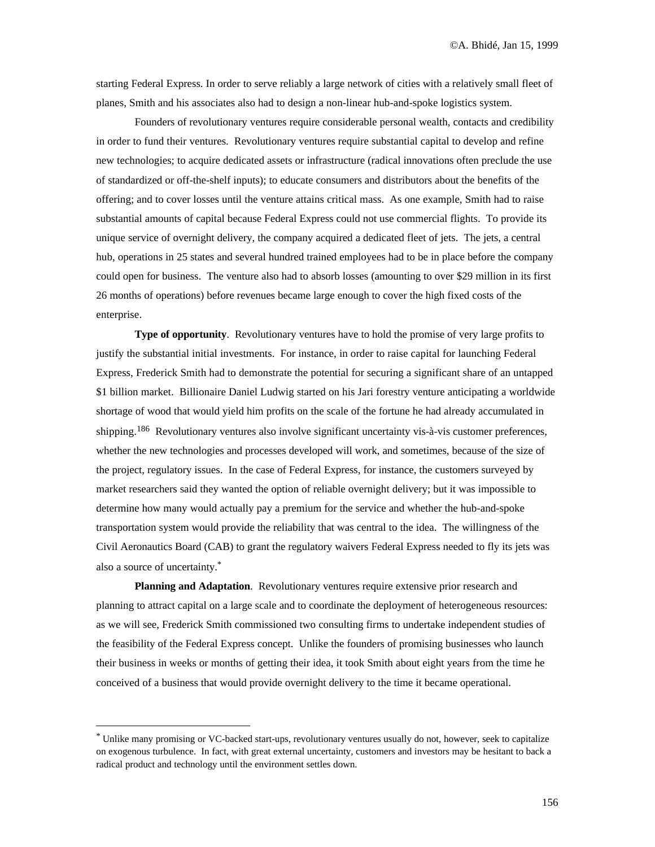starting Federal Express. In order to serve reliably a large network of cities with a relatively small fleet of planes, Smith and his associates also had to design a non-linear hub-and-spoke logistics system.

Founders of revolutionary ventures require considerable personal wealth, contacts and credibility in order to fund their ventures. Revolutionary ventures require substantial capital to develop and refine new technologies; to acquire dedicated assets or infrastructure (radical innovations often preclude the use of standardized or off-the-shelf inputs); to educate consumers and distributors about the benefits of the offering; and to cover losses until the venture attains critical mass. As one example, Smith had to raise substantial amounts of capital because Federal Express could not use commercial flights. To provide its unique service of overnight delivery, the company acquired a dedicated fleet of jets. The jets, a central hub, operations in 25 states and several hundred trained employees had to be in place before the company could open for business. The venture also had to absorb losses (amounting to over \$29 million in its first 26 months of operations) before revenues became large enough to cover the high fixed costs of the enterprise.

**Type of opportunity**. Revolutionary ventures have to hold the promise of very large profits to justify the substantial initial investments. For instance, in order to raise capital for launching Federal Express, Frederick Smith had to demonstrate the potential for securing a significant share of an untapped \$1 billion market. Billionaire Daniel Ludwig started on his Jari forestry venture anticipating a worldwide shortage of wood that would yield him profits on the scale of the fortune he had already accumulated in shipping.<sup>186</sup> Revolutionary ventures also involve significant uncertainty vis-à-vis customer preferences, whether the new technologies and processes developed will work, and sometimes, because of the size of the project, regulatory issues. In the case of Federal Express, for instance, the customers surveyed by market researchers said they wanted the option of reliable overnight delivery; but it was impossible to determine how many would actually pay a premium for the service and whether the hub-and-spoke transportation system would provide the reliability that was central to the idea. The willingness of the Civil Aeronautics Board (CAB) to grant the regulatory waivers Federal Express needed to fly its jets was also a source of uncertainty.\*

**Planning and Adaptation**. Revolutionary ventures require extensive prior research and planning to attract capital on a large scale and to coordinate the deployment of heterogeneous resources: as we will see, Frederick Smith commissioned two consulting firms to undertake independent studies of the feasibility of the Federal Express concept. Unlike the founders of promising businesses who launch their business in weeks or months of getting their idea, it took Smith about eight years from the time he conceived of a business that would provide overnight delivery to the time it became operational.

<sup>\*</sup> Unlike many promising or VC-backed start-ups, revolutionary ventures usually do not, however, seek to capitalize on exogenous turbulence. In fact, with great external uncertainty, customers and investors may be hesitant to back a radical product and technology until the environment settles down.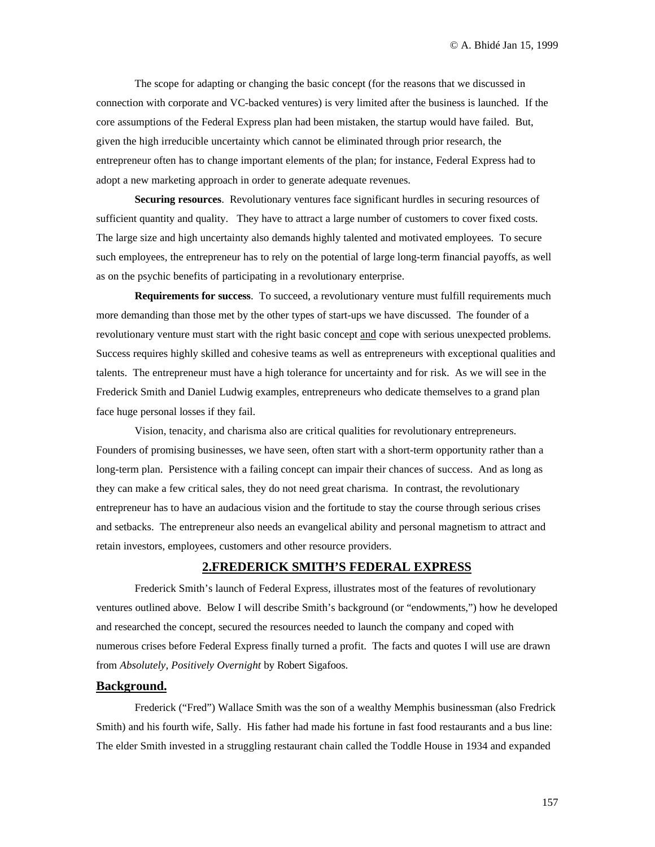The scope for adapting or changing the basic concept (for the reasons that we discussed in connection with corporate and VC-backed ventures) is very limited after the business is launched. If the core assumptions of the Federal Express plan had been mistaken, the startup would have failed. But, given the high irreducible uncertainty which cannot be eliminated through prior research, the entrepreneur often has to change important elements of the plan; for instance, Federal Express had to adopt a new marketing approach in order to generate adequate revenues.

**Securing resources**. Revolutionary ventures face significant hurdles in securing resources of sufficient quantity and quality. They have to attract a large number of customers to cover fixed costs. The large size and high uncertainty also demands highly talented and motivated employees. To secure such employees, the entrepreneur has to rely on the potential of large long-term financial payoffs, as well as on the psychic benefits of participating in a revolutionary enterprise.

**Requirements for success.** To succeed, a revolutionary venture must fulfill requirements much more demanding than those met by the other types of start-ups we have discussed. The founder of a revolutionary venture must start with the right basic concept and cope with serious unexpected problems. Success requires highly skilled and cohesive teams as well as entrepreneurs with exceptional qualities and talents. The entrepreneur must have a high tolerance for uncertainty and for risk. As we will see in the Frederick Smith and Daniel Ludwig examples, entrepreneurs who dedicate themselves to a grand plan face huge personal losses if they fail.

Vision, tenacity, and charisma also are critical qualities for revolutionary entrepreneurs. Founders of promising businesses, we have seen, often start with a short-term opportunity rather than a long-term plan. Persistence with a failing concept can impair their chances of success. And as long as they can make a few critical sales, they do not need great charisma. In contrast, the revolutionary entrepreneur has to have an audacious vision and the fortitude to stay the course through serious crises and setbacks. The entrepreneur also needs an evangelical ability and personal magnetism to attract and retain investors, employees, customers and other resource providers.

### **2.FREDERICK SMITH'S FEDERAL EXPRESS**

Frederick Smith's launch of Federal Express, illustrates most of the features of revolutionary ventures outlined above. Below I will describe Smith's background (or "endowments,") how he developed and researched the concept, secured the resources needed to launch the company and coped with numerous crises before Federal Express finally turned a profit. The facts and quotes I will use are drawn from *Absolutely, Positively Overnight* by Robert Sigafoos.

### **Background.**

Frederick ("Fred") Wallace Smith was the son of a wealthy Memphis businessman (also Fredrick Smith) and his fourth wife, Sally. His father had made his fortune in fast food restaurants and a bus line: The elder Smith invested in a struggling restaurant chain called the Toddle House in 1934 and expanded

157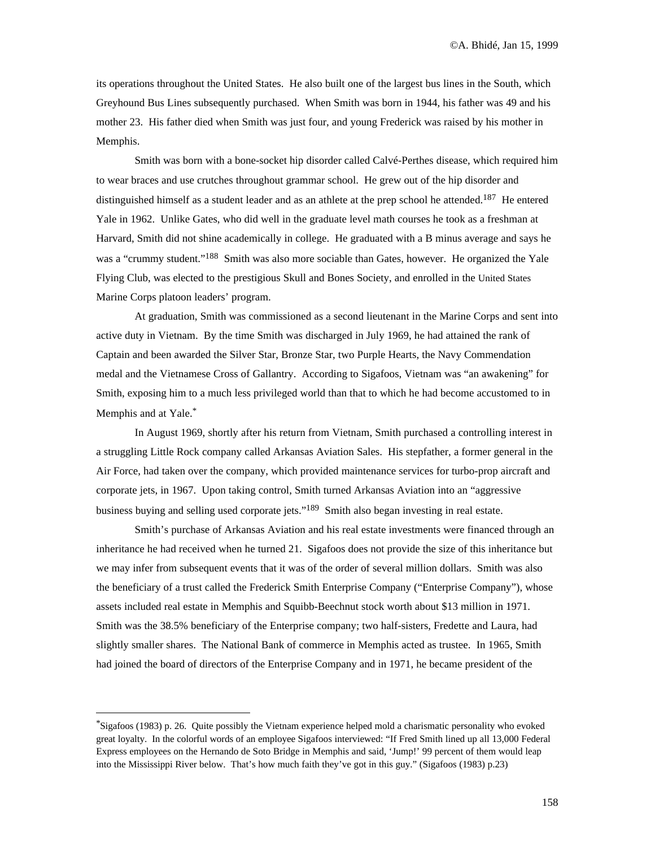its operations throughout the United States. He also built one of the largest bus lines in the South, which Greyhound Bus Lines subsequently purchased. When Smith was born in 1944, his father was 49 and his mother 23. His father died when Smith was just four, and young Frederick was raised by his mother in Memphis.

Smith was born with a bone-socket hip disorder called Calvé-Perthes disease, which required him to wear braces and use crutches throughout grammar school. He grew out of the hip disorder and distinguished himself as a student leader and as an athlete at the prep school he attended.<sup>187</sup> He entered Yale in 1962. Unlike Gates, who did well in the graduate level math courses he took as a freshman at Harvard, Smith did not shine academically in college. He graduated with a B minus average and says he was a "crummy student."<sup>188</sup> Smith was also more sociable than Gates, however. He organized the Yale Flying Club, was elected to the prestigious Skull and Bones Society, and enrolled in the United States Marine Corps platoon leaders' program.

At graduation, Smith was commissioned as a second lieutenant in the Marine Corps and sent into active duty in Vietnam. By the time Smith was discharged in July 1969, he had attained the rank of Captain and been awarded the Silver Star, Bronze Star, two Purple Hearts, the Navy Commendation medal and the Vietnamese Cross of Gallantry. According to Sigafoos, Vietnam was "an awakening" for Smith, exposing him to a much less privileged world than that to which he had become accustomed to in Memphis and at Yale.\*

In August 1969, shortly after his return from Vietnam, Smith purchased a controlling interest in a struggling Little Rock company called Arkansas Aviation Sales. His stepfather, a former general in the Air Force, had taken over the company, which provided maintenance services for turbo-prop aircraft and corporate jets, in 1967. Upon taking control, Smith turned Arkansas Aviation into an "aggressive business buying and selling used corporate jets."<sup>189</sup> Smith also began investing in real estate.

Smith's purchase of Arkansas Aviation and his real estate investments were financed through an inheritance he had received when he turned 21. Sigafoos does not provide the size of this inheritance but we may infer from subsequent events that it was of the order of several million dollars. Smith was also the beneficiary of a trust called the Frederick Smith Enterprise Company ("Enterprise Company"), whose assets included real estate in Memphis and Squibb-Beechnut stock worth about \$13 million in 1971. Smith was the 38.5% beneficiary of the Enterprise company; two half-sisters, Fredette and Laura, had slightly smaller shares. The National Bank of commerce in Memphis acted as trustee. In 1965, Smith had joined the board of directors of the Enterprise Company and in 1971, he became president of the

<sup>\*</sup>Sigafoos (1983) p. 26. Quite possibly the Vietnam experience helped mold a charismatic personality who evoked great loyalty. In the colorful words of an employee Sigafoos interviewed: "If Fred Smith lined up all 13,000 Federal Express employees on the Hernando de Soto Bridge in Memphis and said, 'Jump!' 99 percent of them would leap into the Mississippi River below. That's how much faith they've got in this guy." (Sigafoos (1983) p.23)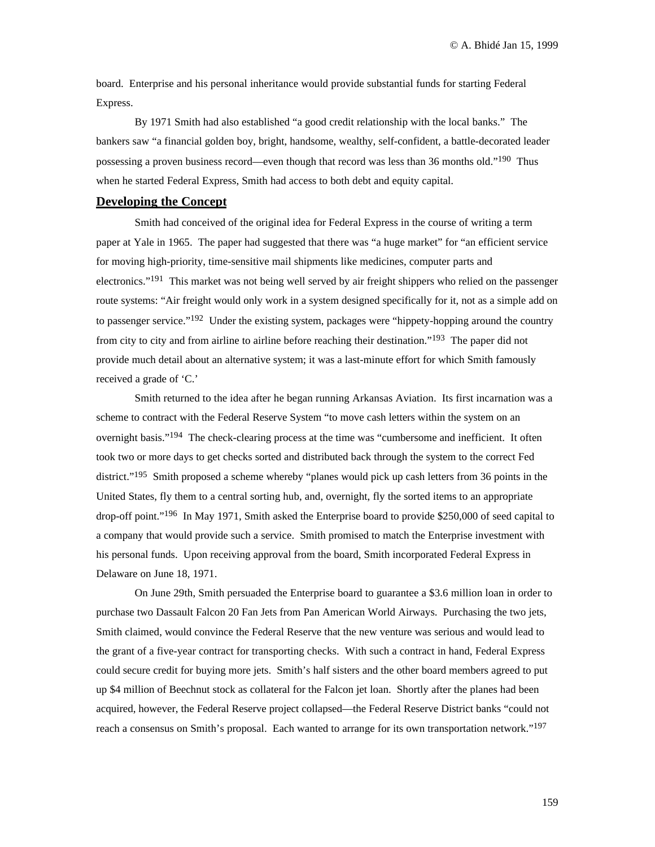© A. Bhidé Jan 15, 1999

board. Enterprise and his personal inheritance would provide substantial funds for starting Federal Express.

By 1971 Smith had also established "a good credit relationship with the local banks." The bankers saw "a financial golden boy, bright, handsome, wealthy, self-confident, a battle-decorated leader possessing a proven business record—even though that record was less than 36 months old."<sup>190</sup> Thus when he started Federal Express, Smith had access to both debt and equity capital.

## **Developing the Concept**

Smith had conceived of the original idea for Federal Express in the course of writing a term paper at Yale in 1965. The paper had suggested that there was "a huge market" for "an efficient service for moving high-priority, time-sensitive mail shipments like medicines, computer parts and electronics."<sup>191</sup> This market was not being well served by air freight shippers who relied on the passenger route systems: "Air freight would only work in a system designed specifically for it, not as a simple add on to passenger service."<sup>192</sup> Under the existing system, packages were "hippety-hopping around the country" from city to city and from airline to airline before reaching their destination."<sup>193</sup> The paper did not provide much detail about an alternative system; it was a last-minute effort for which Smith famously received a grade of 'C.'

Smith returned to the idea after he began running Arkansas Aviation. Its first incarnation was a scheme to contract with the Federal Reserve System "to move cash letters within the system on an overnight basis."<sup>194</sup> The check-clearing process at the time was "cumbersome and inefficient. It often took two or more days to get checks sorted and distributed back through the system to the correct Fed district."<sup>195</sup> Smith proposed a scheme whereby "planes would pick up cash letters from 36 points in the United States, fly them to a central sorting hub, and, overnight, fly the sorted items to an appropriate drop-off point."196 In May 1971, Smith asked the Enterprise board to provide \$250,000 of seed capital to a company that would provide such a service. Smith promised to match the Enterprise investment with his personal funds. Upon receiving approval from the board, Smith incorporated Federal Express in Delaware on June 18, 1971.

On June 29th, Smith persuaded the Enterprise board to guarantee a \$3.6 million loan in order to purchase two Dassault Falcon 20 Fan Jets from Pan American World Airways. Purchasing the two jets, Smith claimed, would convince the Federal Reserve that the new venture was serious and would lead to the grant of a five-year contract for transporting checks. With such a contract in hand, Federal Express could secure credit for buying more jets. Smith's half sisters and the other board members agreed to put up \$4 million of Beechnut stock as collateral for the Falcon jet loan. Shortly after the planes had been acquired, however, the Federal Reserve project collapsed—the Federal Reserve District banks "could not reach a consensus on Smith's proposal. Each wanted to arrange for its own transportation network."<sup>197</sup>

159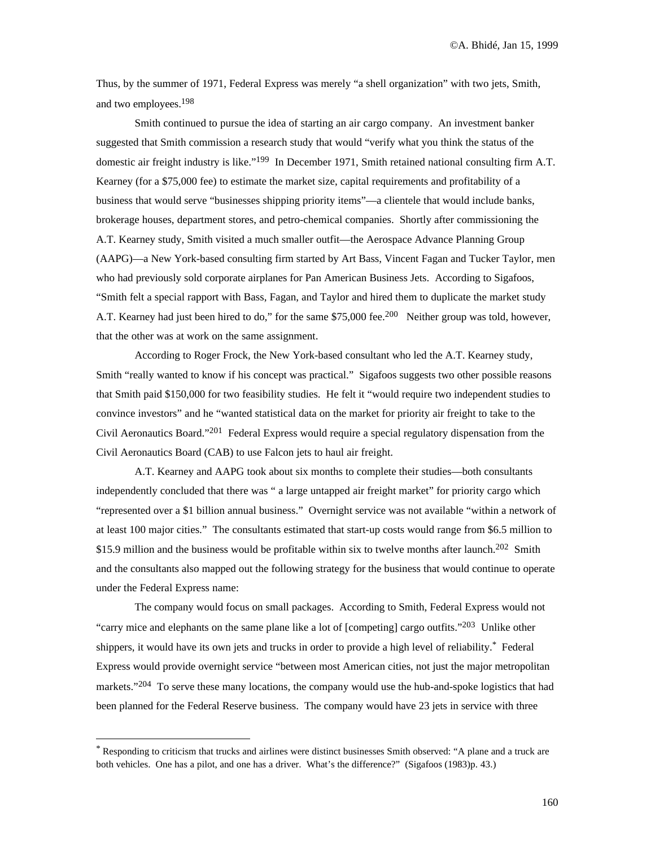Thus, by the summer of 1971, Federal Express was merely "a shell organization" with two jets, Smith, and two employees.<sup>198</sup>

Smith continued to pursue the idea of starting an air cargo company. An investment banker suggested that Smith commission a research study that would "verify what you think the status of the domestic air freight industry is like."<sup>199</sup> In December 1971, Smith retained national consulting firm A.T. Kearney (for a \$75,000 fee) to estimate the market size, capital requirements and profitability of a business that would serve "businesses shipping priority items"—a clientele that would include banks, brokerage houses, department stores, and petro-chemical companies. Shortly after commissioning the A.T. Kearney study, Smith visited a much smaller outfit—the Aerospace Advance Planning Group (AAPG)—a New York-based consulting firm started by Art Bass, Vincent Fagan and Tucker Taylor, men who had previously sold corporate airplanes for Pan American Business Jets. According to Sigafoos, "Smith felt a special rapport with Bass, Fagan, and Taylor and hired them to duplicate the market study A.T. Kearney had just been hired to do," for the same \$75,000 fee.<sup>200</sup> Neither group was told, however, that the other was at work on the same assignment.

According to Roger Frock, the New York-based consultant who led the A.T. Kearney study, Smith "really wanted to know if his concept was practical." Sigafoos suggests two other possible reasons that Smith paid \$150,000 for two feasibility studies. He felt it "would require two independent studies to convince investors" and he "wanted statistical data on the market for priority air freight to take to the Civil Aeronautics Board."201 Federal Express would require a special regulatory dispensation from the Civil Aeronautics Board (CAB) to use Falcon jets to haul air freight.

A.T. Kearney and AAPG took about six months to complete their studies—both consultants independently concluded that there was " a large untapped air freight market" for priority cargo which "represented over a \$1 billion annual business." Overnight service was not available "within a network of at least 100 major cities." The consultants estimated that start-up costs would range from \$6.5 million to \$15.9 million and the business would be profitable within six to twelve months after launch.<sup>202</sup> Smith and the consultants also mapped out the following strategy for the business that would continue to operate under the Federal Express name:

The company would focus on small packages. According to Smith, Federal Express would not "carry mice and elephants on the same plane like a lot of [competing] cargo outfits."<sup>203</sup> Unlike other shippers, it would have its own jets and trucks in order to provide a high level of reliability.\* Federal Express would provide overnight service "between most American cities, not just the major metropolitan markets."<sup>204</sup> To serve these many locations, the company would use the hub-and-spoke logistics that had been planned for the Federal Reserve business. The company would have 23 jets in service with three

<sup>\*</sup> Responding to criticism that trucks and airlines were distinct businesses Smith observed: "A plane and a truck are both vehicles. One has a pilot, and one has a driver. What's the difference?" (Sigafoos (1983)p. 43.)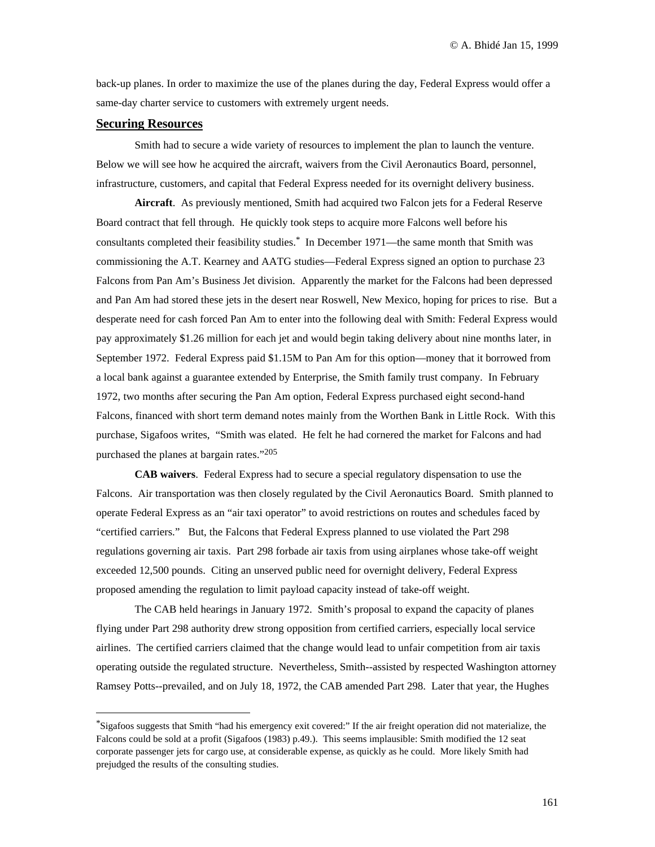back-up planes. In order to maximize the use of the planes during the day, Federal Express would offer a same-day charter service to customers with extremely urgent needs.

# **Securing Resources**

 $\overline{a}$ 

Smith had to secure a wide variety of resources to implement the plan to launch the venture. Below we will see how he acquired the aircraft, waivers from the Civil Aeronautics Board, personnel, infrastructure, customers, and capital that Federal Express needed for its overnight delivery business.

**Aircraft**. As previously mentioned, Smith had acquired two Falcon jets for a Federal Reserve Board contract that fell through. He quickly took steps to acquire more Falcons well before his consultants completed their feasibility studies.\* In December 1971—the same month that Smith was commissioning the A.T. Kearney and AATG studies—Federal Express signed an option to purchase 23 Falcons from Pan Am's Business Jet division. Apparently the market for the Falcons had been depressed and Pan Am had stored these jets in the desert near Roswell, New Mexico, hoping for prices to rise. But a desperate need for cash forced Pan Am to enter into the following deal with Smith: Federal Express would pay approximately \$1.26 million for each jet and would begin taking delivery about nine months later, in September 1972. Federal Express paid \$1.15M to Pan Am for this option—money that it borrowed from a local bank against a guarantee extended by Enterprise, the Smith family trust company. In February 1972, two months after securing the Pan Am option, Federal Express purchased eight second-hand Falcons, financed with short term demand notes mainly from the Worthen Bank in Little Rock. With this purchase, Sigafoos writes, "Smith was elated. He felt he had cornered the market for Falcons and had purchased the planes at bargain rates."<sup>205</sup>

**CAB waivers**. Federal Express had to secure a special regulatory dispensation to use the Falcons. Air transportation was then closely regulated by the Civil Aeronautics Board. Smith planned to operate Federal Express as an "air taxi operator" to avoid restrictions on routes and schedules faced by "certified carriers." But, the Falcons that Federal Express planned to use violated the Part 298 regulations governing air taxis. Part 298 forbade air taxis from using airplanes whose take-off weight exceeded 12,500 pounds. Citing an unserved public need for overnight delivery, Federal Express proposed amending the regulation to limit payload capacity instead of take-off weight.

The CAB held hearings in January 1972. Smith's proposal to expand the capacity of planes flying under Part 298 authority drew strong opposition from certified carriers, especially local service airlines. The certified carriers claimed that the change would lead to unfair competition from air taxis operating outside the regulated structure. Nevertheless, Smith--assisted by respected Washington attorney Ramsey Potts--prevailed, and on July 18, 1972, the CAB amended Part 298. Later that year, the Hughes

<sup>\*</sup>Sigafoos suggests that Smith "had his emergency exit covered:" If the air freight operation did not materialize, the Falcons could be sold at a profit (Sigafoos (1983) p.49.). This seems implausible: Smith modified the 12 seat corporate passenger jets for cargo use, at considerable expense, as quickly as he could. More likely Smith had prejudged the results of the consulting studies.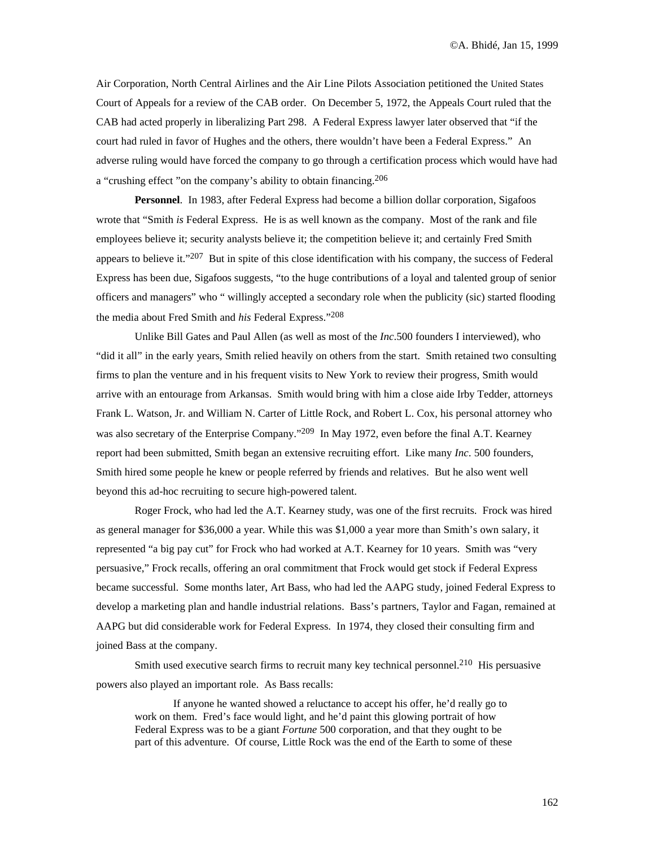Air Corporation, North Central Airlines and the Air Line Pilots Association petitioned the United States Court of Appeals for a review of the CAB order. On December 5, 1972, the Appeals Court ruled that the CAB had acted properly in liberalizing Part 298. A Federal Express lawyer later observed that "if the court had ruled in favor of Hughes and the others, there wouldn't have been a Federal Express." An adverse ruling would have forced the company to go through a certification process which would have had a "crushing effect "on the company's ability to obtain financing.<sup>206</sup>

**Personnel**. In 1983, after Federal Express had become a billion dollar corporation, Sigafoos wrote that "Smith *is* Federal Express. He is as well known as the company. Most of the rank and file employees believe it; security analysts believe it; the competition believe it; and certainly Fred Smith appears to believe it."<sup>207</sup> But in spite of this close identification with his company, the success of Federal Express has been due, Sigafoos suggests, "to the huge contributions of a loyal and talented group of senior officers and managers" who " willingly accepted a secondary role when the publicity (sic) started flooding the media about Fred Smith and *his* Federal Express."<sup>208</sup>

Unlike Bill Gates and Paul Allen (as well as most of the *Inc*.500 founders I interviewed), who "did it all" in the early years, Smith relied heavily on others from the start. Smith retained two consulting firms to plan the venture and in his frequent visits to New York to review their progress, Smith would arrive with an entourage from Arkansas. Smith would bring with him a close aide Irby Tedder, attorneys Frank L. Watson, Jr. and William N. Carter of Little Rock, and Robert L. Cox, his personal attorney who was also secretary of the Enterprise Company."<sup>209</sup> In May 1972, even before the final A.T. Kearney report had been submitted, Smith began an extensive recruiting effort. Like many *Inc*. 500 founders, Smith hired some people he knew or people referred by friends and relatives. But he also went well beyond this ad-hoc recruiting to secure high-powered talent.

Roger Frock, who had led the A.T. Kearney study, was one of the first recruits. Frock was hired as general manager for \$36,000 a year. While this was \$1,000 a year more than Smith's own salary, it represented "a big pay cut" for Frock who had worked at A.T. Kearney for 10 years. Smith was "very persuasive," Frock recalls, offering an oral commitment that Frock would get stock if Federal Express became successful. Some months later, Art Bass, who had led the AAPG study, joined Federal Express to develop a marketing plan and handle industrial relations. Bass's partners, Taylor and Fagan, remained at AAPG but did considerable work for Federal Express. In 1974, they closed their consulting firm and joined Bass at the company.

Smith used executive search firms to recruit many key technical personnel.<sup>210</sup> His persuasive powers also played an important role. As Bass recalls:

If anyone he wanted showed a reluctance to accept his offer, he'd really go to work on them. Fred's face would light, and he'd paint this glowing portrait of how Federal Express was to be a giant *Fortune* 500 corporation, and that they ought to be part of this adventure. Of course, Little Rock was the end of the Earth to some of these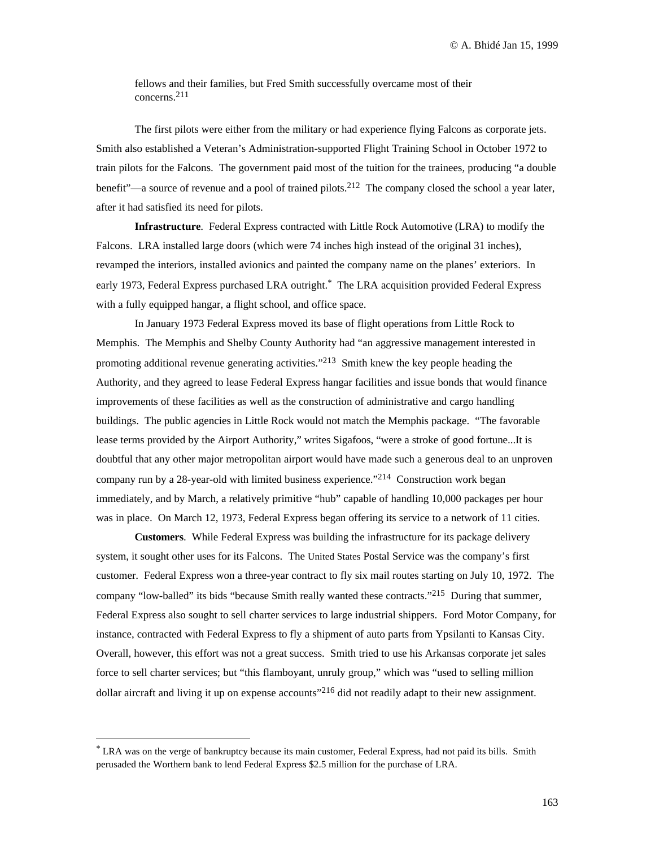fellows and their families, but Fred Smith successfully overcame most of their concerns.<sup>211</sup>

The first pilots were either from the military or had experience flying Falcons as corporate jets. Smith also established a Veteran's Administration-supported Flight Training School in October 1972 to train pilots for the Falcons. The government paid most of the tuition for the trainees, producing "a double benefit"—a source of revenue and a pool of trained pilots.<sup>212</sup> The company closed the school a year later, after it had satisfied its need for pilots.

**Infrastructure**. Federal Express contracted with Little Rock Automotive (LRA) to modify the Falcons. LRA installed large doors (which were 74 inches high instead of the original 31 inches), revamped the interiors, installed avionics and painted the company name on the planes' exteriors. In early 1973, Federal Express purchased LRA outright.\* The LRA acquisition provided Federal Express with a fully equipped hangar, a flight school, and office space.

In January 1973 Federal Express moved its base of flight operations from Little Rock to Memphis. The Memphis and Shelby County Authority had "an aggressive management interested in promoting additional revenue generating activities."<sup>213</sup> Smith knew the key people heading the Authority, and they agreed to lease Federal Express hangar facilities and issue bonds that would finance improvements of these facilities as well as the construction of administrative and cargo handling buildings. The public agencies in Little Rock would not match the Memphis package. "The favorable lease terms provided by the Airport Authority," writes Sigafoos, "were a stroke of good fortune...It is doubtful that any other major metropolitan airport would have made such a generous deal to an unproven company run by a 28-year-old with limited business experience."<sup>214</sup> Construction work began immediately, and by March, a relatively primitive "hub" capable of handling 10,000 packages per hour was in place. On March 12, 1973, Federal Express began offering its service to a network of 11 cities.

**Customers**. While Federal Express was building the infrastructure for its package delivery system, it sought other uses for its Falcons. The United States Postal Service was the company's first customer. Federal Express won a three-year contract to fly six mail routes starting on July 10, 1972. The company "low-balled" its bids "because Smith really wanted these contracts."<sup>215</sup> During that summer, Federal Express also sought to sell charter services to large industrial shippers. Ford Motor Company, for instance, contracted with Federal Express to fly a shipment of auto parts from Ypsilanti to Kansas City. Overall, however, this effort was not a great success. Smith tried to use his Arkansas corporate jet sales force to sell charter services; but "this flamboyant, unruly group," which was "used to selling million dollar aircraft and living it up on expense accounts<sup>"216</sup> did not readily adapt to their new assignment.

<sup>\*</sup> LRA was on the verge of bankruptcy because its main customer, Federal Express, had not paid its bills. Smith perusaded the Worthern bank to lend Federal Express \$2.5 million for the purchase of LRA.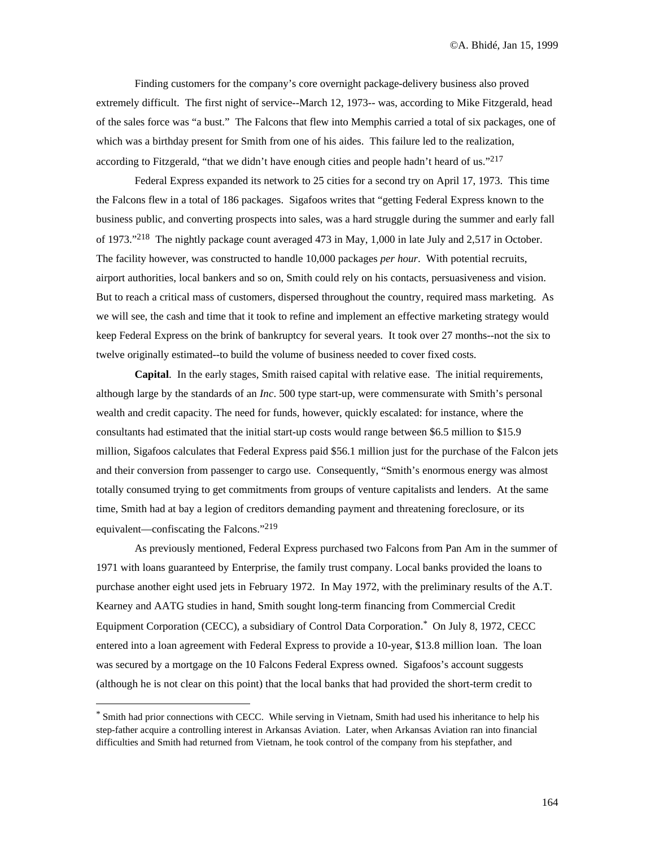Finding customers for the company's core overnight package-delivery business also proved extremely difficult. The first night of service--March 12, 1973-- was, according to Mike Fitzgerald, head of the sales force was "a bust." The Falcons that flew into Memphis carried a total of six packages, one of which was a birthday present for Smith from one of his aides. This failure led to the realization, according to Fitzgerald, "that we didn't have enough cities and people hadn't heard of us." $217$ 

Federal Express expanded its network to 25 cities for a second try on April 17, 1973. This time the Falcons flew in a total of 186 packages. Sigafoos writes that "getting Federal Express known to the business public, and converting prospects into sales, was a hard struggle during the summer and early fall of 1973."218 The nightly package count averaged 473 in May, 1,000 in late July and 2,517 in October. The facility however, was constructed to handle 10,000 packages *per hour*. With potential recruits, airport authorities, local bankers and so on, Smith could rely on his contacts, persuasiveness and vision. But to reach a critical mass of customers, dispersed throughout the country, required mass marketing. As we will see, the cash and time that it took to refine and implement an effective marketing strategy would keep Federal Express on the brink of bankruptcy for several years. It took over 27 months--not the six to twelve originally estimated--to build the volume of business needed to cover fixed costs.

**Capital**. In the early stages, Smith raised capital with relative ease. The initial requirements, although large by the standards of an *Inc*. 500 type start-up, were commensurate with Smith's personal wealth and credit capacity. The need for funds, however, quickly escalated: for instance, where the consultants had estimated that the initial start-up costs would range between \$6.5 million to \$15.9 million, Sigafoos calculates that Federal Express paid \$56.1 million just for the purchase of the Falcon jets and their conversion from passenger to cargo use. Consequently, "Smith's enormous energy was almost totally consumed trying to get commitments from groups of venture capitalists and lenders. At the same time, Smith had at bay a legion of creditors demanding payment and threatening foreclosure, or its equivalent—confiscating the Falcons."<sup>219</sup>

As previously mentioned, Federal Express purchased two Falcons from Pan Am in the summer of 1971 with loans guaranteed by Enterprise, the family trust company. Local banks provided the loans to purchase another eight used jets in February 1972. In May 1972, with the preliminary results of the A.T. Kearney and AATG studies in hand, Smith sought long-term financing from Commercial Credit Equipment Corporation (CECC), a subsidiary of Control Data Corporation.\* On July 8, 1972, CECC entered into a loan agreement with Federal Express to provide a 10-year, \$13.8 million loan. The loan was secured by a mortgage on the 10 Falcons Federal Express owned. Sigafoos's account suggests (although he is not clear on this point) that the local banks that had provided the short-term credit to

<sup>\*</sup> Smith had prior connections with CECC. While serving in Vietnam, Smith had used his inheritance to help his step-father acquire a controlling interest in Arkansas Aviation. Later, when Arkansas Aviation ran into financial difficulties and Smith had returned from Vietnam, he took control of the company from his stepfather, and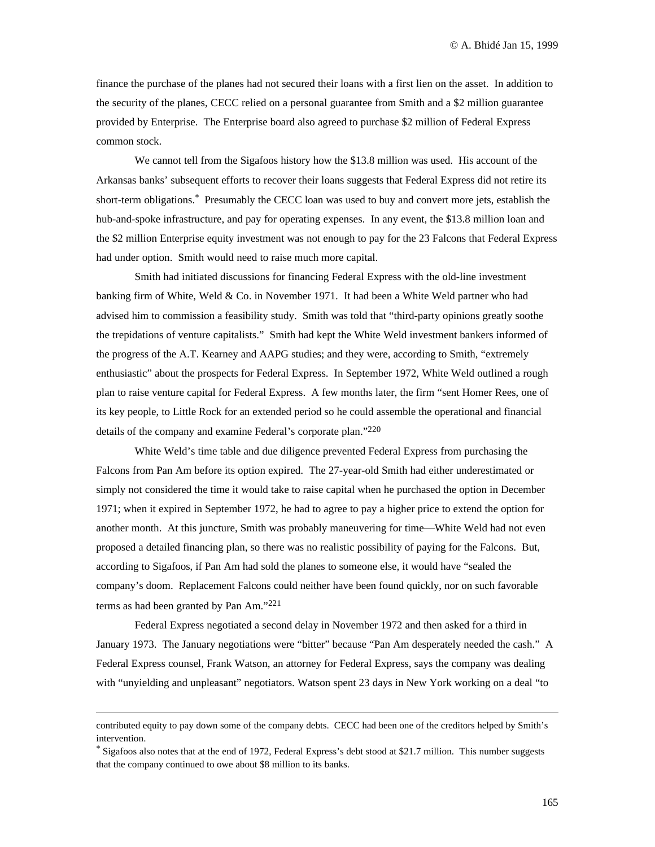finance the purchase of the planes had not secured their loans with a first lien on the asset. In addition to the security of the planes, CECC relied on a personal guarantee from Smith and a \$2 million guarantee provided by Enterprise. The Enterprise board also agreed to purchase \$2 million of Federal Express common stock.

We cannot tell from the Sigafoos history how the \$13.8 million was used. His account of the Arkansas banks' subsequent efforts to recover their loans suggests that Federal Express did not retire its short-term obligations.\* Presumably the CECC loan was used to buy and convert more jets, establish the hub-and-spoke infrastructure, and pay for operating expenses. In any event, the \$13.8 million loan and the \$2 million Enterprise equity investment was not enough to pay for the 23 Falcons that Federal Express had under option. Smith would need to raise much more capital.

Smith had initiated discussions for financing Federal Express with the old-line investment banking firm of White, Weld & Co. in November 1971. It had been a White Weld partner who had advised him to commission a feasibility study. Smith was told that "third-party opinions greatly soothe the trepidations of venture capitalists." Smith had kept the White Weld investment bankers informed of the progress of the A.T. Kearney and AAPG studies; and they were, according to Smith, "extremely enthusiastic" about the prospects for Federal Express. In September 1972, White Weld outlined a rough plan to raise venture capital for Federal Express. A few months later, the firm "sent Homer Rees, one of its key people, to Little Rock for an extended period so he could assemble the operational and financial details of the company and examine Federal's corporate plan."<sup>220</sup>

White Weld's time table and due diligence prevented Federal Express from purchasing the Falcons from Pan Am before its option expired. The 27-year-old Smith had either underestimated or simply not considered the time it would take to raise capital when he purchased the option in December 1971; when it expired in September 1972, he had to agree to pay a higher price to extend the option for another month. At this juncture, Smith was probably maneuvering for time—White Weld had not even proposed a detailed financing plan, so there was no realistic possibility of paying for the Falcons. But, according to Sigafoos, if Pan Am had sold the planes to someone else, it would have "sealed the company's doom. Replacement Falcons could neither have been found quickly, nor on such favorable terms as had been granted by Pan Am."<sup>221</sup>

Federal Express negotiated a second delay in November 1972 and then asked for a third in January 1973. The January negotiations were "bitter" because "Pan Am desperately needed the cash." A Federal Express counsel, Frank Watson, an attorney for Federal Express, says the company was dealing with "unyielding and unpleasant" negotiators. Watson spent 23 days in New York working on a deal "to

contributed equity to pay down some of the company debts. CECC had been one of the creditors helped by Smith's intervention.

<sup>\*</sup> Sigafoos also notes that at the end of 1972, Federal Express's debt stood at \$21.7 million. This number suggests that the company continued to owe about \$8 million to its banks.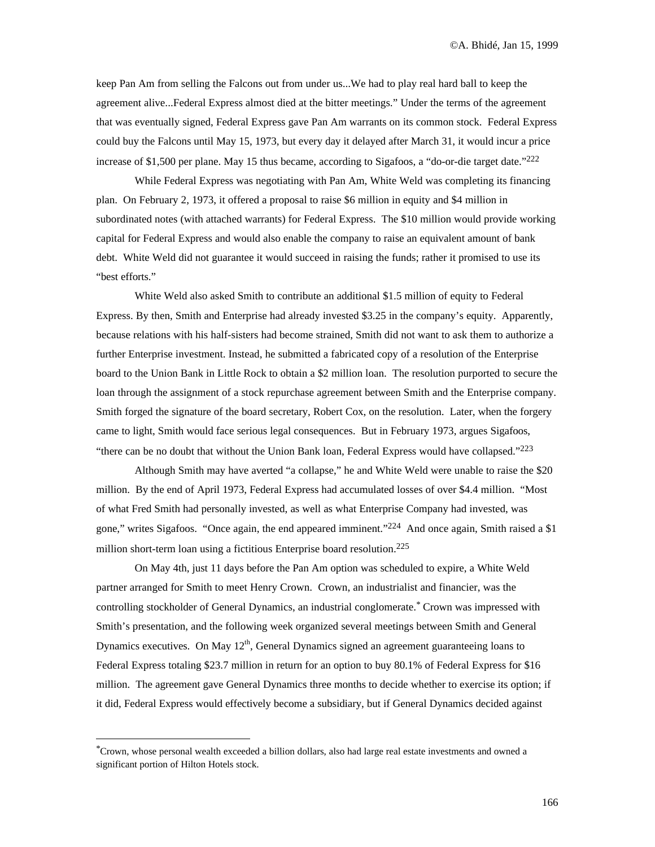keep Pan Am from selling the Falcons out from under us...We had to play real hard ball to keep the agreement alive...Federal Express almost died at the bitter meetings." Under the terms of the agreement that was eventually signed, Federal Express gave Pan Am warrants on its common stock. Federal Express could buy the Falcons until May 15, 1973, but every day it delayed after March 31, it would incur a price increase of \$1,500 per plane. May 15 thus became, according to Sigafoos, a "do-or-die target date."<sup>222</sup>

While Federal Express was negotiating with Pan Am, White Weld was completing its financing plan. On February 2, 1973, it offered a proposal to raise \$6 million in equity and \$4 million in subordinated notes (with attached warrants) for Federal Express. The \$10 million would provide working capital for Federal Express and would also enable the company to raise an equivalent amount of bank debt. White Weld did not guarantee it would succeed in raising the funds; rather it promised to use its "best efforts."

White Weld also asked Smith to contribute an additional \$1.5 million of equity to Federal Express. By then, Smith and Enterprise had already invested \$3.25 in the company's equity. Apparently, because relations with his half-sisters had become strained, Smith did not want to ask them to authorize a further Enterprise investment. Instead, he submitted a fabricated copy of a resolution of the Enterprise board to the Union Bank in Little Rock to obtain a \$2 million loan. The resolution purported to secure the loan through the assignment of a stock repurchase agreement between Smith and the Enterprise company. Smith forged the signature of the board secretary, Robert Cox, on the resolution. Later, when the forgery came to light, Smith would face serious legal consequences. But in February 1973, argues Sigafoos, "there can be no doubt that without the Union Bank loan, Federal Express would have collapsed."<sup>223</sup>

Although Smith may have averted "a collapse," he and White Weld were unable to raise the \$20 million. By the end of April 1973, Federal Express had accumulated losses of over \$4.4 million. "Most of what Fred Smith had personally invested, as well as what Enterprise Company had invested, was gone," writes Sigafoos. "Once again, the end appeared imminent."<sup>224</sup> And once again, Smith raised a \$1 million short-term loan using a fictitious Enterprise board resolution.<sup>225</sup>

On May 4th, just 11 days before the Pan Am option was scheduled to expire, a White Weld partner arranged for Smith to meet Henry Crown. Crown, an industrialist and financier, was the controlling stockholder of General Dynamics, an industrial conglomerate.\* Crown was impressed with Smith's presentation, and the following week organized several meetings between Smith and General Dynamics executives. On May  $12<sup>th</sup>$ , General Dynamics signed an agreement guaranteeing loans to Federal Express totaling \$23.7 million in return for an option to buy 80.1% of Federal Express for \$16 million. The agreement gave General Dynamics three months to decide whether to exercise its option; if it did, Federal Express would effectively become a subsidiary, but if General Dynamics decided against

<sup>\*</sup>Crown, whose personal wealth exceeded a billion dollars, also had large real estate investments and owned a significant portion of Hilton Hotels stock.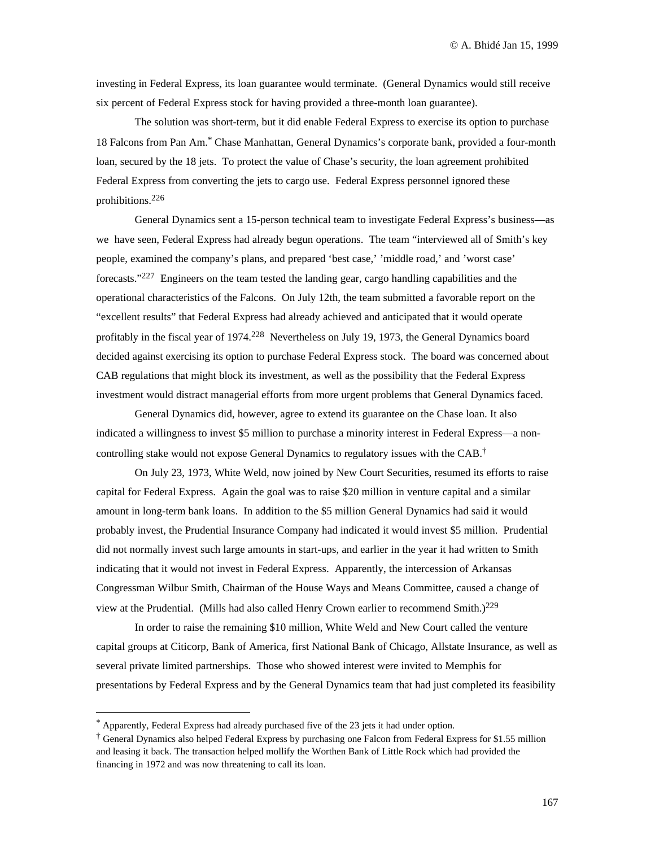investing in Federal Express, its loan guarantee would terminate. (General Dynamics would still receive six percent of Federal Express stock for having provided a three-month loan guarantee).

The solution was short-term, but it did enable Federal Express to exercise its option to purchase 18 Falcons from Pan Am.\* Chase Manhattan, General Dynamics's corporate bank, provided a four-month loan, secured by the 18 jets. To protect the value of Chase's security, the loan agreement prohibited Federal Express from converting the jets to cargo use. Federal Express personnel ignored these prohibitions.<sup>226</sup>

General Dynamics sent a 15-person technical team to investigate Federal Express's business—as we have seen, Federal Express had already begun operations. The team "interviewed all of Smith's key people, examined the company's plans, and prepared 'best case,' 'middle road,' and 'worst case' forecasts."227 Engineers on the team tested the landing gear, cargo handling capabilities and the operational characteristics of the Falcons. On July 12th, the team submitted a favorable report on the "excellent results" that Federal Express had already achieved and anticipated that it would operate profitably in the fiscal year of 1974.228 Nevertheless on July 19, 1973, the General Dynamics board decided against exercising its option to purchase Federal Express stock. The board was concerned about CAB regulations that might block its investment, as well as the possibility that the Federal Express investment would distract managerial efforts from more urgent problems that General Dynamics faced.

General Dynamics did, however, agree to extend its guarantee on the Chase loan. It also indicated a willingness to invest \$5 million to purchase a minority interest in Federal Express—a noncontrolling stake would not expose General Dynamics to regulatory issues with the CAB.†

On July 23, 1973, White Weld, now joined by New Court Securities, resumed its efforts to raise capital for Federal Express. Again the goal was to raise \$20 million in venture capital and a similar amount in long-term bank loans. In addition to the \$5 million General Dynamics had said it would probably invest, the Prudential Insurance Company had indicated it would invest \$5 million. Prudential did not normally invest such large amounts in start-ups, and earlier in the year it had written to Smith indicating that it would not invest in Federal Express. Apparently, the intercession of Arkansas Congressman Wilbur Smith, Chairman of the House Ways and Means Committee, caused a change of view at the Prudential. (Mills had also called Henry Crown earlier to recommend Smith.)<sup>229</sup>

In order to raise the remaining \$10 million, White Weld and New Court called the venture capital groups at Citicorp, Bank of America, first National Bank of Chicago, Allstate Insurance, as well as several private limited partnerships. Those who showed interest were invited to Memphis for presentations by Federal Express and by the General Dynamics team that had just completed its feasibility

<sup>\*</sup> Apparently, Federal Express had already purchased five of the 23 jets it had under option.

<sup>†</sup> General Dynamics also helped Federal Express by purchasing one Falcon from Federal Express for \$1.55 million and leasing it back. The transaction helped mollify the Worthen Bank of Little Rock which had provided the financing in 1972 and was now threatening to call its loan.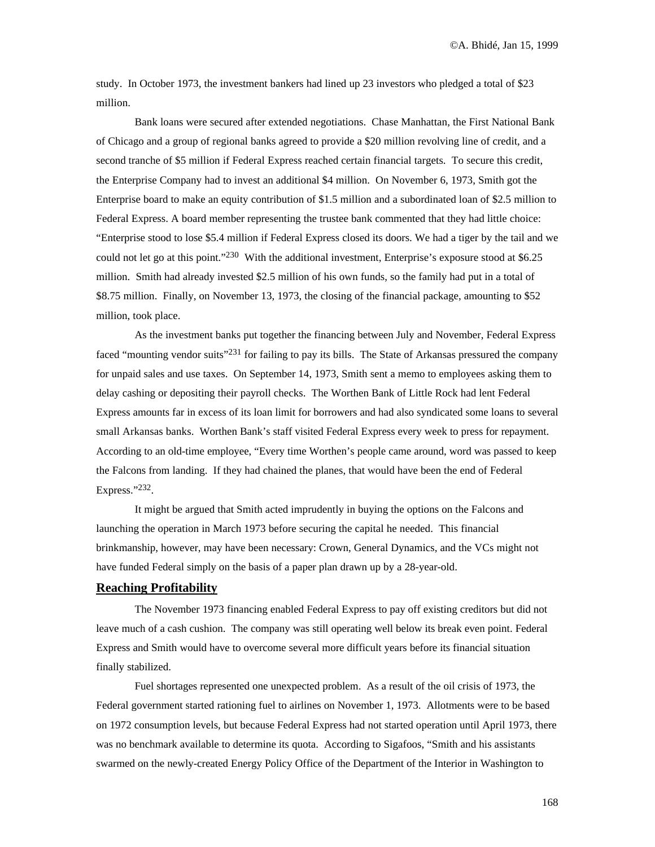©A. Bhidé, Jan 15, 1999

study. In October 1973, the investment bankers had lined up 23 investors who pledged a total of \$23 million.

Bank loans were secured after extended negotiations. Chase Manhattan, the First National Bank of Chicago and a group of regional banks agreed to provide a \$20 million revolving line of credit, and a second tranche of \$5 million if Federal Express reached certain financial targets. To secure this credit, the Enterprise Company had to invest an additional \$4 million. On November 6, 1973, Smith got the Enterprise board to make an equity contribution of \$1.5 million and a subordinated loan of \$2.5 million to Federal Express. A board member representing the trustee bank commented that they had little choice: "Enterprise stood to lose \$5.4 million if Federal Express closed its doors. We had a tiger by the tail and we could not let go at this point."<sup>230</sup> With the additional investment, Enterprise's exposure stood at \$6.25 million. Smith had already invested \$2.5 million of his own funds, so the family had put in a total of \$8.75 million. Finally, on November 13, 1973, the closing of the financial package, amounting to \$52 million, took place.

As the investment banks put together the financing between July and November, Federal Express faced "mounting vendor suits"231 for failing to pay its bills. The State of Arkansas pressured the company for unpaid sales and use taxes. On September 14, 1973, Smith sent a memo to employees asking them to delay cashing or depositing their payroll checks. The Worthen Bank of Little Rock had lent Federal Express amounts far in excess of its loan limit for borrowers and had also syndicated some loans to several small Arkansas banks. Worthen Bank's staff visited Federal Express every week to press for repayment. According to an old-time employee, "Every time Worthen's people came around, word was passed to keep the Falcons from landing. If they had chained the planes, that would have been the end of Federal Express."<sup>232</sup> .

It might be argued that Smith acted imprudently in buying the options on the Falcons and launching the operation in March 1973 before securing the capital he needed. This financial brinkmanship, however, may have been necessary: Crown, General Dynamics, and the VCs might not have funded Federal simply on the basis of a paper plan drawn up by a 28-year-old.

# **Reaching Profitability**

The November 1973 financing enabled Federal Express to pay off existing creditors but did not leave much of a cash cushion. The company was still operating well below its break even point. Federal Express and Smith would have to overcome several more difficult years before its financial situation finally stabilized.

Fuel shortages represented one unexpected problem. As a result of the oil crisis of 1973, the Federal government started rationing fuel to airlines on November 1, 1973. Allotments were to be based on 1972 consumption levels, but because Federal Express had not started operation until April 1973, there was no benchmark available to determine its quota. According to Sigafoos, "Smith and his assistants swarmed on the newly-created Energy Policy Office of the Department of the Interior in Washington to

168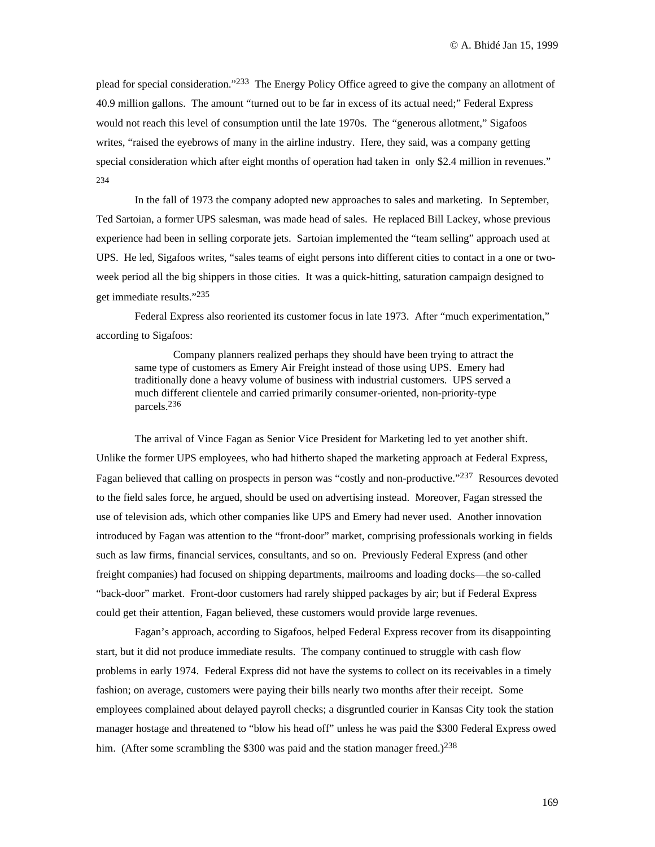plead for special consideration."233 The Energy Policy Office agreed to give the company an allotment of 40.9 million gallons. The amount "turned out to be far in excess of its actual need;" Federal Express would not reach this level of consumption until the late 1970s. The "generous allotment," Sigafoos writes, "raised the eyebrows of many in the airline industry. Here, they said, was a company getting special consideration which after eight months of operation had taken in only \$2.4 million in revenues." 234

In the fall of 1973 the company adopted new approaches to sales and marketing. In September, Ted Sartoian, a former UPS salesman, was made head of sales. He replaced Bill Lackey, whose previous experience had been in selling corporate jets. Sartoian implemented the "team selling" approach used at UPS. He led, Sigafoos writes, "sales teams of eight persons into different cities to contact in a one or twoweek period all the big shippers in those cities. It was a quick-hitting, saturation campaign designed to get immediate results."<sup>235</sup>

Federal Express also reoriented its customer focus in late 1973. After "much experimentation," according to Sigafoos:

Company planners realized perhaps they should have been trying to attract the same type of customers as Emery Air Freight instead of those using UPS. Emery had traditionally done a heavy volume of business with industrial customers. UPS served a much different clientele and carried primarily consumer-oriented, non-priority-type parcels.<sup>236</sup>

The arrival of Vince Fagan as Senior Vice President for Marketing led to yet another shift. Unlike the former UPS employees, who had hitherto shaped the marketing approach at Federal Express, Fagan believed that calling on prospects in person was "costly and non-productive."<sup>237</sup> Resources devoted to the field sales force, he argued, should be used on advertising instead. Moreover, Fagan stressed the use of television ads, which other companies like UPS and Emery had never used. Another innovation introduced by Fagan was attention to the "front-door" market, comprising professionals working in fields such as law firms, financial services, consultants, and so on. Previously Federal Express (and other freight companies) had focused on shipping departments, mailrooms and loading docks—the so-called "back-door" market. Front-door customers had rarely shipped packages by air; but if Federal Express could get their attention, Fagan believed, these customers would provide large revenues.

Fagan's approach, according to Sigafoos, helped Federal Express recover from its disappointing start, but it did not produce immediate results. The company continued to struggle with cash flow problems in early 1974. Federal Express did not have the systems to collect on its receivables in a timely fashion; on average, customers were paying their bills nearly two months after their receipt. Some employees complained about delayed payroll checks; a disgruntled courier in Kansas City took the station manager hostage and threatened to "blow his head off" unless he was paid the \$300 Federal Express owed him. (After some scrambling the \$300 was paid and the station manager freed.)<sup>238</sup>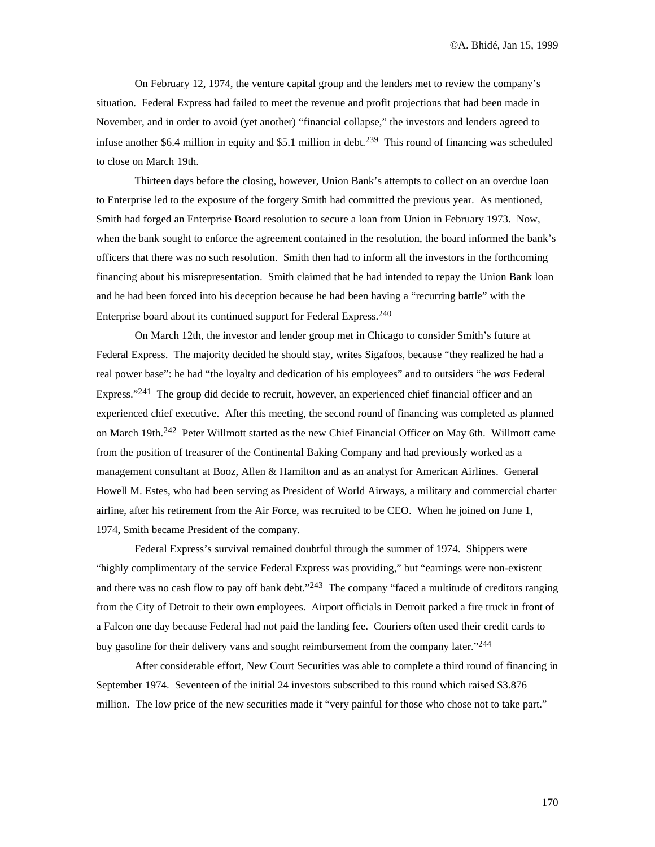On February 12, 1974, the venture capital group and the lenders met to review the company's situation. Federal Express had failed to meet the revenue and profit projections that had been made in November, and in order to avoid (yet another) "financial collapse," the investors and lenders agreed to infuse another \$6.4 million in equity and \$5.1 million in debt.<sup>239</sup> This round of financing was scheduled to close on March 19th.

Thirteen days before the closing, however, Union Bank's attempts to collect on an overdue loan to Enterprise led to the exposure of the forgery Smith had committed the previous year. As mentioned, Smith had forged an Enterprise Board resolution to secure a loan from Union in February 1973. Now, when the bank sought to enforce the agreement contained in the resolution, the board informed the bank's officers that there was no such resolution. Smith then had to inform all the investors in the forthcoming financing about his misrepresentation. Smith claimed that he had intended to repay the Union Bank loan and he had been forced into his deception because he had been having a "recurring battle" with the Enterprise board about its continued support for Federal Express.<sup>240</sup>

On March 12th, the investor and lender group met in Chicago to consider Smith's future at Federal Express. The majority decided he should stay, writes Sigafoos, because "they realized he had a real power base": he had "the loyalty and dedication of his employees" and to outsiders "he *was* Federal Express."<sup>241</sup> The group did decide to recruit, however, an experienced chief financial officer and an experienced chief executive. After this meeting, the second round of financing was completed as planned on March 19th.<sup>242</sup> Peter Willmott started as the new Chief Financial Officer on May 6th. Willmott came from the position of treasurer of the Continental Baking Company and had previously worked as a management consultant at Booz, Allen & Hamilton and as an analyst for American Airlines. General Howell M. Estes, who had been serving as President of World Airways, a military and commercial charter airline, after his retirement from the Air Force, was recruited to be CEO. When he joined on June 1, 1974, Smith became President of the company.

Federal Express's survival remained doubtful through the summer of 1974. Shippers were "highly complimentary of the service Federal Express was providing," but "earnings were non-existent and there was no cash flow to pay off bank debt."<sup>243</sup> The company "faced a multitude of creditors ranging from the City of Detroit to their own employees. Airport officials in Detroit parked a fire truck in front of a Falcon one day because Federal had not paid the landing fee. Couriers often used their credit cards to buy gasoline for their delivery vans and sought reimbursement from the company later."<sup>244</sup>

After considerable effort, New Court Securities was able to complete a third round of financing in September 1974. Seventeen of the initial 24 investors subscribed to this round which raised \$3.876 million. The low price of the new securities made it "very painful for those who chose not to take part."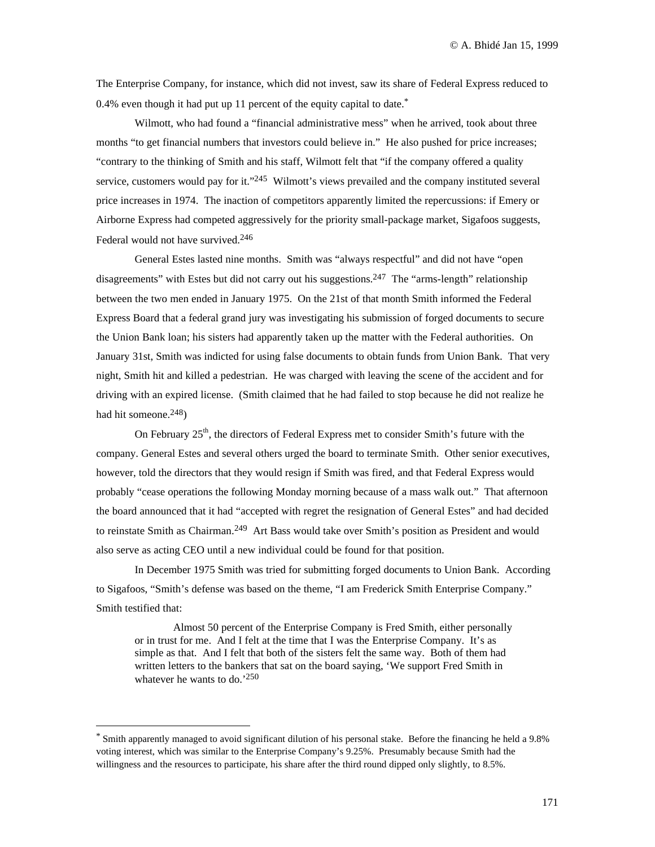The Enterprise Company, for instance, which did not invest, saw its share of Federal Express reduced to 0.4% even though it had put up 11 percent of the equity capital to date.<sup>\*</sup>

Wilmott, who had found a "financial administrative mess" when he arrived, took about three months "to get financial numbers that investors could believe in." He also pushed for price increases; "contrary to the thinking of Smith and his staff, Wilmott felt that "if the company offered a quality service, customers would pay for it."245 Wilmott's views prevailed and the company instituted several price increases in 1974. The inaction of competitors apparently limited the repercussions: if Emery or Airborne Express had competed aggressively for the priority small-package market, Sigafoos suggests, Federal would not have survived.<sup>246</sup>

General Estes lasted nine months. Smith was "always respectful" and did not have "open disagreements" with Estes but did not carry out his suggestions.<sup>247</sup> The "arms-length" relationship between the two men ended in January 1975. On the 21st of that month Smith informed the Federal Express Board that a federal grand jury was investigating his submission of forged documents to secure the Union Bank loan; his sisters had apparently taken up the matter with the Federal authorities. On January 31st, Smith was indicted for using false documents to obtain funds from Union Bank. That very night, Smith hit and killed a pedestrian. He was charged with leaving the scene of the accident and for driving with an expired license. (Smith claimed that he had failed to stop because he did not realize he had hit someone.248)

On February 25<sup>th</sup>, the directors of Federal Express met to consider Smith's future with the company. General Estes and several others urged the board to terminate Smith. Other senior executives, however, told the directors that they would resign if Smith was fired, and that Federal Express would probably "cease operations the following Monday morning because of a mass walk out." That afternoon the board announced that it had "accepted with regret the resignation of General Estes" and had decided to reinstate Smith as Chairman.<sup>249</sup> Art Bass would take over Smith's position as President and would also serve as acting CEO until a new individual could be found for that position.

In December 1975 Smith was tried for submitting forged documents to Union Bank. According to Sigafoos, "Smith's defense was based on the theme, "I am Frederick Smith Enterprise Company." Smith testified that:

Almost 50 percent of the Enterprise Company is Fred Smith, either personally or in trust for me. And I felt at the time that I was the Enterprise Company. It's as simple as that. And I felt that both of the sisters felt the same way. Both of them had written letters to the bankers that sat on the board saying, 'We support Fred Smith in whatever he wants to do.'<sup>250</sup>

<sup>\*</sup> Smith apparently managed to avoid significant dilution of his personal stake. Before the financing he held a 9.8% voting interest, which was similar to the Enterprise Company's 9.25%. Presumably because Smith had the willingness and the resources to participate, his share after the third round dipped only slightly, to 8.5%.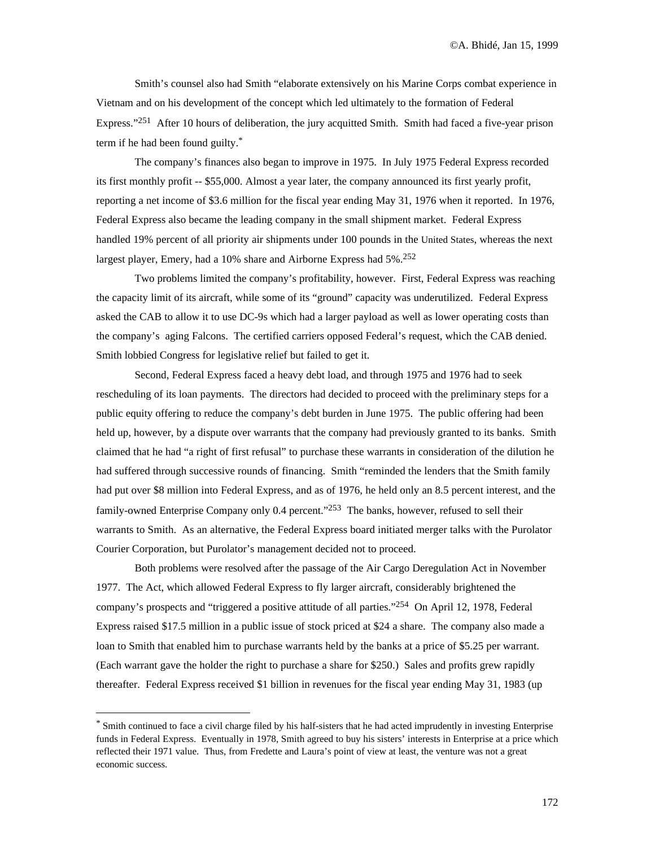Smith's counsel also had Smith "elaborate extensively on his Marine Corps combat experience in Vietnam and on his development of the concept which led ultimately to the formation of Federal Express."<sup>251</sup> After 10 hours of deliberation, the jury acquitted Smith. Smith had faced a five-year prison term if he had been found guilty.\*

The company's finances also began to improve in 1975. In July 1975 Federal Express recorded its first monthly profit -- \$55,000. Almost a year later, the company announced its first yearly profit, reporting a net income of \$3.6 million for the fiscal year ending May 31, 1976 when it reported. In 1976, Federal Express also became the leading company in the small shipment market. Federal Express handled 19% percent of all priority air shipments under 100 pounds in the United States, whereas the next largest player, Emery, had a 10% share and Airborne Express had 5%.<sup>252</sup>

Two problems limited the company's profitability, however. First, Federal Express was reaching the capacity limit of its aircraft, while some of its "ground" capacity was underutilized. Federal Express asked the CAB to allow it to use DC-9s which had a larger payload as well as lower operating costs than the company's aging Falcons. The certified carriers opposed Federal's request, which the CAB denied. Smith lobbied Congress for legislative relief but failed to get it.

Second, Federal Express faced a heavy debt load, and through 1975 and 1976 had to seek rescheduling of its loan payments. The directors had decided to proceed with the preliminary steps for a public equity offering to reduce the company's debt burden in June 1975. The public offering had been held up, however, by a dispute over warrants that the company had previously granted to its banks. Smith claimed that he had "a right of first refusal" to purchase these warrants in consideration of the dilution he had suffered through successive rounds of financing. Smith "reminded the lenders that the Smith family had put over \$8 million into Federal Express, and as of 1976, he held only an 8.5 percent interest, and the family-owned Enterprise Company only 0.4 percent."<sup>253</sup> The banks, however, refused to sell their warrants to Smith. As an alternative, the Federal Express board initiated merger talks with the Purolator Courier Corporation, but Purolator's management decided not to proceed.

Both problems were resolved after the passage of the Air Cargo Deregulation Act in November 1977. The Act, which allowed Federal Express to fly larger aircraft, considerably brightened the company's prospects and "triggered a positive attitude of all parties."254 On April 12, 1978, Federal Express raised \$17.5 million in a public issue of stock priced at \$24 a share. The company also made a loan to Smith that enabled him to purchase warrants held by the banks at a price of \$5.25 per warrant. (Each warrant gave the holder the right to purchase a share for \$250.) Sales and profits grew rapidly thereafter. Federal Express received \$1 billion in revenues for the fiscal year ending May 31, 1983 (up

<sup>\*</sup> Smith continued to face a civil charge filed by his half-sisters that he had acted imprudently in investing Enterprise funds in Federal Express. Eventually in 1978, Smith agreed to buy his sisters' interests in Enterprise at a price which reflected their 1971 value. Thus, from Fredette and Laura's point of view at least, the venture was not a great economic success.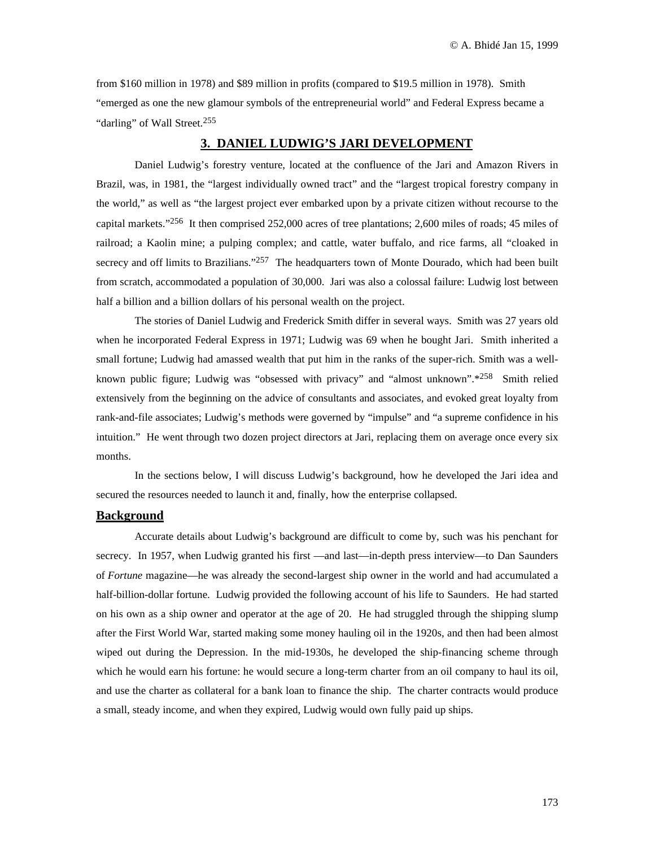from \$160 million in 1978) and \$89 million in profits (compared to \$19.5 million in 1978). Smith "emerged as one the new glamour symbols of the entrepreneurial world" and Federal Express became a "darling" of Wall Street.<sup>255</sup>

# **3. DANIEL LUDWIG'S JARI DEVELOPMENT**

Daniel Ludwig's forestry venture, located at the confluence of the Jari and Amazon Rivers in Brazil, was, in 1981, the "largest individually owned tract" and the "largest tropical forestry company in the world," as well as "the largest project ever embarked upon by a private citizen without recourse to the capital markets."256 It then comprised 252,000 acres of tree plantations; 2,600 miles of roads; 45 miles of railroad; a Kaolin mine; a pulping complex; and cattle, water buffalo, and rice farms, all "cloaked in secrecy and off limits to Brazilians."<sup>257</sup> The headquarters town of Monte Dourado, which had been built from scratch, accommodated a population of 30,000. Jari was also a colossal failure: Ludwig lost between half a billion and a billion dollars of his personal wealth on the project.

The stories of Daniel Ludwig and Frederick Smith differ in several ways. Smith was 27 years old when he incorporated Federal Express in 1971; Ludwig was 69 when he bought Jari. Smith inherited a small fortune; Ludwig had amassed wealth that put him in the ranks of the super-rich. Smith was a wellknown public figure; Ludwig was "obsessed with privacy" and "almost unknown".\*<sup>258</sup> Smith relied extensively from the beginning on the advice of consultants and associates, and evoked great loyalty from rank-and-file associates; Ludwig's methods were governed by "impulse" and "a supreme confidence in his intuition." He went through two dozen project directors at Jari, replacing them on average once every six months.

In the sections below, I will discuss Ludwig's background, how he developed the Jari idea and secured the resources needed to launch it and, finally, how the enterprise collapsed.

### **Background**

Accurate details about Ludwig's background are difficult to come by, such was his penchant for secrecy. In 1957, when Ludwig granted his first —and last—in-depth press interview—to Dan Saunders of *Fortune* magazine—he was already the second-largest ship owner in the world and had accumulated a half-billion-dollar fortune. Ludwig provided the following account of his life to Saunders. He had started on his own as a ship owner and operator at the age of 20. He had struggled through the shipping slump after the First World War, started making some money hauling oil in the 1920s, and then had been almost wiped out during the Depression. In the mid-1930s, he developed the ship-financing scheme through which he would earn his fortune: he would secure a long-term charter from an oil company to haul its oil, and use the charter as collateral for a bank loan to finance the ship. The charter contracts would produce a small, steady income, and when they expired, Ludwig would own fully paid up ships.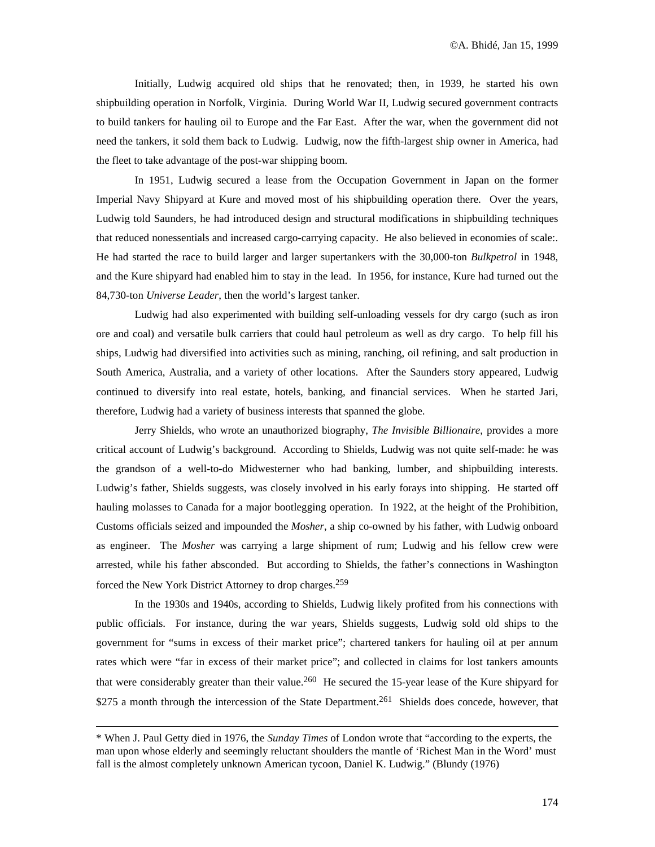Initially, Ludwig acquired old ships that he renovated; then, in 1939, he started his own shipbuilding operation in Norfolk, Virginia. During World War II, Ludwig secured government contracts to build tankers for hauling oil to Europe and the Far East. After the war, when the government did not need the tankers, it sold them back to Ludwig. Ludwig, now the fifth-largest ship owner in America, had the fleet to take advantage of the post-war shipping boom.

In 1951, Ludwig secured a lease from the Occupation Government in Japan on the former Imperial Navy Shipyard at Kure and moved most of his shipbuilding operation there. Over the years, Ludwig told Saunders, he had introduced design and structural modifications in shipbuilding techniques that reduced nonessentials and increased cargo-carrying capacity. He also believed in economies of scale:. He had started the race to build larger and larger supertankers with the 30,000-ton *Bulkpetrol* in 1948, and the Kure shipyard had enabled him to stay in the lead. In 1956, for instance, Kure had turned out the 84,730-ton *Universe Leader*, then the world's largest tanker.

Ludwig had also experimented with building self-unloading vessels for dry cargo (such as iron ore and coal) and versatile bulk carriers that could haul petroleum as well as dry cargo. To help fill his ships, Ludwig had diversified into activities such as mining, ranching, oil refining, and salt production in South America, Australia, and a variety of other locations. After the Saunders story appeared, Ludwig continued to diversify into real estate, hotels, banking, and financial services. When he started Jari, therefore, Ludwig had a variety of business interests that spanned the globe.

Jerry Shields, who wrote an unauthorized biography, *The Invisible Billionaire*, provides a more critical account of Ludwig's background. According to Shields, Ludwig was not quite self-made: he was the grandson of a well-to-do Midwesterner who had banking, lumber, and shipbuilding interests. Ludwig's father, Shields suggests, was closely involved in his early forays into shipping. He started off hauling molasses to Canada for a major bootlegging operation. In 1922, at the height of the Prohibition, Customs officials seized and impounded the *Mosher*, a ship co-owned by his father, with Ludwig onboard as engineer. The *Mosher* was carrying a large shipment of rum; Ludwig and his fellow crew were arrested, while his father absconded. But according to Shields, the father's connections in Washington forced the New York District Attorney to drop charges.<sup>259</sup>

In the 1930s and 1940s, according to Shields, Ludwig likely profited from his connections with public officials. For instance, during the war years, Shields suggests, Ludwig sold old ships to the government for "sums in excess of their market price"; chartered tankers for hauling oil at per annum rates which were "far in excess of their market price"; and collected in claims for lost tankers amounts that were considerably greater than their value.<sup>260</sup> He secured the 15-year lease of the Kure shipyard for \$275 a month through the intercession of the State Department.<sup>261</sup> Shields does concede, however, that

-

<sup>\*</sup> When J. Paul Getty died in 1976, the *Sunday Times* of London wrote that "according to the experts, the man upon whose elderly and seemingly reluctant shoulders the mantle of 'Richest Man in the Word' must fall is the almost completely unknown American tycoon, Daniel K. Ludwig." (Blundy (1976)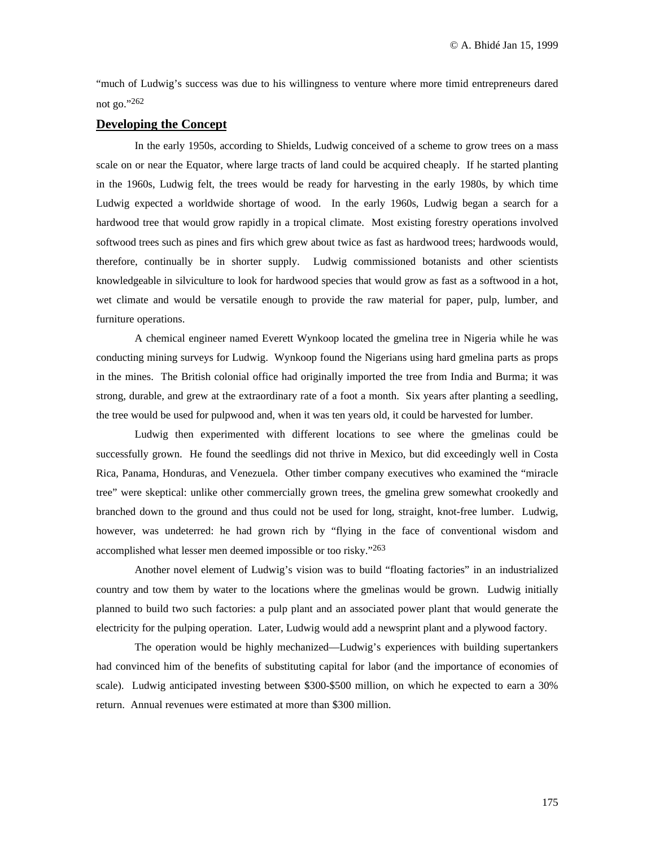"much of Ludwig's success was due to his willingness to venture where more timid entrepreneurs dared not go."<sup>262</sup>

## **Developing the Concept**

In the early 1950s, according to Shields, Ludwig conceived of a scheme to grow trees on a mass scale on or near the Equator, where large tracts of land could be acquired cheaply. If he started planting in the 1960s, Ludwig felt, the trees would be ready for harvesting in the early 1980s, by which time Ludwig expected a worldwide shortage of wood. In the early 1960s, Ludwig began a search for a hardwood tree that would grow rapidly in a tropical climate. Most existing forestry operations involved softwood trees such as pines and firs which grew about twice as fast as hardwood trees; hardwoods would, therefore, continually be in shorter supply. Ludwig commissioned botanists and other scientists knowledgeable in silviculture to look for hardwood species that would grow as fast as a softwood in a hot, wet climate and would be versatile enough to provide the raw material for paper, pulp, lumber, and furniture operations.

A chemical engineer named Everett Wynkoop located the gmelina tree in Nigeria while he was conducting mining surveys for Ludwig. Wynkoop found the Nigerians using hard gmelina parts as props in the mines. The British colonial office had originally imported the tree from India and Burma; it was strong, durable, and grew at the extraordinary rate of a foot a month. Six years after planting a seedling, the tree would be used for pulpwood and, when it was ten years old, it could be harvested for lumber.

Ludwig then experimented with different locations to see where the gmelinas could be successfully grown. He found the seedlings did not thrive in Mexico, but did exceedingly well in Costa Rica, Panama, Honduras, and Venezuela. Other timber company executives who examined the "miracle tree" were skeptical: unlike other commercially grown trees, the gmelina grew somewhat crookedly and branched down to the ground and thus could not be used for long, straight, knot-free lumber. Ludwig, however, was undeterred: he had grown rich by "flying in the face of conventional wisdom and accomplished what lesser men deemed impossible or too risky."<sup>263</sup>

Another novel element of Ludwig's vision was to build "floating factories" in an industrialized country and tow them by water to the locations where the gmelinas would be grown. Ludwig initially planned to build two such factories: a pulp plant and an associated power plant that would generate the electricity for the pulping operation. Later, Ludwig would add a newsprint plant and a plywood factory.

The operation would be highly mechanized—Ludwig's experiences with building supertankers had convinced him of the benefits of substituting capital for labor (and the importance of economies of scale). Ludwig anticipated investing between \$300-\$500 million, on which he expected to earn a 30% return. Annual revenues were estimated at more than \$300 million.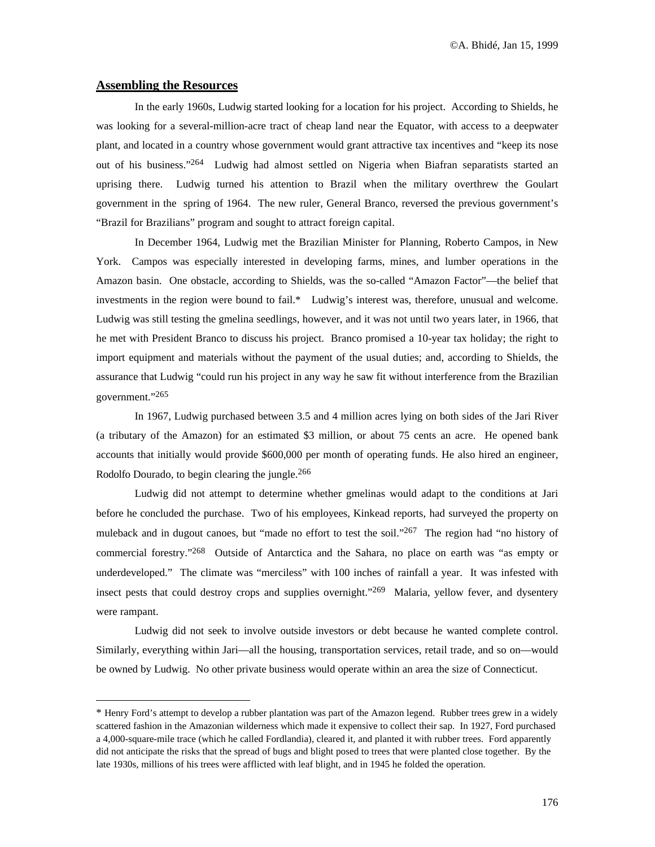### **Assembling the Resources**

 $\overline{a}$ 

In the early 1960s, Ludwig started looking for a location for his project. According to Shields, he was looking for a several-million-acre tract of cheap land near the Equator, with access to a deepwater plant, and located in a country whose government would grant attractive tax incentives and "keep its nose out of his business."264 Ludwig had almost settled on Nigeria when Biafran separatists started an uprising there. Ludwig turned his attention to Brazil when the military overthrew the Goulart government in the spring of 1964. The new ruler, General Branco, reversed the previous government's "Brazil for Brazilians" program and sought to attract foreign capital.

In December 1964, Ludwig met the Brazilian Minister for Planning, Roberto Campos, in New York. Campos was especially interested in developing farms, mines, and lumber operations in the Amazon basin. One obstacle, according to Shields, was the so-called "Amazon Factor"—the belief that investments in the region were bound to fail.\* Ludwig's interest was, therefore, unusual and welcome. Ludwig was still testing the gmelina seedlings, however, and it was not until two years later, in 1966, that he met with President Branco to discuss his project. Branco promised a 10-year tax holiday; the right to import equipment and materials without the payment of the usual duties; and, according to Shields, the assurance that Ludwig "could run his project in any way he saw fit without interference from the Brazilian government."<sup>265</sup>

In 1967, Ludwig purchased between 3.5 and 4 million acres lying on both sides of the Jari River (a tributary of the Amazon) for an estimated \$3 million, or about 75 cents an acre. He opened bank accounts that initially would provide \$600,000 per month of operating funds. He also hired an engineer, Rodolfo Dourado, to begin clearing the jungle.<sup>266</sup>

Ludwig did not attempt to determine whether gmelinas would adapt to the conditions at Jari before he concluded the purchase. Two of his employees, Kinkead reports, had surveyed the property on muleback and in dugout canoes, but "made no effort to test the soil."<sup>267</sup> The region had "no history of commercial forestry."268 Outside of Antarctica and the Sahara, no place on earth was "as empty or underdeveloped." The climate was "merciless" with 100 inches of rainfall a year. It was infested with insect pests that could destroy crops and supplies overnight."<sup>269</sup> Malaria, yellow fever, and dysentery were rampant.

Ludwig did not seek to involve outside investors or debt because he wanted complete control. Similarly, everything within Jari—all the housing, transportation services, retail trade, and so on—would be owned by Ludwig. No other private business would operate within an area the size of Connecticut.

<sup>\*</sup> Henry Ford's attempt to develop a rubber plantation was part of the Amazon legend. Rubber trees grew in a widely scattered fashion in the Amazonian wilderness which made it expensive to collect their sap. In 1927, Ford purchased a 4,000-square-mile trace (which he called Fordlandia), cleared it, and planted it with rubber trees. Ford apparently did not anticipate the risks that the spread of bugs and blight posed to trees that were planted close together. By the late 1930s, millions of his trees were afflicted with leaf blight, and in 1945 he folded the operation.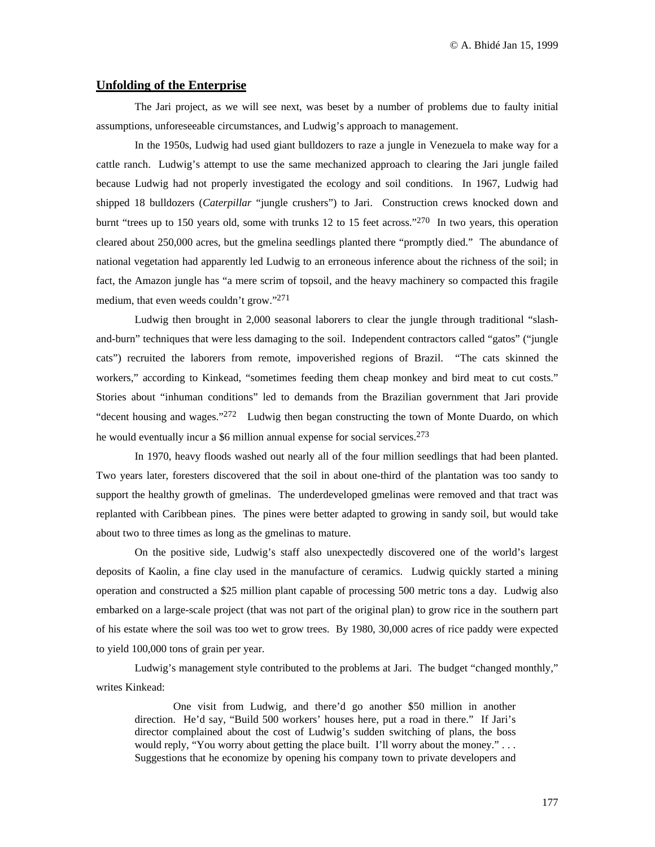### **Unfolding of the Enterprise**

The Jari project, as we will see next, was beset by a number of problems due to faulty initial assumptions, unforeseeable circumstances, and Ludwig's approach to management.

In the 1950s, Ludwig had used giant bulldozers to raze a jungle in Venezuela to make way for a cattle ranch. Ludwig's attempt to use the same mechanized approach to clearing the Jari jungle failed because Ludwig had not properly investigated the ecology and soil conditions. In 1967, Ludwig had shipped 18 bulldozers (*Caterpillar* "jungle crushers") to Jari. Construction crews knocked down and burnt "trees up to 150 years old, some with trunks 12 to 15 feet across."<sup>270</sup> In two years, this operation cleared about 250,000 acres, but the gmelina seedlings planted there "promptly died." The abundance of national vegetation had apparently led Ludwig to an erroneous inference about the richness of the soil; in fact, the Amazon jungle has "a mere scrim of topsoil, and the heavy machinery so compacted this fragile medium, that even weeds couldn't grow."<sup>271</sup>

Ludwig then brought in 2,000 seasonal laborers to clear the jungle through traditional "slashand-burn" techniques that were less damaging to the soil. Independent contractors called "gatos" ("jungle cats") recruited the laborers from remote, impoverished regions of Brazil. "The cats skinned the workers," according to Kinkead, "sometimes feeding them cheap monkey and bird meat to cut costs." Stories about "inhuman conditions" led to demands from the Brazilian government that Jari provide "decent housing and wages."272 Ludwig then began constructing the town of Monte Duardo, on which he would eventually incur a \$6 million annual expense for social services.<sup>273</sup>

In 1970, heavy floods washed out nearly all of the four million seedlings that had been planted. Two years later, foresters discovered that the soil in about one-third of the plantation was too sandy to support the healthy growth of gmelinas. The underdeveloped gmelinas were removed and that tract was replanted with Caribbean pines. The pines were better adapted to growing in sandy soil, but would take about two to three times as long as the gmelinas to mature.

On the positive side, Ludwig's staff also unexpectedly discovered one of the world's largest deposits of Kaolin, a fine clay used in the manufacture of ceramics. Ludwig quickly started a mining operation and constructed a \$25 million plant capable of processing 500 metric tons a day. Ludwig also embarked on a large-scale project (that was not part of the original plan) to grow rice in the southern part of his estate where the soil was too wet to grow trees. By 1980, 30,000 acres of rice paddy were expected to yield 100,000 tons of grain per year.

Ludwig's management style contributed to the problems at Jari. The budget "changed monthly," writes Kinkead:

One visit from Ludwig, and there'd go another \$50 million in another direction. He'd say, "Build 500 workers' houses here, put a road in there." If Jari's director complained about the cost of Ludwig's sudden switching of plans, the boss would reply, "You worry about getting the place built. I'll worry about the money." . . . Suggestions that he economize by opening his company town to private developers and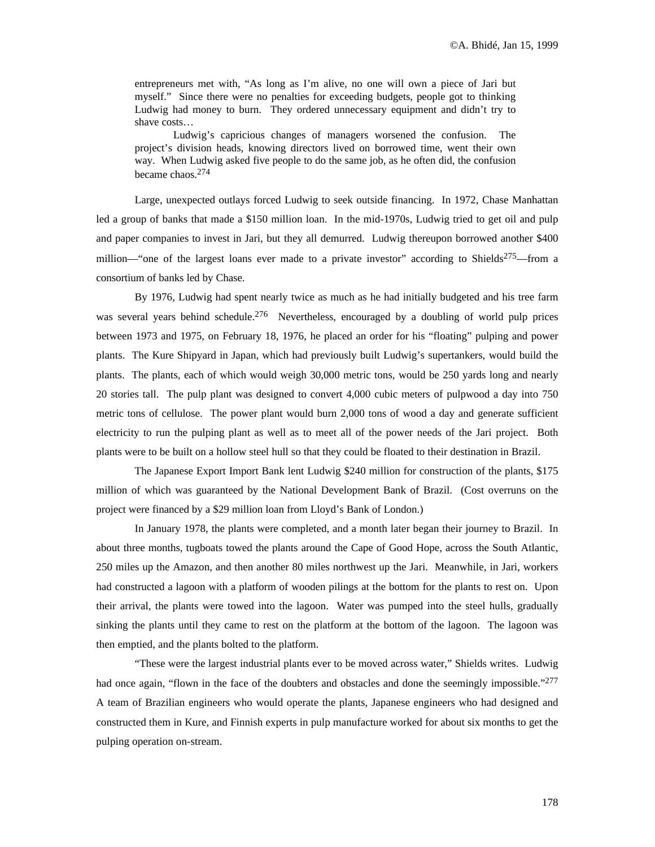entrepreneurs met with, "As long as I'm alive, no one will own a piece of Jari but myself." Since there were no penalties for exceeding budgets, people got to thinking Ludwig had money to burn. They ordered unnecessary equipment and didn't try to shave costs…

Ludwig's capricious changes of managers worsened the confusion. The project's division heads, knowing directors lived on borrowed time, went their own way. When Ludwig asked five people to do the same job, as he often did, the confusion became chaos.<sup>274</sup>

Large, unexpected outlays forced Ludwig to seek outside financing. In 1972, Chase Manhattan led a group of banks that made a \$150 million loan. In the mid-1970s, Ludwig tried to get oil and pulp and paper companies to invest in Jari, but they all demurred. Ludwig thereupon borrowed another \$400 million—"one of the largest loans ever made to a private investor" according to Shields<sup>275</sup>—from a consortium of banks led by Chase.

By 1976, Ludwig had spent nearly twice as much as he had initially budgeted and his tree farm was several years behind schedule.<sup>276</sup> Nevertheless, encouraged by a doubling of world pulp prices between 1973 and 1975, on February 18, 1976, he placed an order for his "floating" pulping and power plants. The Kure Shipyard in Japan, which had previously built Ludwig's supertankers, would build the plants. The plants, each of which would weigh 30,000 metric tons, would be 250 yards long and nearly 20 stories tall. The pulp plant was designed to convert 4,000 cubic meters of pulpwood a day into 750 metric tons of cellulose. The power plant would burn 2,000 tons of wood a day and generate sufficient electricity to run the pulping plant as well as to meet all of the power needs of the Jari project. Both plants were to be built on a hollow steel hull so that they could be floated to their destination in Brazil.

The Japanese Export Import Bank lent Ludwig \$240 million for construction of the plants, \$175 million of which was guaranteed by the National Development Bank of Brazil. (Cost overruns on the project were financed by a \$29 million loan from Lloyd's Bank of London.)

In January 1978, the plants were completed, and a month later began their journey to Brazil. In about three months, tugboats towed the plants around the Cape of Good Hope, across the South Atlantic, 250 miles up the Amazon, and then another 80 miles northwest up the Jari. Meanwhile, in Jari, workers had constructed a lagoon with a platform of wooden pilings at the bottom for the plants to rest on. Upon their arrival, the plants were towed into the lagoon. Water was pumped into the steel hulls, gradually sinking the plants until they came to rest on the platform at the bottom of the lagoon. The lagoon was then emptied, and the plants bolted to the platform.

"These were the largest industrial plants ever to be moved across water," Shields writes. Ludwig had once again, "flown in the face of the doubters and obstacles and done the seemingly impossible."<sup>277</sup> A team of Brazilian engineers who would operate the plants, Japanese engineers who had designed and constructed them in Kure, and Finnish experts in pulp manufacture worked for about six months to get the pulping operation on-stream.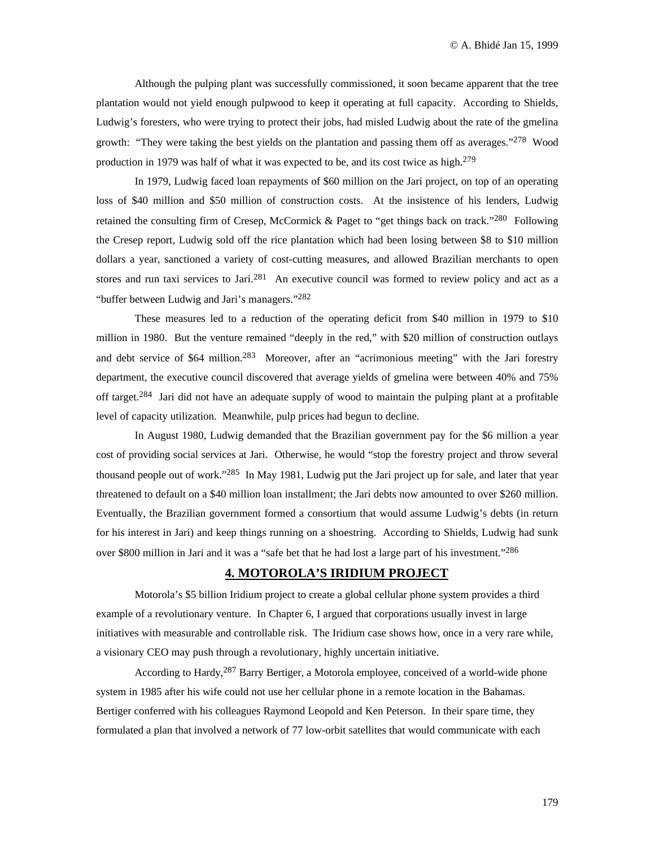Although the pulping plant was successfully commissioned, it soon became apparent that the tree plantation would not yield enough pulpwood to keep it operating at full capacity. According to Shields, Ludwig's foresters, who were trying to protect their jobs, had misled Ludwig about the rate of the gmelina growth: "They were taking the best yields on the plantation and passing them off as averages."<sup>278</sup> Wood production in 1979 was half of what it was expected to be, and its cost twice as high.<sup>279</sup>

In 1979, Ludwig faced loan repayments of \$60 million on the Jari project, on top of an operating loss of \$40 million and \$50 million of construction costs. At the insistence of his lenders, Ludwig retained the consulting firm of Cresep, McCormick & Paget to "get things back on track."<sup>280</sup> Following the Cresep report, Ludwig sold off the rice plantation which had been losing between \$8 to \$10 million dollars a year, sanctioned a variety of cost-cutting measures, and allowed Brazilian merchants to open stores and run taxi services to Jari.<sup>281</sup> An executive council was formed to review policy and act as a "buffer between Ludwig and Jari's managers."<sup>282</sup>

These measures led to a reduction of the operating deficit from \$40 million in 1979 to \$10 million in 1980. But the venture remained "deeply in the red," with \$20 million of construction outlays and debt service of \$64 million.<sup>283</sup> Moreover, after an "acrimonious meeting" with the Jari forestry department, the executive council discovered that average yields of gmelina were between 40% and 75% off target.<sup>284</sup> Jari did not have an adequate supply of wood to maintain the pulping plant at a profitable level of capacity utilization. Meanwhile, pulp prices had begun to decline.

In August 1980, Ludwig demanded that the Brazilian government pay for the \$6 million a year cost of providing social services at Jari. Otherwise, he would "stop the forestry project and throw several thousand people out of work."285 In May 1981, Ludwig put the Jari project up for sale, and later that year threatened to default on a \$40 million loan installment; the Jari debts now amounted to over \$260 million. Eventually, the Brazilian government formed a consortium that would assume Ludwig's debts (in return for his interest in Jari) and keep things running on a shoestring. According to Shields, Ludwig had sunk over \$800 million in Jari and it was a "safe bet that he had lost a large part of his investment."<sup>286</sup>

### **4. MOTOROLA'S IRIDIUM PROJECT**

Motorola's \$5 billion Iridium project to create a global cellular phone system provides a third example of a revolutionary venture. In Chapter 6, I argued that corporations usually invest in large initiatives with measurable and controllable risk. The Iridium case shows how, once in a very rare while, a visionary CEO may push through a revolutionary, highly uncertain initiative.

According to Hardy,<sup>287</sup> Barry Bertiger, a Motorola employee, conceived of a world-wide phone system in 1985 after his wife could not use her cellular phone in a remote location in the Bahamas. Bertiger conferred with his colleagues Raymond Leopold and Ken Peterson. In their spare time, they formulated a plan that involved a network of 77 low-orbit satellites that would communicate with each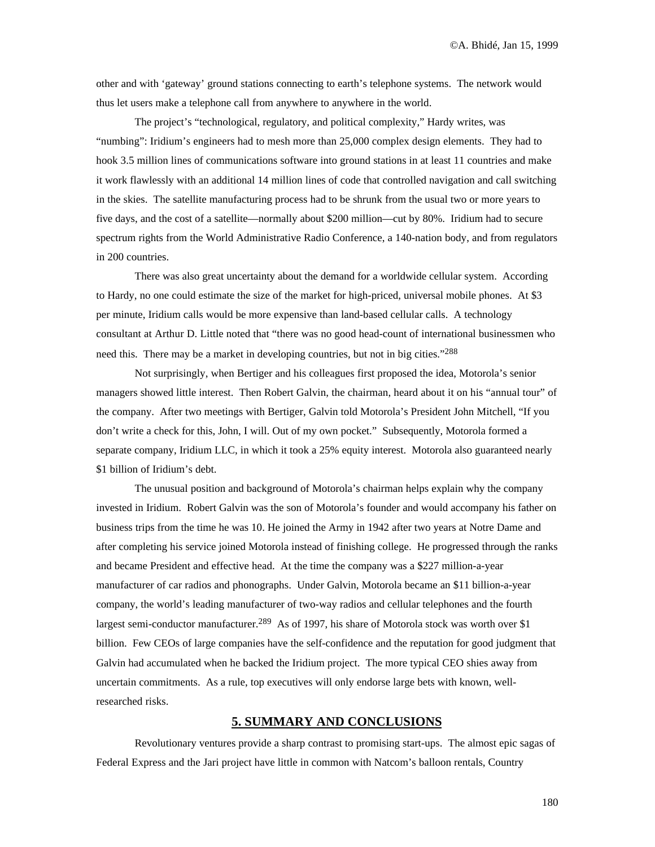other and with 'gateway' ground stations connecting to earth's telephone systems. The network would thus let users make a telephone call from anywhere to anywhere in the world.

The project's "technological, regulatory, and political complexity," Hardy writes, was "numbing": Iridium's engineers had to mesh more than 25,000 complex design elements. They had to hook 3.5 million lines of communications software into ground stations in at least 11 countries and make it work flawlessly with an additional 14 million lines of code that controlled navigation and call switching in the skies. The satellite manufacturing process had to be shrunk from the usual two or more years to five days, and the cost of a satellite—normally about \$200 million—cut by 80%. Iridium had to secure spectrum rights from the World Administrative Radio Conference, a 140-nation body, and from regulators in 200 countries.

There was also great uncertainty about the demand for a worldwide cellular system. According to Hardy, no one could estimate the size of the market for high-priced, universal mobile phones. At \$3 per minute, Iridium calls would be more expensive than land-based cellular calls. A technology consultant at Arthur D. Little noted that "there was no good head-count of international businessmen who need this. There may be a market in developing countries, but not in big cities."<sup>288</sup>

Not surprisingly, when Bertiger and his colleagues first proposed the idea, Motorola's senior managers showed little interest. Then Robert Galvin, the chairman, heard about it on his "annual tour" of the company. After two meetings with Bertiger, Galvin told Motorola's President John Mitchell, "If you don't write a check for this, John, I will. Out of my own pocket." Subsequently, Motorola formed a separate company, Iridium LLC, in which it took a 25% equity interest. Motorola also guaranteed nearly \$1 billion of Iridium's debt.

The unusual position and background of Motorola's chairman helps explain why the company invested in Iridium. Robert Galvin was the son of Motorola's founder and would accompany his father on business trips from the time he was 10. He joined the Army in 1942 after two years at Notre Dame and after completing his service joined Motorola instead of finishing college. He progressed through the ranks and became President and effective head. At the time the company was a \$227 million-a-year manufacturer of car radios and phonographs. Under Galvin, Motorola became an \$11 billion-a-year company, the world's leading manufacturer of two-way radios and cellular telephones and the fourth largest semi-conductor manufacturer.<sup>289</sup> As of 1997, his share of Motorola stock was worth over \$1 billion. Few CEOs of large companies have the self-confidence and the reputation for good judgment that Galvin had accumulated when he backed the Iridium project. The more typical CEO shies away from uncertain commitments. As a rule, top executives will only endorse large bets with known, wellresearched risks.

# **5. SUMMARY AND CONCLUSIONS**

Revolutionary ventures provide a sharp contrast to promising start-ups. The almost epic sagas of Federal Express and the Jari project have little in common with Natcom's balloon rentals, Country

180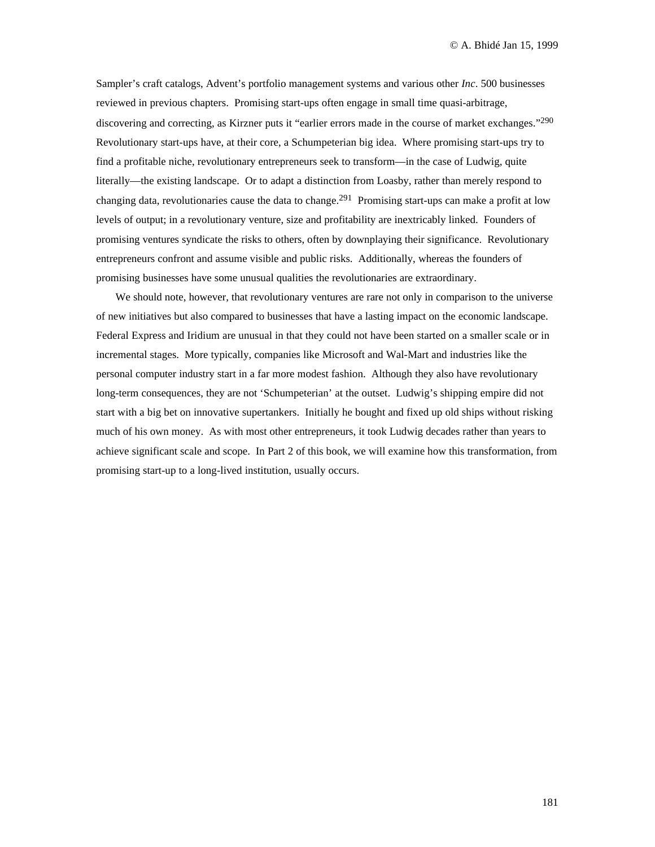Sampler's craft catalogs, Advent's portfolio management systems and various other *Inc*. 500 businesses reviewed in previous chapters. Promising start-ups often engage in small time quasi-arbitrage, discovering and correcting, as Kirzner puts it "earlier errors made in the course of market exchanges."<sup>290</sup> Revolutionary start-ups have, at their core, a Schumpeterian big idea. Where promising start-ups try to find a profitable niche, revolutionary entrepreneurs seek to transform—in the case of Ludwig, quite literally—the existing landscape. Or to adapt a distinction from Loasby, rather than merely respond to changing data, revolutionaries cause the data to change.<sup>291</sup> Promising start-ups can make a profit at low levels of output; in a revolutionary venture, size and profitability are inextricably linked. Founders of promising ventures syndicate the risks to others, often by downplaying their significance. Revolutionary entrepreneurs confront and assume visible and public risks. Additionally, whereas the founders of promising businesses have some unusual qualities the revolutionaries are extraordinary.

We should note, however, that revolutionary ventures are rare not only in comparison to the universe of new initiatives but also compared to businesses that have a lasting impact on the economic landscape. Federal Express and Iridium are unusual in that they could not have been started on a smaller scale or in incremental stages. More typically, companies like Microsoft and Wal-Mart and industries like the personal computer industry start in a far more modest fashion. Although they also have revolutionary long-term consequences, they are not 'Schumpeterian' at the outset. Ludwig's shipping empire did not start with a big bet on innovative supertankers. Initially he bought and fixed up old ships without risking much of his own money. As with most other entrepreneurs, it took Ludwig decades rather than years to achieve significant scale and scope. In Part 2 of this book, we will examine how this transformation, from promising start-up to a long-lived institution, usually occurs.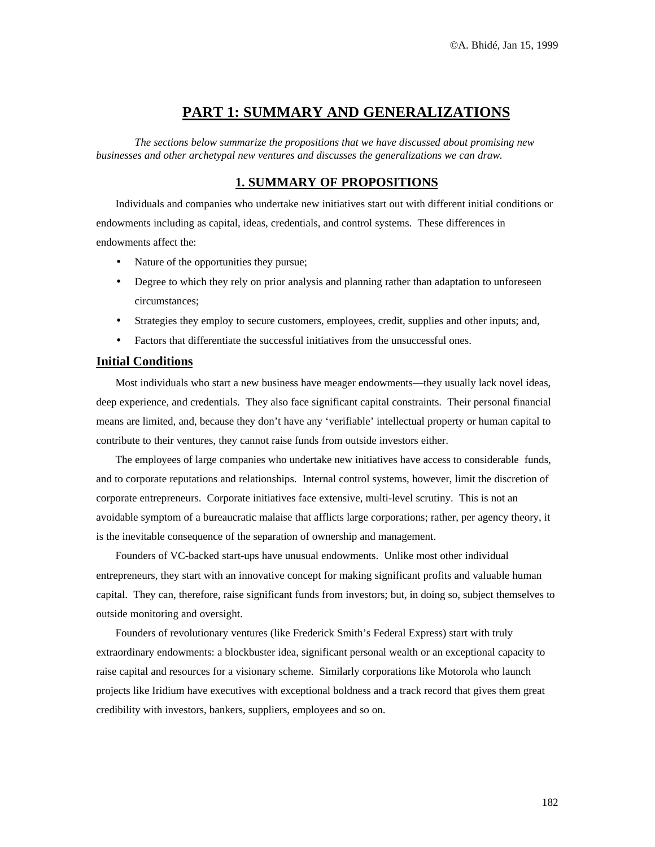# **PART 1: SUMMARY AND GENERALIZATIONS**

*The sections below summarize the propositions that we have discussed about promising new businesses and other archetypal new ventures and discusses the generalizations we can draw.*

# **1. SUMMARY OF PROPOSITIONS**

Individuals and companies who undertake new initiatives start out with different initial conditions or endowments including as capital, ideas, credentials, and control systems. These differences in endowments affect the:

- Nature of the opportunities they pursue;
- Degree to which they rely on prior analysis and planning rather than adaptation to unforeseen circumstances;
- Strategies they employ to secure customers, employees, credit, supplies and other inputs; and,
- Factors that differentiate the successful initiatives from the unsuccessful ones.

# **Initial Conditions**

Most individuals who start a new business have meager endowments—they usually lack novel ideas, deep experience, and credentials. They also face significant capital constraints. Their personal financial means are limited, and, because they don't have any 'verifiable' intellectual property or human capital to contribute to their ventures, they cannot raise funds from outside investors either.

The employees of large companies who undertake new initiatives have access to considerable funds, and to corporate reputations and relationships. Internal control systems, however, limit the discretion of corporate entrepreneurs. Corporate initiatives face extensive, multi-level scrutiny. This is not an avoidable symptom of a bureaucratic malaise that afflicts large corporations; rather, per agency theory, it is the inevitable consequence of the separation of ownership and management.

Founders of VC-backed start-ups have unusual endowments. Unlike most other individual entrepreneurs, they start with an innovative concept for making significant profits and valuable human capital. They can, therefore, raise significant funds from investors; but, in doing so, subject themselves to outside monitoring and oversight.

Founders of revolutionary ventures (like Frederick Smith's Federal Express) start with truly extraordinary endowments: a blockbuster idea, significant personal wealth or an exceptional capacity to raise capital and resources for a visionary scheme. Similarly corporations like Motorola who launch projects like Iridium have executives with exceptional boldness and a track record that gives them great credibility with investors, bankers, suppliers, employees and so on.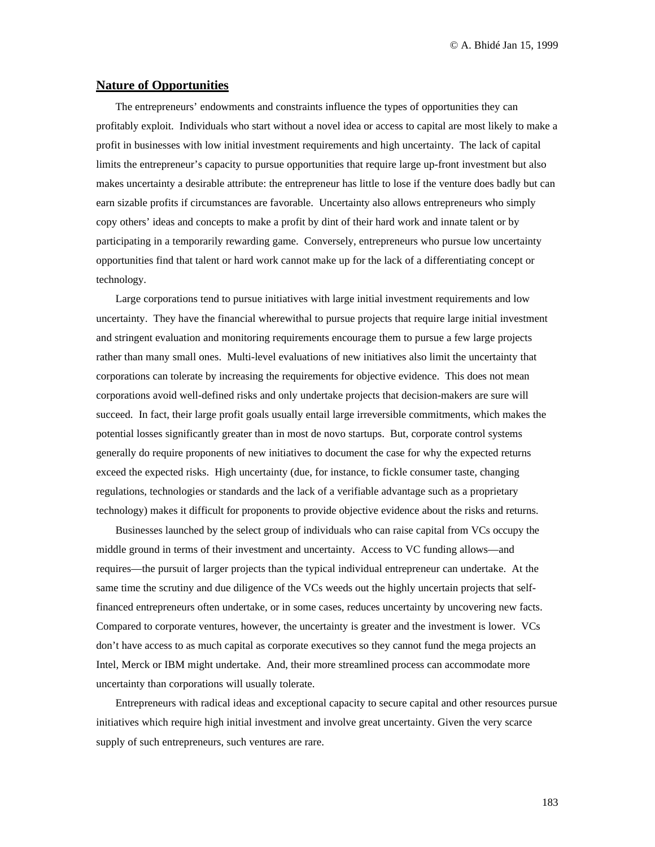© A. Bhidé Jan 15, 1999

## **Nature of Opportunities**

The entrepreneurs' endowments and constraints influence the types of opportunities they can profitably exploit. Individuals who start without a novel idea or access to capital are most likely to make a profit in businesses with low initial investment requirements and high uncertainty. The lack of capital limits the entrepreneur's capacity to pursue opportunities that require large up-front investment but also makes uncertainty a desirable attribute: the entrepreneur has little to lose if the venture does badly but can earn sizable profits if circumstances are favorable. Uncertainty also allows entrepreneurs who simply copy others' ideas and concepts to make a profit by dint of their hard work and innate talent or by participating in a temporarily rewarding game. Conversely, entrepreneurs who pursue low uncertainty opportunities find that talent or hard work cannot make up for the lack of a differentiating concept or technology.

Large corporations tend to pursue initiatives with large initial investment requirements and low uncertainty. They have the financial wherewithal to pursue projects that require large initial investment and stringent evaluation and monitoring requirements encourage them to pursue a few large projects rather than many small ones. Multi-level evaluations of new initiatives also limit the uncertainty that corporations can tolerate by increasing the requirements for objective evidence. This does not mean corporations avoid well-defined risks and only undertake projects that decision-makers are sure will succeed. In fact, their large profit goals usually entail large irreversible commitments, which makes the potential losses significantly greater than in most de novo startups. But, corporate control systems generally do require proponents of new initiatives to document the case for why the expected returns exceed the expected risks. High uncertainty (due, for instance, to fickle consumer taste, changing regulations, technologies or standards and the lack of a verifiable advantage such as a proprietary technology) makes it difficult for proponents to provide objective evidence about the risks and returns.

Businesses launched by the select group of individuals who can raise capital from VCs occupy the middle ground in terms of their investment and uncertainty. Access to VC funding allows—and requires—the pursuit of larger projects than the typical individual entrepreneur can undertake. At the same time the scrutiny and due diligence of the VCs weeds out the highly uncertain projects that selffinanced entrepreneurs often undertake, or in some cases, reduces uncertainty by uncovering new facts. Compared to corporate ventures, however, the uncertainty is greater and the investment is lower. VCs don't have access to as much capital as corporate executives so they cannot fund the mega projects an Intel, Merck or IBM might undertake. And, their more streamlined process can accommodate more uncertainty than corporations will usually tolerate.

Entrepreneurs with radical ideas and exceptional capacity to secure capital and other resources pursue initiatives which require high initial investment and involve great uncertainty. Given the very scarce supply of such entrepreneurs, such ventures are rare.

183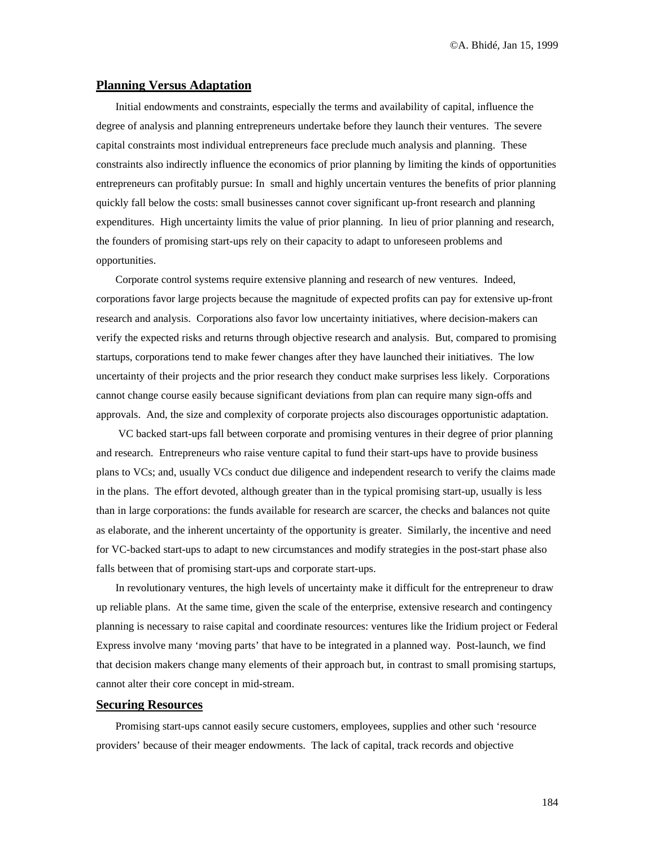#### **Planning Versus Adaptation**

Initial endowments and constraints, especially the terms and availability of capital, influence the degree of analysis and planning entrepreneurs undertake before they launch their ventures. The severe capital constraints most individual entrepreneurs face preclude much analysis and planning. These constraints also indirectly influence the economics of prior planning by limiting the kinds of opportunities entrepreneurs can profitably pursue: In small and highly uncertain ventures the benefits of prior planning quickly fall below the costs: small businesses cannot cover significant up-front research and planning expenditures. High uncertainty limits the value of prior planning. In lieu of prior planning and research, the founders of promising start-ups rely on their capacity to adapt to unforeseen problems and opportunities.

Corporate control systems require extensive planning and research of new ventures. Indeed, corporations favor large projects because the magnitude of expected profits can pay for extensive up-front research and analysis. Corporations also favor low uncertainty initiatives, where decision-makers can verify the expected risks and returns through objective research and analysis. But, compared to promising startups, corporations tend to make fewer changes after they have launched their initiatives. The low uncertainty of their projects and the prior research they conduct make surprises less likely. Corporations cannot change course easily because significant deviations from plan can require many sign-offs and approvals. And, the size and complexity of corporate projects also discourages opportunistic adaptation.

 VC backed start-ups fall between corporate and promising ventures in their degree of prior planning and research. Entrepreneurs who raise venture capital to fund their start-ups have to provide business plans to VCs; and, usually VCs conduct due diligence and independent research to verify the claims made in the plans. The effort devoted, although greater than in the typical promising start-up, usually is less than in large corporations: the funds available for research are scarcer, the checks and balances not quite as elaborate, and the inherent uncertainty of the opportunity is greater. Similarly, the incentive and need for VC-backed start-ups to adapt to new circumstances and modify strategies in the post-start phase also falls between that of promising start-ups and corporate start-ups.

In revolutionary ventures, the high levels of uncertainty make it difficult for the entrepreneur to draw up reliable plans. At the same time, given the scale of the enterprise, extensive research and contingency planning is necessary to raise capital and coordinate resources: ventures like the Iridium project or Federal Express involve many 'moving parts' that have to be integrated in a planned way. Post-launch, we find that decision makers change many elements of their approach but, in contrast to small promising startups, cannot alter their core concept in mid-stream.

# **Securing Resources**

Promising start-ups cannot easily secure customers, employees, supplies and other such 'resource providers' because of their meager endowments. The lack of capital, track records and objective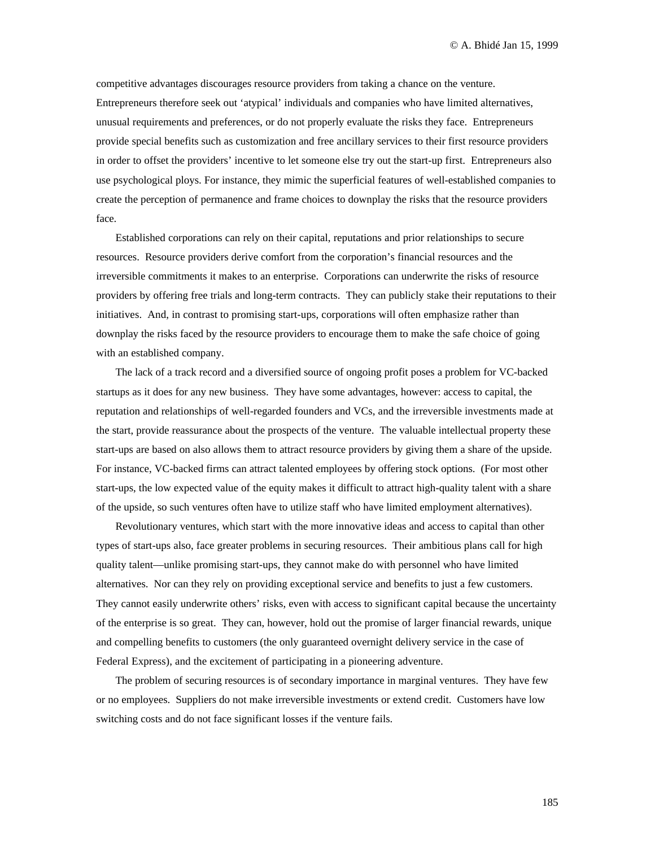competitive advantages discourages resource providers from taking a chance on the venture. Entrepreneurs therefore seek out 'atypical' individuals and companies who have limited alternatives, unusual requirements and preferences, or do not properly evaluate the risks they face. Entrepreneurs provide special benefits such as customization and free ancillary services to their first resource providers in order to offset the providers' incentive to let someone else try out the start-up first. Entrepreneurs also use psychological ploys. For instance, they mimic the superficial features of well-established companies to create the perception of permanence and frame choices to downplay the risks that the resource providers face.

Established corporations can rely on their capital, reputations and prior relationships to secure resources. Resource providers derive comfort from the corporation's financial resources and the irreversible commitments it makes to an enterprise. Corporations can underwrite the risks of resource providers by offering free trials and long-term contracts. They can publicly stake their reputations to their initiatives. And, in contrast to promising start-ups, corporations will often emphasize rather than downplay the risks faced by the resource providers to encourage them to make the safe choice of going with an established company.

The lack of a track record and a diversified source of ongoing profit poses a problem for VC-backed startups as it does for any new business. They have some advantages, however: access to capital, the reputation and relationships of well-regarded founders and VCs, and the irreversible investments made at the start, provide reassurance about the prospects of the venture. The valuable intellectual property these start-ups are based on also allows them to attract resource providers by giving them a share of the upside. For instance, VC-backed firms can attract talented employees by offering stock options. (For most other start-ups, the low expected value of the equity makes it difficult to attract high-quality talent with a share of the upside, so such ventures often have to utilize staff who have limited employment alternatives).

Revolutionary ventures, which start with the more innovative ideas and access to capital than other types of start-ups also, face greater problems in securing resources. Their ambitious plans call for high quality talent—unlike promising start-ups, they cannot make do with personnel who have limited alternatives. Nor can they rely on providing exceptional service and benefits to just a few customers. They cannot easily underwrite others' risks, even with access to significant capital because the uncertainty of the enterprise is so great. They can, however, hold out the promise of larger financial rewards, unique and compelling benefits to customers (the only guaranteed overnight delivery service in the case of Federal Express), and the excitement of participating in a pioneering adventure.

The problem of securing resources is of secondary importance in marginal ventures. They have few or no employees. Suppliers do not make irreversible investments or extend credit. Customers have low switching costs and do not face significant losses if the venture fails.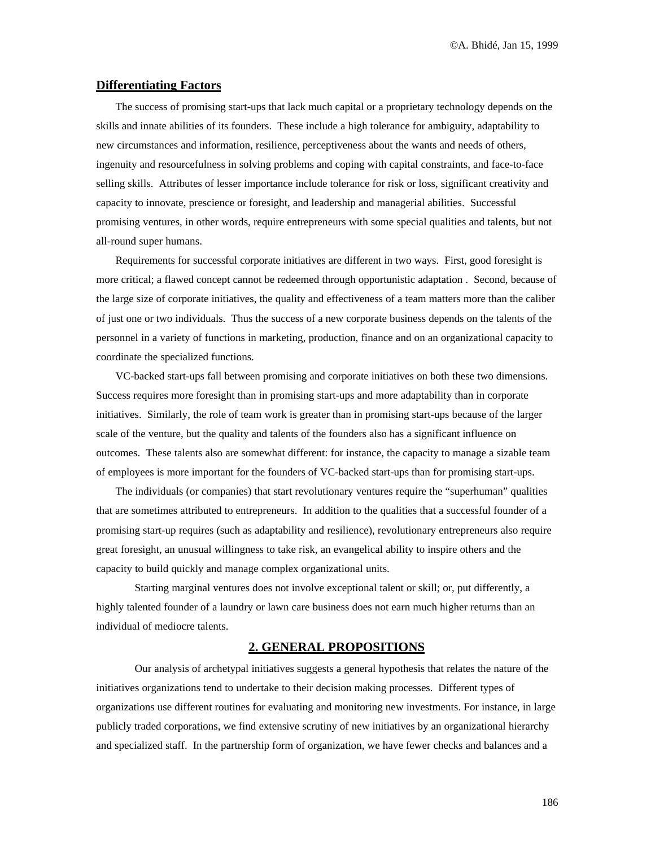# **Differentiating Factors**

The success of promising start-ups that lack much capital or a proprietary technology depends on the skills and innate abilities of its founders. These include a high tolerance for ambiguity, adaptability to new circumstances and information, resilience, perceptiveness about the wants and needs of others, ingenuity and resourcefulness in solving problems and coping with capital constraints, and face-to-face selling skills. Attributes of lesser importance include tolerance for risk or loss, significant creativity and capacity to innovate, prescience or foresight, and leadership and managerial abilities. Successful promising ventures, in other words, require entrepreneurs with some special qualities and talents, but not all-round super humans.

Requirements for successful corporate initiatives are different in two ways. First, good foresight is more critical; a flawed concept cannot be redeemed through opportunistic adaptation . Second, because of the large size of corporate initiatives, the quality and effectiveness of a team matters more than the caliber of just one or two individuals. Thus the success of a new corporate business depends on the talents of the personnel in a variety of functions in marketing, production, finance and on an organizational capacity to coordinate the specialized functions.

VC-backed start-ups fall between promising and corporate initiatives on both these two dimensions. Success requires more foresight than in promising start-ups and more adaptability than in corporate initiatives. Similarly, the role of team work is greater than in promising start-ups because of the larger scale of the venture, but the quality and talents of the founders also has a significant influence on outcomes. These talents also are somewhat different: for instance, the capacity to manage a sizable team of employees is more important for the founders of VC-backed start-ups than for promising start-ups.

The individuals (or companies) that start revolutionary ventures require the "superhuman" qualities that are sometimes attributed to entrepreneurs. In addition to the qualities that a successful founder of a promising start-up requires (such as adaptability and resilience), revolutionary entrepreneurs also require great foresight, an unusual willingness to take risk, an evangelical ability to inspire others and the capacity to build quickly and manage complex organizational units.

Starting marginal ventures does not involve exceptional talent or skill; or, put differently, a highly talented founder of a laundry or lawn care business does not earn much higher returns than an individual of mediocre talents.

# **2. GENERAL PROPOSITIONS**

Our analysis of archetypal initiatives suggests a general hypothesis that relates the nature of the initiatives organizations tend to undertake to their decision making processes. Different types of organizations use different routines for evaluating and monitoring new investments. For instance, in large publicly traded corporations, we find extensive scrutiny of new initiatives by an organizational hierarchy and specialized staff. In the partnership form of organization, we have fewer checks and balances and a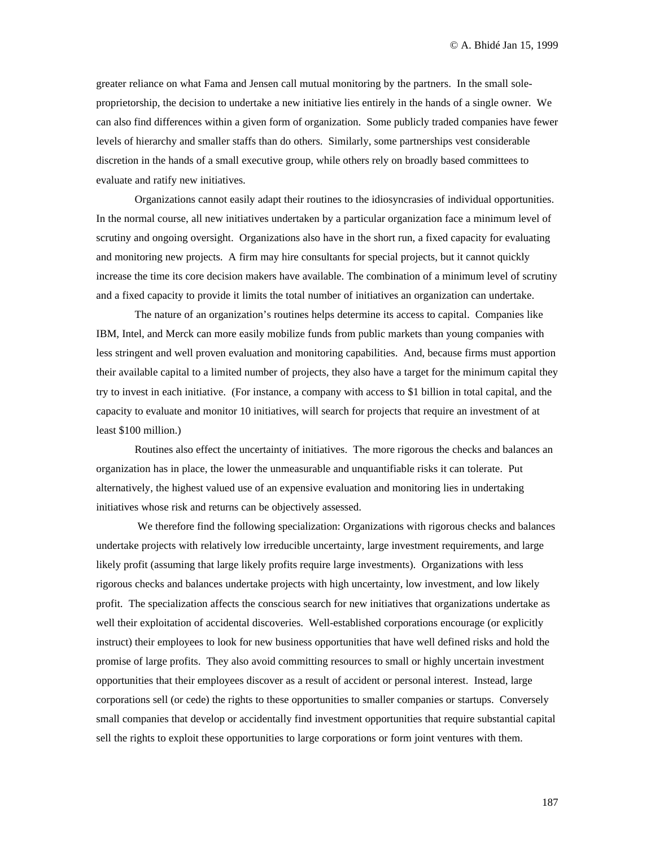greater reliance on what Fama and Jensen call mutual monitoring by the partners. In the small soleproprietorship, the decision to undertake a new initiative lies entirely in the hands of a single owner. We can also find differences within a given form of organization. Some publicly traded companies have fewer levels of hierarchy and smaller staffs than do others. Similarly, some partnerships vest considerable discretion in the hands of a small executive group, while others rely on broadly based committees to evaluate and ratify new initiatives.

Organizations cannot easily adapt their routines to the idiosyncrasies of individual opportunities. In the normal course, all new initiatives undertaken by a particular organization face a minimum level of scrutiny and ongoing oversight. Organizations also have in the short run, a fixed capacity for evaluating and monitoring new projects. A firm may hire consultants for special projects, but it cannot quickly increase the time its core decision makers have available. The combination of a minimum level of scrutiny and a fixed capacity to provide it limits the total number of initiatives an organization can undertake.

The nature of an organization's routines helps determine its access to capital. Companies like IBM, Intel, and Merck can more easily mobilize funds from public markets than young companies with less stringent and well proven evaluation and monitoring capabilities. And, because firms must apportion their available capital to a limited number of projects, they also have a target for the minimum capital they try to invest in each initiative. (For instance, a company with access to \$1 billion in total capital, and the capacity to evaluate and monitor 10 initiatives, will search for projects that require an investment of at least \$100 million.)

Routines also effect the uncertainty of initiatives. The more rigorous the checks and balances an organization has in place, the lower the unmeasurable and unquantifiable risks it can tolerate. Put alternatively, the highest valued use of an expensive evaluation and monitoring lies in undertaking initiatives whose risk and returns can be objectively assessed.

 We therefore find the following specialization: Organizations with rigorous checks and balances undertake projects with relatively low irreducible uncertainty, large investment requirements, and large likely profit (assuming that large likely profits require large investments). Organizations with less rigorous checks and balances undertake projects with high uncertainty, low investment, and low likely profit. The specialization affects the conscious search for new initiatives that organizations undertake as well their exploitation of accidental discoveries. Well-established corporations encourage (or explicitly instruct) their employees to look for new business opportunities that have well defined risks and hold the promise of large profits. They also avoid committing resources to small or highly uncertain investment opportunities that their employees discover as a result of accident or personal interest. Instead, large corporations sell (or cede) the rights to these opportunities to smaller companies or startups. Conversely small companies that develop or accidentally find investment opportunities that require substantial capital sell the rights to exploit these opportunities to large corporations or form joint ventures with them.

187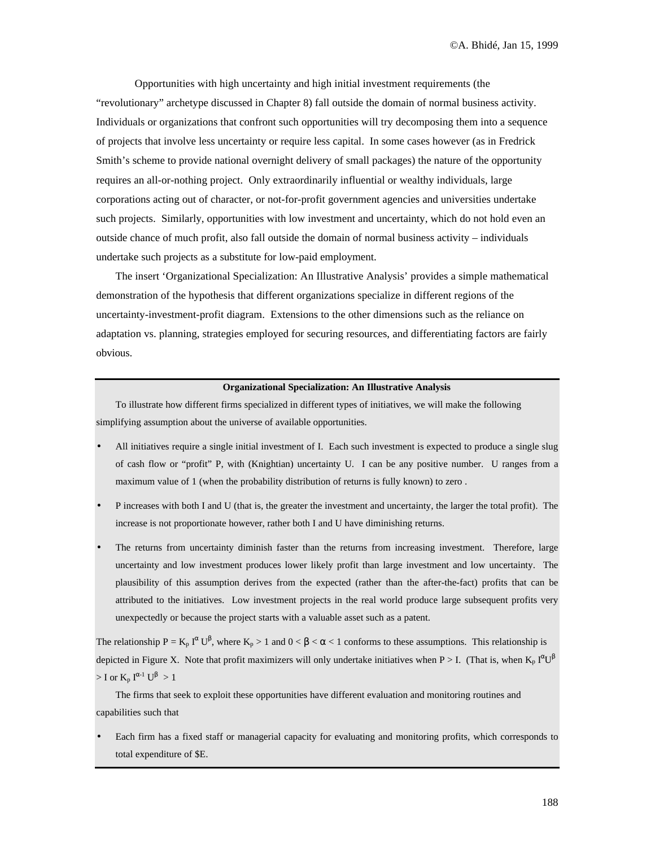Opportunities with high uncertainty and high initial investment requirements (the "revolutionary" archetype discussed in Chapter 8) fall outside the domain of normal business activity. Individuals or organizations that confront such opportunities will try decomposing them into a sequence of projects that involve less uncertainty or require less capital. In some cases however (as in Fredrick Smith's scheme to provide national overnight delivery of small packages) the nature of the opportunity requires an all-or-nothing project. Only extraordinarily influential or wealthy individuals, large corporations acting out of character, or not-for-profit government agencies and universities undertake such projects. Similarly, opportunities with low investment and uncertainty, which do not hold even an outside chance of much profit, also fall outside the domain of normal business activity – individuals undertake such projects as a substitute for low-paid employment.

The insert 'Organizational Specialization: An Illustrative Analysis' provides a simple mathematical demonstration of the hypothesis that different organizations specialize in different regions of the uncertainty-investment-profit diagram. Extensions to the other dimensions such as the reliance on adaptation vs. planning, strategies employed for securing resources, and differentiating factors are fairly obvious.

## **Organizational Specialization: An Illustrative Analysis**

To illustrate how different firms specialized in different types of initiatives, we will make the following simplifying assumption about the universe of available opportunities.

- All initiatives require a single initial investment of I. Each such investment is expected to produce a single slug of cash flow or "profit" P, with (Knightian) uncertainty U. I can be any positive number. U ranges from a maximum value of 1 (when the probability distribution of returns is fully known) to zero .
- P increases with both I and U (that is, the greater the investment and uncertainty, the larger the total profit). The increase is not proportionate however, rather both I and U have diminishing returns.
- The returns from uncertainty diminish faster than the returns from increasing investment. Therefore, large uncertainty and low investment produces lower likely profit than large investment and low uncertainty. The plausibility of this assumption derives from the expected (rather than the after-the-fact) profits that can be attributed to the initiatives. Low investment projects in the real world produce large subsequent profits very unexpectedly or because the project starts with a valuable asset such as a patent.

The relationship  $P = K_p I^{\alpha} U^{\beta}$ , where  $K_p > 1$  and  $0 < \beta < \alpha < 1$  conforms to these assumptions. This relationship is depicted in Figure X. Note that profit maximizers will only undertake initiatives when P > I. (That is, when  $K_p$  I<sup> $\alpha$ </sup>U<sup>β</sup>  $>$  I or K<sub>p</sub> I<sup> $\alpha$ -1</sup> U<sup> $\beta$ </sup>  $>$  1

The firms that seek to exploit these opportunities have different evaluation and monitoring routines and capabilities such that

• Each firm has a fixed staff or managerial capacity for evaluating and monitoring profits, which corresponds to total expenditure of \$E.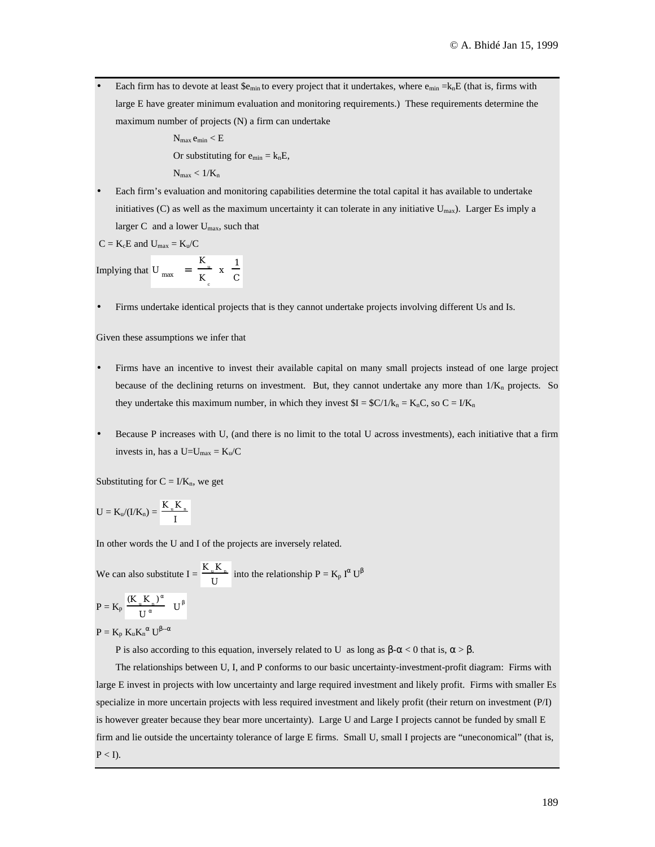Each firm has to devote at least  $\mathcal{S}_{e_{min}}$  to every project that it undertakes, where  $e_{min} = k_n E$  (that is, firms with large E have greater minimum evaluation and monitoring requirements.) These requirements determine the maximum number of projects (N) a firm can undertake

> $N_{max}$  e<sub>min</sub>  $\lt E$ Or substituting for  $e_{\min} = k_n E$ ,  $N_{\rm max} < 1/K_n$

• Each firm's evaluation and monitoring capabilities determine the total capital it has available to undertake initiatives (C) as well as the maximum uncertainty it can tolerate in any initiative  $U_{\text{max}}$ ). Larger Es imply a larger C and a lower  $U_{\text{max}}$ , such that

$$
C=K_cE\ and\ U_{max}=K_u/C
$$

Implying that  $U_{\text{max}} = \frac{K}{K}$ K c  $\frac{1}{\sqrt{2}}$ C

• Firms undertake identical projects that is they cannot undertake projects involving different Us and Is.

Given these assumptions we infer that

- Firms have an incentive to invest their available capital on many small projects instead of one large project because of the declining returns on investment. But, they cannot undertake any more than  $1/K_n$  projects. So they undertake this maximum number, in which they invest  $I = \frac{C}{1/k_n} = K_nC$ , so  $C = I/K_n$
- Because P increases with U, (and there is no limit to the total U across investments), each initiative that a firm invests in, has a  $U=U_{max} = K_u/C$

Substituting for  $C = I/K_n$ , we get

$$
U=K_u/(I/K_n)=\frac{K_{\phantom{u}u}K_{\phantom{u}n}}{I}
$$

In other words the U and I of the projects are inversely related.

We can also substitute 
$$
I = \frac{K_{\mu} K_{\mu}}{U}
$$
 into the relationship  $P = K_{p} I^{\alpha} U^{\beta}$ 

$$
P = K_p \frac{(K_{\mu} K_{\mu})^a}{U^a} U^b
$$

 $\rm P = K_p~K_uK_n^{\alpha}~U^{\beta-\alpha}$ 

P is also according to this equation, inversely related to U as long as  $\beta-\alpha < 0$  that is,  $\alpha > \beta$ .

The relationships between U, I, and P conforms to our basic uncertainty-investment-profit diagram: Firms with large E invest in projects with low uncertainty and large required investment and likely profit. Firms with smaller Es specialize in more uncertain projects with less required investment and likely profit (their return on investment (P/I) is however greater because they bear more uncertainty). Large U and Large I projects cannot be funded by small E firm and lie outside the uncertainty tolerance of large E firms. Small U, small I projects are "uneconomical" (that is,  $P < I$ ).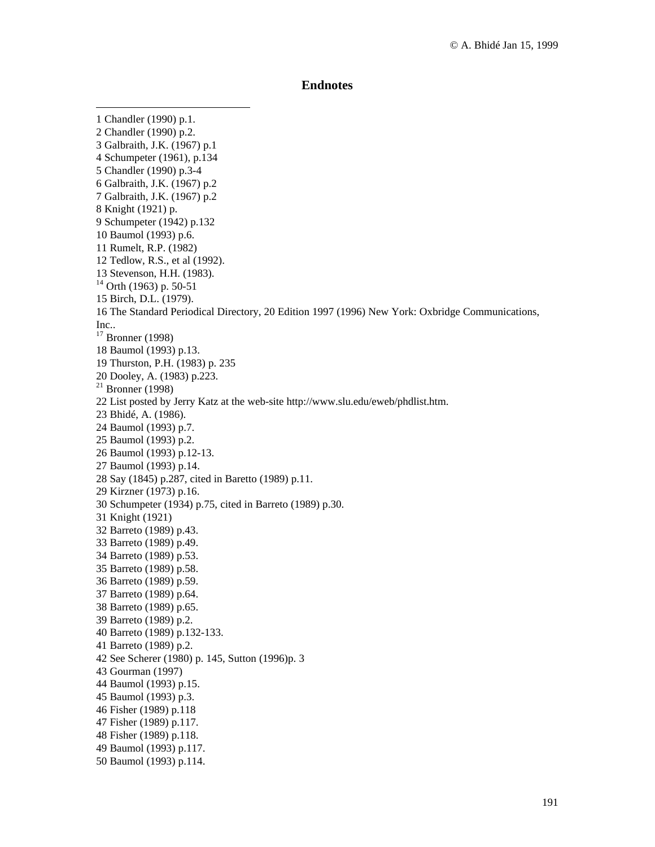# **Endnotes**

 $\overline{a}$ 

 Chandler (1990) p.1. Chandler (1990) p.2. Galbraith, J.K. (1967) p.1 Schumpeter (1961), p.134 5 Chandler (1990) p.3-4 Galbraith, J.K. (1967) p.2 Galbraith, J.K. (1967) p.2 Knight (1921) p. Schumpeter (1942) p.132 Baumol (1993) p.6. Rumelt, R.P. (1982) Tedlow, R.S., et al (1992). Stevenson, H.H. (1983). Orth (1963) p. 50-51 Birch, D.L. (1979). 16 The Standard Periodical Directory, 20 Edition 1997 (1996) New York: Oxbridge Communications, Inc.. Bronner (1998) Baumol (1993) p.13. Thurston, P.H. (1983) p. 235 Dooley, A. (1983) p.223. Bronner (1998) 22 List posted by Jerry Katz at the web-site http://www.slu.edu/eweb/phdlist.htm. Bhidé, A. (1986). Baumol (1993) p.7. Baumol (1993) p.2. Baumol (1993) p.12-13. Baumol (1993) p.14. 28 Say (1845) p.287, cited in Baretto (1989) p.11. Kirzner (1973) p.16. Schumpeter (1934) p.75, cited in Barreto (1989) p.30. 31 Knight (1921) Barreto (1989) p.43. Barreto (1989) p.49. Barreto (1989) p.53. Barreto (1989) p.58. Barreto (1989) p.59. Barreto (1989) p.64. Barreto (1989) p.65. Barreto (1989) p.2. Barreto (1989) p.132-133. Barreto (1989) p.2. 42 See Scherer (1980) p. 145, Sutton (1996)p. 3 Gourman (1997) Baumol (1993) p.15. Baumol (1993) p.3. 46 Fisher (1989) p.118 Fisher (1989) p.117. Fisher (1989) p.118. Baumol (1993) p.117. Baumol (1993) p.114.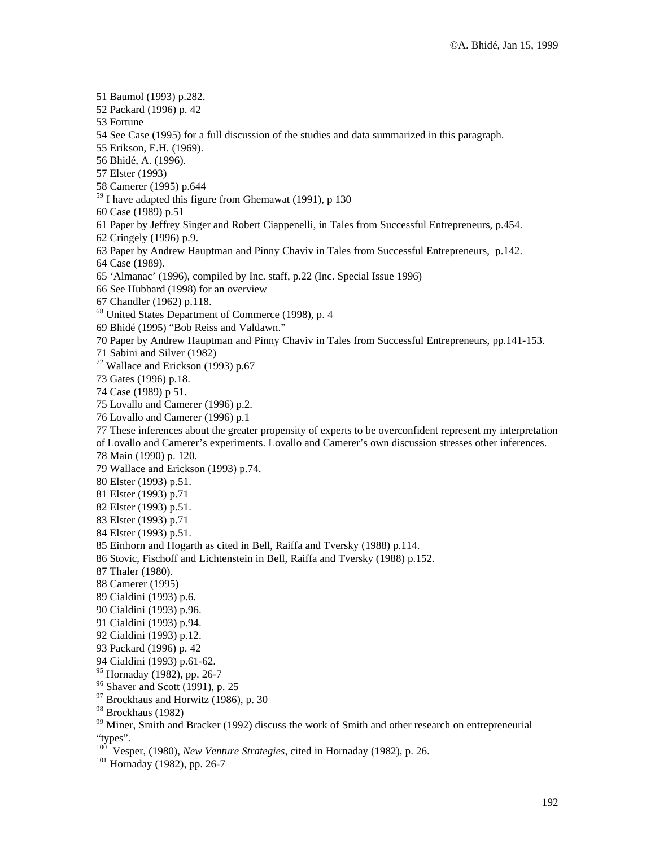$\overline{a}$  Baumol (1993) p.282. 52 Packard (1996) p. 42 53 Fortune 54 See Case (1995) for a full discussion of the studies and data summarized in this paragraph. Erikson, E.H. (1969). Bhidé, A. (1996). 57 Elster (1993) Camerer (1995) p.644  $^{59}$  I have adapted this figure from Ghemawat (1991), p 130 60 Case (1989) p.51 61 Paper by Jeffrey Singer and Robert Ciappenelli, in Tales from Successful Entrepreneurs, p.454. Cringely (1996) p.9. 63 Paper by Andrew Hauptman and Pinny Chaviv in Tales from Successful Entrepreneurs, p.142. 64 Case (1989). 65 'Almanac' (1996), compiled by Inc. staff, p.22 (Inc. Special Issue 1996) 66 See Hubbard (1998) for an overview Chandler (1962) p.118. <sup>68</sup> United States Department of Commerce (1998), p. 4 Bhidé (1995) "Bob Reiss and Valdawn." Paper by Andrew Hauptman and Pinny Chaviv in Tales from Successful Entrepreneurs, pp.141-153. Sabini and Silver (1982) Wallace and Erickson (1993) p.67 Gates (1996) p.18. Case (1989) p 51. Lovallo and Camerer (1996) p.2. Lovallo and Camerer (1996) p.1 77 These inferences about the greater propensity of experts to be overconfident represent my interpretation of Lovallo and Camerer's experiments. Lovallo and Camerer's own discussion stresses other inferences. Main (1990) p. 120. Wallace and Erickson (1993) p.74. Elster (1993) p.51. 81 Elster (1993) p.71 Elster (1993) p.51. 83 Elster (1993) p.71 Elster (1993) p.51. Einhorn and Hogarth as cited in Bell, Raiffa and Tversky (1988) p.114. Stovic, Fischoff and Lichtenstein in Bell, Raiffa and Tversky (1988) p.152. Thaler (1980). Camerer (1995) Cialdini (1993) p.6. Cialdini (1993) p.96. Cialdini (1993) p.94. Cialdini (1993) p.12. 93 Packard (1996) p. 42 Cialdini (1993) p.61-62. Hornaday (1982), pp. 26-7 Shaver and Scott (1991), p. 25 Brockhaus and Horwitz (1986), p. 30 Brockhaus (1982)  $\frac{99}{99}$  Miner, Smith and Bracker (1992) discuss the work of Smith and other research on entrepreneurial "types".

<sup>100</sup><sup>-</sup>Vesper, (1980), *New Venture Strategies*, cited in Hornaday (1982), p. 26.

Hornaday (1982), pp. 26-7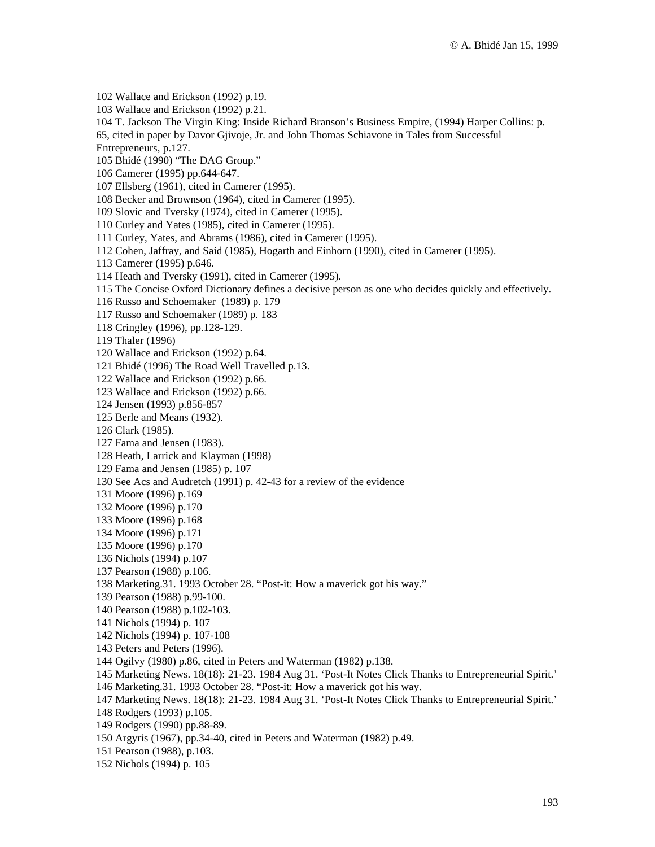102 Wallace and Erickson (1992) p.19. 103 Wallace and Erickson (1992) p.21. 104 T. Jackson The Virgin King: Inside Richard Branson's Business Empire, (1994) Harper Collins: p. 65, cited in paper by Davor Gjivoje, Jr. and John Thomas Schiavone in Tales from Successful Entrepreneurs, p.127. 105 Bhidé (1990) "The DAG Group." 106 Camerer (1995) pp.644-647. 107 Ellsberg (1961), cited in Camerer (1995). 108 Becker and Brownson (1964), cited in Camerer (1995). 109 Slovic and Tversky (1974), cited in Camerer (1995). 110 Curley and Yates (1985), cited in Camerer (1995). 111 Curley, Yates, and Abrams (1986), cited in Camerer (1995). 112 Cohen, Jaffray, and Said (1985), Hogarth and Einhorn (1990), cited in Camerer (1995). 113 Camerer (1995) p.646. 114 Heath and Tversky (1991), cited in Camerer (1995). 115 The Concise Oxford Dictionary defines a decisive person as one who decides quickly and effectively. 116 Russo and Schoemaker (1989) p. 179 117 Russo and Schoemaker (1989) p. 183 118 Cringley (1996), pp.128-129. 119 Thaler (1996) 120 Wallace and Erickson (1992) p.64. 121 Bhidé (1996) The Road Well Travelled p.13. 122 Wallace and Erickson (1992) p.66. 123 Wallace and Erickson (1992) p.66. 124 Jensen (1993) p.856-857 125 Berle and Means (1932). 126 Clark (1985). 127 Fama and Jensen (1983). 128 Heath, Larrick and Klayman (1998) 129 Fama and Jensen (1985) p. 107 130 See Acs and Audretch (1991) p. 42-43 for a review of the evidence 131 Moore (1996) p.169 132 Moore (1996) p.170 133 Moore (1996) p.168 134 Moore (1996) p.171 135 Moore (1996) p.170 136 Nichols (1994) p.107 137 Pearson (1988) p.106. 138 Marketing.31. 1993 October 28. "Post-it: How a maverick got his way." 139 Pearson (1988) p.99-100. 140 Pearson (1988) p.102-103. 141 Nichols (1994) p. 107 142 Nichols (1994) p. 107-108 143 Peters and Peters (1996). 144 Ogilvy (1980) p.86, cited in Peters and Waterman (1982) p.138. 145 Marketing News. 18(18): 21-23. 1984 Aug 31. 'Post-It Notes Click Thanks to Entrepreneurial Spirit.' 146 Marketing.31. 1993 October 28. "Post-it: How a maverick got his way. 147 Marketing News. 18(18): 21-23. 1984 Aug 31. 'Post-It Notes Click Thanks to Entrepreneurial Spirit.' 148 Rodgers (1993) p.105. 149 Rodgers (1990) pp.88-89. 150 Argyris (1967), pp.34-40, cited in Peters and Waterman (1982) p.49. 151 Pearson (1988), p.103.

152 Nichols (1994) p. 105

 $\overline{a}$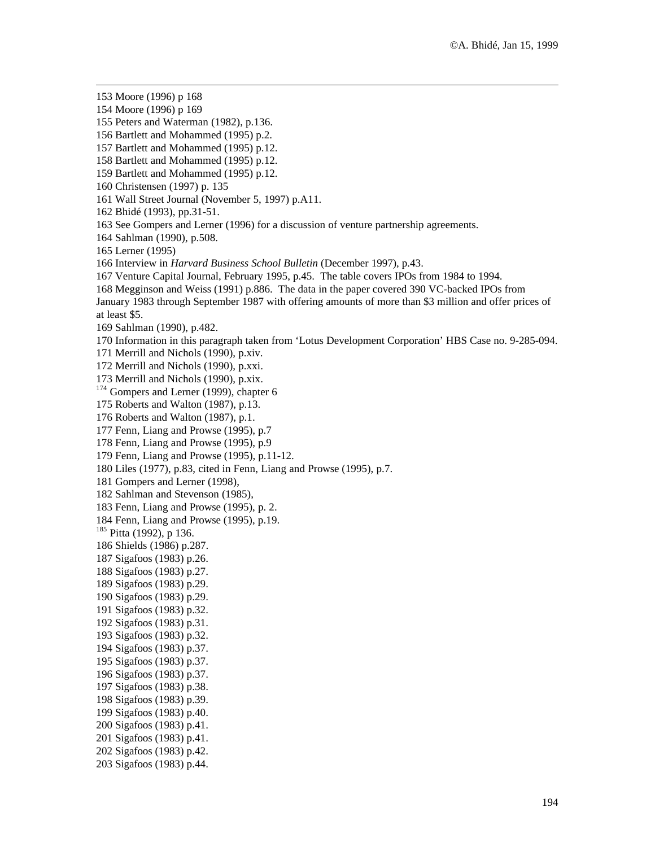153 Moore (1996) p 168 154 Moore (1996) p 169 Peters and Waterman (1982), p.136. Bartlett and Mohammed (1995) p.2. Bartlett and Mohammed (1995) p.12. Bartlett and Mohammed (1995) p.12. Bartlett and Mohammed (1995) p.12. 160 Christensen (1997) p. 135 161 Wall Street Journal (November 5, 1997) p.A11. 162 Bhidé (1993), pp.31-51. 163 See Gompers and Lerner (1996) for a discussion of venture partnership agreements. Sahlman (1990), p.508. Lerner (1995) 166 Interview in *Harvard Business School Bulletin* (December 1997), p.43. Venture Capital Journal, February 1995, p.45. The table covers IPOs from 1984 to 1994. Megginson and Weiss (1991) p.886. The data in the paper covered 390 VC-backed IPOs from January 1983 through September 1987 with offering amounts of more than \$3 million and offer prices of at least \$5. Sahlman (1990), p.482. 170 Information in this paragraph taken from 'Lotus Development Corporation' HBS Case no. 9-285-094. Merrill and Nichols (1990), p.xiv. Merrill and Nichols (1990), p.xxi. Merrill and Nichols (1990), p.xix. Gompers and Lerner (1999), chapter 6 Roberts and Walton (1987), p.13. Roberts and Walton (1987), p.1. Fenn, Liang and Prowse (1995), p.7 Fenn, Liang and Prowse (1995), p.9 Fenn, Liang and Prowse (1995), p.11-12. Liles (1977), p.83, cited in Fenn, Liang and Prowse (1995), p.7. Gompers and Lerner (1998), 182 Sahlman and Stevenson (1985), Fenn, Liang and Prowse (1995), p. 2. Fenn, Liang and Prowse (1995), p.19. <sup>185</sup> Pitta (1992), p 136. Shields (1986) p.287. Sigafoos (1983) p.26. Sigafoos (1983) p.27. Sigafoos (1983) p.29. Sigafoos (1983) p.29. Sigafoos (1983) p.32. Sigafoos (1983) p.31. Sigafoos (1983) p.32. Sigafoos (1983) p.37. Sigafoos (1983) p.37. Sigafoos (1983) p.37. Sigafoos (1983) p.38. Sigafoos (1983) p.39. Sigafoos (1983) p.40. Sigafoos (1983) p.41. Sigafoos (1983) p.41. Sigafoos (1983) p.42. Sigafoos (1983) p.44.

 $\overline{a}$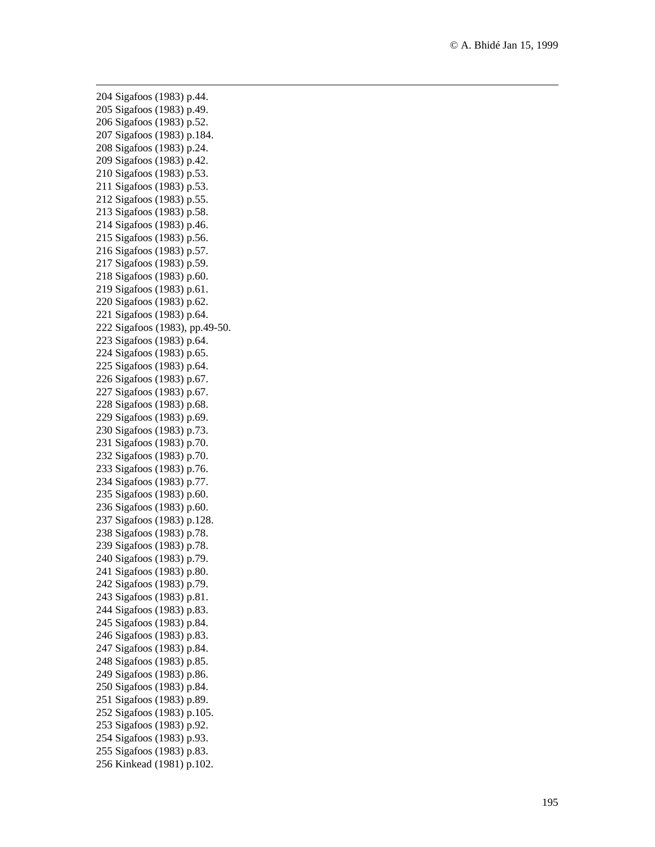Sigafoos (1983) p.44. Sigafoos (1983) p.49. Sigafoos (1983) p.52. Sigafoos (1983) p.184. Sigafoos (1983) p.24. Sigafoos (1983) p.42. Sigafoos (1983) p.53. Sigafoos (1983) p.53. Sigafoos (1983) p.55. Sigafoos (1983) p.58. Sigafoos (1983) p.46. Sigafoos (1983) p.56. Sigafoos (1983) p.57. Sigafoos (1983) p.59. Sigafoos (1983) p.60. Sigafoos (1983) p.61. Sigafoos (1983) p.62. Sigafoos (1983) p.64. Sigafoos (1983), pp.49-50. Sigafoos (1983) p.64. Sigafoos (1983) p.65. Sigafoos (1983) p.64. Sigafoos (1983) p.67. Sigafoos (1983) p.67. Sigafoos (1983) p.68. Sigafoos (1983) p.69. Sigafoos (1983) p.73. Sigafoos (1983) p.70. Sigafoos (1983) p.70. Sigafoos (1983) p.76. Sigafoos (1983) p.77. Sigafoos (1983) p.60. Sigafoos (1983) p.60. Sigafoos (1983) p.128. Sigafoos (1983) p.78. Sigafoos (1983) p.78. Sigafoos (1983) p.79. Sigafoos (1983) p.80. Sigafoos (1983) p.79. Sigafoos (1983) p.81. Sigafoos (1983) p.83. Sigafoos (1983) p.84. Sigafoos (1983) p.83. Sigafoos (1983) p.84. Sigafoos (1983) p.85. Sigafoos (1983) p.86. Sigafoos (1983) p.84. Sigafoos (1983) p.89. Sigafoos (1983) p.105. Sigafoos (1983) p.92. Sigafoos (1983) p.93. Sigafoos (1983) p.83. Kinkead (1981) p.102.

 $\overline{a}$